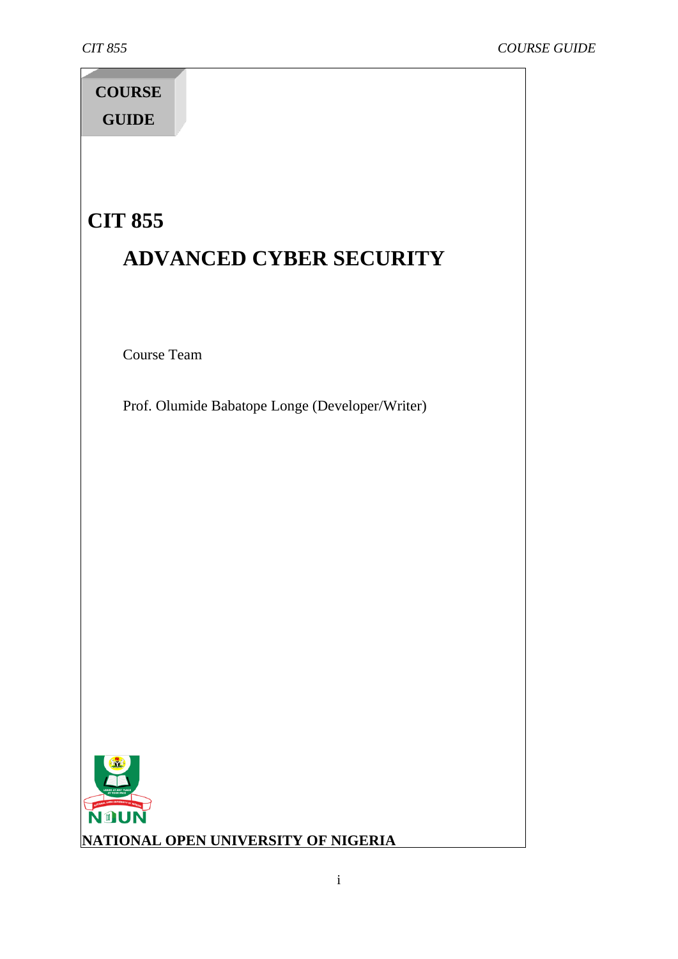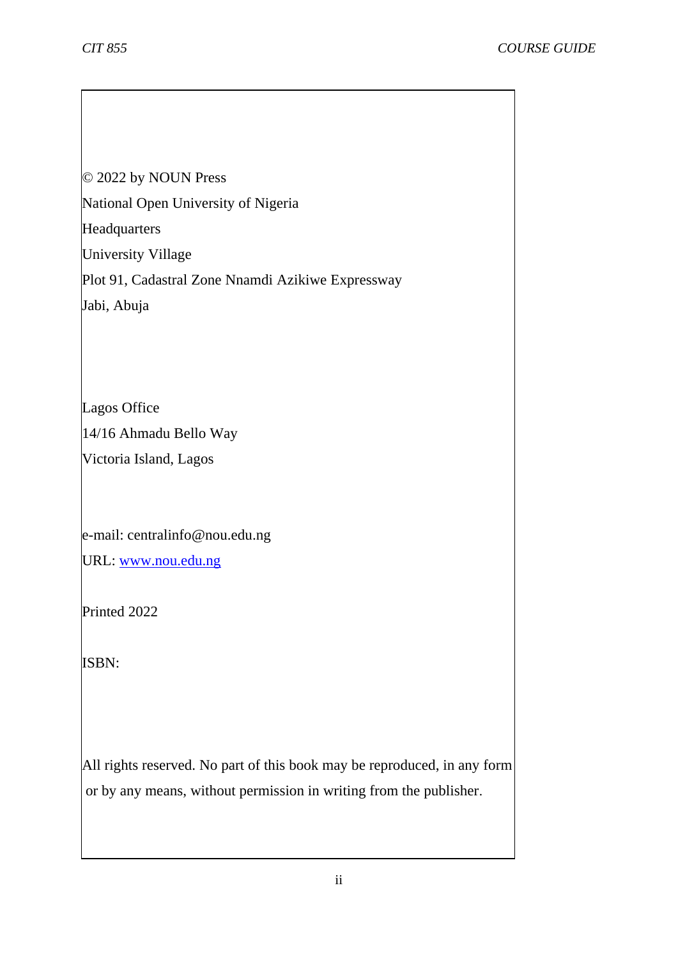© 2022 by NOUN Press National Open University of Nigeria **Headquarters** University Village Plot 91, Cadastral Zone Nnamdi Azikiwe Expressway Jabi, Abuja

Lagos Office 14/16 Ahmadu Bello Way Victoria Island, Lagos

e-mail: centralinfo@nou.edu.ng URL: [www.nou.edu.ng](http://www.nou.edu.ng/)

Printed 2022

ISBN:

All rights reserved. No part of this book may be reproduced, in any form or by any means, without permission in writing from the publisher.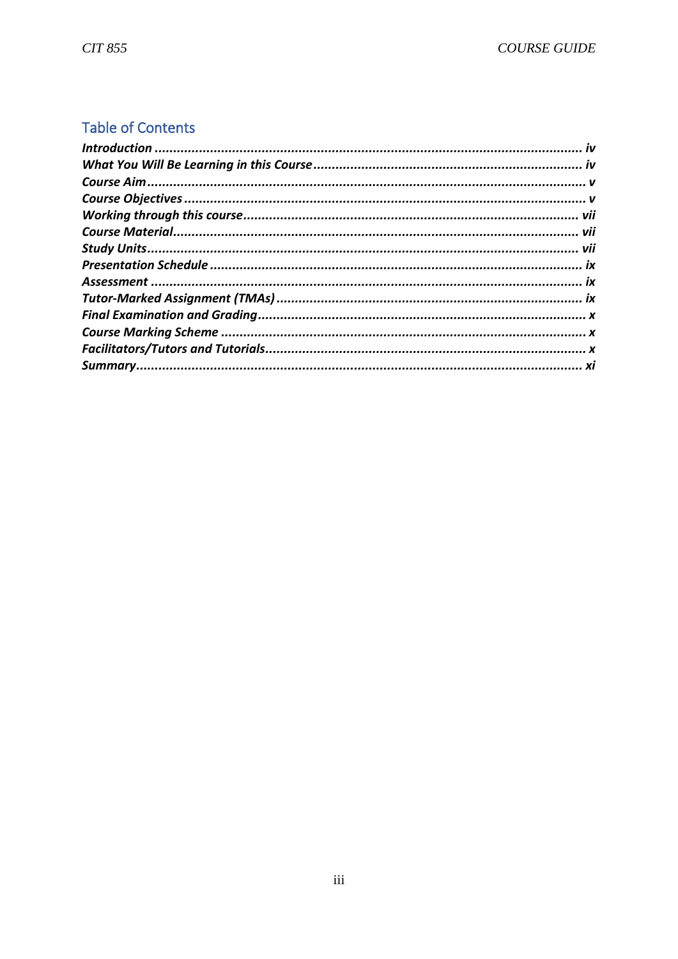# **Table of Contents**

<span id="page-2-0"></span>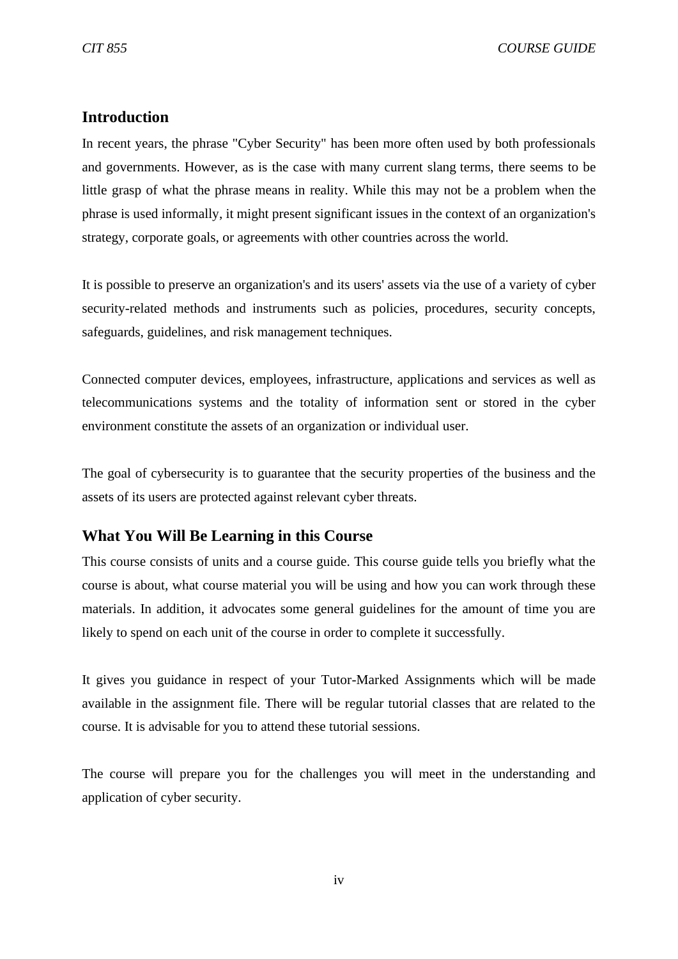# **Introduction**

In recent years, the phrase "Cyber Security" has been more often used by both professionals and governments. However, as is the case with many current slang terms, there seems to be little grasp of what the phrase means in reality. While this may not be a problem when the phrase is used informally, it might present significant issues in the context of an organization's strategy, corporate goals, or agreements with other countries across the world.

It is possible to preserve an organization's and its users' assets via the use of a variety of cyber security-related methods and instruments such as policies, procedures, security concepts, safeguards, guidelines, and risk management techniques.

Connected computer devices, employees, infrastructure, applications and services as well as telecommunications systems and the totality of information sent or stored in the cyber environment constitute the assets of an organization or individual user.

The goal of cybersecurity is to guarantee that the security properties of the business and the assets of its users are protected against relevant cyber threats.

# <span id="page-3-0"></span>**What You Will Be Learning in this Course**

This course consists of units and a course guide. This course guide tells you briefly what the course is about, what course material you will be using and how you can work through these materials. In addition, it advocates some general guidelines for the amount of time you are likely to spend on each unit of the course in order to complete it successfully.

It gives you guidance in respect of your Tutor-Marked Assignments which will be made available in the assignment file. There will be regular tutorial classes that are related to the course. It is advisable for you to attend these tutorial sessions.

The course will prepare you for the challenges you will meet in the understanding and application of cyber security.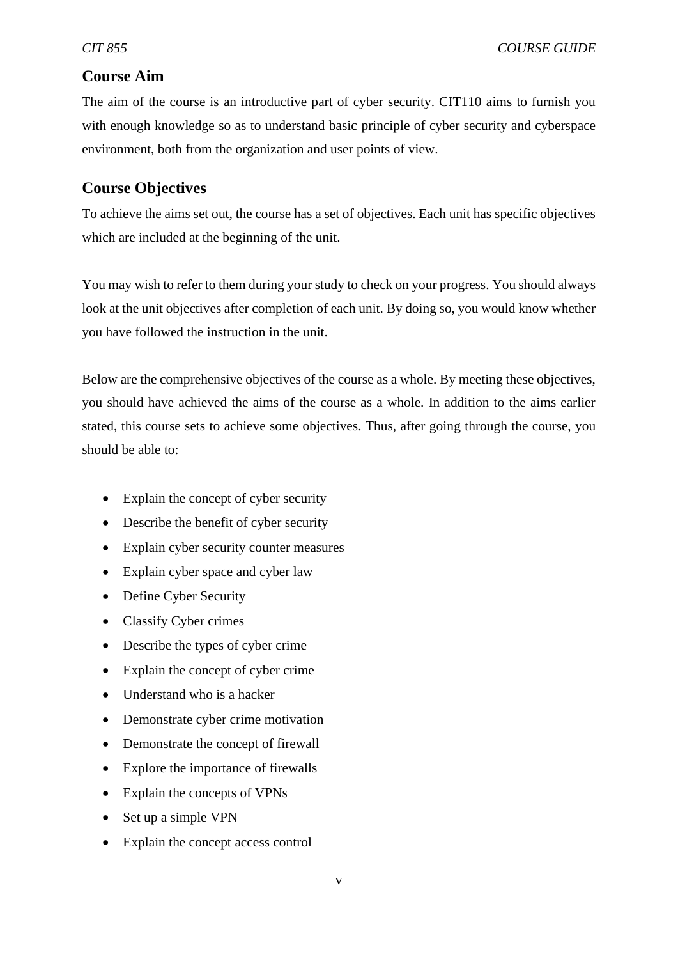# <span id="page-4-0"></span>**Course Aim**

The aim of the course is an introductive part of cyber security. CIT110 aims to furnish you with enough knowledge so as to understand basic principle of cyber security and cyberspace environment, both from the organization and user points of view.

# <span id="page-4-1"></span>**Course Objectives**

To achieve the aims set out, the course has a set of objectives. Each unit has specific objectives which are included at the beginning of the unit.

You may wish to refer to them during your study to check on your progress. You should always look at the unit objectives after completion of each unit. By doing so, you would know whether you have followed the instruction in the unit.

Below are the comprehensive objectives of the course as a whole. By meeting these objectives, you should have achieved the aims of the course as a whole. In addition to the aims earlier stated, this course sets to achieve some objectives. Thus, after going through the course, you should be able to:

- Explain the concept of cyber security
- Describe the benefit of cyber security
- Explain cyber security counter measures
- Explain cyber space and cyber law
- Define Cyber Security
- Classify Cyber crimes
- Describe the types of cyber crime
- Explain the concept of cyber crime
- Understand who is a hacker
- Demonstrate cyber crime motivation
- Demonstrate the concept of firewall
- Explore the importance of firewalls
- Explain the concepts of VPNs
- Set up a simple VPN
- Explain the concept access control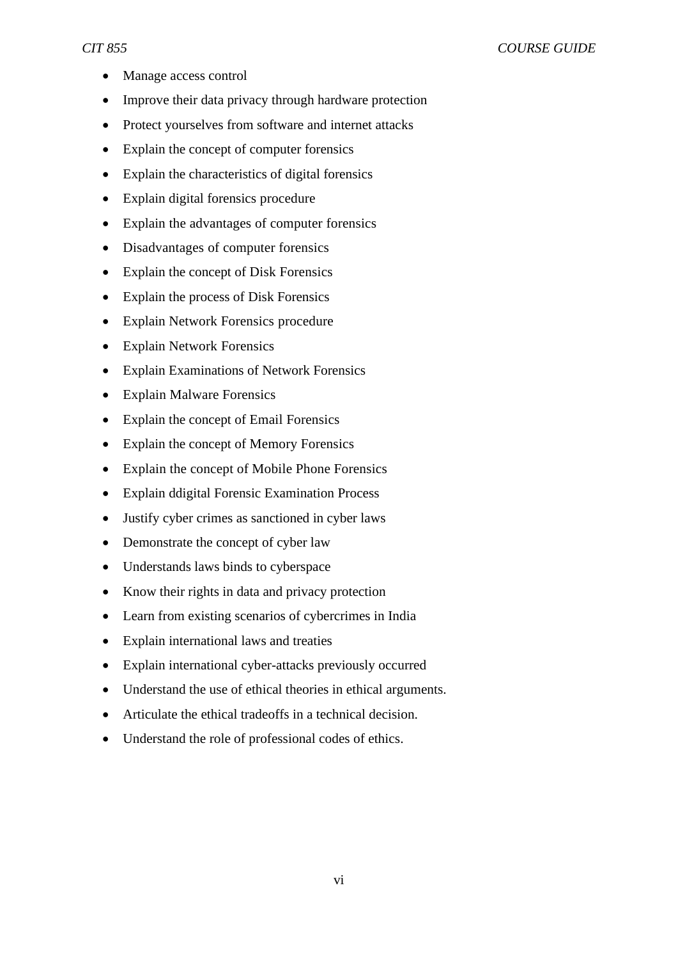- Manage access control
- Improve their data privacy through hardware protection
- Protect yourselves from software and internet attacks
- Explain the concept of computer forensics
- Explain the characteristics of digital forensics
- Explain digital forensics procedure
- Explain the advantages of computer forensics
- Disadvantages of computer forensics
- Explain the concept of Disk Forensics
- Explain the process of Disk Forensics
- Explain Network Forensics procedure
- Explain Network Forensics
- Explain Examinations of Network Forensics
- Explain Malware Forensics
- Explain the concept of Email Forensics
- Explain the concept of Memory Forensics
- Explain the concept of Mobile Phone Forensics
- Explain ddigital Forensic Examination Process
- Justify cyber crimes as sanctioned in cyber laws
- Demonstrate the concept of cyber law
- Understands laws binds to cyberspace
- Know their rights in data and privacy protection
- Learn from existing scenarios of cybercrimes in India
- Explain international laws and treaties
- Explain international cyber-attacks previously occurred
- Understand the use of ethical theories in ethical arguments.
- Articulate the ethical tradeoffs in a technical decision.
- Understand the role of professional codes of ethics.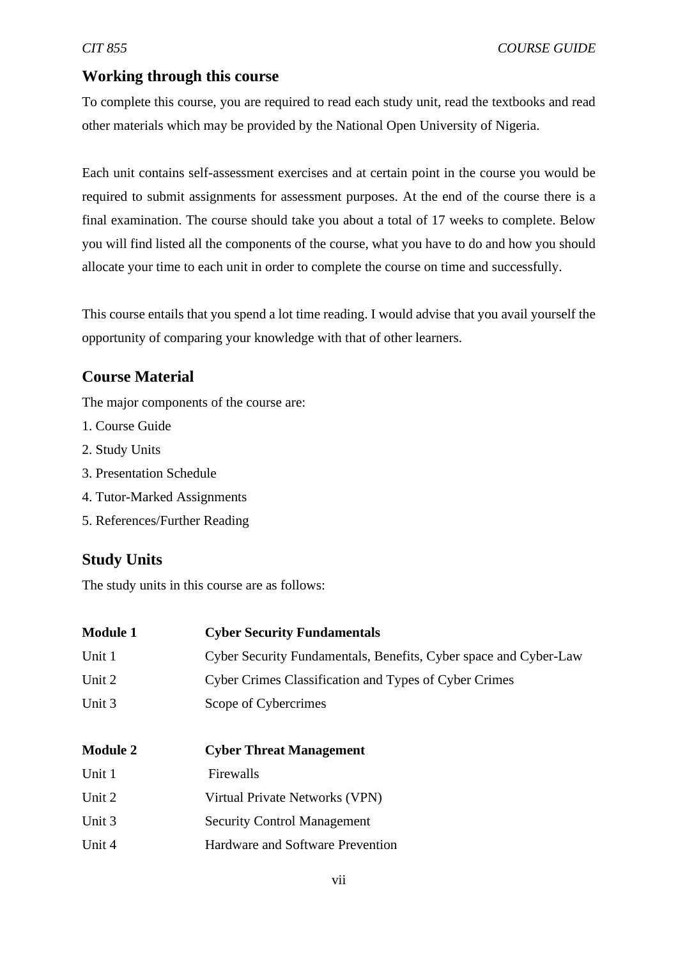# <span id="page-6-0"></span>**Working through this course**

To complete this course, you are required to read each study unit, read the textbooks and read other materials which may be provided by the National Open University of Nigeria.

Each unit contains self-assessment exercises and at certain point in the course you would be required to submit assignments for assessment purposes. At the end of the course there is a final examination. The course should take you about a total of 17 weeks to complete. Below you will find listed all the components of the course, what you have to do and how you should allocate your time to each unit in order to complete the course on time and successfully.

This course entails that you spend a lot time reading. I would advise that you avail yourself the opportunity of comparing your knowledge with that of other learners.

# <span id="page-6-1"></span>**Course Material**

The major components of the course are:

- 1. Course Guide
- 2. Study Units
- 3. Presentation Schedule
- 4. Tutor-Marked Assignments
- 5. References/Further Reading

# <span id="page-6-2"></span>**Study Units**

The study units in this course are as follows:

| <b>Module 1</b> | <b>Cyber Security Fundamentals</b>                               |
|-----------------|------------------------------------------------------------------|
| Unit 1          | Cyber Security Fundamentals, Benefits, Cyber space and Cyber-Law |
| Unit 2          | Cyber Crimes Classification and Types of Cyber Crimes            |
| Unit 3          | Scope of Cybercrimes                                             |
| <b>Module 2</b> | <b>Cyber Threat Management</b>                                   |
| Unit 1          | Firewalls                                                        |
| Unit 2          | Virtual Private Networks (VPN)                                   |
| Unit 3          | <b>Security Control Management</b>                               |
| Unit 4          | Hardware and Software Prevention                                 |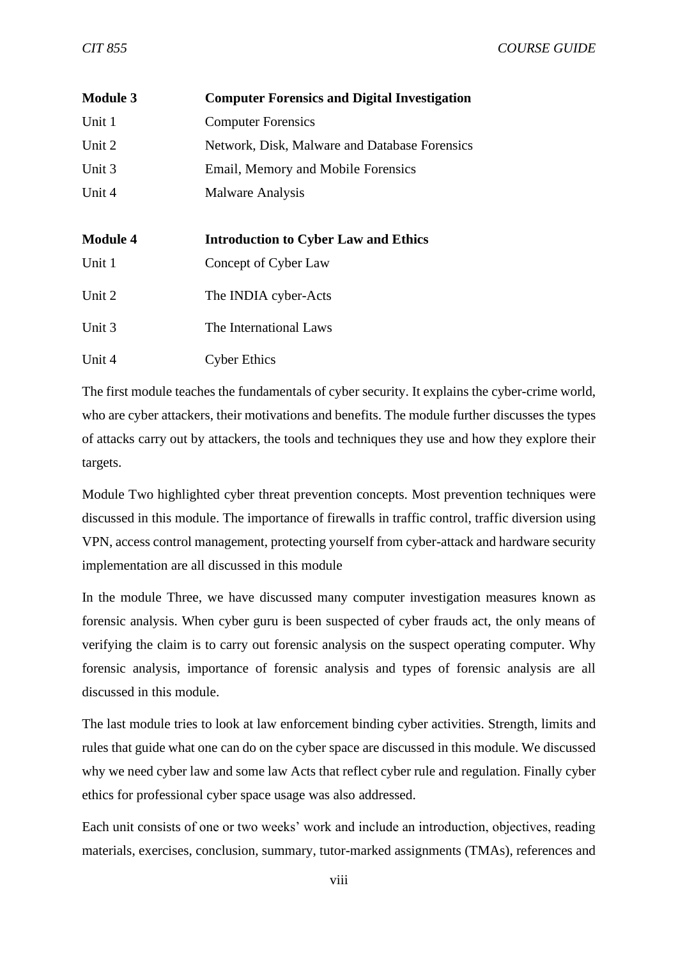*CIT 855 COURSE GUIDE*

| <b>Module 3</b> | <b>Computer Forensics and Digital Investigation</b> |
|-----------------|-----------------------------------------------------|
| Unit 1          | <b>Computer Forensics</b>                           |
| Unit 2          | Network, Disk, Malware and Database Forensics       |
| Unit 3          | Email, Memory and Mobile Forensics                  |
| Unit 4          | <b>Malware Analysis</b>                             |
|                 |                                                     |
|                 |                                                     |
| <b>Module 4</b> | <b>Introduction to Cyber Law and Ethics</b>         |
| Unit 1          | Concept of Cyber Law                                |
| Unit 2          | The INDIA cyber-Acts                                |
| Unit 3          | The International Laws                              |

The first module teaches the fundamentals of cyber security. It explains the cyber-crime world, who are cyber attackers, their motivations and benefits. The module further discusses the types of attacks carry out by attackers, the tools and techniques they use and how they explore their targets.

Module Two highlighted cyber threat prevention concepts. Most prevention techniques were discussed in this module. The importance of firewalls in traffic control, traffic diversion using VPN, access control management, protecting yourself from cyber-attack and hardware security implementation are all discussed in this module

In the module Three, we have discussed many computer investigation measures known as forensic analysis. When cyber guru is been suspected of cyber frauds act, the only means of verifying the claim is to carry out forensic analysis on the suspect operating computer. Why forensic analysis, importance of forensic analysis and types of forensic analysis are all discussed in this module.

The last module tries to look at law enforcement binding cyber activities. Strength, limits and rules that guide what one can do on the cyber space are discussed in this module. We discussed why we need cyber law and some law Acts that reflect cyber rule and regulation. Finally cyber ethics for professional cyber space usage was also addressed.

Each unit consists of one or two weeks' work and include an introduction, objectives, reading materials, exercises, conclusion, summary, tutor-marked assignments (TMAs), references and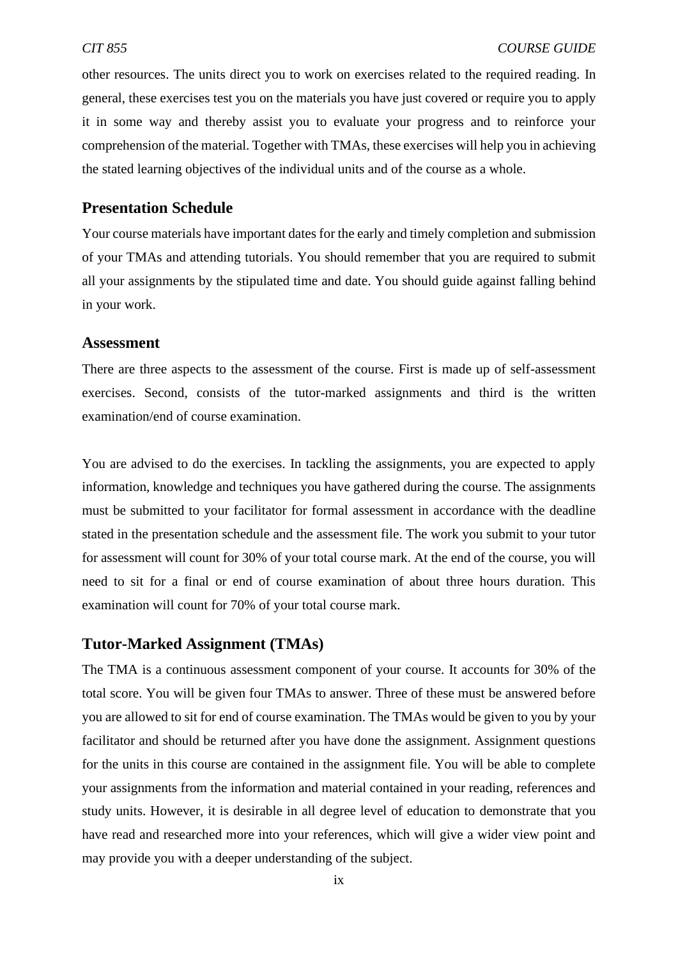other resources. The units direct you to work on exercises related to the required reading. In general, these exercises test you on the materials you have just covered or require you to apply it in some way and thereby assist you to evaluate your progress and to reinforce your comprehension of the material. Together with TMAs, these exercises will help you in achieving the stated learning objectives of the individual units and of the course as a whole.

# <span id="page-8-0"></span>**Presentation Schedule**

Your course materials have important dates for the early and timely completion and submission of your TMAs and attending tutorials. You should remember that you are required to submit all your assignments by the stipulated time and date. You should guide against falling behind in your work.

# <span id="page-8-1"></span>**Assessment**

There are three aspects to the assessment of the course. First is made up of self-assessment exercises. Second, consists of the tutor-marked assignments and third is the written examination/end of course examination.

You are advised to do the exercises. In tackling the assignments, you are expected to apply information, knowledge and techniques you have gathered during the course. The assignments must be submitted to your facilitator for formal assessment in accordance with the deadline stated in the presentation schedule and the assessment file. The work you submit to your tutor for assessment will count for 30% of your total course mark. At the end of the course, you will need to sit for a final or end of course examination of about three hours duration. This examination will count for 70% of your total course mark.

# <span id="page-8-2"></span>**Tutor-Marked Assignment (TMAs)**

The TMA is a continuous assessment component of your course. It accounts for 30% of the total score. You will be given four TMAs to answer. Three of these must be answered before you are allowed to sit for end of course examination. The TMAs would be given to you by your facilitator and should be returned after you have done the assignment. Assignment questions for the units in this course are contained in the assignment file. You will be able to complete your assignments from the information and material contained in your reading, references and study units. However, it is desirable in all degree level of education to demonstrate that you have read and researched more into your references, which will give a wider view point and may provide you with a deeper understanding of the subject.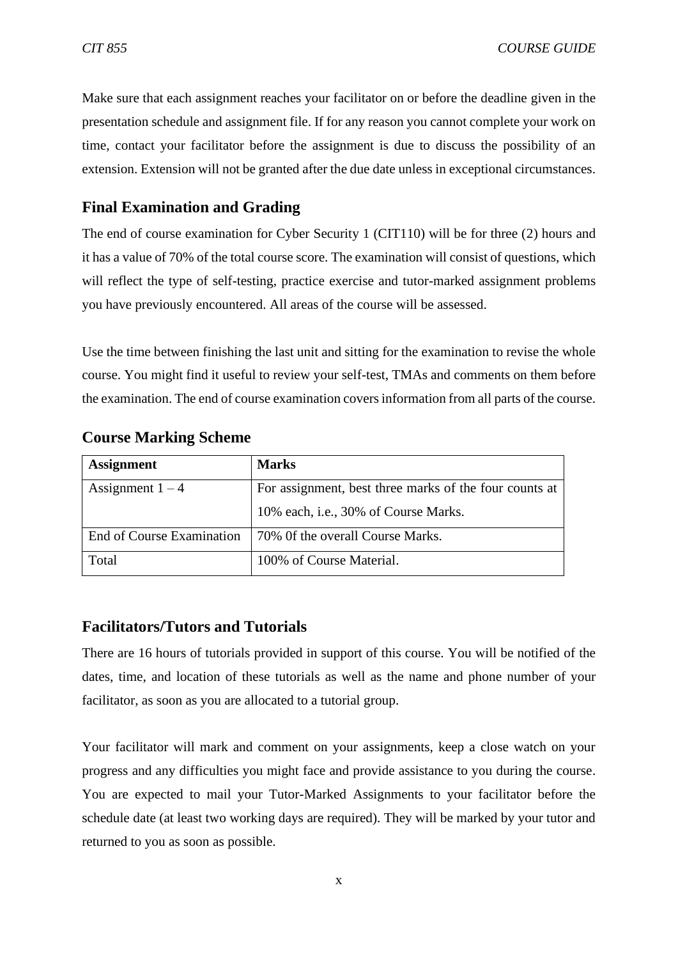Make sure that each assignment reaches your facilitator on or before the deadline given in the presentation schedule and assignment file. If for any reason you cannot complete your work on time, contact your facilitator before the assignment is due to discuss the possibility of an extension. Extension will not be granted after the due date unless in exceptional circumstances.

# <span id="page-9-0"></span>**Final Examination and Grading**

The end of course examination for Cyber Security 1 (CIT110) will be for three (2) hours and it has a value of 70% of the total course score. The examination will consist of questions, which will reflect the type of self-testing, practice exercise and tutor-marked assignment problems you have previously encountered. All areas of the course will be assessed.

Use the time between finishing the last unit and sitting for the examination to revise the whole course. You might find it useful to review your self-test, TMAs and comments on them before the examination. The end of course examination covers information from all parts of the course.

| <b>Assignment</b>         | <b>Marks</b>                                           |
|---------------------------|--------------------------------------------------------|
| Assignment $1 - 4$        | For assignment, best three marks of the four counts at |
|                           | 10% each, i.e., 30% of Course Marks.                   |
| End of Course Examination | 70% Of the overall Course Marks.                       |
| Total                     | 100% of Course Material.                               |

# <span id="page-9-1"></span>**Course Marking Scheme**

# <span id="page-9-2"></span>**Facilitators/Tutors and Tutorials**

There are 16 hours of tutorials provided in support of this course. You will be notified of the dates, time, and location of these tutorials as well as the name and phone number of your facilitator, as soon as you are allocated to a tutorial group.

Your facilitator will mark and comment on your assignments, keep a close watch on your progress and any difficulties you might face and provide assistance to you during the course. You are expected to mail your Tutor-Marked Assignments to your facilitator before the schedule date (at least two working days are required). They will be marked by your tutor and returned to you as soon as possible.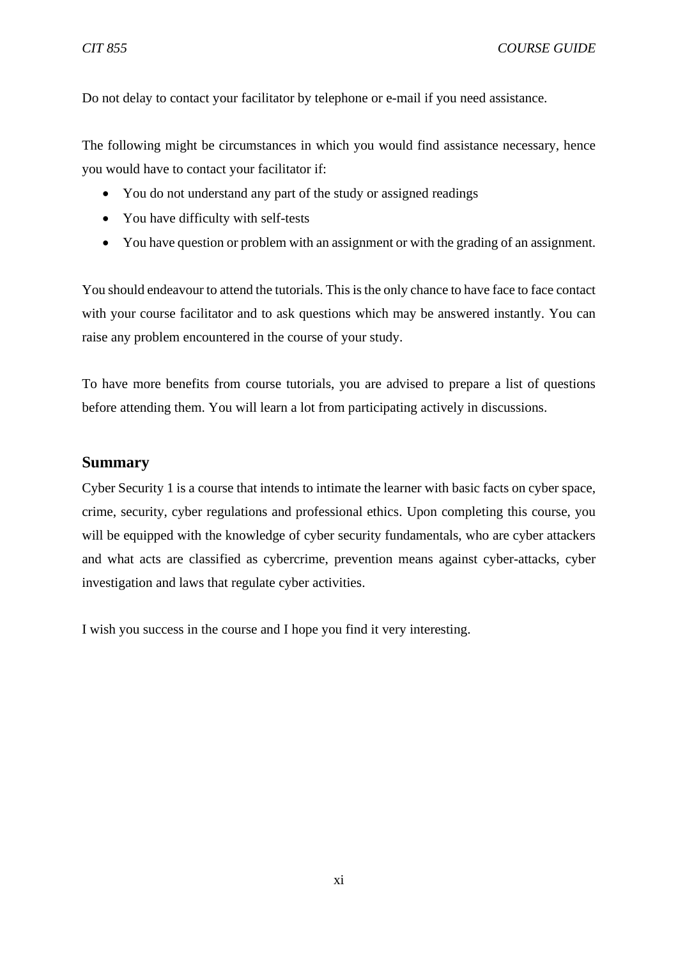Do not delay to contact your facilitator by telephone or e-mail if you need assistance.

The following might be circumstances in which you would find assistance necessary, hence you would have to contact your facilitator if:

- You do not understand any part of the study or assigned readings
- You have difficulty with self-tests
- You have question or problem with an assignment or with the grading of an assignment.

You should endeavour to attend the tutorials. This is the only chance to have face to face contact with your course facilitator and to ask questions which may be answered instantly. You can raise any problem encountered in the course of your study.

To have more benefits from course tutorials, you are advised to prepare a list of questions before attending them. You will learn a lot from participating actively in discussions.

# <span id="page-10-0"></span>**Summary**

Cyber Security 1 is a course that intends to intimate the learner with basic facts on cyber space, crime, security, cyber regulations and professional ethics. Upon completing this course, you will be equipped with the knowledge of cyber security fundamentals, who are cyber attackers and what acts are classified as cybercrime, prevention means against cyber-attacks, cyber investigation and laws that regulate cyber activities.

I wish you success in the course and I hope you find it very interesting.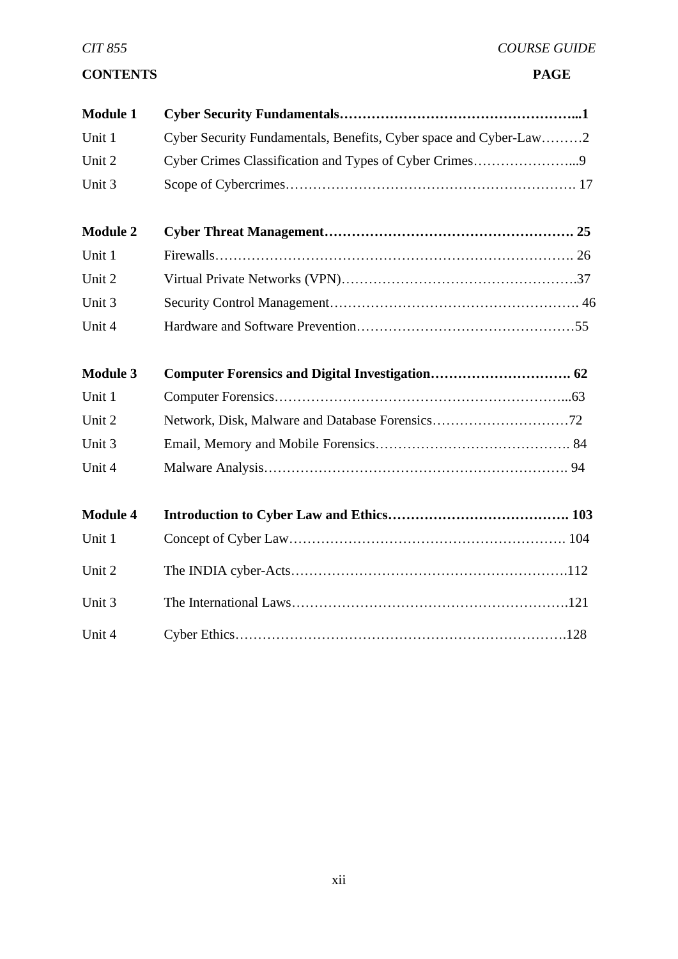# *CIT 855 COURSE GUIDE*

# **CONTENTS PAGE**

| <b>Module 1</b> |                                                                   |
|-----------------|-------------------------------------------------------------------|
| Unit 1          | Cyber Security Fundamentals, Benefits, Cyber space and Cyber-Law2 |
| Unit 2          | Cyber Crimes Classification and Types of Cyber Crimes9            |
| Unit 3          |                                                                   |
| <b>Module 2</b> |                                                                   |
| Unit 1          |                                                                   |
| Unit 2          |                                                                   |
| Unit 3          |                                                                   |
| Unit 4          |                                                                   |
| <b>Module 3</b> |                                                                   |
| Unit 1          |                                                                   |
| Unit 2          |                                                                   |
| Unit 3          |                                                                   |
| Unit 4          |                                                                   |
| <b>Module 4</b> |                                                                   |
| Unit 1          |                                                                   |
| Unit 2          |                                                                   |
| Unit 3          |                                                                   |
| Unit 4          |                                                                   |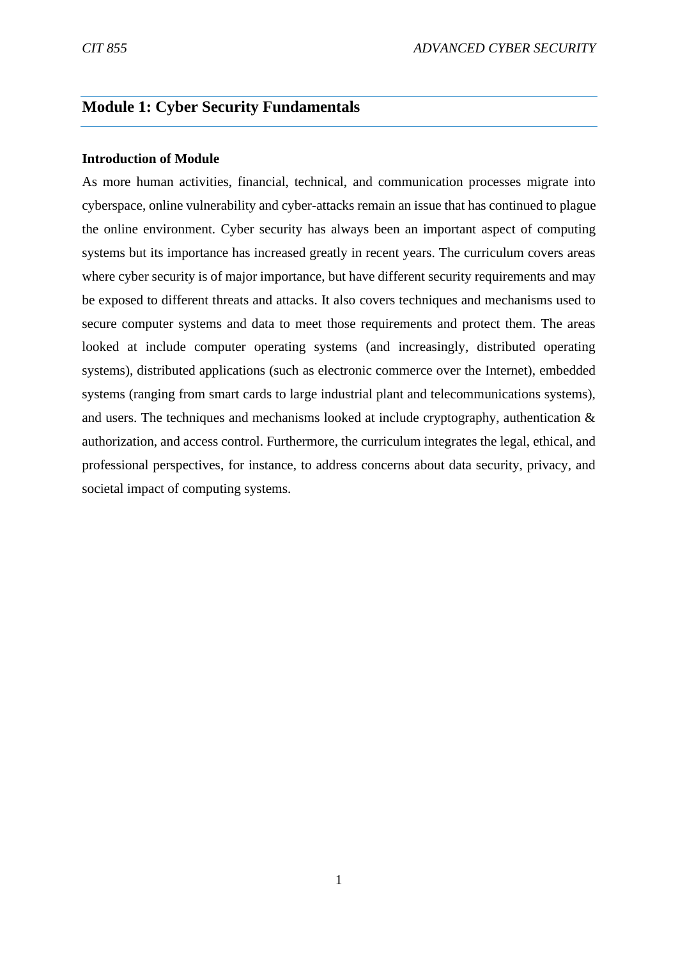# **Module 1: Cyber Security Fundamentals**

# **Introduction of Module**

As more human activities, financial, technical, and communication processes migrate into cyberspace, online vulnerability and cyber-attacks remain an issue that has continued to plague the online environment. Cyber security has always been an important aspect of computing systems but its importance has increased greatly in recent years. The curriculum covers areas where cyber security is of major importance, but have different security requirements and may be exposed to different threats and attacks. It also covers techniques and mechanisms used to secure computer systems and data to meet those requirements and protect them. The areas looked at include computer operating systems (and increasingly, distributed operating systems), distributed applications (such as electronic commerce over the Internet), embedded systems (ranging from smart cards to large industrial plant and telecommunications systems), and users. The techniques and mechanisms looked at include cryptography, authentication  $\&$ authorization, and access control. Furthermore, the curriculum integrates the legal, ethical, and professional perspectives, for instance, to address concerns about data security, privacy, and societal impact of computing systems.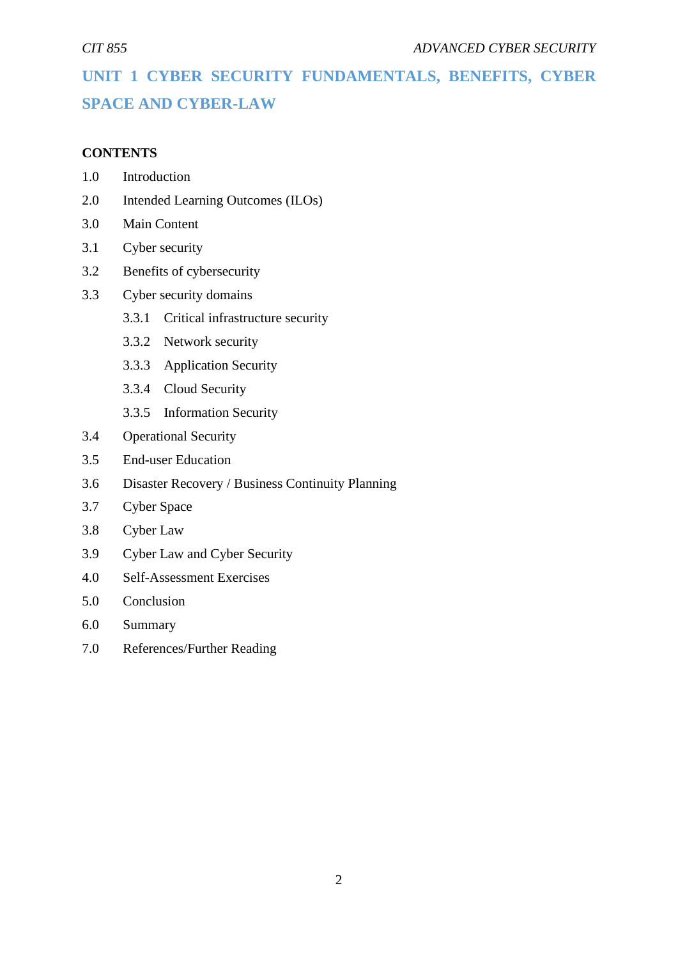# **UNIT 1 CYBER SECURITY FUNDAMENTALS, BENEFITS, CYBER SPACE AND CYBER-LAW**

# **CONTENTS**

- 1.0 Introduction
- 2.0 Intended Learning Outcomes (ILOs)
- 3.0 Main Content
- 3.1 Cyber security
- 3.2 Benefits of cybersecurity
- 3.3 Cyber security domains
	- 3.3.1 Critical infrastructure security
	- 3.3.2 Network security
	- 3.3.3 Application Security
	- 3.3.4 Cloud Security
	- 3.3.5 Information Security
- 3.4 Operational Security
- 3.5 End-user Education
- 3.6 Disaster Recovery / Business Continuity Planning
- 3.7 Cyber Space
- 3.8 Cyber Law
- 3.9 Cyber Law and Cyber Security
- 4.0 Self-Assessment Exercises
- 5.0 Conclusion
- 6.0 Summary
- 7.0 References/Further Reading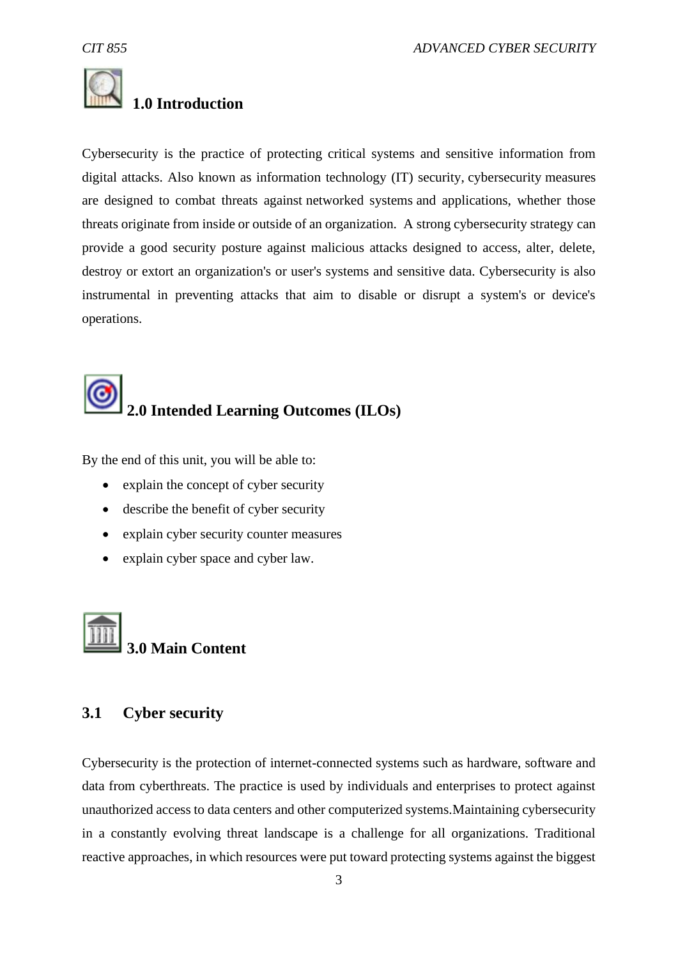# **1.0 Introduction**

Cybersecurity is the practice of protecting critical systems and sensitive information from digital attacks. Also known as information technology (IT) security, [cybersecurity](https://www.ibm.com/eg-en/security) measures are designed to combat threats against [networked](https://www.ibm.com/eg-en/cloud/learn/networking-a-complete-guide) systems and applications, whether those threats originate from inside or outside of an organization. A [strong cybersecurity strategy](https://www.techtarget.com/searchsecurity/tip/How-to-develop-a-cybersecurity-strategy-Step-by-step-guide) can provide a good security posture against malicious attacks designed to access, alter, delete, destroy or extort an organization's or user's systems and sensitive data. Cybersecurity is also instrumental in preventing attacks that aim to disable or disrupt a system's or device's operations.

# **2.0 Intended Learning Outcomes (ILOs)**

By the end of this unit, you will be able to:

- explain the concept of cyber security
- describe the benefit of cyber security
- explain cyber security counter measures
- explain cyber space and cyber law.



# **3.1 Cyber security**

Cybersecurity is the protection of internet-connected systems such as hardware, software and data from cyberthreats. The practice is used by individuals and enterprises to protect against unauthorized access to data centers and other computerized systems.Maintaining cybersecurity in a constantly evolving threat landscape is a challenge for all organizations. Traditional reactive approaches, in which resources were put toward protecting systems against the biggest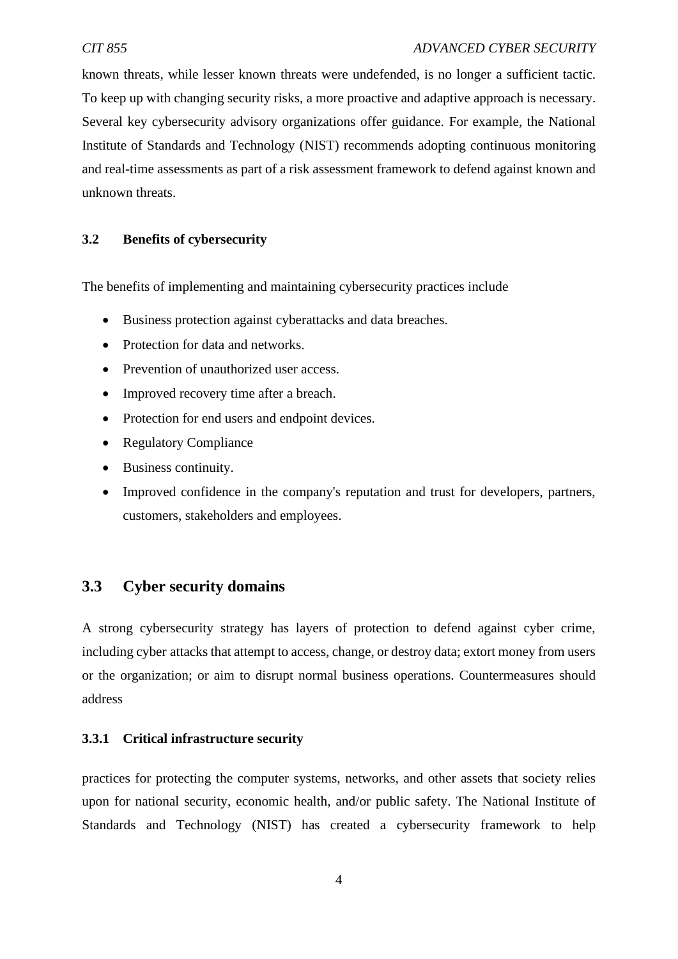known threats, while lesser known threats were undefended, is no longer a sufficient tactic. To [keep up with changing security risks,](https://www.techtarget.com/searchsecurity/tip/How-to-perform-a-cybersecurity-risk-assessment-step-by-step) a more proactive and adaptive approach is necessary. Several key cybersecurity advisory organizations offer guidance. For example, the National Institute of Standards and Technology [\(NIST\)](https://searchsoftwarequality.techtarget.com/definition/NIST) recommends adopting continuous monitoring and real-time assessments as part of a risk assessment framework to defend against known and unknown threats.

## **3.2 Benefits of cybersecurity**

The benefits of implementing and maintaining cybersecurity practices include

- Business protection against cyberattacks and data breaches.
- Protection for data and networks.
- Prevention of unauthorized user access.
- Improved [recovery time after a breach.](https://www.techtarget.com/searchsecurity/feature/Data-breach-risk-factors-response-model-reporting-and-more)
- Protection for end users and endpoint devices.
- Regulatory Compliance
- Business continuity.
- Improved confidence in the company's reputation and trust for developers, partners, customers, stakeholders and employees.

# **3.3 Cyber security domains**

A strong cybersecurity strategy has layers of protection to defend against cyber crime, including cyber attacks that attempt to access, change, or destroy data; extort money from users or the organization; or aim to disrupt normal business operations. Countermeasures should address

## **3.3.1 Critical infrastructure security**

practices for protecting the computer systems, networks, and other assets that society relies upon for national security, economic health, and/or public safety. The National Institute of Standards and Technology (NIST) has created a cybersecurity framework to help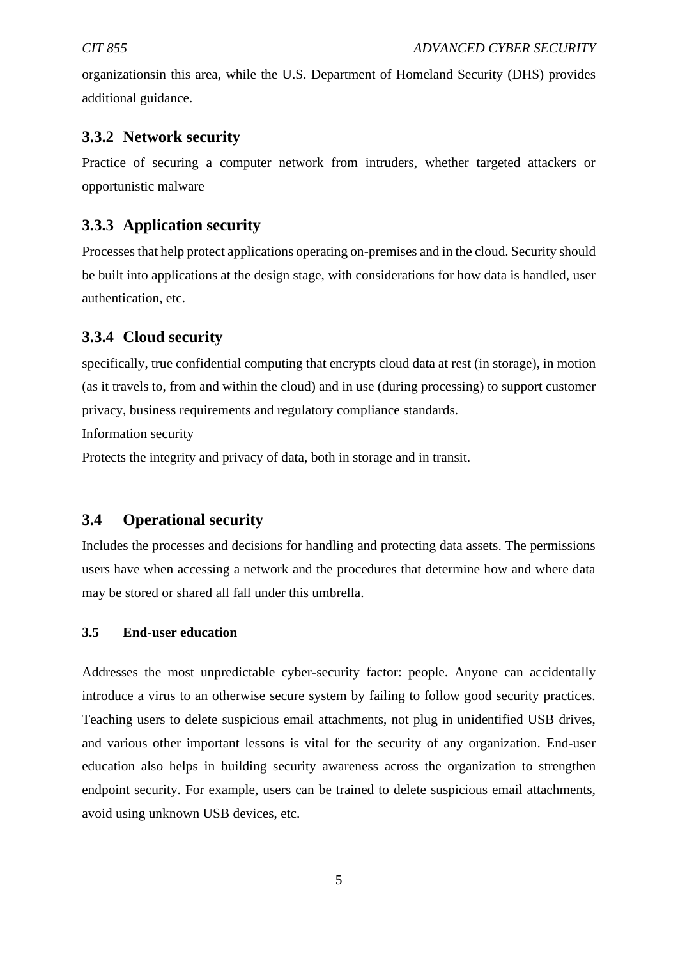organizationsin this area, while the U.S. Department of Homeland Security (DHS) provides additional guidance.

# **3.3.2 Network security**

Practice of securing a computer network from intruders, whether targeted attackers or opportunistic malware

# **3.3.3 Application security**

Processes that help protect applications operating on-premises and in the cloud. Security should be built into applications at the design stage, with considerations for how data is handled, user authentication, etc.

# **3.3.4 Cloud security**

specifically, true confidential computing that encrypts cloud data at rest (in storage), in motion (as it travels to, from and within the cloud) and in use (during processing) to support customer privacy, business requirements and regulatory compliance standards.

Information security

Protects the integrity and privacy of data, both in storage and in transit.

# **3.4 Operational security**

Includes the processes and decisions for handling and protecting data assets. The permissions users have when accessing a network and the procedures that determine how and where data may be stored or shared all fall under this umbrella.

# **3.5 End-user education**

Addresses the most unpredictable cyber-security factor: people. Anyone can accidentally introduce a virus to an otherwise secure system by failing to follow good security practices. Teaching users to delete suspicious email attachments, not plug in unidentified USB drives, and various other important lessons is vital for the security of any organization. End-user education also helps in building security awareness across the organization to strengthen endpoint security. For example, users can be trained to delete suspicious email attachments, avoid using unknown USB devices, etc.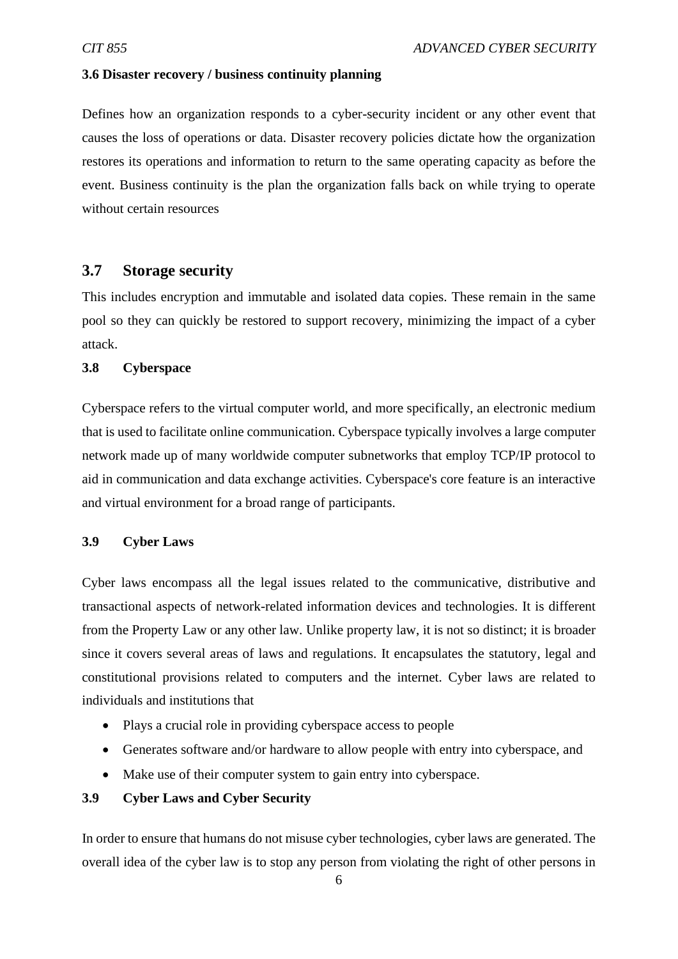# **3.6 Disaster recovery / business continuity planning**

Defines how an organization responds to a cyber-security incident or any other event that causes the loss of operations or data. Disaster recovery policies dictate how the organization restores its operations and information to return to the same operating capacity as before the event. Business continuity is the plan the organization falls back on while trying to operate without certain resources

# **3.7 Storage security**

This includes encryption and immutable and isolated data copies. These remain in the same pool so they can quickly be restored to support recovery, minimizing the impact of a cyber attack.

## **3.8 Cyberspace**

Cyberspace refers to the virtual computer world, and more specifically, an electronic medium that is used to facilitate online communication. Cyberspace typically involves a large computer network made up of many worldwide computer subnetworks that employ TCP/IP protocol to aid in communication and data exchange activities. Cyberspace's core feature is an interactive and virtual environment for a broad range of participants.

# **3.9 Cyber Laws**

Cyber laws encompass all the legal issues related to the communicative, distributive and transactional aspects of network-related information devices and technologies. It is different from the Property Law or any other law. Unlike property law, it is not so distinct; it is broader since it covers several areas of laws and regulations. It encapsulates the statutory, legal and constitutional provisions related to computers and the internet. Cyber laws are related to individuals and institutions that

- Plays a crucial role in providing cyberspace access to people
- Generates software and/or hardware to allow people with entry into cyberspace, and
- Make use of their computer system to gain entry into cyberspace.

# **3.9 Cyber Laws and Cyber Security**

In order to ensure that humans do not misuse cyber technologies, cyber laws are generated. The overall idea of the cyber law is to stop any person from violating the right of other persons in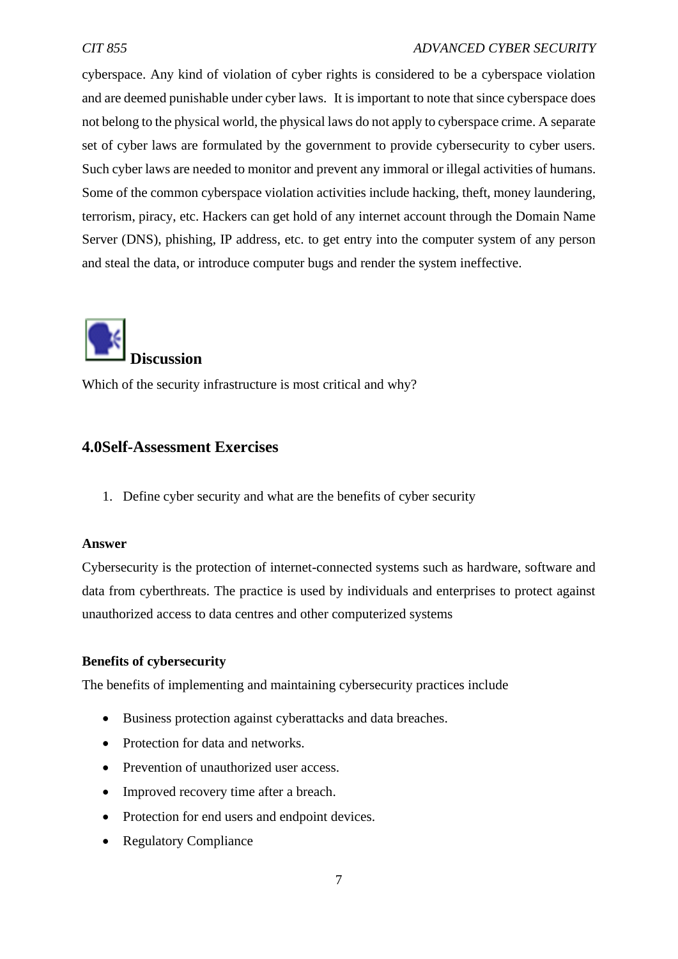# *CIT 855 ADVANCED CYBER SECURITY*

cyberspace. Any kind of violation of cyber rights is considered to be a cyberspace violation and are deemed punishable under cyber laws. It is important to note that since cyberspace does not belong to the physical world, the physical laws do not apply to cyberspace crime. A separate set of cyber laws are formulated by the government to provide cybersecurity to cyber users. Such cyber laws are needed to monitor and prevent any immoral or illegal activities of humans. Some of the common cyberspace violation activities include hacking, theft, money laundering, terrorism, piracy, etc. Hackers can get hold of any internet account through the Domain Name Server (DNS), phishing, IP address, etc. to get entry into the computer system of any person and steal the data, or introduce computer bugs and render the system ineffective.



Which of the security infrastructure is most critical and why?

# **4.0Self-Assessment Exercises**

1. Define cyber security and what are the benefits of cyber security

## **Answer**

Cybersecurity is the protection of internet-connected systems such as hardware, software and data from cyberthreats. The practice is used by individuals and enterprises to protect against unauthorized access to data centres and other computerized systems

## **Benefits of cybersecurity**

The benefits of implementing and maintaining cybersecurity practices include

- Business protection against cyberattacks and data breaches.
- Protection for data and networks.
- Prevention of unauthorized user access.
- Improved [recovery time after a breach.](https://www.techtarget.com/searchsecurity/feature/Data-breach-risk-factors-response-model-reporting-and-more)
- Protection for end users and endpoint devices.
- Regulatory Compliance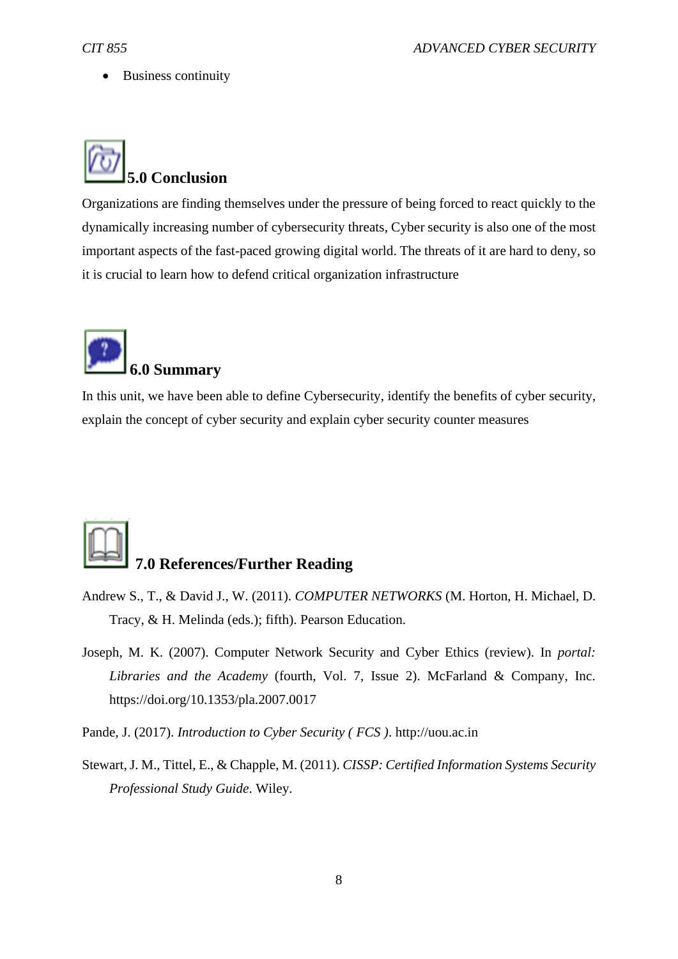• Business continuity



Organizations are finding themselves under the pressure of being forced to react quickly to the dynamically increasing number of cybersecurity threats, Cyber security is also one of the most important aspects of the fast-paced growing digital world. The threats of it are hard to deny, so it is crucial to learn how to defend critical organization infrastructure



In this unit, we have been able to define Cybersecurity, identify the benefits of cyber security, explain the concept of cyber security and explain cyber security counter measures



- Andrew S., T., & David J., W. (2011). *COMPUTER NETWORKS* (M. Horton, H. Michael, D. Tracy, & H. Melinda (eds.); fifth). Pearson Education.
- Joseph, M. K. (2007). Computer Network Security and Cyber Ethics (review). In *portal: Libraries and the Academy* (fourth, Vol. 7, Issue 2). McFarland & Company, Inc. https://doi.org/10.1353/pla.2007.0017
- Pande, J. (2017). *Introduction to Cyber Security ( FCS )*. http://uou.ac.in
- Stewart, J. M., Tittel, E., & Chapple, M. (2011). *CISSP: Certified Information Systems Security Professional Study Guide*. Wiley.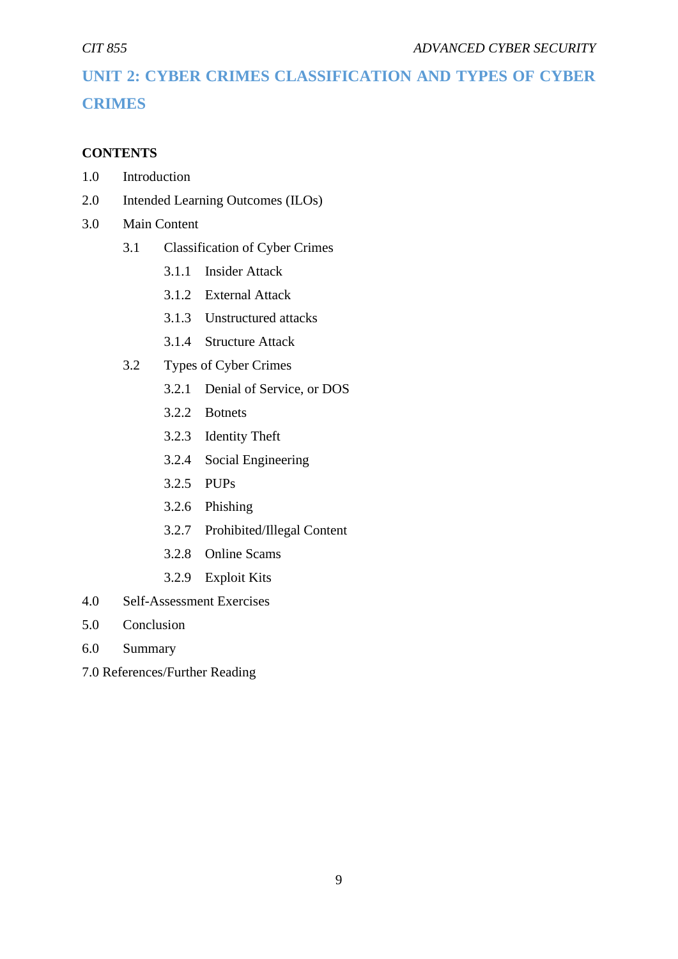# **UNIT 2: CYBER CRIMES CLASSIFICATION AND TYPES OF CYBER CRIMES**

# **CONTENTS**

- 1.0 Introduction
- 2.0 Intended Learning Outcomes (ILOs)
- 3.0 Main Content
	- 3.1 Classification of Cyber Crimes
		- 3.1.1 Insider Attack
		- 3.1.2 External Attack
		- 3.1.3 Unstructured attacks
		- 3.1.4 Structure Attack
	- 3.2 Types of Cyber Crimes
		- 3.2.1 Denial of Service, or DOS
		- 3.2.2 Botnets
		- 3.2.3 [Identity Theft](https://www.pandasecurity.com/mediacenter/news/identity-theft-statistics/)
		- 3.2.4 Social Engineering
		- 3.2.5 PUPs
		- 3.2.6 Phishing
		- 3.2.7 Prohibited/Illegal Content
		- 3.2.8 Online Scams
		- 3.2.9 Exploit Kits
- 4.0 Self-Assessment Exercises
- 5.0 Conclusion
- 6.0 Summary
- 7.0 References/Further Reading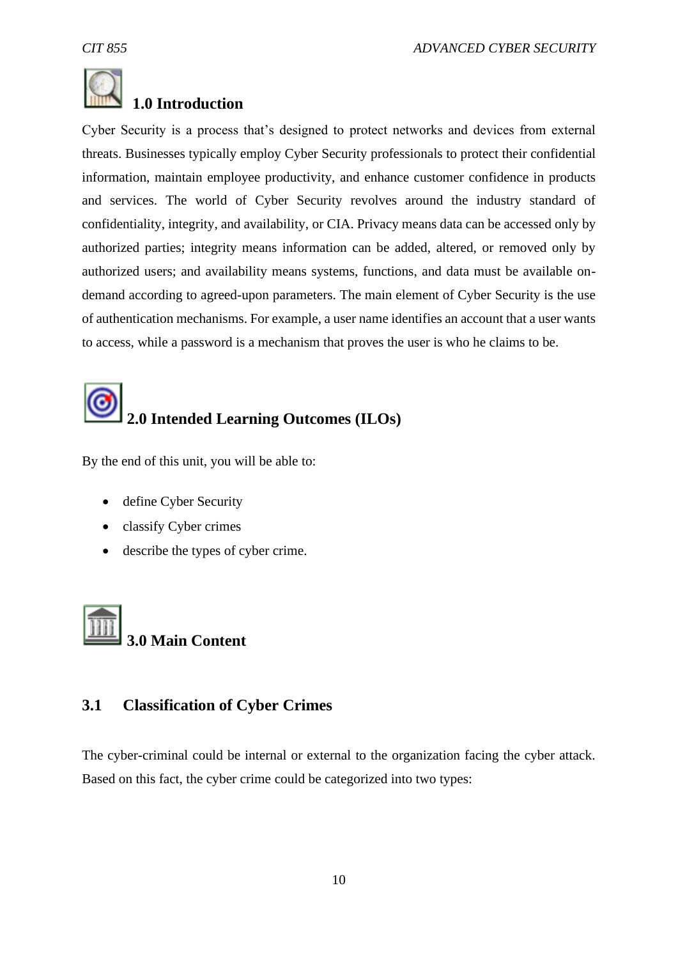

# **1.0 Introduction**

Cyber Security is a process that's designed to protect networks and devices from external threats. Businesses typically employ [Cyber Security professionals](https://www.simplilearn.com/tutorials/cyber-security-tutorial/how-to-become-cyber-security-engineer) to protect their confidential information, maintain employee productivity, and enhance customer confidence in products and services. The world of Cyber Security revolves around the industry standard of confidentiality, integrity, and availability, or [CIA.](https://www.forcepoint.com/cyber-edu/cia-triad) Privacy means data can be accessed only by authorized parties; integrity means information can be added, altered, or removed only by authorized users; and availability means systems, functions, and data must be available ondemand according to agreed-upon parameters. The main element of Cyber Security is the use of authentication mechanisms. For example, a user name identifies an account that a user wants to access, while a password is a mechanism that proves the user is who he claims to be.

# **2.0 Intended Learning Outcomes (ILOs)**

By the end of this unit, you will be able to:

- define Cyber Security
- classify Cyber crimes
- describe the types of cyber crime.



# **3.1 Classification of Cyber Crimes**

The cyber-criminal could be internal or external to the organization facing the cyber attack. Based on this fact, the cyber crime could be categorized into two types: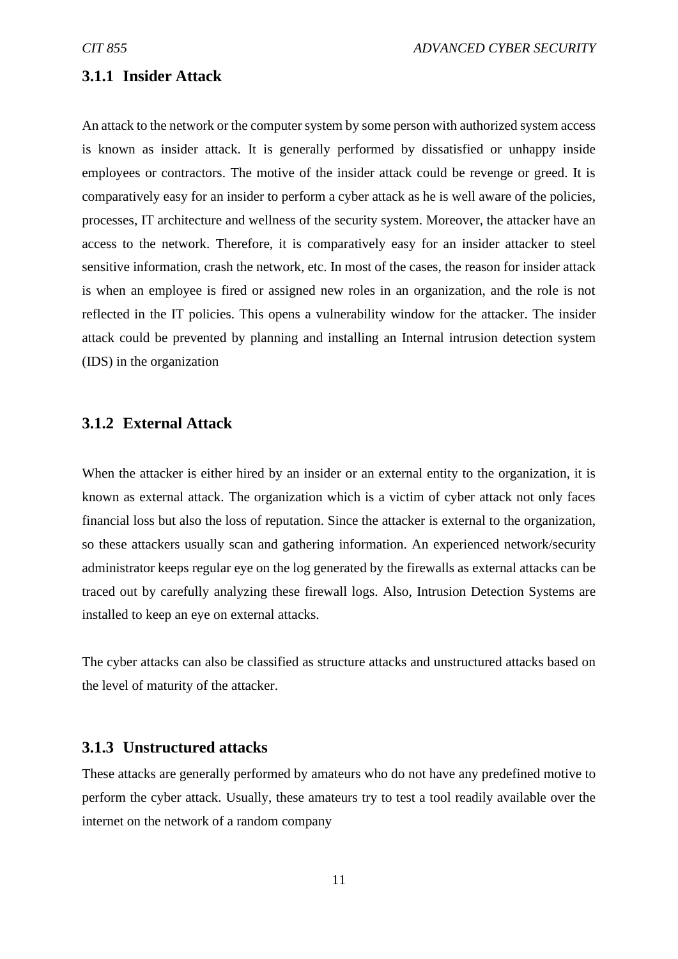# **3.1.1 Insider Attack**

An attack to the network or the computer system by some person with authorized system access is known as insider attack. It is generally performed by dissatisfied or unhappy inside employees or contractors. The motive of the insider attack could be revenge or greed. It is comparatively easy for an insider to perform a cyber attack as he is well aware of the policies, processes, IT architecture and wellness of the security system. Moreover, the attacker have an access to the network. Therefore, it is comparatively easy for an insider attacker to steel sensitive information, crash the network, etc. In most of the cases, the reason for insider attack is when an employee is fired or assigned new roles in an organization, and the role is not reflected in the IT policies. This opens a vulnerability window for the attacker. The insider attack could be prevented by planning and installing an Internal intrusion detection system (IDS) in the organization

# **3.1.2 External Attack**

When the attacker is either hired by an insider or an external entity to the organization, it is known as external attack. The organization which is a victim of cyber attack not only faces financial loss but also the loss of reputation. Since the attacker is external to the organization, so these attackers usually scan and gathering information. An experienced network/security administrator keeps regular eye on the log generated by the firewalls as external attacks can be traced out by carefully analyzing these firewall logs. Also, Intrusion Detection Systems are installed to keep an eye on external attacks.

The cyber attacks can also be classified as structure attacks and unstructured attacks based on the level of maturity of the attacker.

# **3.1.3 Unstructured attacks**

These attacks are generally performed by amateurs who do not have any predefined motive to perform the cyber attack. Usually, these amateurs try to test a tool readily available over the internet on the network of a random company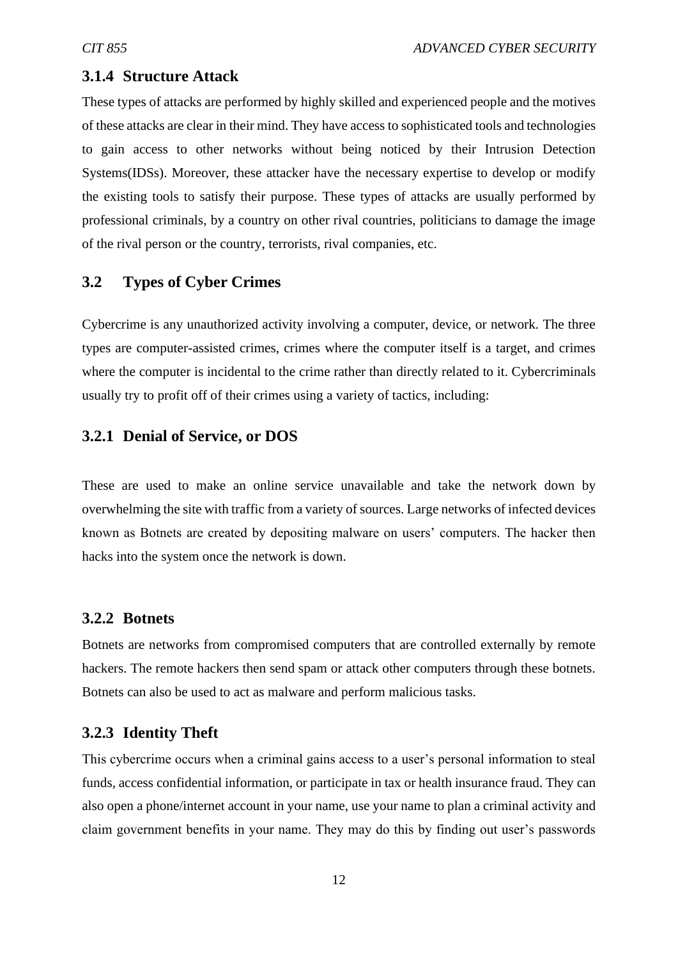# **3.1.4 Structure Attack**

These types of attacks are performed by highly skilled and experienced people and the motives of these attacks are clear in their mind. They have access to sophisticated tools and technologies to gain access to other networks without being noticed by their Intrusion Detection Systems(IDSs). Moreover, these attacker have the necessary expertise to develop or modify the existing tools to satisfy their purpose. These types of attacks are usually performed by professional criminals, by a country on other rival countries, politicians to damage the image of the rival person or the country, terrorists, rival companies, etc.

# **3.2 Types of Cyber Crimes**

Cybercrime is any unauthorized activity involving a computer, device, or network. The three types are computer-assisted crimes, crimes where the computer itself is a target, and crimes where the computer is incidental to the crime rather than directly related to it. Cybercriminals usually try to profit off of their crimes using a variety of tactics, including:

# **3.2.1 Denial of Service, or DOS**

These are used to make an online service unavailable and take the network down by overwhelming the site with traffic from a variety of sources. Large networks of infected devices known as Botnets are created by depositing malware on users' computers. The hacker then hacks into the system once the network is down.

# **3.2.2 Botnets**

Botnets are networks from compromised computers that are controlled externally by remote hackers. The remote hackers then send spam or attack other computers through these botnets. Botnets can also be used to act as malware and perform malicious tasks.

# **3.2.3 [Identity Theft](https://www.pandasecurity.com/mediacenter/news/identity-theft-statistics/)**

This cybercrime occurs when a criminal gains access to a user's personal information to steal funds, access confidential information, or participate in tax or health insurance fraud. They can also open a phone/internet account in your name, use your name to plan a criminal activity and claim government benefits in your name. They may do this by finding out user's passwords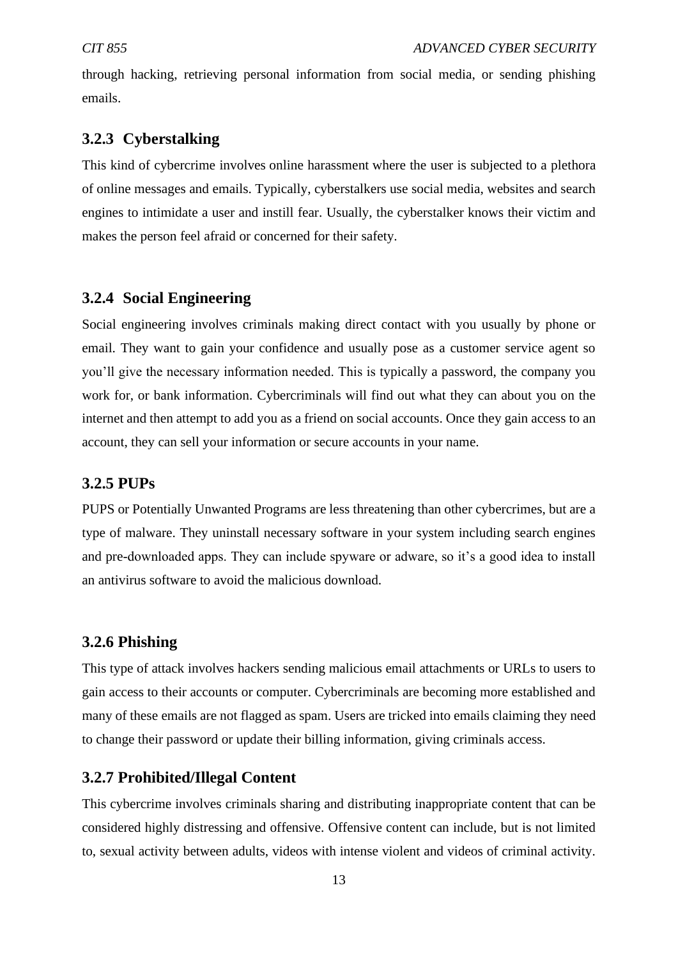through hacking, retrieving personal information from social media, or sending phishing emails.

# **3.2.3 Cyberstalking**

This kind of cybercrime involves [online harassment](https://www.pandasecurity.com/mediacenter/panda-security/how-to-handle-online-harassment/) where the user is subjected to a plethora of online messages and emails. Typically, cyberstalkers use social media, websites and search engines to intimidate a user and instill fear. Usually, the cyberstalker knows their victim and makes the person feel afraid or concerned for their safety.

# **3.2.4 Social Engineering**

Social engineering involves criminals making direct contact with you usually by phone or email. They want to gain your confidence and usually pose as a customer service agent so you'll give the necessary information needed. This is typically a password, the company you work for, or bank information. Cybercriminals will find out what they can about you on the internet and then attempt to add you as a friend on social accounts. Once they gain access to an account, they can sell your information or secure accounts in your name.

# **3.2.5 PUPs**

PUPS or Potentially Unwanted Programs are less threatening than other cybercrimes, but are a type of malware. They uninstall necessary software in your system including search engines and pre-downloaded apps. They can include spyware or adware, so it's a good idea to install an [antivirus](https://www.pandasecurity.com/en-us/) software to avoid the malicious download.

# **3.2.6 Phishing**

This type of attack involves hackers sending malicious email attachments or URLs to users to gain access to their accounts or computer. Cybercriminals are becoming more established and many of these [emails are not flagged as spam.](https://www.pandasecurity.com/mediacenter/tips/stop-spam-emails/) Users are tricked into emails claiming they need to change their password or update their billing information, giving criminals access.

# **3.2.7 Prohibited/Illegal Content**

This cybercrime involves criminals sharing and distributing inappropriate content that can be considered highly distressing and offensive. Offensive content can include, but is not limited to, sexual activity between adults, videos with intense violent and videos of criminal activity.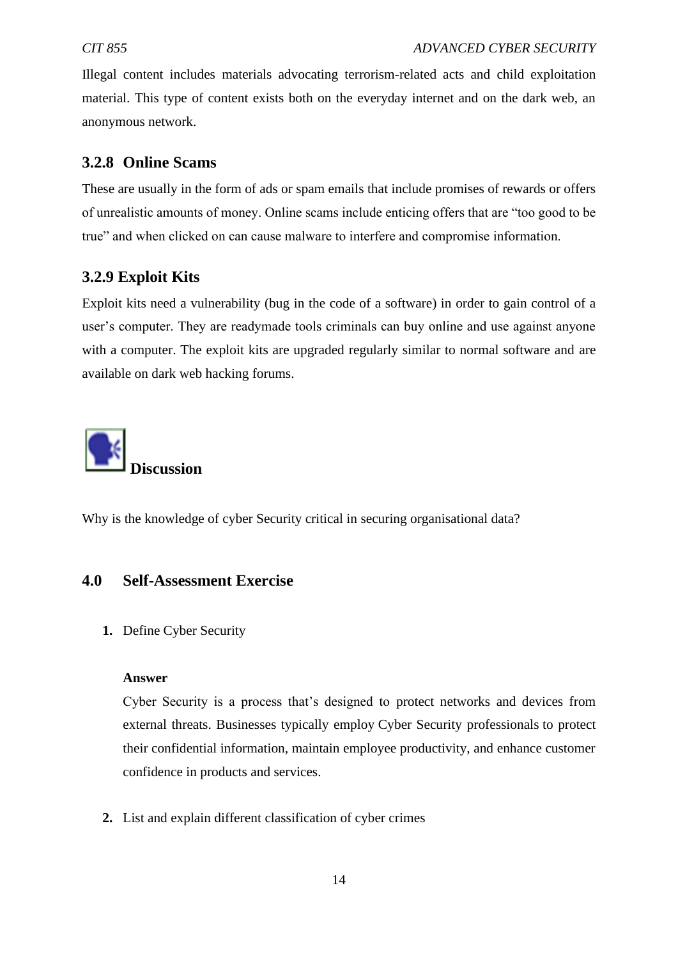Illegal content includes materials advocating terrorism-related acts and child exploitation material. This type of content exists both on the everyday internet and on the dark web, an anonymous network.

# **3.2.8 Online Scams**

These are usually in the form of ads or spam emails that include promises of rewards or offers of unrealistic amounts of money. Online scams include enticing offers that are "too good to be true" and when clicked on can cause malware to interfere and compromise information.

# **3.2.9 Exploit Kits**

Exploit kits need a vulnerability (bug in the code of a software) in order to gain control of a user's computer. They are readymade tools criminals can buy online and use against anyone with a computer. The exploit kits are upgraded regularly similar to normal software and are available on dark web hacking forums.



Why is the knowledge of cyber Security critical in securing organisational data?

# **4.0 Self-Assessment Exercise**

**1.** Define Cyber Security

# **Answer**

Cyber Security is a process that's designed to protect networks and devices from external threats. Businesses typically employ [Cyber Security](https://www.simplilearn.com/tutorials/cyber-security-tutorial/how-to-become-cyber-security-engineer) professionals to protect their confidential information, maintain employee productivity, and enhance customer confidence in products and services.

**2.** List and explain different classification of cyber crimes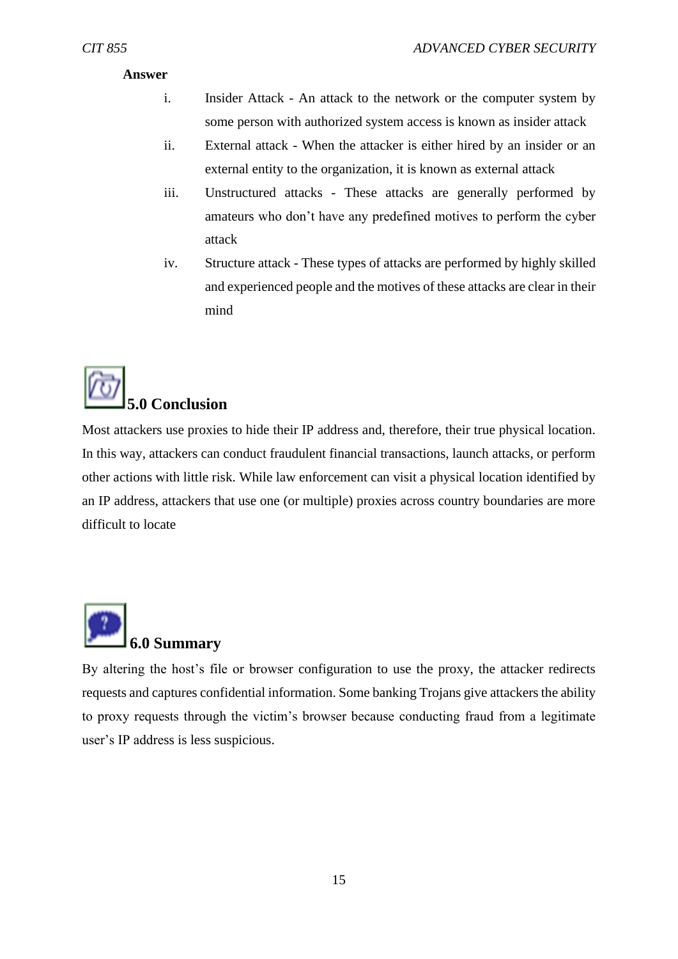# **Answer**

- i. Insider Attack An attack to the network or the computer system by some person with authorized system access is known as insider attack
- ii. External attack When the attacker is either hired by an insider or an external entity to the organization, it is known as external attack
- iii. Unstructured attacks These attacks are generally performed by amateurs who don't have any predefined motives to perform the cyber attack
- iv. Structure attack These types of attacks are performed by highly skilled and experienced people and the motives of these attacks are clear in their mind

# **5.0 Conclusion**

Most attackers use proxies to hide their IP address and, therefore, their true physical location. In this way, attackers can conduct fraudulent financial transactions, launch attacks, or perform other actions with little risk. While law enforcement can visit a physical location identified by an IP address, attackers that use one (or multiple) proxies across country boundaries are more difficult to locate



By altering the host's file or browser configuration to use the proxy, the attacker redirects requests and captures confidential information. Some banking Trojans give attackers the ability to proxy requests through the victim's browser because conducting fraud from a legitimate user's IP address is less suspicious.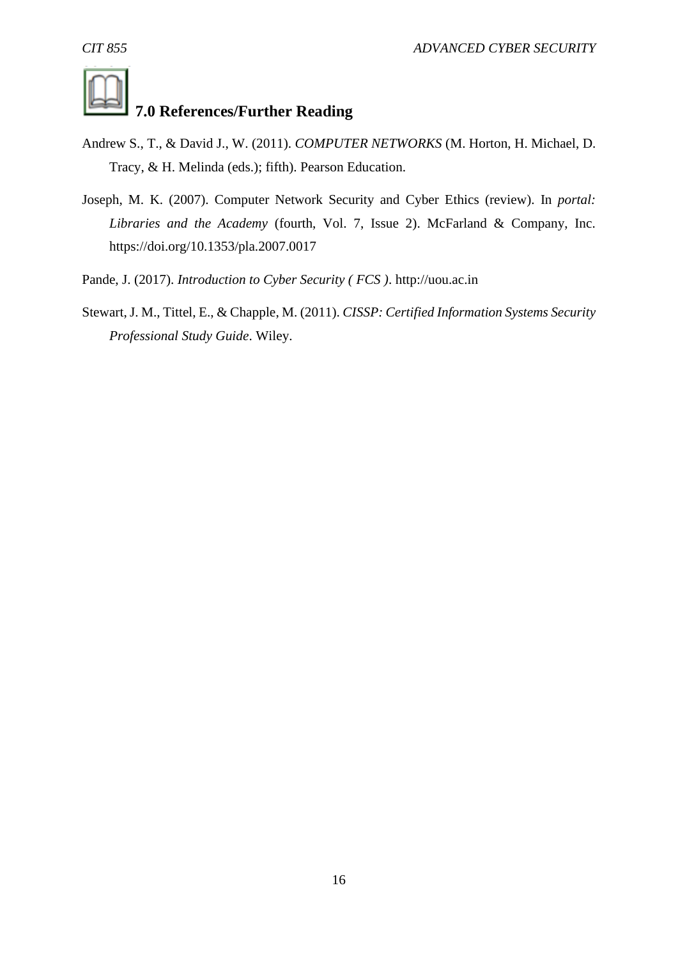

# **7.0 References/Further Reading**

- Andrew S., T., & David J., W. (2011). *COMPUTER NETWORKS* (M. Horton, H. Michael, D. Tracy, & H. Melinda (eds.); fifth). Pearson Education.
- Joseph, M. K. (2007). Computer Network Security and Cyber Ethics (review). In *portal: Libraries and the Academy* (fourth, Vol. 7, Issue 2). McFarland & Company, Inc. https://doi.org/10.1353/pla.2007.0017

Pande, J. (2017). *Introduction to Cyber Security ( FCS )*. http://uou.ac.in

Stewart, J. M., Tittel, E., & Chapple, M. (2011). *CISSP: Certified Information Systems Security Professional Study Guide*. Wiley.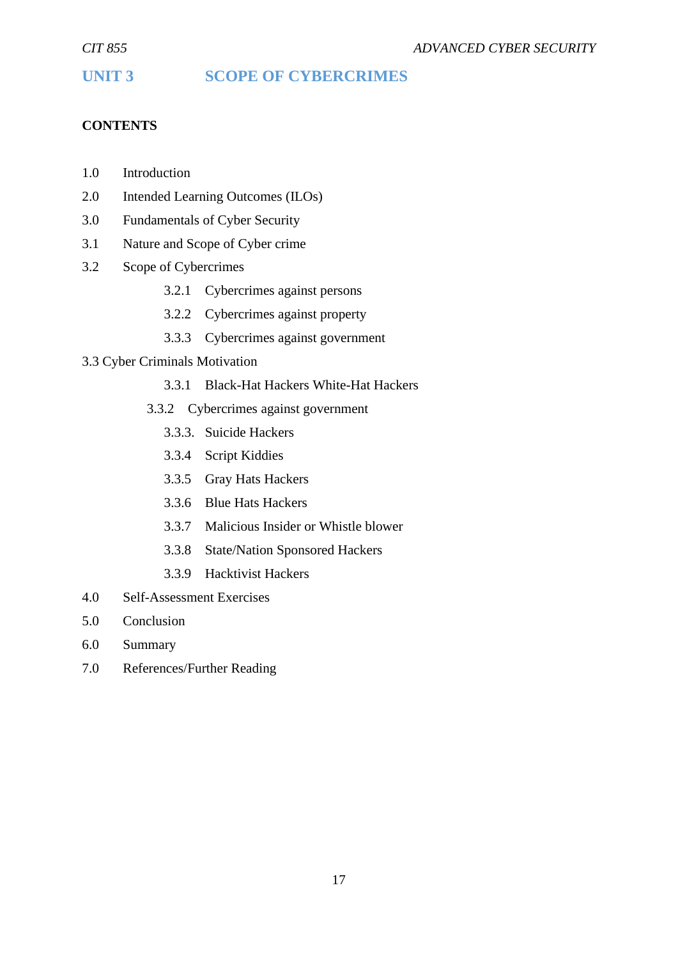**UNIT 3 SCOPE OF CYBERCRIMES**

# **CONTENTS**

- 1.0 Introduction
- 2.0 Intended Learning Outcomes (ILOs)
- 3.0 Fundamentals of Cyber Security
- 3.1 Nature and Scope of Cyber crime
- 3.2 Scope of Cybercrimes
	- 3.2.1 Cybercrimes against persons
	- 3.2.2 Cybercrimes against property
	- 3.3.3 Cybercrimes against government

# 3.3 Cyber Criminals Motivation

- 3.3.1 Black-Hat Hackers White-Hat Hackers
- 3.3.2 Cybercrimes against government
	- 3.3.3. Suicide Hackers
	- 3.3.4 Script Kiddies
	- 3.3.5 Gray Hats Hackers
	- 3.3.6 Blue Hats Hackers
	- 3.3.7 Malicious Insider or Whistle blower
	- 3.3.8 State/Nation Sponsored Hackers
	- 3.3.9 Hacktivist Hackers
- 4.0 Self-Assessment Exercises
- 5.0 Conclusion
- 6.0 Summary
- 7.0 References/Further Reading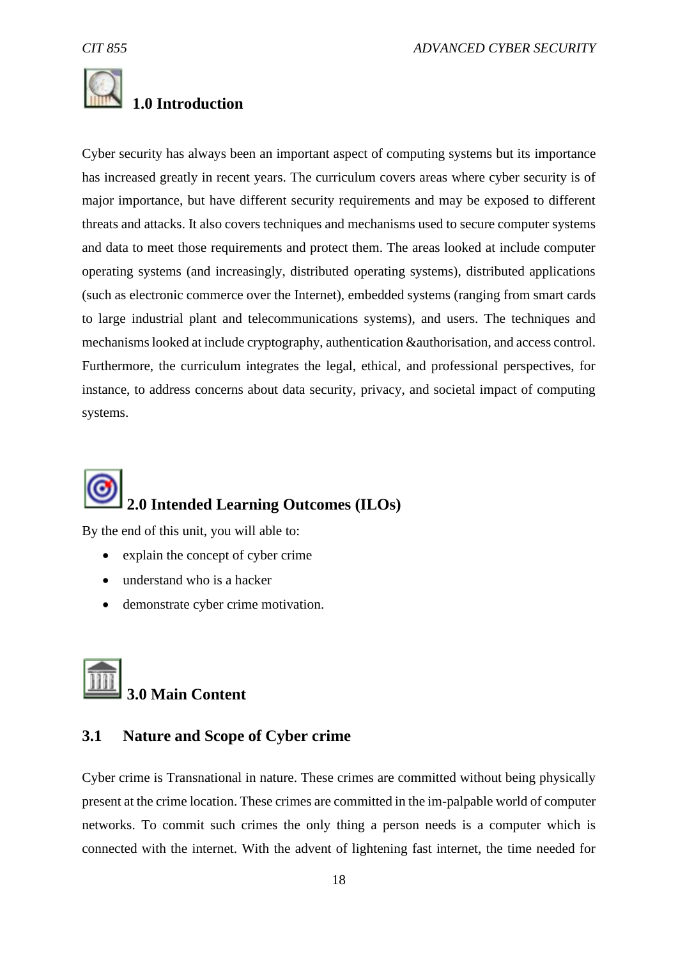# **1.0 Introduction**

Cyber security has always been an important aspect of computing systems but its importance has increased greatly in recent years. The curriculum covers areas where cyber security is of major importance, but have different security requirements and may be exposed to different threats and attacks. It also covers techniques and mechanisms used to secure computer systems and data to meet those requirements and protect them. The areas looked at include computer operating systems (and increasingly, distributed operating systems), distributed applications (such as electronic commerce over the Internet), embedded systems (ranging from smart cards to large industrial plant and telecommunications systems), and users. The techniques and mechanisms looked at include cryptography, authentication &authorisation, and access control. Furthermore, the curriculum integrates the legal, ethical, and professional perspectives, for instance, to address concerns about data security, privacy, and societal impact of computing systems.

# **2.0 Intended Learning Outcomes (ILOs)**

By the end of this unit, you will able to:

- explain the concept of cyber crime
- understand who is a hacker
- demonstrate cyber crime motivation.



# **3.1 Nature and Scope of Cyber crime**

Cyber crime is Transnational in nature. These crimes are committed without being physically present at the crime location. These crimes are committed in the im-palpable world of computer networks. To commit such crimes the only thing a person needs is a computer which is connected with the internet. With the advent of lightening fast internet, the time needed for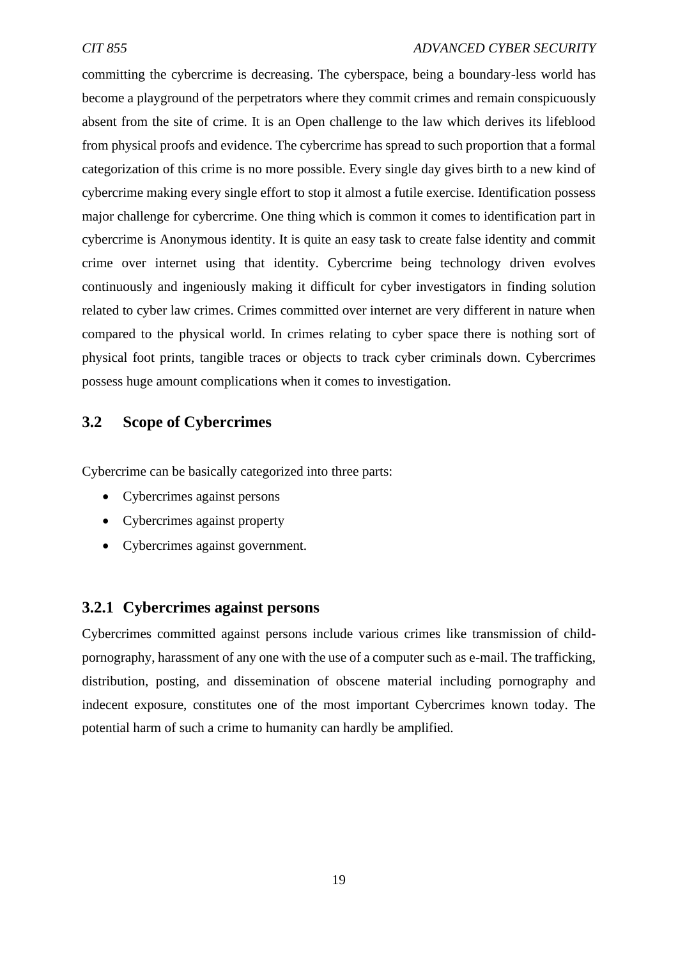committing the cybercrime is decreasing. The cyberspace, being a boundary-less world has become a playground of the perpetrators where they commit crimes and remain conspicuously absent from the site of crime. It is an Open challenge to the law which derives its lifeblood from physical proofs and evidence. The cybercrime has spread to such proportion that a formal categorization of this crime is no more possible. Every single day gives birth to a new kind of cybercrime making every single effort to stop it almost a futile exercise. Identification possess major challenge for cybercrime. One thing which is common it comes to identification part in cybercrime is Anonymous identity. It is quite an easy task to create false identity and commit crime over internet using that identity. Cybercrime being technology driven evolves continuously and ingeniously making it difficult for cyber investigators in finding solution related to cyber law crimes. Crimes committed over internet are very different in nature when compared to the physical world. In crimes relating to cyber space there is nothing sort of physical foot prints, tangible traces or objects to track cyber criminals down. Cybercrimes possess huge amount complications when it comes to investigation.

# **3.2 Scope of Cybercrimes**

Cybercrime can be basically categorized into three parts:

- Cybercrimes against persons
- Cybercrimes against property
- Cybercrimes against government.

# **3.2.1 Cybercrimes against persons**

Cybercrimes committed against persons include various crimes like transmission of childpornography, harassment of any one with the use of a computer such as e-mail. The trafficking, distribution, posting, and dissemination of obscene material including pornography and indecent exposure, constitutes one of the most important Cybercrimes known today. The potential harm of such a crime to humanity can hardly be amplified.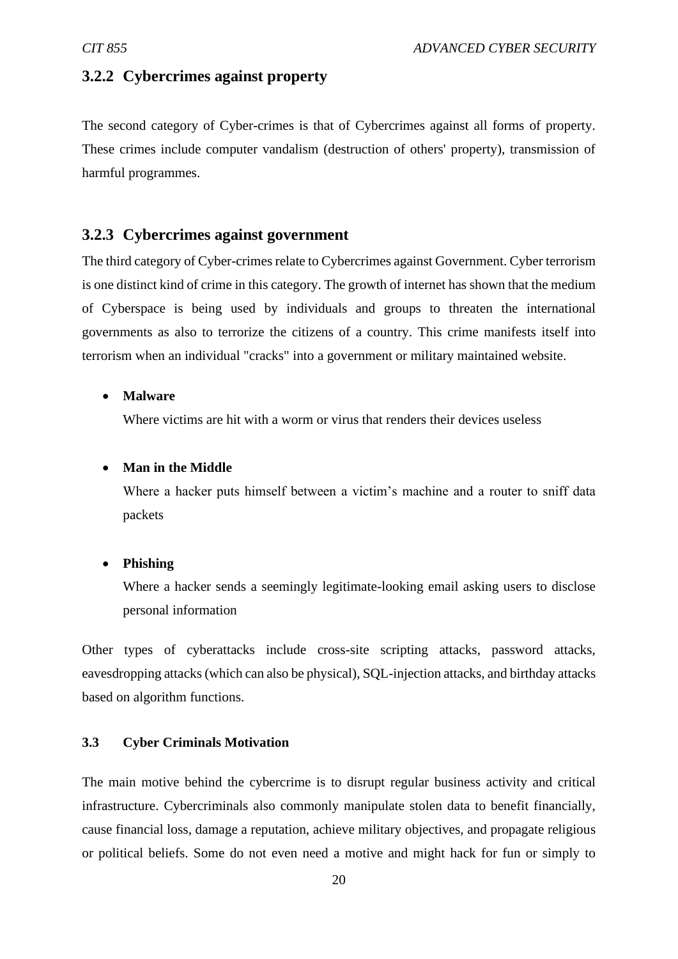# **3.2.2 Cybercrimes against property**

The second category of Cyber-crimes is that of Cybercrimes against all forms of property. These crimes include computer vandalism (destruction of others' property), transmission of harmful programmes.

# **3.2.3 Cybercrimes against government**

The third category of Cyber-crimes relate to Cybercrimes against Government. Cyber terrorism is one distinct kind of crime in this category. The growth of internet has shown that the medium of Cyberspace is being used by individuals and groups to threaten the international governments as also to terrorize the citizens of a country. This crime manifests itself into terrorism when an individual "cracks" into a government or military maintained website.

# • **Malware**

Where victims are hit with a worm or virus that renders their devices useless

# • **Man in the Middle**

Where a hacker puts himself between a victim's machine and a router to sniff data packets

# • **Phishing**

Where a hacker sends a seemingly legitimate-looking email asking users to disclose personal information

Other types of cyberattacks include cross-site scripting attacks, password attacks, eavesdropping attacks (which can also be physical), SQL-injection attacks, and birthday attacks based on algorithm functions.

# **3.3 Cyber Criminals Motivation**

The main motive behind the cybercrime is to disrupt regular business activity and critical infrastructure. Cybercriminals also commonly manipulate stolen data to benefit financially, cause financial loss, damage a reputation, achieve military objectives, and propagate religious or political beliefs. Some do not even need a motive and might hack for fun or simply to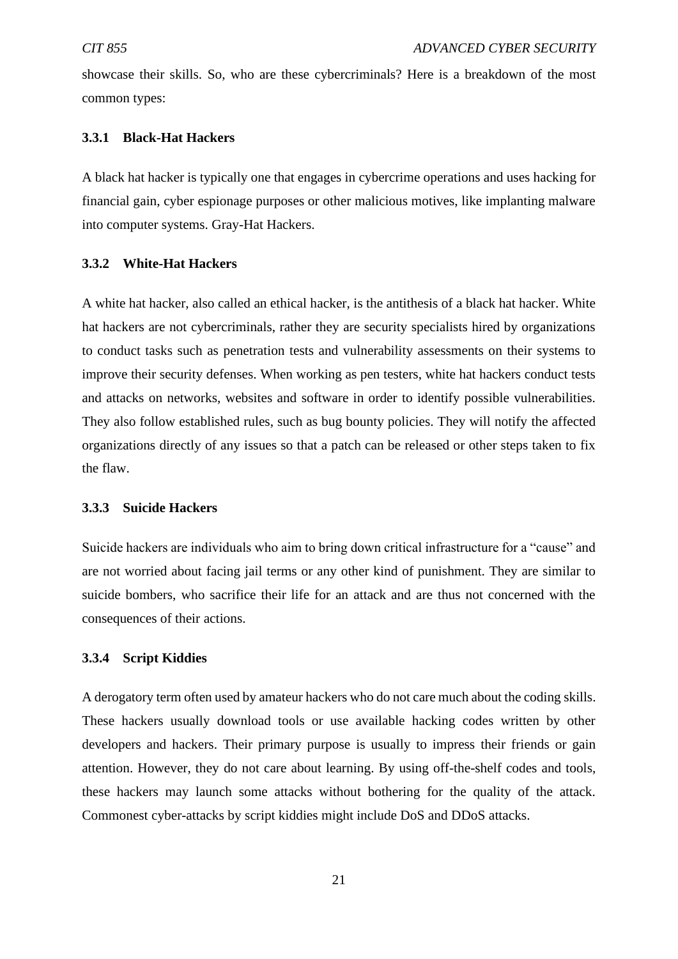showcase their skills. So, who are these cybercriminals? Here is a breakdown of the most common types:

# **3.3.1 Black-Hat Hackers**

A black hat hacker is typically one that engages in cybercrime operations and uses hacking for financial gain, cyber espionage purposes or other malicious motives, like implanting malware into computer systems. Gray-Hat Hackers.

# **3.3.2 White-Hat Hackers**

A white hat hacker, also called an ethical hacker, is the antithesis of a black hat hacker. White hat hackers are not cybercriminals, rather they are security specialists hired by organizations to conduct tasks such as penetration tests and vulnerability assessments on their systems to improve their security defenses. When working as pen testers, white hat hackers conduct tests and attacks on networks, websites and software in order to identify possible vulnerabilities. They also follow established rules, such as bug bounty policies. They will notify the affected organizations directly of any issues so that a patch can be released or other steps taken to fix the flaw.

# **3.3.3 Suicide Hackers**

Suicide hackers are individuals who aim to bring down critical infrastructure for a "cause" and are not worried about facing jail terms or any other kind of punishment. They are similar to suicide bombers, who sacrifice their life for an attack and are thus not concerned with the consequences of their actions.

# **3.3.4 Script Kiddies**

A derogatory term often used by amateur hackers who do not care much about the coding skills. These hackers usually download tools or use available hacking codes written by other developers and hackers. Their primary purpose is usually to impress their friends or gain attention. However, they do not care about learning. By using off-the-shelf codes and tools, these hackers may launch some attacks without bothering for the quality of the attack. Commonest cyber-attacks by script kiddies might include DoS and DDoS attacks.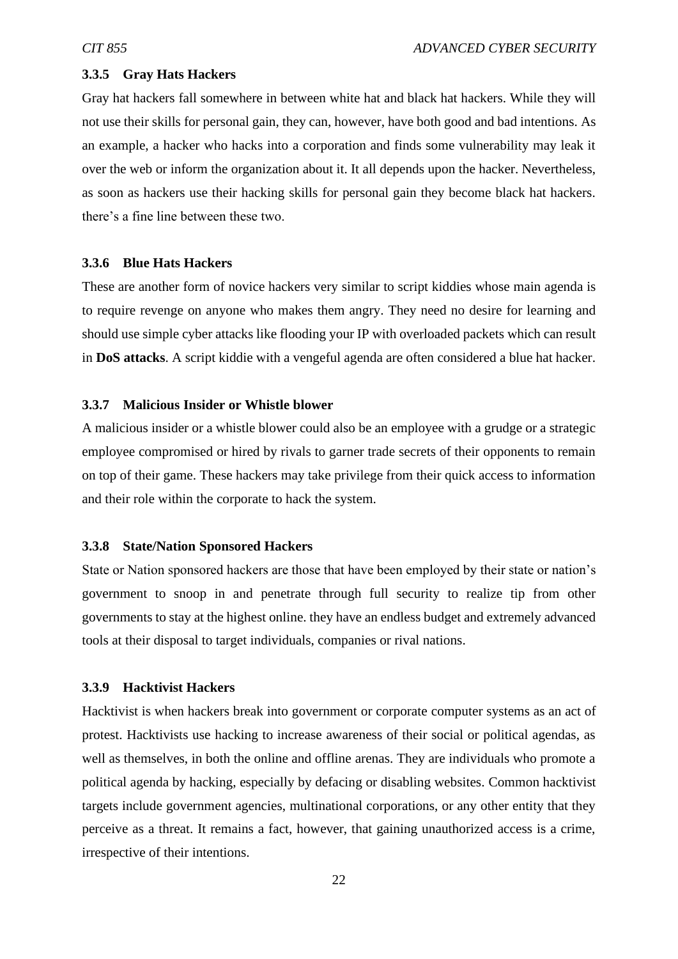# **3.3.5 Gray Hats Hackers**

Gray hat hackers fall somewhere in between white hat and black hat hackers. While they will not use their skills for personal gain, they can, however, have both good and bad intentions. As an example, a hacker who hacks into a corporation and finds some vulnerability may leak it over the web or inform the organization about it. It all depends upon the hacker. Nevertheless, as soon as hackers use their hacking skills for personal gain they become black hat hackers. there's a fine line between these two.

# **3.3.6 Blue Hats Hackers**

These are another form of novice hackers very similar to script kiddies whose main agenda is to require revenge on anyone who makes them angry. They need no desire for learning and should use simple cyber attacks like flooding your IP with overloaded packets which can result in **DoS [attacks](https://info-savvy.com/concepts-of-denial-of-service-attack-distributed-denial-of-service/)**. A script kiddie with a vengeful agenda are often considered a blue hat hacker.

# **3.3.7 Malicious Insider or Whistle blower**

A malicious insider or a whistle blower could also be an employee with a grudge or a strategic employee compromised or hired by rivals to garner trade secrets of their opponents to remain on top of their game. These hackers may take privilege from their quick access to information and their role within the corporate to hack the system.

# **3.3.8 State/Nation Sponsored Hackers**

State or Nation sponsored hackers are those that have been employed by their state or nation's government to snoop in and penetrate through full security to realize tip from other governments to stay at the highest online. they have an endless budget and extremely advanced tools at their disposal to target individuals, companies or rival nations.

## **3.3.9 Hacktivist Hackers**

Hacktivist is when hackers break into government or corporate computer systems as an act of protest. Hacktivists use hacking to increase awareness of their social or political agendas, as well as themselves, in both the online and offline arenas. They are individuals who promote a political agenda by hacking, especially by defacing or disabling websites. Common hacktivist targets include government agencies, multinational corporations, or any other entity that they perceive as a threat. It remains a fact, however, that gaining unauthorized access is a crime, irrespective of their intentions.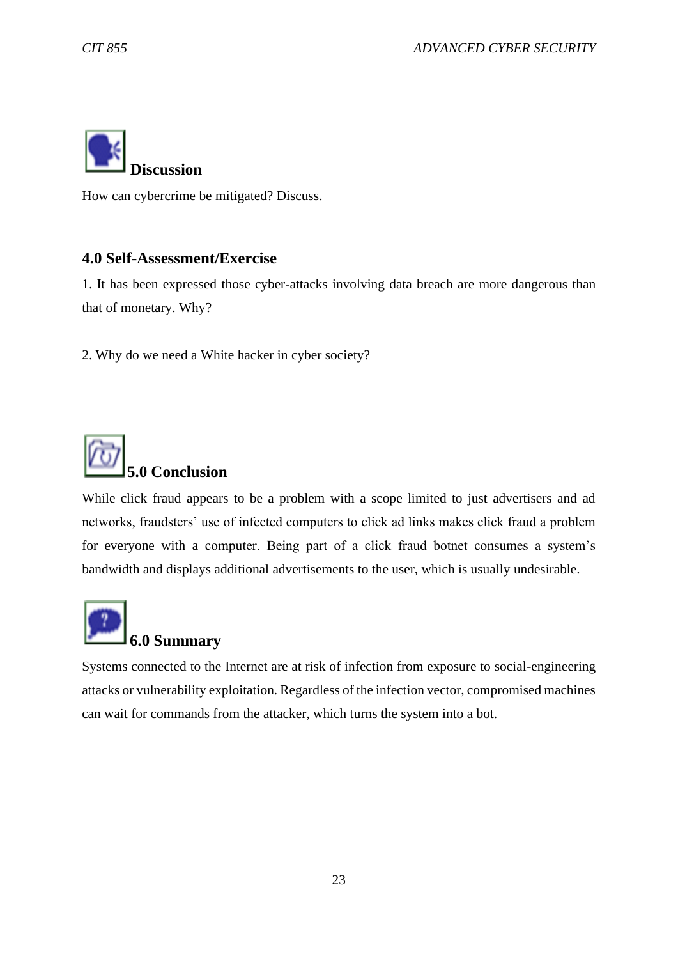

How can cybercrime be mitigated? Discuss.

# **4.0 Self-Assessment/Exercise**

1. It has been expressed those cyber-attacks involving data breach are more dangerous than that of monetary. Why?

2. Why do we need a White hacker in cyber society?



While click fraud appears to be a problem with a scope limited to just advertisers and ad networks, fraudsters' use of infected computers to click ad links makes click fraud a problem for everyone with a computer. Being part of a click fraud botnet consumes a system's bandwidth and displays additional advertisements to the user, which is usually undesirable.



# **6.0 Summary**

Systems connected to the Internet are at risk of infection from exposure to social-engineering attacks or vulnerability exploitation. Regardless of the infection vector, compromised machines can wait for commands from the attacker, which turns the system into a bot.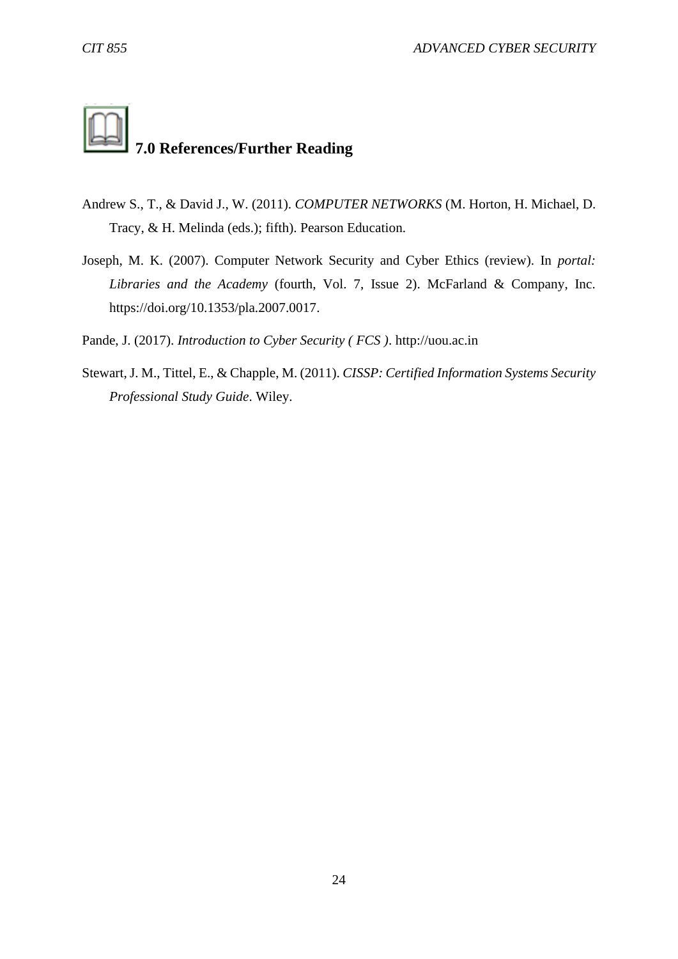

- Andrew S., T., & David J., W. (2011). *COMPUTER NETWORKS* (M. Horton, H. Michael, D. Tracy, & H. Melinda (eds.); fifth). Pearson Education.
- Joseph, M. K. (2007). Computer Network Security and Cyber Ethics (review). In *portal: Libraries and the Academy* (fourth, Vol. 7, Issue 2). McFarland & Company, Inc. https://doi.org/10.1353/pla.2007.0017.

Pande, J. (2017). *Introduction to Cyber Security ( FCS )*. http://uou.ac.in

Stewart, J. M., Tittel, E., & Chapple, M. (2011). *CISSP: Certified Information Systems Security Professional Study Guide*. Wiley.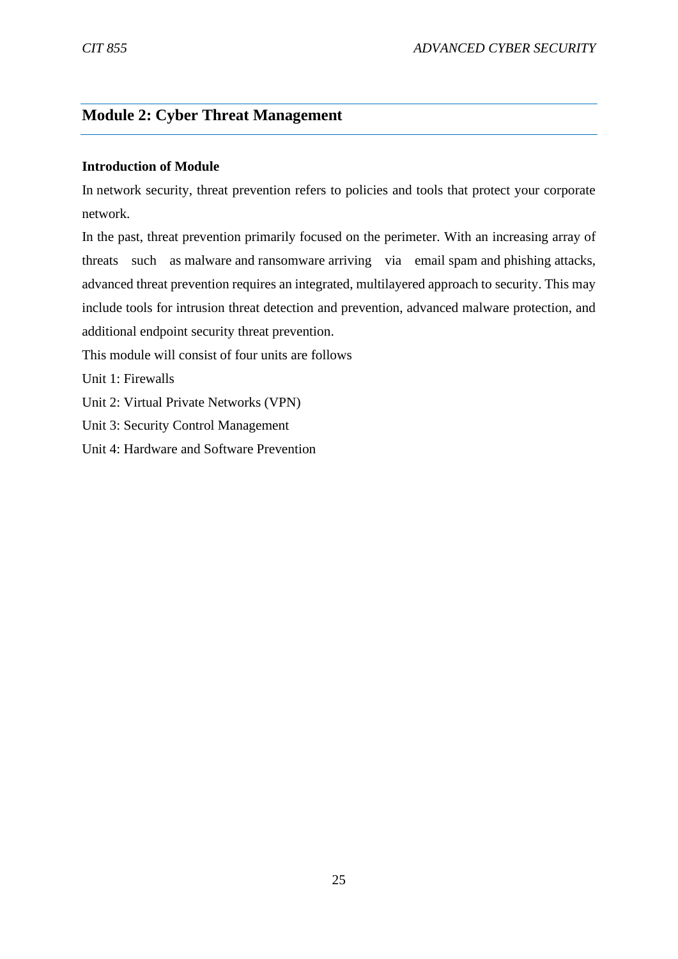# **Module 2: Cyber Threat Management**

# **Introduction of Module**

In network [security,](https://www.cisco.com/c/en/us/products/security/what-is-network-security.html) threat prevention refers to policies and tools that protect your corporate network.

In the past, threat prevention primarily focused on the perimeter. With an increasing array of threats such as [malware](https://www.cisco.com/c/en/us/products/security/advanced-malware-protection/what-is-malware.html) and [ransomware](https://www.cisco.com/c/en/us/solutions/security/ransomware-defense/what-is-ransomware.html) arriving via email [spam](https://www.cisco.com/c/en/us/products/security/email-security/what-is-spam.html) and [phishing](https://www.cisco.com/c/en/us/products/security/email-security/what-is-phishing.html) attacks, advanced threat prevention requires an integrated, multilayered approach to security. This may include tools for intrusion threat detection and prevention, advanced malware protection, and additional endpoint security threat prevention.

This module will consist of four units are follows

Unit 1: Firewalls

Unit 2: Virtual Private Networks (VPN)

Unit 3: Security Control Management

Unit 4: Hardware and Software Prevention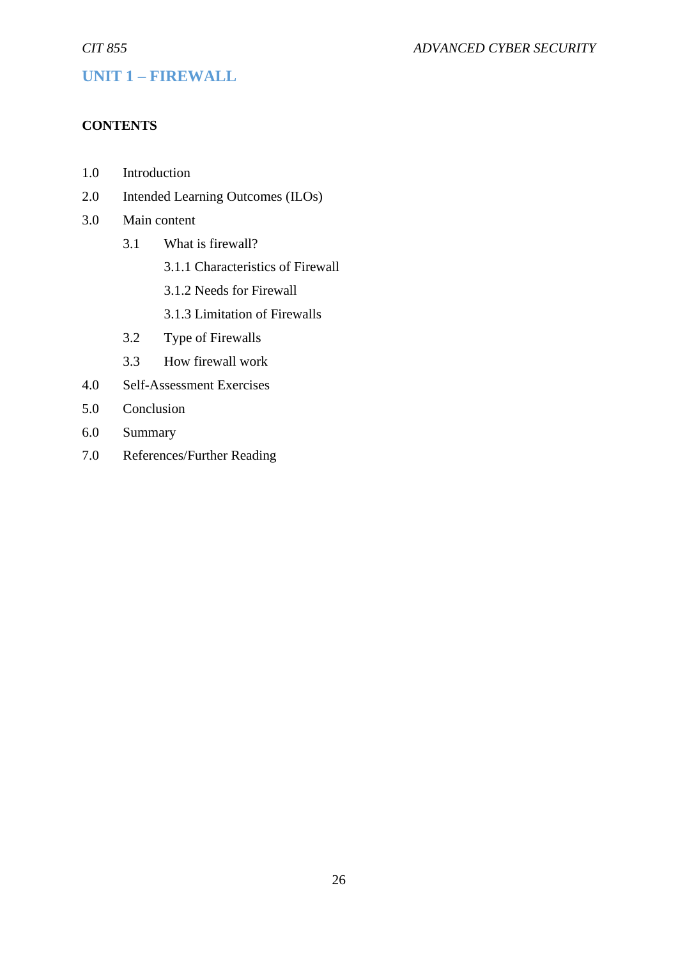*CIT 855 ADVANCED CYBER SECURITY*

# **UNIT 1 – FIREWALL**

# **CONTENTS**

- 1.0 Introduction
- 2.0 Intended Learning Outcomes (ILOs)
- 3.0 Main content
	- 3.1 What is firewall?
		- 3.1.1 Characteristics of Firewall
		- 3.1.2 Needs for Firewall
		- 3.1.3 Limitation of Firewalls
	- 3.2 Type of Firewalls
	- 3.3 How firewall work
- 4.0 Self-Assessment Exercises
- 5.0 Conclusion
- 6.0 Summary
- 7.0 References/Further Reading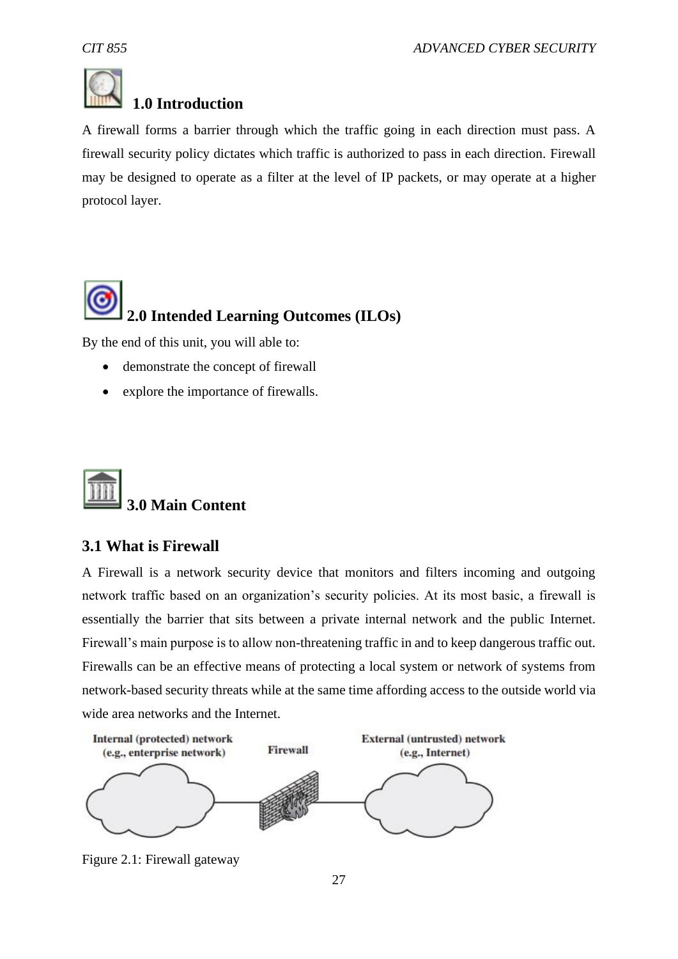

# **1.0 Introduction**

A firewall forms a barrier through which the traffic going in each direction must pass. A firewall security policy dictates which traffic is authorized to pass in each direction. Firewall may be designed to operate as a filter at the level of IP packets, or may operate at a higher protocol layer.



By the end of this unit, you will able to:

- demonstrate the concept of firewall
- explore the importance of firewalls.



# **3.1 What is Firewall**

A Firewall is a network security device that monitors and filters incoming and outgoing network traffic based on an organization's security policies. At its most basic, a firewall is essentially the barrier that sits between a private internal network and the public Internet. Firewall's main purpose is to allow non-threatening traffic in and to keep dangerous traffic out. Firewalls can be an effective means of protecting a local system or network of systems from network-based security threats while at the same time affording access to the outside world via wide area networks and the Internet.



Figure 2.1: Firewall gateway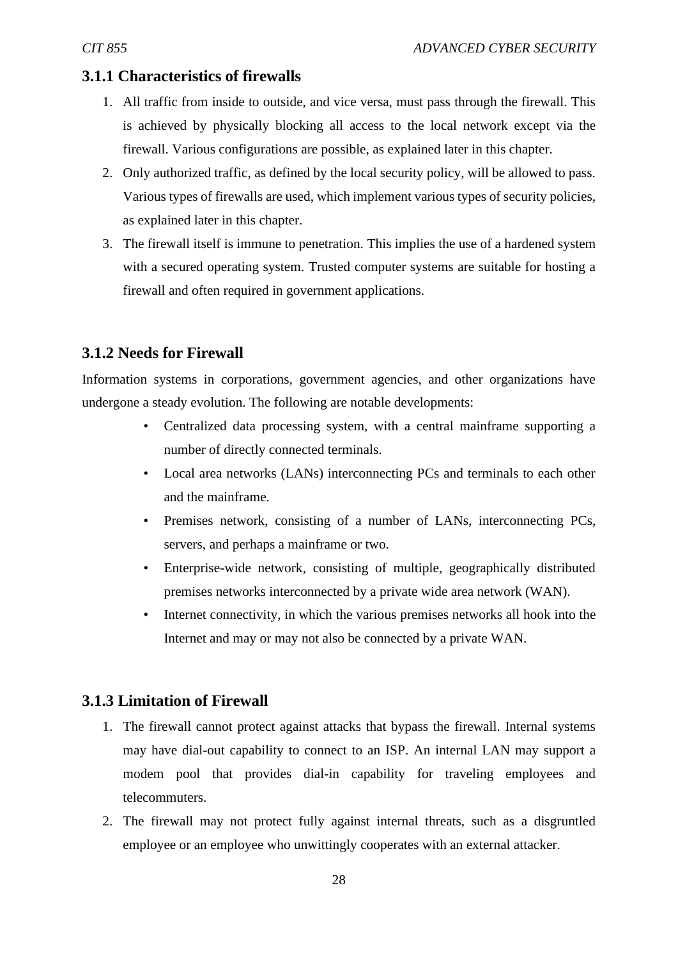# **3.1.1 Characteristics of firewalls**

- 1. All traffic from inside to outside, and vice versa, must pass through the firewall. This is achieved by physically blocking all access to the local network except via the firewall. Various configurations are possible, as explained later in this chapter.
- 2. Only authorized traffic, as defined by the local security policy, will be allowed to pass. Various types of firewalls are used, which implement various types of security policies, as explained later in this chapter.
- 3. The firewall itself is immune to penetration. This implies the use of a hardened system with a secured operating system. Trusted computer systems are suitable for hosting a firewall and often required in government applications.

# **3.1.2 Needs for Firewall**

Information systems in corporations, government agencies, and other organizations have undergone a steady evolution. The following are notable developments:

- Centralized data processing system, with a central mainframe supporting a number of directly connected terminals.
- Local area networks (LANs) interconnecting PCs and terminals to each other and the mainframe.
- Premises network, consisting of a number of LANs, interconnecting PCs, servers, and perhaps a mainframe or two.
- Enterprise-wide network, consisting of multiple, geographically distributed premises networks interconnected by a private wide area network (WAN).
- Internet connectivity, in which the various premises networks all hook into the Internet and may or may not also be connected by a private WAN.

# **3.1.3 Limitation of Firewall**

- 1. The firewall cannot protect against attacks that bypass the firewall. Internal systems may have dial-out capability to connect to an ISP. An internal LAN may support a modem pool that provides dial-in capability for traveling employees and telecommuters.
- 2. The firewall may not protect fully against internal threats, such as a disgruntled employee or an employee who unwittingly cooperates with an external attacker.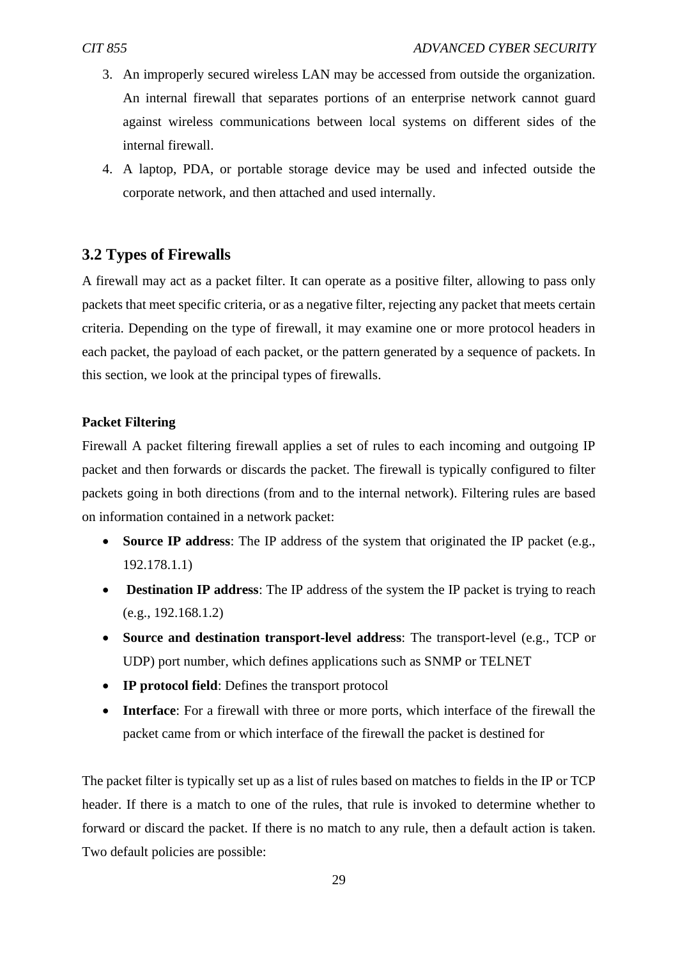- 3. An improperly secured wireless LAN may be accessed from outside the organization. An internal firewall that separates portions of an enterprise network cannot guard against wireless communications between local systems on different sides of the internal firewall.
- 4. A laptop, PDA, or portable storage device may be used and infected outside the corporate network, and then attached and used internally.

# **3.2 Types of Firewalls**

A firewall may act as a packet filter. It can operate as a positive filter, allowing to pass only packets that meet specific criteria, or as a negative filter, rejecting any packet that meets certain criteria. Depending on the type of firewall, it may examine one or more protocol headers in each packet, the payload of each packet, or the pattern generated by a sequence of packets. In this section, we look at the principal types of firewalls.

# **Packet Filtering**

Firewall A packet filtering firewall applies a set of rules to each incoming and outgoing IP packet and then forwards or discards the packet. The firewall is typically configured to filter packets going in both directions (from and to the internal network). Filtering rules are based on information contained in a network packet:

- **Source IP address**: The IP address of the system that originated the IP packet (e.g., 192.178.1.1)
- **Destination IP address**: The IP address of the system the IP packet is trying to reach (e.g., 192.168.1.2)
- **Source and destination transport-level address**: The transport-level (e.g., TCP or UDP) port number, which defines applications such as SNMP or TELNET
- **IP protocol field**: Defines the transport protocol
- **Interface**: For a firewall with three or more ports, which interface of the firewall the packet came from or which interface of the firewall the packet is destined for

The packet filter is typically set up as a list of rules based on matches to fields in the IP or TCP header. If there is a match to one of the rules, that rule is invoked to determine whether to forward or discard the packet. If there is no match to any rule, then a default action is taken. Two default policies are possible: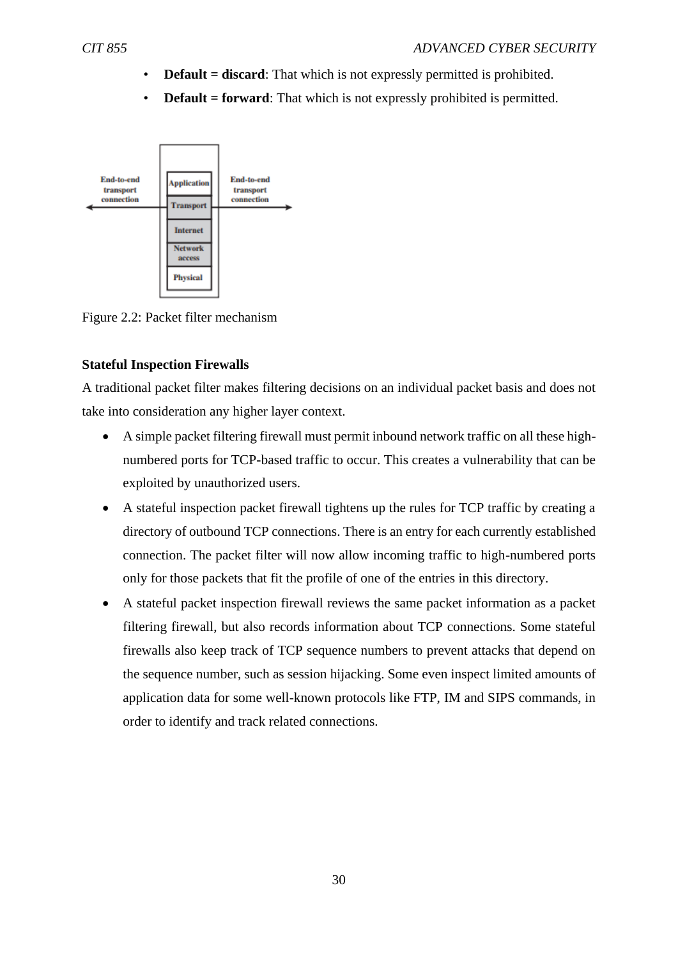- **Default = discard:** That which is not expressly permitted is prohibited.
	- **Default = forward:** That which is not expressly prohibited is permitted.



Figure 2.2: Packet filter mechanism

# **Stateful Inspection Firewalls**

A traditional packet filter makes filtering decisions on an individual packet basis and does not take into consideration any higher layer context.

- A simple packet filtering firewall must permit inbound network traffic on all these highnumbered ports for TCP-based traffic to occur. This creates a vulnerability that can be exploited by unauthorized users.
- A stateful inspection packet firewall tightens up the rules for TCP traffic by creating a directory of outbound TCP connections. There is an entry for each currently established connection. The packet filter will now allow incoming traffic to high-numbered ports only for those packets that fit the profile of one of the entries in this directory.
- A stateful packet inspection firewall reviews the same packet information as a packet filtering firewall, but also records information about TCP connections. Some stateful firewalls also keep track of TCP sequence numbers to prevent attacks that depend on the sequence number, such as session hijacking. Some even inspect limited amounts of application data for some well-known protocols like FTP, IM and SIPS commands, in order to identify and track related connections.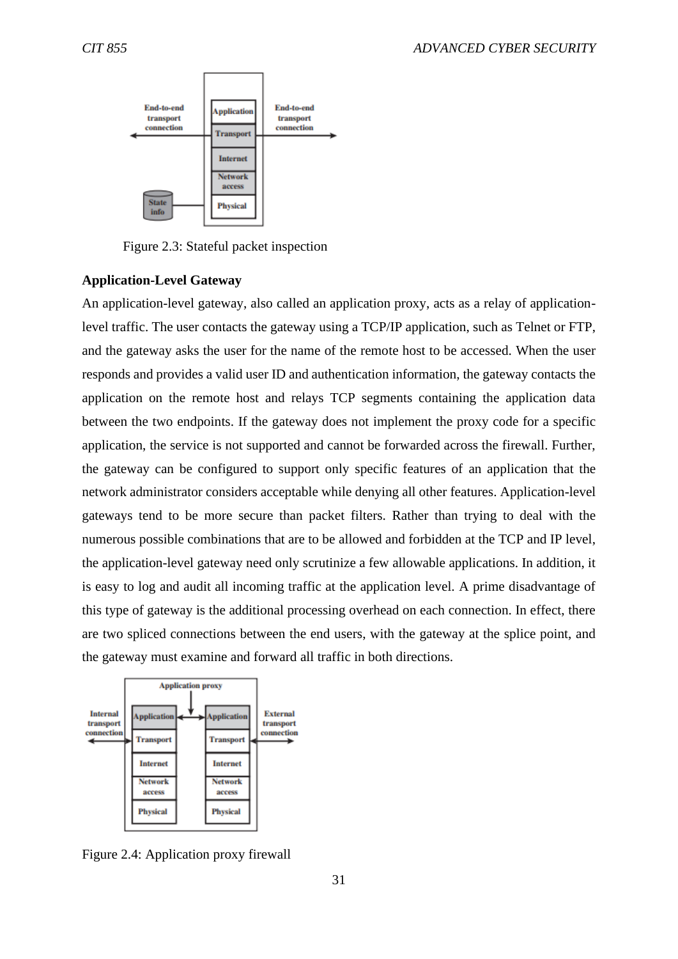

Figure 2.3: Stateful packet inspection

## **Application-Level Gateway**

An application-level gateway, also called an application proxy, acts as a relay of applicationlevel traffic. The user contacts the gateway using a TCP/IP application, such as Telnet or FTP, and the gateway asks the user for the name of the remote host to be accessed. When the user responds and provides a valid user ID and authentication information, the gateway contacts the application on the remote host and relays TCP segments containing the application data between the two endpoints. If the gateway does not implement the proxy code for a specific application, the service is not supported and cannot be forwarded across the firewall. Further, the gateway can be configured to support only specific features of an application that the network administrator considers acceptable while denying all other features. Application-level gateways tend to be more secure than packet filters. Rather than trying to deal with the numerous possible combinations that are to be allowed and forbidden at the TCP and IP level, the application-level gateway need only scrutinize a few allowable applications. In addition, it is easy to log and audit all incoming traffic at the application level. A prime disadvantage of this type of gateway is the additional processing overhead on each connection. In effect, there are two spliced connections between the end users, with the gateway at the splice point, and the gateway must examine and forward all traffic in both directions.



Figure 2.4: Application proxy firewall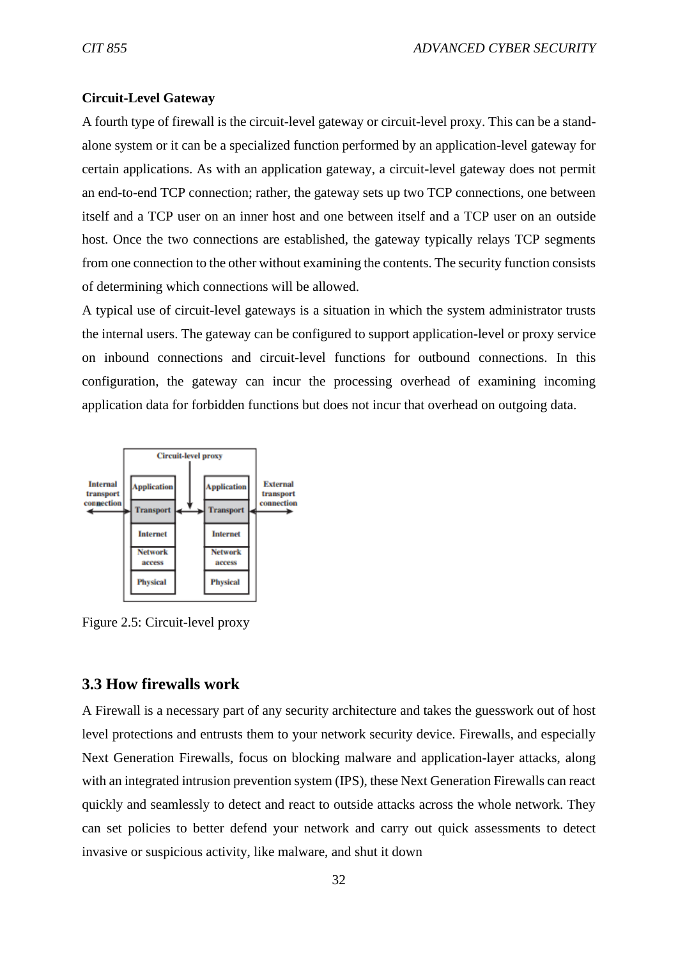## **Circuit-Level Gateway**

A fourth type of firewall is the circuit-level gateway or circuit-level proxy. This can be a standalone system or it can be a specialized function performed by an application-level gateway for certain applications. As with an application gateway, a circuit-level gateway does not permit an end-to-end TCP connection; rather, the gateway sets up two TCP connections, one between itself and a TCP user on an inner host and one between itself and a TCP user on an outside host. Once the two connections are established, the gateway typically relays TCP segments from one connection to the other without examining the contents. The security function consists of determining which connections will be allowed.

A typical use of circuit-level gateways is a situation in which the system administrator trusts the internal users. The gateway can be configured to support application-level or proxy service on inbound connections and circuit-level functions for outbound connections. In this configuration, the gateway can incur the processing overhead of examining incoming application data for forbidden functions but does not incur that overhead on outgoing data.



Figure 2.5: Circuit-level proxy

# **3.3 How firewalls work**

A Firewall is a necessary part of any security architecture and takes the guesswork out of host level protections and entrusts them to your network security device. Firewalls, and especially Next Generation Firewalls, focus on blocking malware and application-layer attacks, along with an integrated intrusion prevention system (IPS), these Next Generation Firewalls can react quickly and seamlessly to detect and react to outside attacks across the whole network. They can set policies to better defend your network and carry out quick assessments to detect invasive or suspicious activity, like malware, and shut it down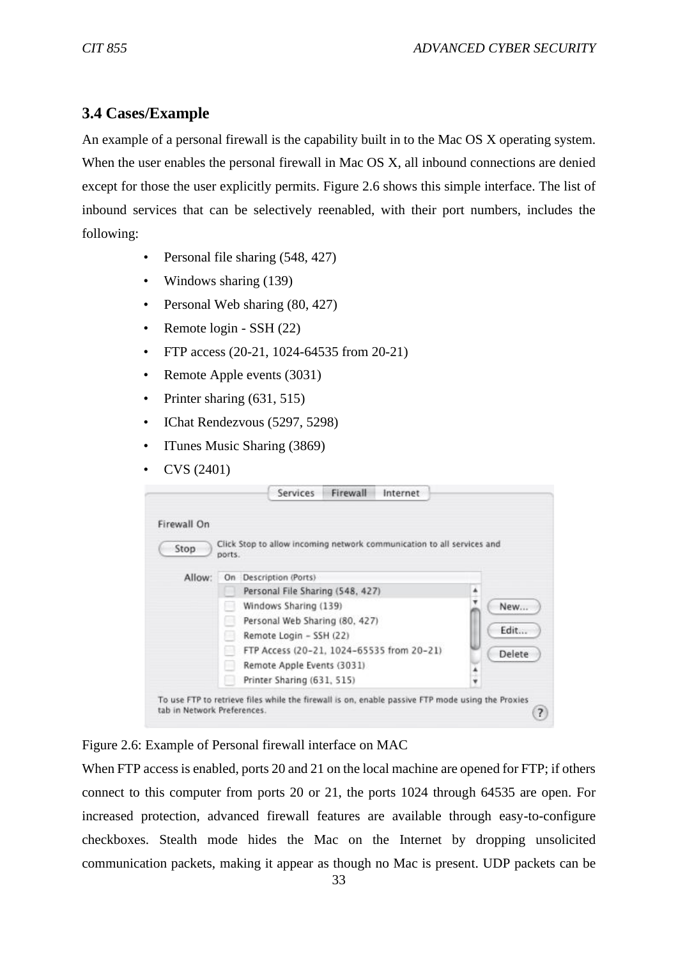# **3.4 Cases/Example**

An example of a personal firewall is the capability built in to the Mac OS X operating system. When the user enables the personal firewall in Mac OS X, all inbound connections are denied except for those the user explicitly permits. Figure 2.6 shows this simple interface. The list of inbound services that can be selectively reenabled, with their port numbers, includes the following:

- Personal file sharing (548, 427)
- Windows sharing (139)
- Personal Web sharing  $(80, 427)$
- Remote login SSH (22)
- FTP access (20-21, 1024-64535 from 20-21)
- Remote Apple events (3031)
- Printer sharing (631, 515)
- IChat Rendezvous (5297, 5298)
- ITunes Music Sharing (3869)
- CVS (2401)

| Firewall On |                                                                        |                      |
|-------------|------------------------------------------------------------------------|----------------------|
| Stop        | Click Stop to allow incoming network communication to all services and |                      |
|             | ports.                                                                 |                      |
| Allow:      | On Description (Ports)                                                 |                      |
|             | Personal File Sharing (548, 427)                                       | $\ddot{\phantom{0}}$ |
|             | Windows Sharing (139)                                                  | New                  |
|             | Personal Web Sharing (80, 427)                                         |                      |
|             | Remote Login - SSH (22)                                                | Edit                 |
|             | FTP Access (20-21, 1024-65535 from 20-21)<br>ь                         | Delete               |
|             | Remote Apple Events (3031)                                             | ۸                    |
|             | Printer Sharing (631, 515)                                             | 區<br>۳               |

Figure 2.6: Example of Personal firewall interface on MAC

When FTP access is enabled, ports 20 and 21 on the local machine are opened for FTP; if others connect to this computer from ports 20 or 21, the ports 1024 through 64535 are open. For increased protection, advanced firewall features are available through easy-to-configure checkboxes. Stealth mode hides the Mac on the Internet by dropping unsolicited communication packets, making it appear as though no Mac is present. UDP packets can be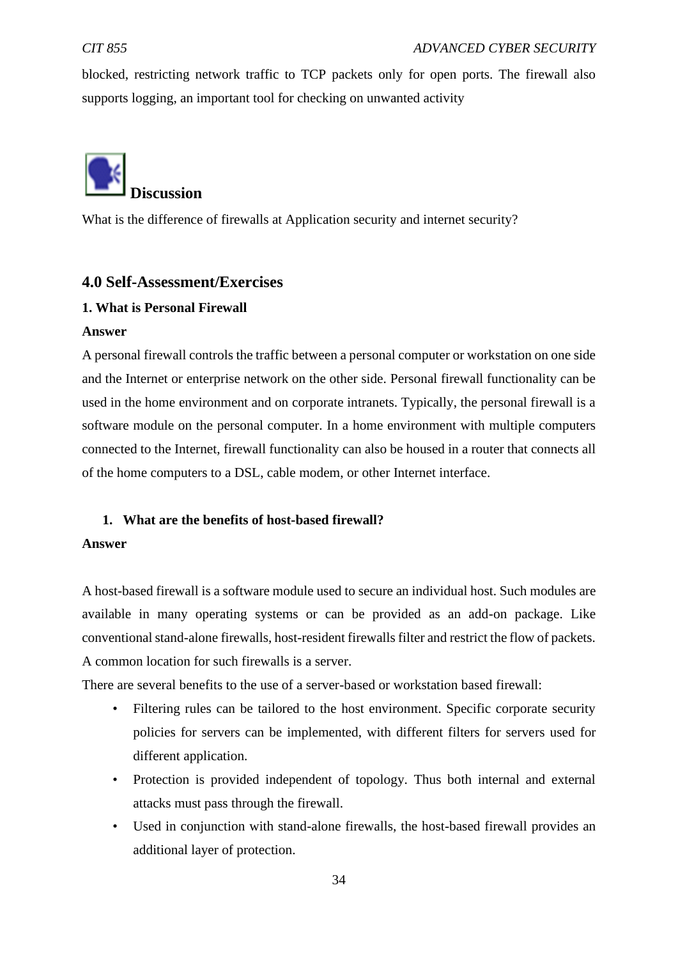blocked, restricting network traffic to TCP packets only for open ports. The firewall also supports logging, an important tool for checking on unwanted activity



What is the difference of firewalls at Application security and internet security?

# **4.0 Self-Assessment/Exercises**

# **1. What is Personal Firewall**

# **Answer**

A personal firewall controls the traffic between a personal computer or workstation on one side and the Internet or enterprise network on the other side. Personal firewall functionality can be used in the home environment and on corporate intranets. Typically, the personal firewall is a software module on the personal computer. In a home environment with multiple computers connected to the Internet, firewall functionality can also be housed in a router that connects all of the home computers to a DSL, cable modem, or other Internet interface.

# **1. What are the benefits of host-based firewall?**

### **Answer**

A host-based firewall is a software module used to secure an individual host. Such modules are available in many operating systems or can be provided as an add-on package. Like conventional stand-alone firewalls, host-resident firewalls filter and restrict the flow of packets. A common location for such firewalls is a server.

There are several benefits to the use of a server-based or workstation based firewall:

- Filtering rules can be tailored to the host environment. Specific corporate security policies for servers can be implemented, with different filters for servers used for different application.
- Protection is provided independent of topology. Thus both internal and external attacks must pass through the firewall.
- Used in conjunction with stand-alone firewalls, the host-based firewall provides an additional layer of protection.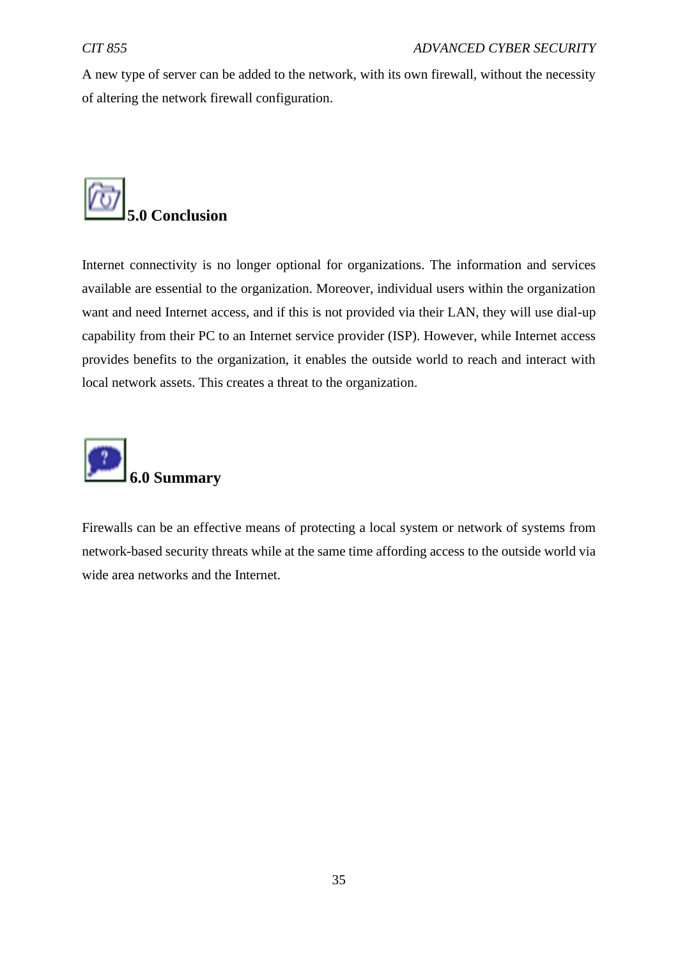A new type of server can be added to the network, with its own firewall, without the necessity of altering the network firewall configuration.



Internet connectivity is no longer optional for organizations. The information and services available are essential to the organization. Moreover, individual users within the organization want and need Internet access, and if this is not provided via their LAN, they will use dial-up capability from their PC to an Internet service provider (ISP). However, while Internet access provides benefits to the organization, it enables the outside world to reach and interact with local network assets. This creates a threat to the organization.



Firewalls can be an effective means of protecting a local system or network of systems from network-based security threats while at the same time affording access to the outside world via wide area networks and the Internet.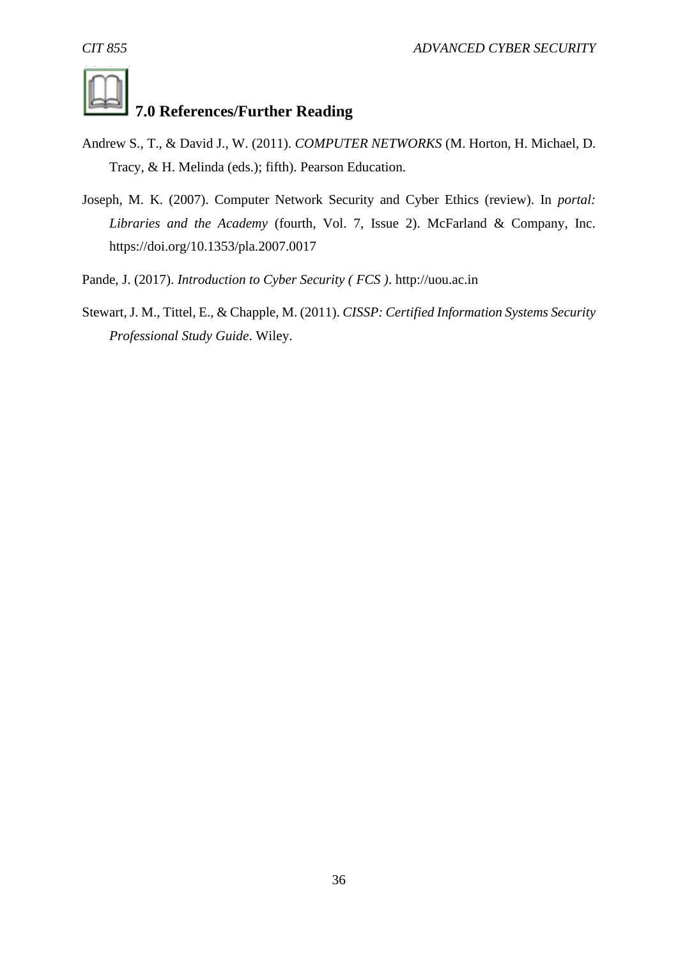

# **7.0 References/Further Reading**

- Andrew S., T., & David J., W. (2011). *COMPUTER NETWORKS* (M. Horton, H. Michael, D. Tracy, & H. Melinda (eds.); fifth). Pearson Education.
- Joseph, M. K. (2007). Computer Network Security and Cyber Ethics (review). In *portal: Libraries and the Academy* (fourth, Vol. 7, Issue 2). McFarland & Company, Inc. https://doi.org/10.1353/pla.2007.0017

Pande, J. (2017). *Introduction to Cyber Security ( FCS )*. http://uou.ac.in

Stewart, J. M., Tittel, E., & Chapple, M. (2011). *CISSP: Certified Information Systems Security Professional Study Guide*. Wiley.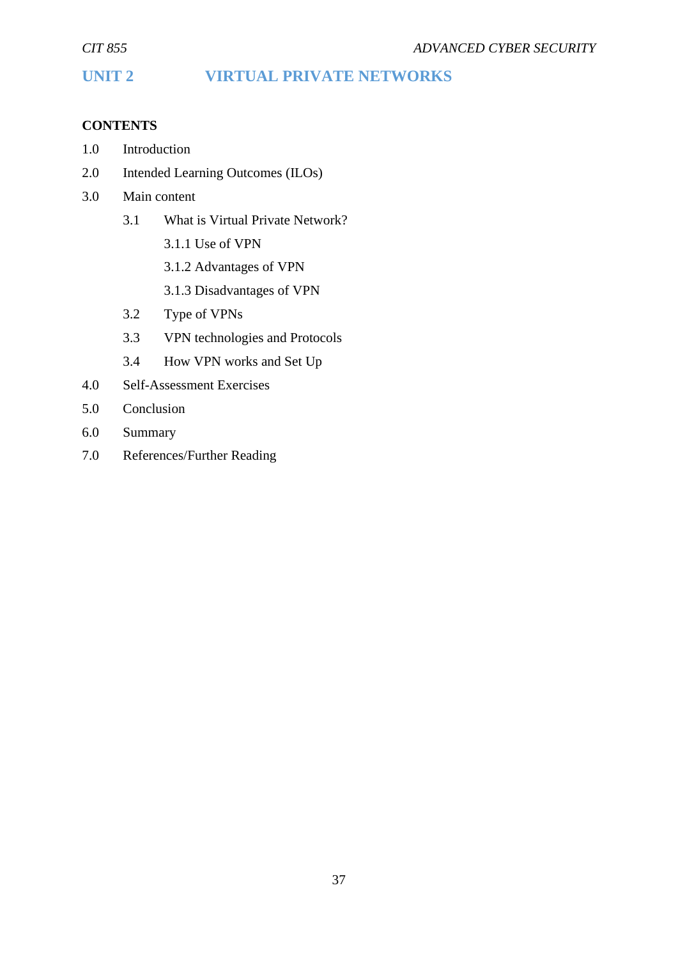# **UNIT 2 VIRTUAL PRIVATE NETWORKS**

# **CONTENTS**

- 1.0 Introduction
- 2.0 Intended Learning Outcomes (ILOs)
- 3.0 Main content
	- 3.1 What is Virtual Private Network?
		- 3.1.1 Use of VPN
		- 3.1.2 Advantages of VPN
		- 3.1.3 Disadvantages of VPN
	- 3.2 Type of VPNs
	- 3.3 VPN technologies and Protocols
	- 3.4 How VPN works and Set Up
- 4.0 Self-Assessment Exercises
- 5.0 Conclusion
- 6.0 Summary
- 7.0 References/Further Reading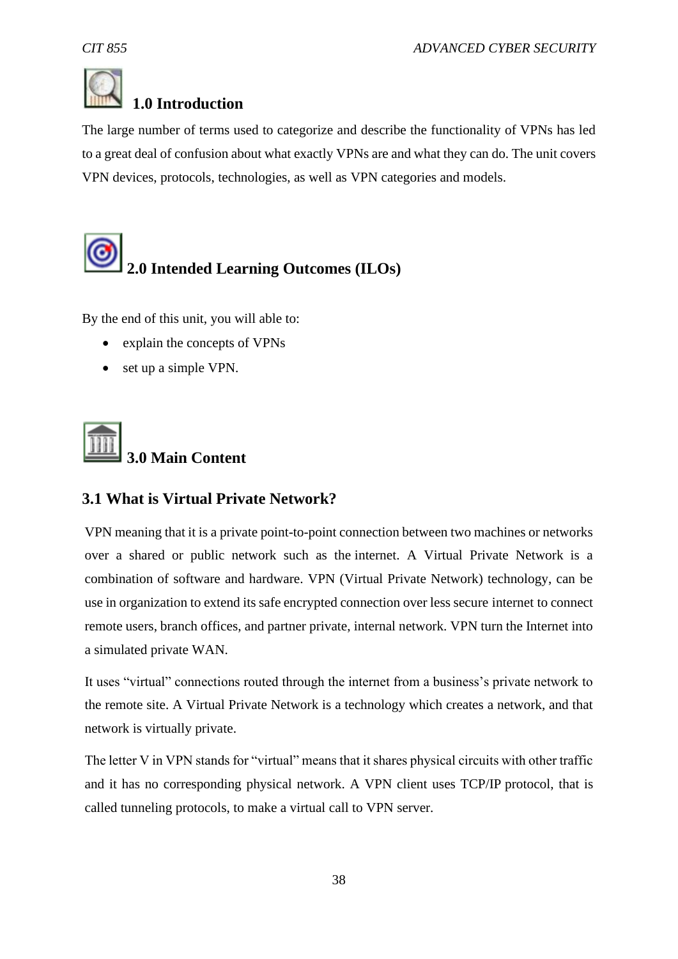# **1.0 Introduction**

The large number of terms used to categorize and describe the functionality of VPNs has led to a great deal of confusion about what exactly VPNs are and what they can do. The unit covers VPN devices, protocols, technologies, as well as VPN categories and models.

# **2.0 Intended Learning Outcomes (ILOs)**

By the end of this unit, you will able to:

- explain the concepts of VPNs
- set up a simple VPN.



# **3.1 What is Virtual Private Network?**

VPN meaning that it is a private point-to-point connection between two machines or networks over a shared or public network such as the [internet.](https://ecomputernotes.com/computernetworkingnotes/services-and-applications/what-is-internet) A Virtual Private Network is a combination of software and hardware. VPN (Virtual Private Network) technology, can be use in organization to extend its safe encrypted connection over less secure [internet](https://ecomputernotes.com/computernetworkingnotes/services-and-applications/what-is-internet) to connect remote users, branch offices, and partner private, internal network. VPN turn the Internet into a simulated private WAN.

It uses "virtual" connections routed through the internet from a business's private network to the remote site. A Virtual Private Network is a technology which creates a network, and that network is virtually private.

The letter V in VPN stands for "virtual" means that it shares physical circuits with other traffic and it has no corresponding physical network. A VPN client uses TCP/IP [protocol,](https://ecomputernotes.com/computernetworkingnotes/computer-network/protocol) that is called tunneling protocols, to make a virtual call to VPN server.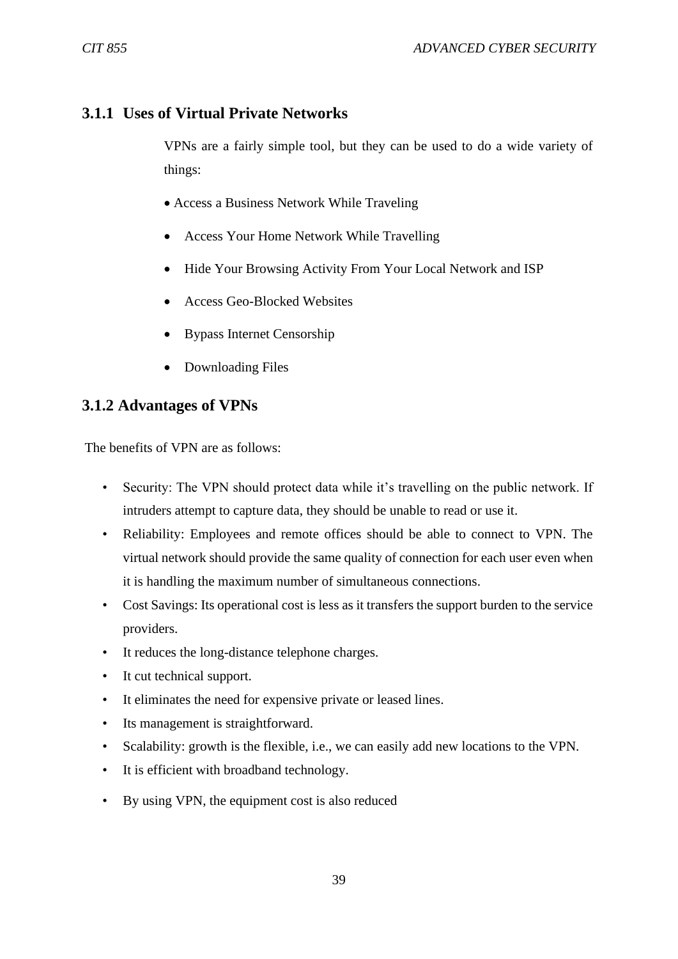# **3.1.1 Uses of Virtual Private Networks**

VPNs are a fairly simple tool, but they can be used to do a wide variety of things:

- Access a Business Network While Traveling
- Access Your Home Network While Travelling
- Hide Your Browsing Activity From Your Local Network and ISP
- Access Geo-Blocked Websites
- Bypass Internet Censorship
- Downloading Files

# **3.1.2 Advantages of VPNs**

The benefits of VPN are as follows:

- Security: The VPN should protect data while it's travelling on the public network. If intruders attempt to capture data, they should be unable to read or use it.
- Reliability: Employees and remote offices should be able to connect to VPN. The virtual network should provide the same quality of connection for each user even when it is handling the maximum number of simultaneous connections.
- Cost Savings: Its operational cost is less as it transfers the support burden to the service providers.
- It reduces the long-distance telephone charges.
- It cut technical support.
- It eliminates the need for expensive private or leased lines.
- Its management is straightforward.
- Scalability: growth is the flexible, i.e., we can easily add new locations to the VPN.
- It is efficient with broadband technology.
- By using VPN, the equipment cost is also reduced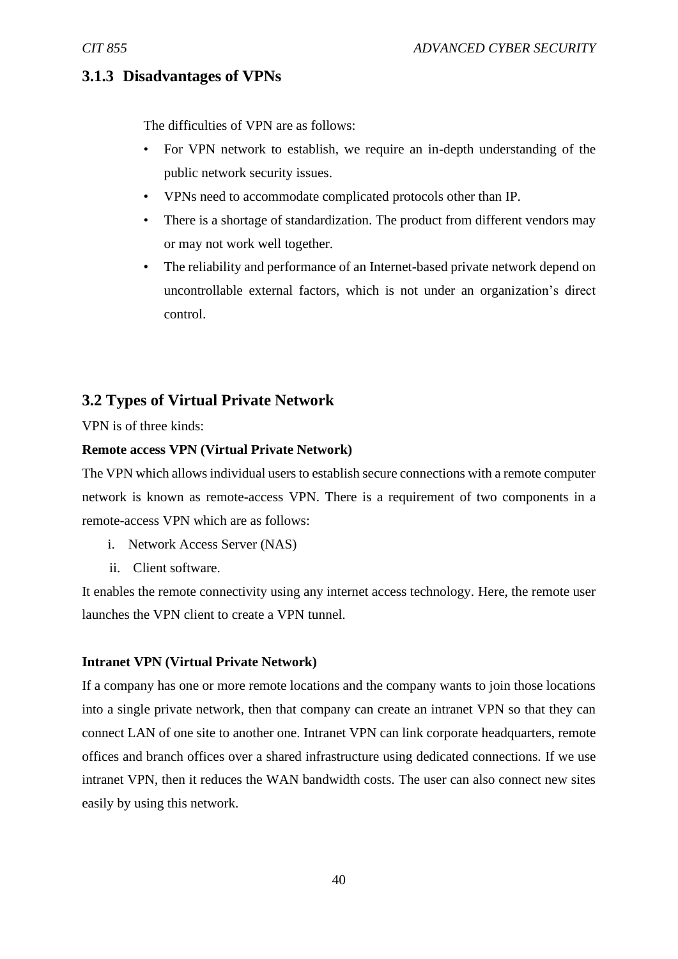# **3.1.3 Disadvantages of VPNs**

The difficulties of VPN are as follows:

- For VPN network to establish, we require an in-depth understanding of the public network security issues.
- VPNs need to accommodate complicated protocols other than IP.
- There is a shortage of standardization. The product from different vendors may or may not work well together.
- The reliability and performance of an Internet-based private network depend on uncontrollable external factors, which is not under an organization's direct control.

# **3.2 Types of Virtual Private Network**

VPN is of three kinds:

# **Remote access VPN (Virtual Private Network)**

The VPN which allows individual users to establish secure connections with a remote computer network is known as remote-access VPN. There is a requirement of two components in a remote-access VPN which are as follows:

- i. Network Access Server (NAS)
- ii. Client software.

It enables the remote connectivity using any internet access technology. Here, the remote user launches the VPN client to create a VPN tunnel.

# **Intranet VPN (Virtual Private Network)**

If a company has one or more remote locations and the company wants to join those locations into a single private network, then that company can create an intranet VPN so that they can connect LAN of one site to another one. Intranet VPN can link corporate headquarters, remote offices and branch offices over a shared infrastructure using dedicated connections. If we use intranet VPN, then it reduces the WAN bandwidth costs. The user can also connect new sites easily by using this network.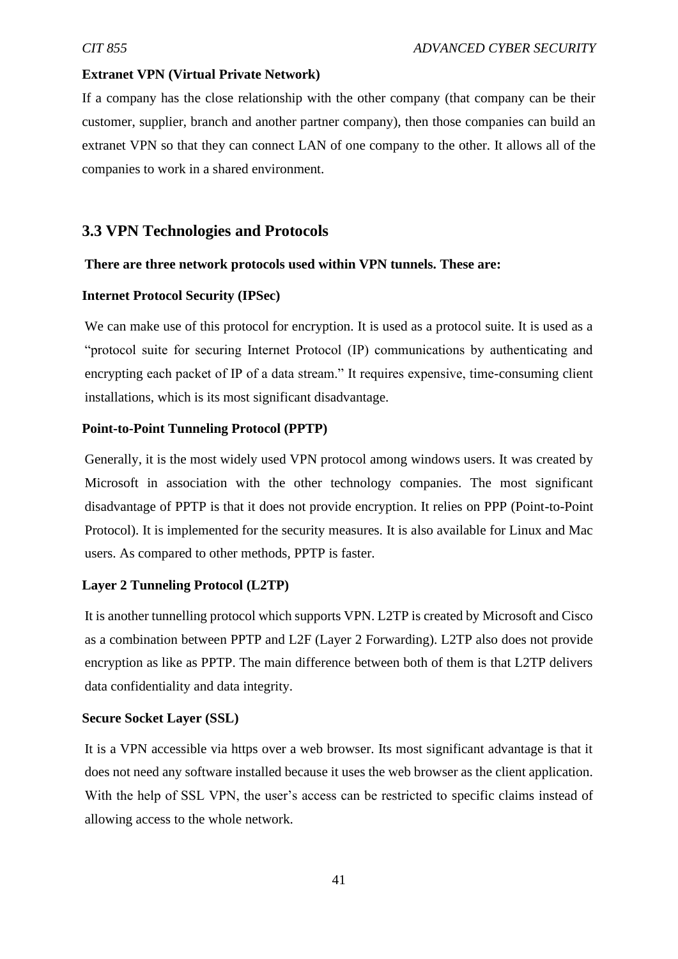# **Extranet VPN (Virtual Private Network)**

If a company has the close relationship with the other company (that company can be their customer, supplier, branch and another partner company), then those companies can build an extranet VPN so that they can connect LAN of one company to the other. It allows all of the companies to work in a shared environment.

# **3.3 VPN Technologies and Protocols**

## **There are three network protocols used within VPN tunnels. These are:**

# **Internet Protocol Security (IPSec)**

We can make use of this [protocol](https://ecomputernotes.com/computernetworkingnotes/computer-network/protocol) for encryption. It is used as a protocol suite. It is used as a "protocol suite for securing Internet Protocol (IP) communications by authenticating and encrypting each packet of IP of a data stream." It requires expensive, time-consuming client installations, which is its most significant disadvantage.

### **Point-to-Point Tunneling Protocol (PPTP)**

Generally, it is the most widely used VPN protocol among windows users. It was created by Microsoft in association with the other technology companies. The most significant disadvantage of PPTP is that it does not provide encryption. It relies on PPP (Point-to-Point Protocol). It is implemented for the security measures. It is also available for Linux and Mac users. As compared to other methods, PPTP is faster.

### **Layer 2 Tunneling Protocol (L2TP)**

It is another tunnelling protocol which supports VPN. L2TP is created by Microsoft and Cisco as a combination between PPTP and L2F (Layer 2 Forwarding). L2TP also does not provide encryption as like as PPTP. The main difference between both of them is that L2TP delivers data confidentiality and data integrity.

# **Secure Socket Layer (SSL)**

It is a VPN accessible via https over a web browser. Its most significant advantage is that it does not need any software installed because it uses the web browser as the client application. With the help of SSL VPN, the user's access can be restricted to specific claims instead of allowing access to the whole network.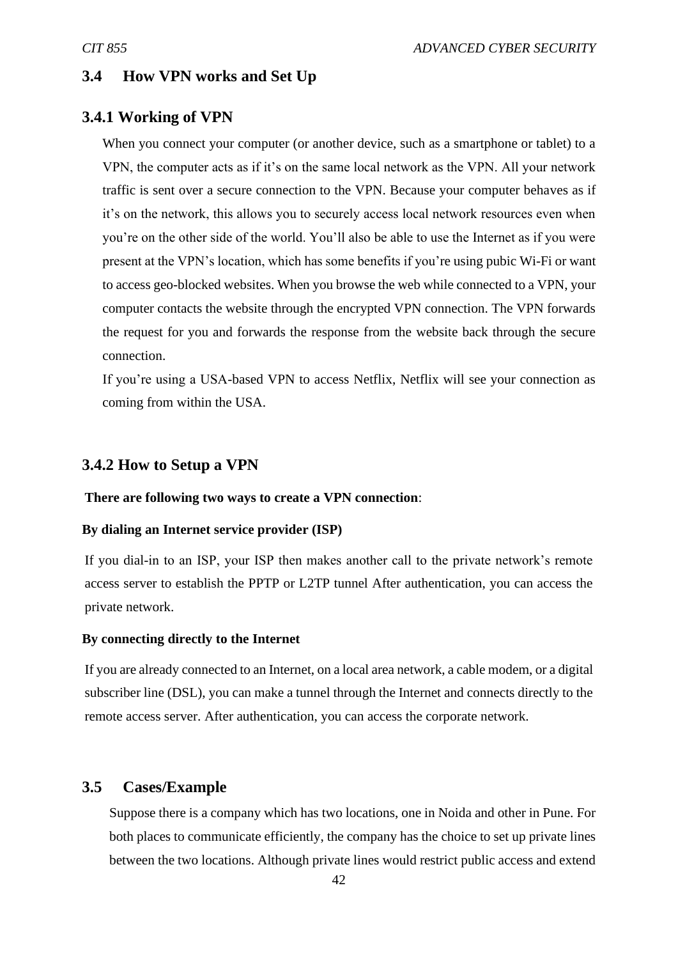# **3.4 How VPN works and Set Up**

# **3.4.1 Working of VPN**

When you connect your computer (or another device, such as a smartphone or tablet) to a VPN, the computer acts as if it's on the same local network as the VPN. All your network traffic is sent over a secure connection to the VPN. Because your computer behaves as if it's on the network, this allows you to securely access local network resources even when you're on the other side of the world. You'll also be able to use the Internet as if you were present at the VPN's location, which has some benefits if you're using pubic Wi-Fi or want to access geo-blocked websites. When you browse the web while connected to a VPN, your computer contacts the website through the encrypted VPN connection. The VPN forwards the request for you and forwards the response from the website back through the secure connection.

If you're using a USA-based VPN to access Netflix, Netflix will see your connection as coming from within the USA.

# **3.4.2 How to Setup a VPN**

## **There are following two ways to create a VPN connection**:

# **By dialing an Internet service provider (ISP)**

If you dial-in to an ISP, your ISP then makes another call to the private network's remote access server to establish the PPTP or L2TP tunnel After authentication, you can access the private network.

### **By connecting directly to the Internet**

If you are already connected to an Internet, on a local area network, a cable modem, or a digital subscriber line (DSL), you can make a tunnel through the Internet and connects directly to the remote access server. After authentication, you can access the corporate network.

# **3.5 Cases/Example**

Suppose there is a company which has two locations, one in Noida and other in Pune. For both places to communicate efficiently, the company has the choice to set up private lines between the two locations. Although private lines would restrict public access and extend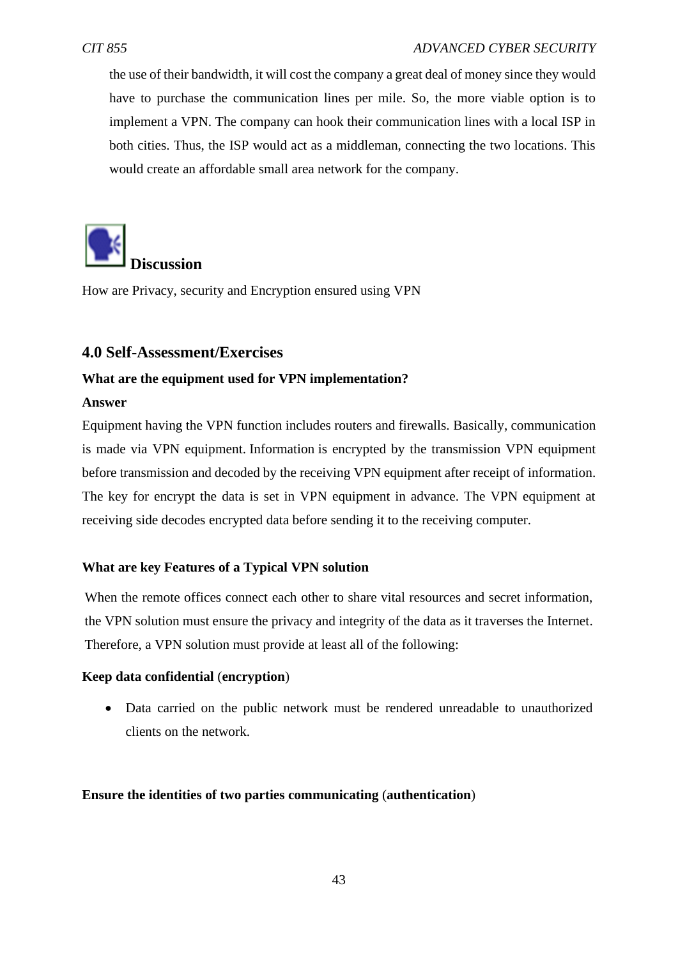the use of their bandwidth, it will cost the company a great deal of money since they would have to purchase the communication lines per mile. So, the more viable option is to implement a VPN. The company can hook their communication lines with a local ISP in both cities. Thus, the ISP would act as a middleman, connecting the two locations. This would create an affordable small area network for the company.



How are Privacy, security and Encryption ensured using VPN

# **4.0 Self-Assessment/Exercises**

# **What are the equipment used for VPN implementation?**

# **Answer**

Equipment having the VPN function includes routers and firewalls. Basically, communication is made via VPN equipment. [Information](https://ecomputernotes.com/fundamental/information-technology/what-do-you-mean-by-data-and-information) is encrypted by the transmission VPN equipment before transmission and decoded by the receiving VPN equipment after receipt of [information.](https://ecomputernotes.com/fundamental/information-technology/what-do-you-mean-by-data-and-information) The key for encrypt the data is set in VPN equipment in advance. The VPN equipment at receiving side decodes encrypted data before sending it to the receiving computer.

# **What are key Features of a Typical VPN solution**

When the remote offices connect each other to share vital resources and secret information, the VPN solution must ensure the privacy and integrity of the data as it traverses the Internet. Therefore, a VPN solution must provide at least all of the following:

# **Keep data confidential** (**encryption**)

• Data carried on the public network must be rendered unreadable to unauthorized clients on the network.

# **Ensure the identities of two parties communicating** (**authentication**)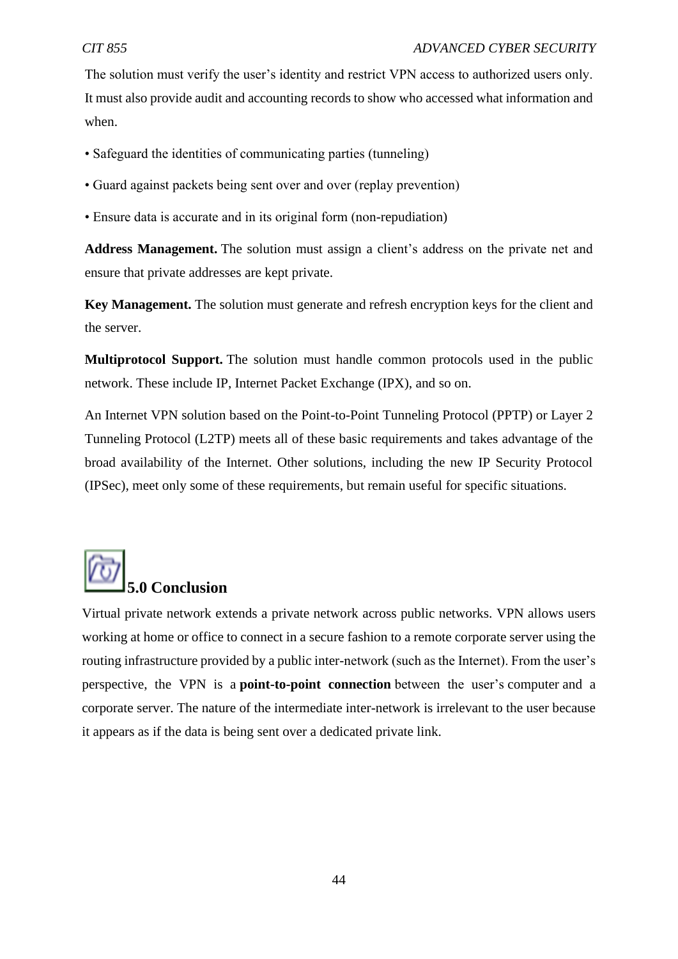The solution must verify the user's identity and restrict VPN access to authorized users only. It must also provide audit and accounting records to show who accessed what information and when.

- Safeguard the identities of communicating parties (tunneling)
- Guard against packets being sent over and over (replay prevention)
- Ensure data is accurate and in its original form (non-repudiation)

**Address Management.** The solution must assign a client's address on the private net and ensure that private addresses are kept private.

**Key Management.** The solution must generate and refresh encryption keys for the client and the server.

**Multiprotocol Support.** The solution must handle common protocols used in the public network. These include IP, Internet Packet Exchange (IPX), and so on.

An Internet VPN solution based on the Point-to-Point Tunneling Protocol (PPTP) or Layer 2 Tunneling Protocol (L2TP) meets all of these basic requirements and takes advantage of the broad availability of the Internet. Other solutions, including the new IP Security Protocol (IPSec), meet only some of these requirements, but remain useful for specific situations.

# **5.0 Conclusion**

Virtual private network extends a private network across public networks. VPN allows users working at home or office to connect in a secure fashion to a remote corporate server using the routing infrastructure provided by a public inter-network (such as the Internet). From the user's perspective, the VPN is a **point-to-point connection** between the user's [computer](https://ecomputernotes.com/fundamental/introduction-to-computer/what-is-computer) and a corporate server. The nature of the intermediate inter-network is irrelevant to the user because it appears as if the data is being sent over a dedicated private link.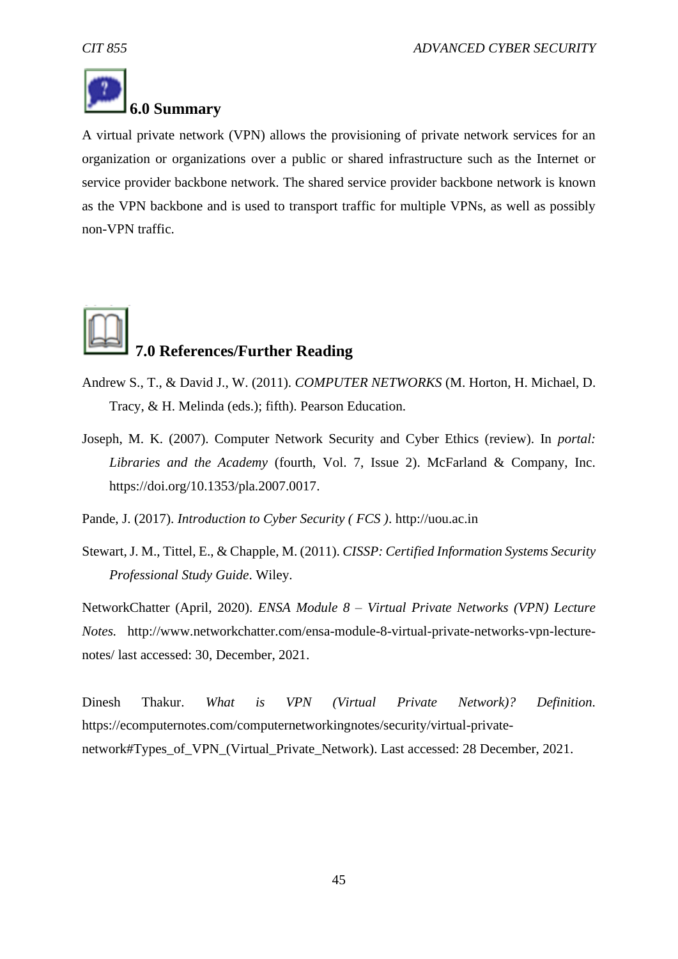

A virtual private network (VPN) allows the provisioning of private network services for an organization or organizations over a public or shared infrastructure such as the Internet or service provider backbone network. The shared service provider backbone network is known as the VPN backbone and is used to transport traffic for multiple VPNs, as well as possibly non-VPN traffic.



- Andrew S., T., & David J., W. (2011). *COMPUTER NETWORKS* (M. Horton, H. Michael, D. Tracy, & H. Melinda (eds.); fifth). Pearson Education.
- Joseph, M. K. (2007). Computer Network Security and Cyber Ethics (review). In *portal: Libraries and the Academy* (fourth, Vol. 7, Issue 2). McFarland & Company, Inc. https://doi.org/10.1353/pla.2007.0017.

Pande, J. (2017). *Introduction to Cyber Security ( FCS )*. http://uou.ac.in

Stewart, J. M., Tittel, E., & Chapple, M. (2011). *CISSP: Certified Information Systems Security Professional Study Guide*. Wiley.

NetworkChatter (April, 2020). *ENSA Module 8 – Virtual Private Networks (VPN) Lecture Notes.* [http://www.networkchatter.com/ensa-module-8-virtual-private-networks-vpn-lecture](http://www.networkchatter.com/ensa-module-8-virtual-private-networks-vpn-lecture-notes/)[notes/](http://www.networkchatter.com/ensa-module-8-virtual-private-networks-vpn-lecture-notes/) last accessed: 30, December, 2021.

Dinesh Thakur. *What is VPN (Virtual Private Network)? Definition.*  [https://ecomputernotes.com/computernetworkingnotes/security/virtual-private](https://ecomputernotes.com/computernetworkingnotes/security/virtual-private-network#Types_of_VPN_(Virtual_Private_Network))[network#Types\\_of\\_VPN\\_\(Virtual\\_Private\\_Network\).](https://ecomputernotes.com/computernetworkingnotes/security/virtual-private-network#Types_of_VPN_(Virtual_Private_Network)) Last accessed: 28 December, 2021.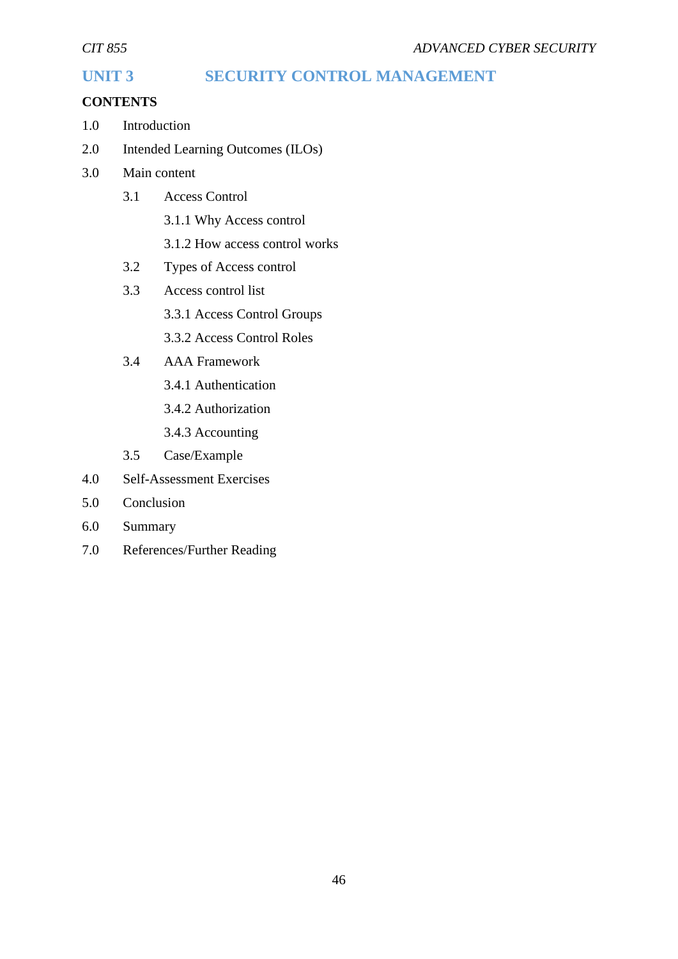# **UNIT 3 SECURITY CONTROL MANAGEMENT**

# **CONTENTS**

- 1.0 Introduction
- 2.0 Intended Learning Outcomes (ILOs)
- 3.0 Main content
	- 3.1 Access Control
		- 3.1.1 Why Access control
		- 3.1.2 How access control works
	- 3.2 Types of Access control
	- 3.3 Access control list
		- 3.3.1 Access Control Groups
		- 3.3.2 Access Control Roles
	- 3.4 AAA Framework
		- 3.4.1 Authentication
		- 3.4.2 Authorization
		- 3.4.3 Accounting
	- 3.5 Case/Example
- 4.0 Self-Assessment Exercises
- 5.0 Conclusion
- 6.0 Summary
- 7.0 References/Further Reading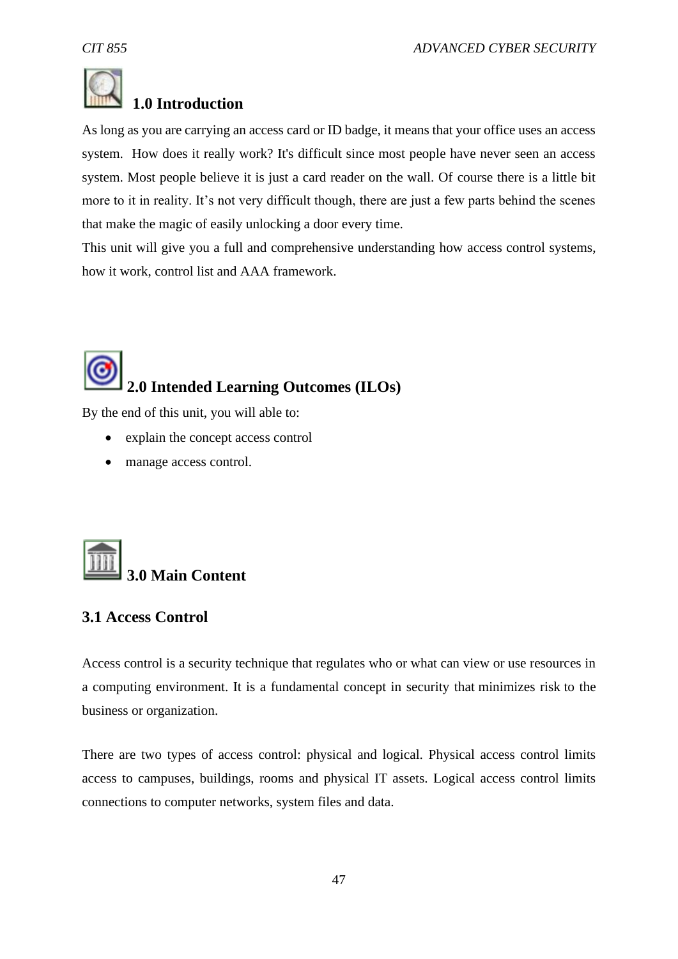

# **1.0 Introduction**

As long as you are carrying an access card or ID badge, it means that your office uses an access system. How does it really work? It's difficult since most people have never seen an access system. Most people believe it is just a card reader on the wall. Of course there is a little bit more to it in reality. It's not very difficult though, there are just a few parts behind the scenes that make the magic of easily unlocking a door every time.

This unit will give you a full and comprehensive understanding how access control systems, how it work, control list and AAA framework.

# **2.0 Intended Learning Outcomes (ILOs)**

By the end of this unit, you will able to:

- explain the concept access control
- manage access control.



# **3.1 Access Control**

Access control is a security technique that regulates who or what can view or use resources in a computing environment. It is a fundamental concept in security that [minimizes risk](https://searchstorage.techtarget.com/tip/Prevent-the-storage-and-data-security-risks-of-remote-work) to the business or organization.

There are two types of access control: physical and logical. Physical access control limits access to campuses, buildings, rooms and physical IT assets. Logical access control limits connections to computer networks, system files and data.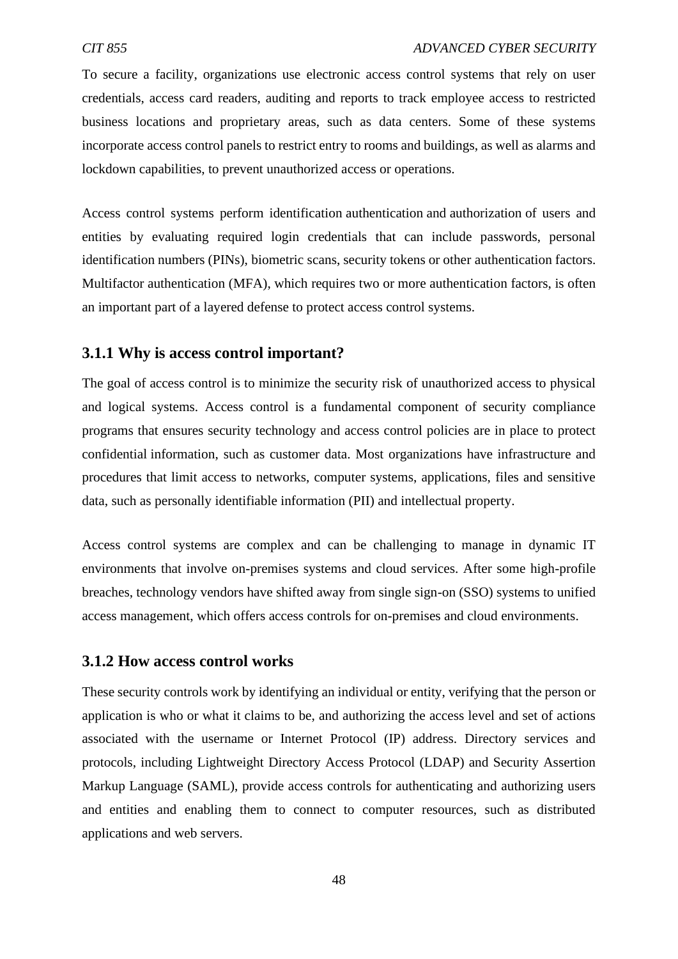To secure a facility, organizations use electronic access control systems that rely on user credentials, access card readers, auditing and reports to track employee access to restricted business locations and proprietary areas, such as data centers. Some of these systems incorporate access control panels to restrict entry to rooms and buildings, as well as alarms and lockdown capabilities, to prevent unauthorized access or operations.

Access control systems perform identification [authentication](https://www.techtarget.com/searchsecurity/definition/authentication) and [authorization](https://searchsoftwarequality.techtarget.com/definition/authorization) of users and entities by evaluating required login credentials that can include passwords, personal identification numbers (PINs), [biometric](https://www.techtarget.com/searchsecurity/definition/biometrics) scans, security tokens or other [authentication factors.](https://www.techtarget.com/searchsecurity/definition/authentication-factor) Multifactor authentication [\(MFA\)](https://www.techtarget.com/searchsecurity/definition/multifactor-authentication-MFA), which requires two or more authentication factors, is often an important part of a layered defense to protect access control systems.

# **3.1.1 Why is access control important?**

The goal of access control is to minimize the security risk of unauthorized access to physical and logical systems. Access control is a fundamental component of security compliance programs that ensures security technology and access control policies are in place to protect confidential [information,](https://searchsqlserver.techtarget.com/definition/information) such as customer data. Most organizations have infrastructure and procedures that limit access to networks, computer systems, applications, files and sensitive data, such as personally identifiable information (PII) and intellectual property.

Access control systems are complex and can be challenging to manage in dynamic IT environments that involve on-premises systems and cloud services. After some high-profile breaches, technology vendors have shifted away from single sign-on [\(SSO\)](https://www.techtarget.com/searchsecurity/definition/single-sign-on) systems to unified access management, which offers access controls for on-premises and cloud environments.

# **3.1.2 How access control works**

These security controls work by identifying an individual or entity, verifying that the person or application is who or what it claims to be, and authorizing the access level and set of actions associated with the username or Internet Protocol (IP) address. Directory services and protocols, including Lightweight Directory Access Protocol (LDAP) and Security Assertion Markup Language [\(SAML\)](https://www.techtarget.com/searchsecurity/definition/SAML), provide access controls for authenticating and authorizing users and entities and enabling them to connect to computer resources, such as distributed applications and web servers.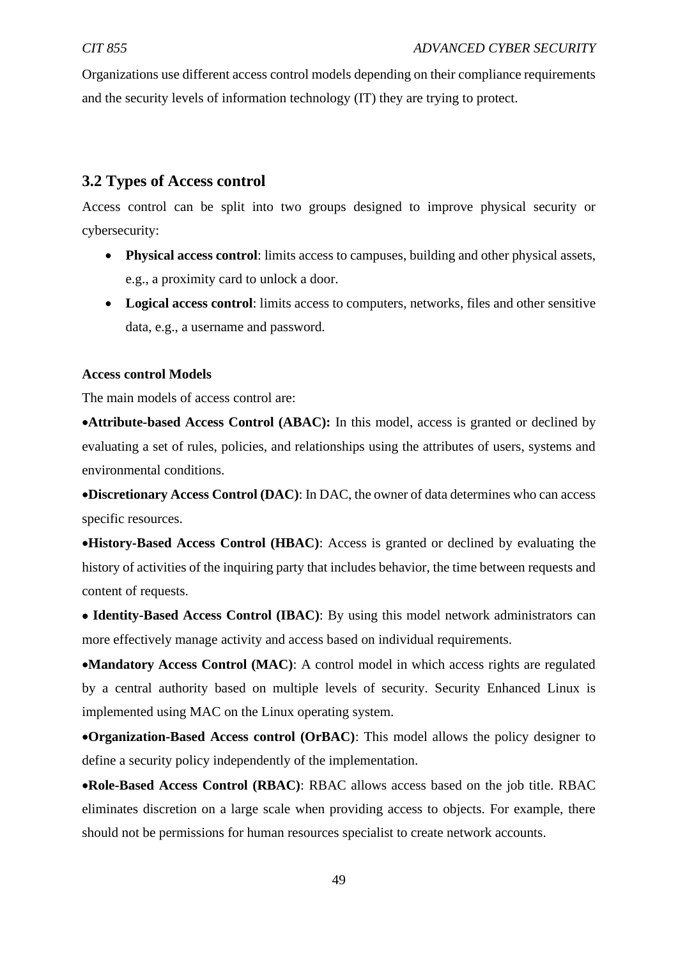Organizations use different access control models depending on their compliance requirements and the security levels of information technology (IT) they are trying to protect.

# **3.2 Types of Access control**

Access control can be split into two groups designed to improve physical security or cybersecurity:

- **Physical access control**: limits access to campuses, building and other physical assets, e.g., a proximity card to unlock a door.
- **Logical access control**: limits access to computers, networks, files and other sensitive data, e.g., a username and password.

## **Access control Models**

The main models of access control are:

•**Attribute-based Access Control (ABAC):** In this model, access is granted or declined by evaluating a set of rules, policies, and relationships using the attributes of users, systems and environmental conditions.

•**Discretionary Access Control (DAC)**: In DAC, the owner of data determines who can access specific resources.

•**History-Based Access Control (HBAC)**: Access is granted or declined by evaluating the history of activities of the inquiring party that includes behavior, the time between requests and content of requests.

• **Identity-Based Access Control (IBAC)**: By using this model network administrators can more effectively manage activity and access based on individual requirements.

•**Mandatory Access Control (MAC)**: A control model in which access rights are regulated by a central authority based on multiple levels of security. Security Enhanced Linux is implemented using MAC on the Linux operating system.

•**Organization-Based Access control (OrBAC)**: This model allows the policy designer to define a security policy independently of the implementation.

•**Role-Based Access Control (RBAC)**: RBAC allows access based on the job title. RBAC eliminates discretion on a large scale when providing access to objects. For example, there should not be permissions for human resources specialist to create network accounts.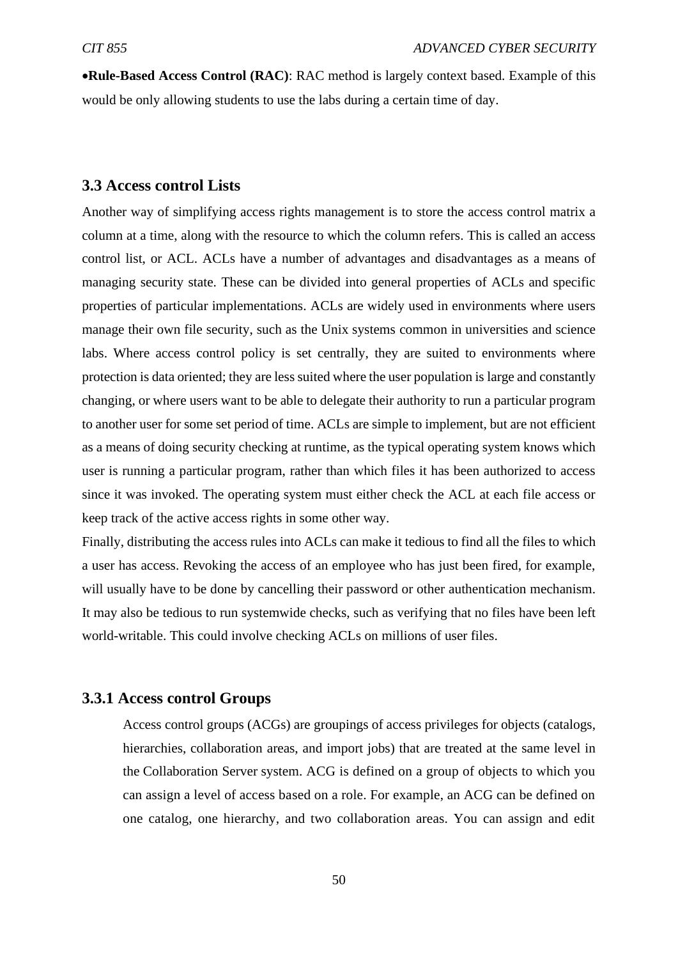•**Rule-Based Access Control (RAC)**: RAC method is largely context based. Example of this would be only allowing students to use the labs during a certain time of day.

# **3.3 Access control Lists**

Another way of simplifying access rights management is to store the access control matrix a column at a time, along with the resource to which the column refers. This is called an access control list, or ACL. ACLs have a number of advantages and disadvantages as a means of managing security state. These can be divided into general properties of ACLs and specific properties of particular implementations. ACLs are widely used in environments where users manage their own file security, such as the Unix systems common in universities and science labs. Where access control policy is set centrally, they are suited to environments where protection is data oriented; they are less suited where the user population is large and constantly changing, or where users want to be able to delegate their authority to run a particular program to another user for some set period of time. ACLs are simple to implement, but are not efficient as a means of doing security checking at runtime, as the typical operating system knows which user is running a particular program, rather than which files it has been authorized to access since it was invoked. The operating system must either check the ACL at each file access or keep track of the active access rights in some other way.

Finally, distributing the access rules into ACLs can make it tedious to find all the files to which a user has access. Revoking the access of an employee who has just been fired, for example, will usually have to be done by cancelling their password or other authentication mechanism. It may also be tedious to run systemwide checks, such as verifying that no files have been left world-writable. This could involve checking ACLs on millions of user files.

# **3.3.1 Access control Groups**

Access control groups (ACGs) are groupings of access privileges for objects (catalogs, hierarchies, collaboration areas, and import jobs) that are treated at the same level in the Collaboration Server system. ACG is defined on a group of objects to which you can assign a level of access based on a role. For example, an ACG can be defined on one catalog, one hierarchy, and two collaboration areas. You can assign and edit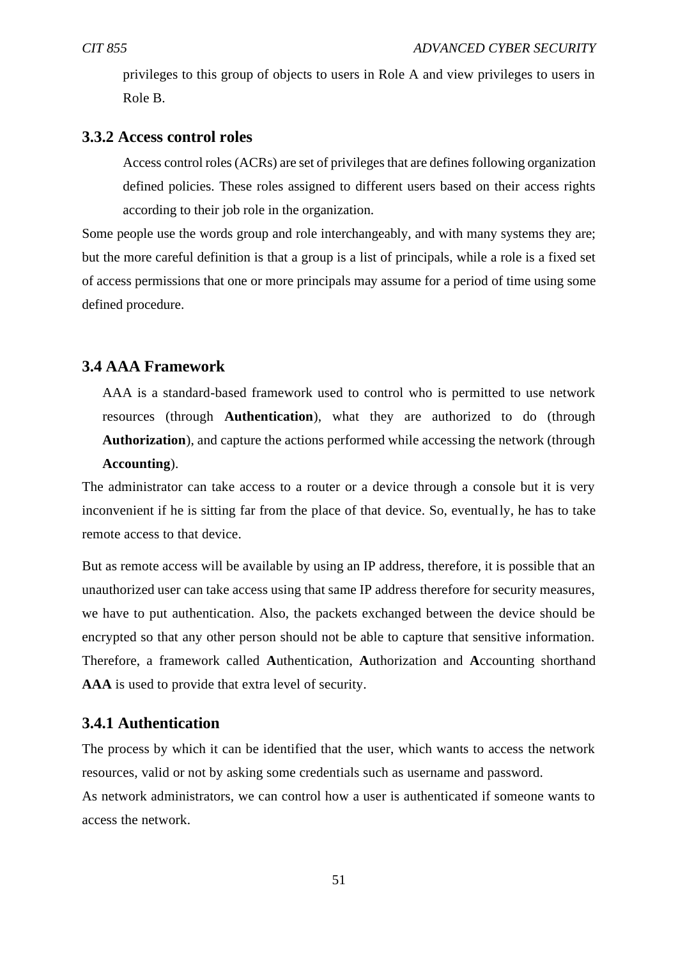privileges to this group of objects to users in Role A and view privileges to users in Role B.

# **3.3.2 Access control roles**

Access control roles (ACRs) are set of privileges that are defines following organization defined policies. These roles assigned to different users based on their access rights according to their job role in the organization.

Some people use the words group and role interchangeably, and with many systems they are; but the more careful definition is that a group is a list of principals, while a role is a fixed set of access permissions that one or more principals may assume for a period of time using some defined procedure.

# **3.4 AAA Framework**

AAA is a standard-based framework used to control who is permitted to use network resources (through **Authentication**), what they are authorized to do (through **Authorization**), and capture the actions performed while accessing the network (through **Accounting**).

The administrator can take access to a router or a device through a console but it is very inconvenient if he is sitting far from the place of that device. So, eventually, he has to take remote access to that device.

But as remote access will be available by using an IP address, therefore, it is possible that an unauthorized user can take access using that same IP address therefore for security measures, we have to put authentication. Also, the packets exchanged between the device should be encrypted so that any other person should not be able to capture that sensitive information. Therefore, a framework called **A**uthentication, **A**uthorization and **A**ccounting shorthand **AAA** is used to provide that extra level of security.

# **3.4.1 Authentication**

The process by which it can be identified that the user, which wants to access the network resources, valid or not by asking some credentials such as username and password.

As network administrators, we can control how a user is authenticated if someone wants to access the network.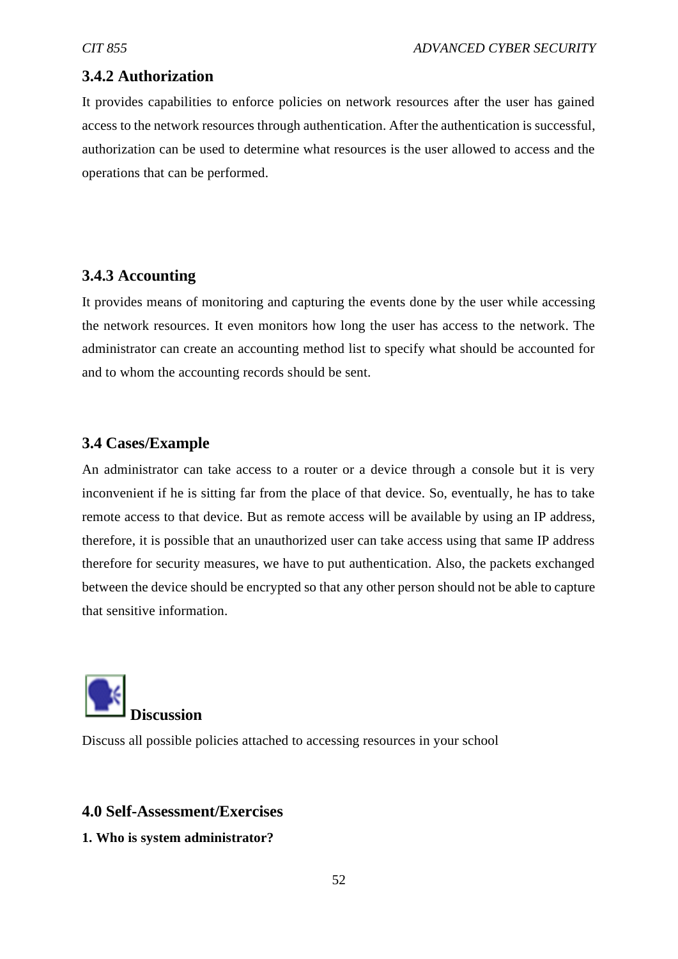# **3.4.2 Authorization**

It provides capabilities to enforce policies on network resources after the user has gained access to the network resources through authentication. After the authentication is successful, authorization can be used to determine what resources is the user allowed to access and the operations that can be performed.

# **3.4.3 Accounting**

It provides means of monitoring and capturing the events done by the user while accessing the network resources. It even monitors how long the user has access to the network. The administrator can create an accounting method list to specify what should be accounted for and to whom the accounting records should be sent.

# **3.4 Cases/Example**

An administrator can take access to a router or a device through a console but it is very inconvenient if he is sitting far from the place of that device. So, eventually, he has to take remote access to that device. But as remote access will be available by using an IP address, therefore, it is possible that an unauthorized user can take access using that same IP address therefore for security measures, we have to put authentication. Also, the packets exchanged between the device should be encrypted so that any other person should not be able to capture that sensitive information.



Discuss all possible policies attached to accessing resources in your school

# **4.0 Self-Assessment/Exercises**

# **1. Who is system administrator?**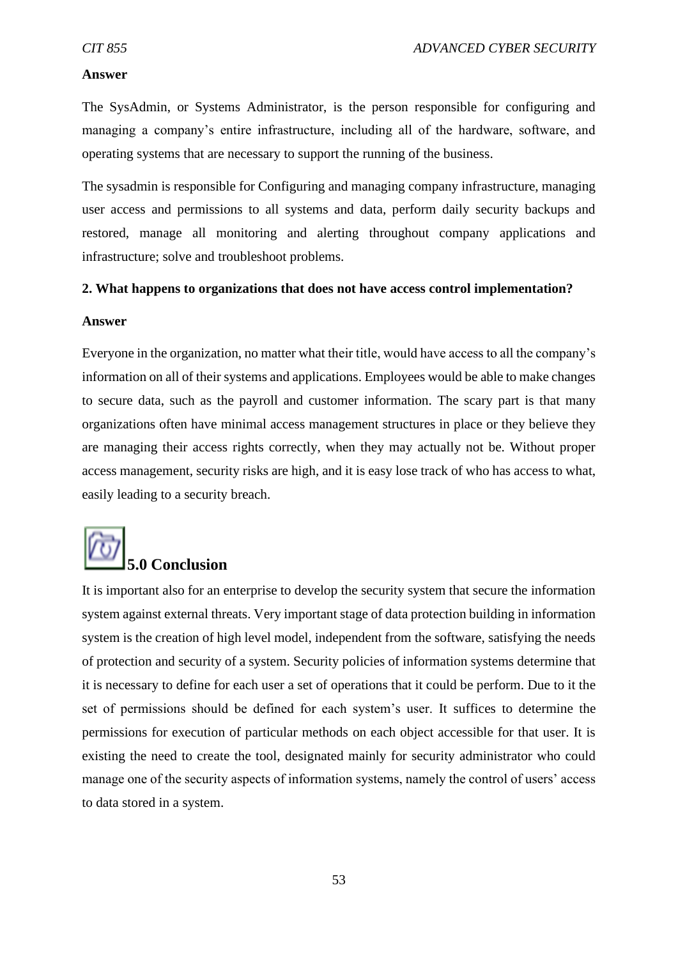### **Answer**

The SysAdmin, or Systems Administrator, is the person responsible for configuring and managing a company's entire infrastructure, including all of the hardware, software, and operating systems that are necessary to support the running of the business.

The sysadmin is responsible for Configuring and managing company infrastructure, managing user access and permissions to all systems and data, perform daily security backups and restored, manage all monitoring and alerting throughout company applications and infrastructure; solve and troubleshoot problems.

## **2. What happens to organizations that does not have access control implementation?**

### **Answer**

Everyone in the organization, no matter what their title, would have access to all the company's information on all of their systems and applications. Employees would be able to make changes to secure data, such as the payroll and customer information. The scary part is that many organizations often have minimal access management structures in place or they believe they are managing their access rights correctly, when they may actually not be. Without proper access management, security risks are high, and it is easy lose track of who has access to what, easily leading to a security breach.

# **5.0 Conclusion**

It is important also for an enterprise to develop the security system that secure the information system against external threats. Very important stage of data protection building in information system is the creation of high level model, independent from the software, satisfying the needs of protection and security of a system. Security policies of information systems determine that it is necessary to define for each user a set of operations that it could be perform. Due to it the set of permissions should be defined for each system's user. It suffices to determine the permissions for execution of particular methods on each object accessible for that user. It is existing the need to create the tool, designated mainly for security administrator who could manage one of the security aspects of information systems, namely the control of users' access to data stored in a system.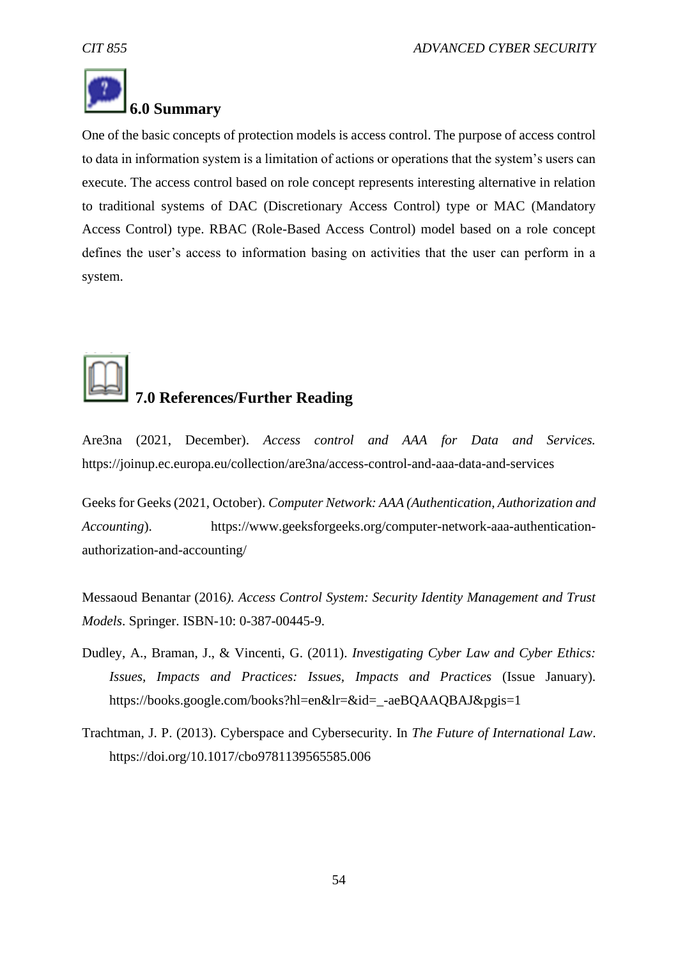

# **6.0 Summary**

One of the basic concepts of protection models is access control. The purpose of access control to data in information system is a limitation of actions or operations that the system's users can execute. The access control based on role concept represents interesting alternative in relation to traditional systems of DAC (Discretionary Access Control) type or MAC (Mandatory Access Control) type. RBAC (Role-Based Access Control) model based on a role concept defines the user's access to information basing on activities that the user can perform in a system.



# **7.0 References/Further Reading**

Are3na (2021, December). *Access control and AAA for Data and Services.*  <https://joinup.ec.europa.eu/collection/are3na/access-control-and-aaa-data-and-services>

Geeks for Geeks (2021, October). *Computer Network: AAA (Authentication, Authorization and Accounting*). [https://www.geeksforgeeks.org/computer-network-aaa-authentication](https://www.geeksforgeeks.org/computer-network-aaa-authentication-authorization-and-accounting/)[authorization-and-accounting/](https://www.geeksforgeeks.org/computer-network-aaa-authentication-authorization-and-accounting/)

Messaoud Benantar (2016*). Access Control System: Security Identity Management and Trust Models*. Springer. ISBN-10: 0-387-00445-9.

- Dudley, A., Braman, J., & Vincenti, G. (2011). *Investigating Cyber Law and Cyber Ethics: Issues, Impacts and Practices: Issues, Impacts and Practices* (Issue January). https://books.google.com/books?hl=en&lr=&id=\_-aeBQAAQBAJ&pgis=1
- Trachtman, J. P. (2013). Cyberspace and Cybersecurity. In *The Future of International Law*. https://doi.org/10.1017/cbo9781139565585.006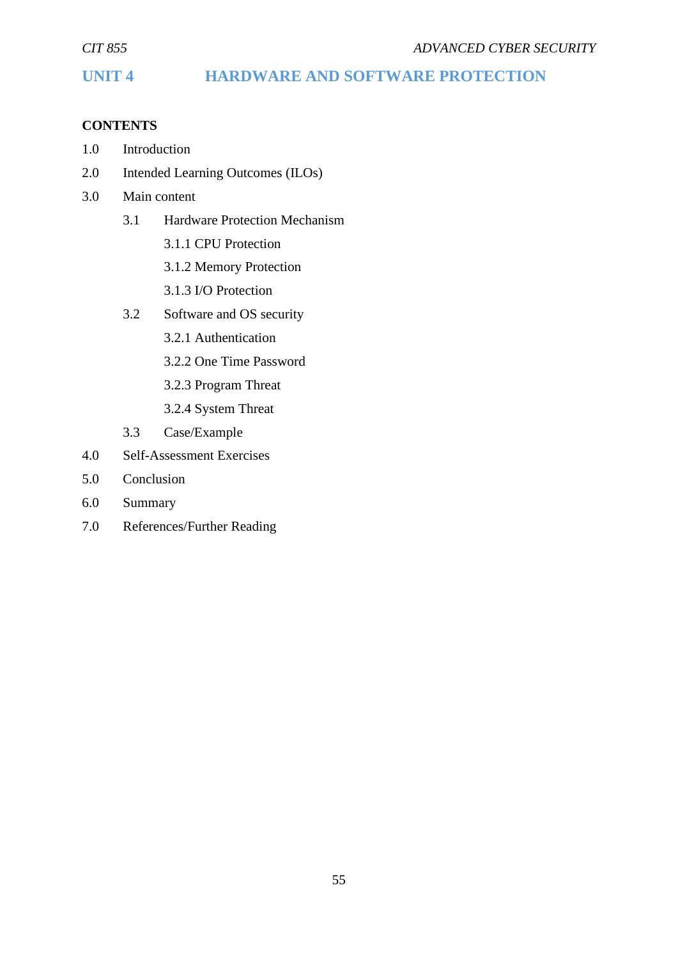# **UNIT 4 HARDWARE AND SOFTWARE PROTECTION**

# **CONTENTS**

- 1.0 Introduction
- 2.0 Intended Learning Outcomes (ILOs)
- 3.0 Main content
	- 3.1 Hardware Protection Mechanism
		- 3.1.1 CPU Protection
		- 3.1.2 Memory Protection
		- 3.1.3 I/O Protection
	- 3.2 Software and OS security
		- 3.2.1 Authentication
		- 3.2.2 One Time Password
		- 3.2.3 Program Threat
		- 3.2.4 System Threat
	- 3.3 Case/Example
- 4.0 Self-Assessment Exercises
- 5.0 Conclusion
- 6.0 Summary
- 7.0 References/Further Reading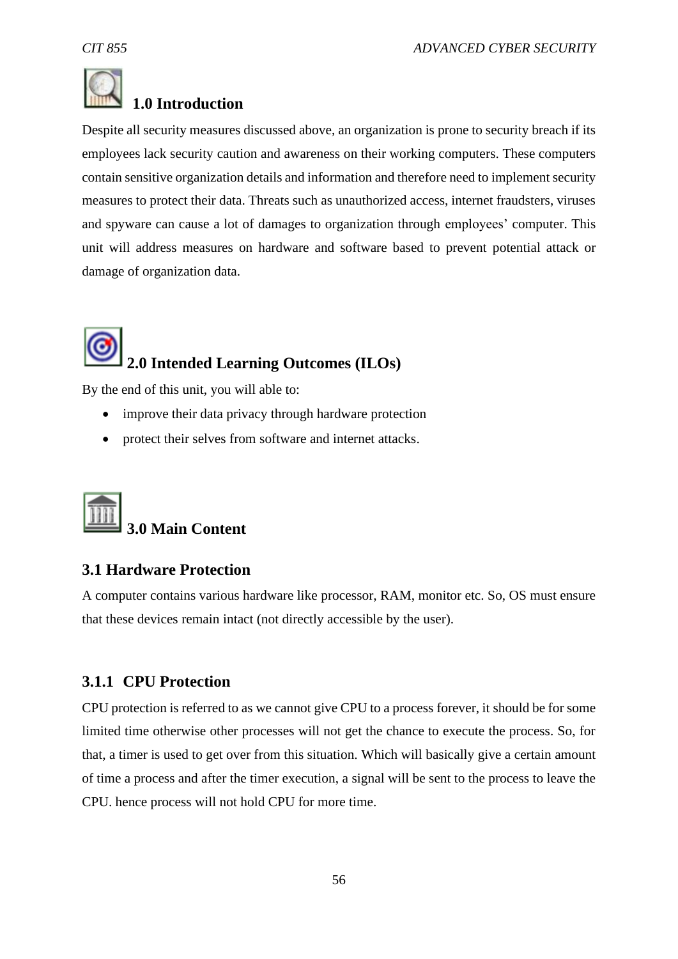

# **1.0 Introduction**

Despite all security measures discussed above, an organization is prone to security breach if its employees lack security caution and awareness on their working computers. These computers contain sensitive organization details and information and therefore need to implement security measures to protect their data. Threats such as unauthorized access, internet fraudsters, viruses and spyware can cause a lot of damages to organization through employees' computer. This unit will address measures on hardware and software based to prevent potential attack or damage of organization data.

# **2.0 Intended Learning Outcomes (ILOs)**

By the end of this unit, you will able to:

- improve their data privacy through hardware protection
- protect their selves from software and internet attacks.



# **3.1 Hardware Protection**

A computer contains various hardware like processor, RAM, monitor etc. So, OS must ensure that these devices remain intact (not directly accessible by the user).

# **3.1.1 CPU Protection**

CPU protection is referred to as we cannot give CPU to a process forever, it should be for some limited time otherwise other processes will not get the chance to execute the process. So, for that, a timer is used to get over from this situation. Which will basically give a certain amount of time a process and after the timer execution, a signal will be sent to the process to leave the CPU. hence process will not hold CPU for more time.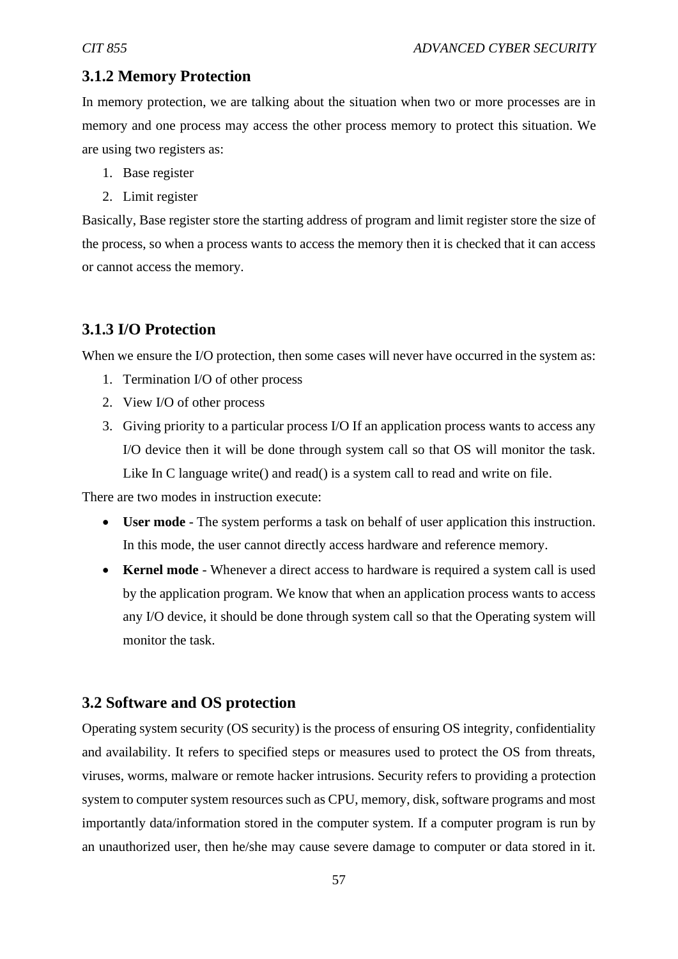# **3.1.2 Memory Protection**

In memory protection, we are talking about the situation when two or more processes are in memory and one process may access the other process memory to protect this situation. We are using two registers as:

- 1. Base register
- 2. Limit register

Basically, Base register store the starting address of program and limit register store the size of the process, so when a process wants to access the memory then it is checked that it can access or cannot access the memory.

# **3.1.3 I/O Protection**

When we ensure the I/O protection, then some cases will never have occurred in the system as:

- 1. Termination I/O of other process
- 2. View I/O of other process
- 3. Giving priority to a particular process I/O If an application process wants to access any I/O device then it will be done through system call so that OS will monitor the task. Like In C language write() and read() is a system call to read and write on file.

There are two modes in instruction execute:

- **User mode** The system performs a task on behalf of user application this instruction. In this mode, the user cannot directly access hardware and reference memory.
- **Kernel mode**  Whenever a direct access to hardware is required a system call is used by the application program. We know that when an application process wants to access any I/O device, it should be done through system call so that the Operating system will monitor the task.

# **3.2 Software and OS protection**

Operating system security (OS security) is the process of ensuring OS integrity, confidentiality and availability. It refers to specified steps or measures used to protect the OS from threats, viruses, worms, malware or remote hacker intrusions. Security refers to providing a protection system to computer system resources such as CPU, memory, disk, software programs and most importantly data/information stored in the computer system. If a computer program is run by an unauthorized user, then he/she may cause severe damage to computer or data stored in it.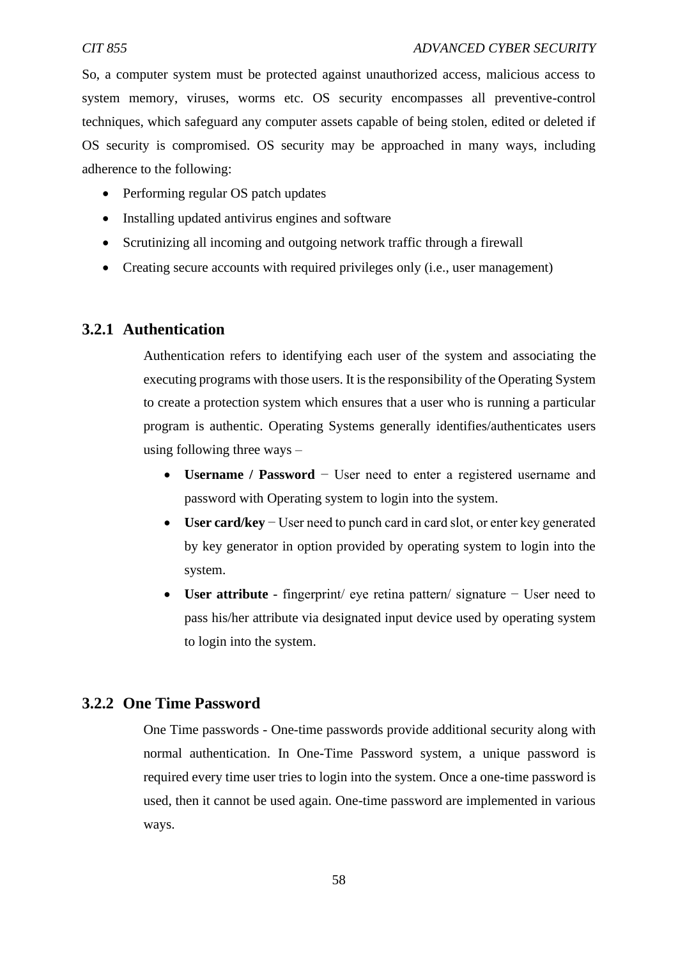So, a computer system must be protected against unauthorized access, malicious access to system memory, viruses, worms etc. OS security encompasses all preventive-control techniques, which safeguard any computer assets capable of being stolen, edited or deleted if OS security is compromised. OS security may be approached in many ways, including adherence to the following:

- Performing regular OS patch updates
- Installing updated antivirus engines and software
- Scrutinizing all incoming and outgoing network traffic through a firewall
- Creating secure accounts with required privileges only (i.e., user management)

# **3.2.1 Authentication**

Authentication refers to identifying each user of the system and associating the executing programs with those users. It is the responsibility of the Operating System to create a protection system which ensures that a user who is running a particular program is authentic. Operating Systems generally identifies/authenticates users using following three ways –

- **Username / Password** − User need to enter a registered username and password with Operating system to login into the system.
- **User card/key** − User need to punch card in card slot, or enter key generated by key generator in option provided by operating system to login into the system.
- **User attribute** fingerprint/ eye retina pattern/ signature − User need to pass his/her attribute via designated input device used by operating system to login into the system.

# **3.2.2 One Time Password**

One Time passwords - One-time passwords provide additional security along with normal authentication. In One-Time Password system, a unique password is required every time user tries to login into the system. Once a one-time password is used, then it cannot be used again. One-time password are implemented in various ways.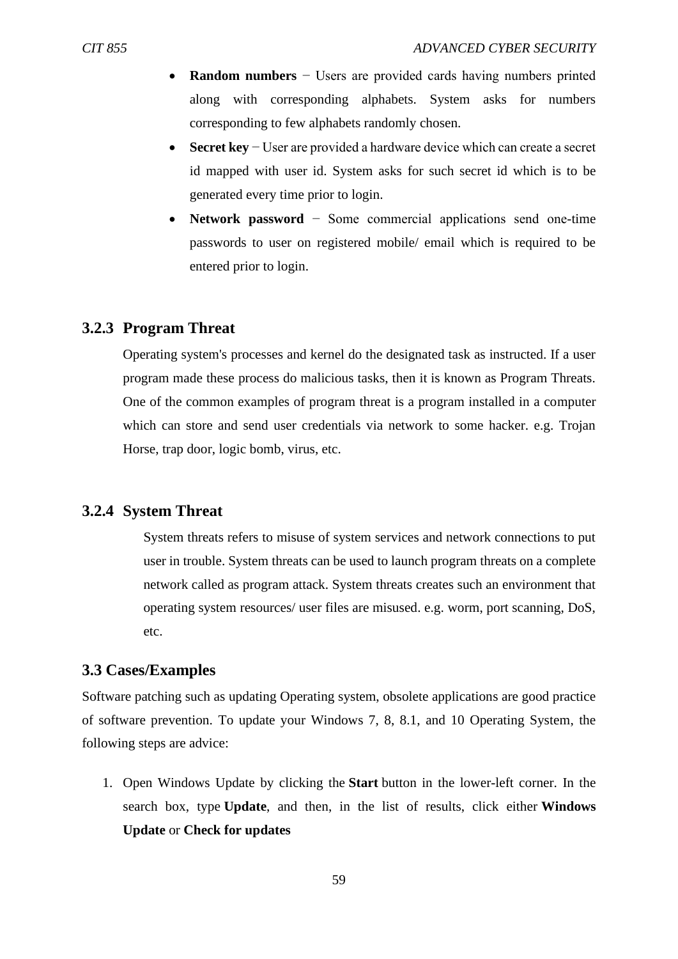- **Random numbers** − Users are provided cards having numbers printed along with corresponding alphabets. System asks for numbers corresponding to few alphabets randomly chosen.
- **Secret key** − User are provided a hardware device which can create a secret id mapped with user id. System asks for such secret id which is to be generated every time prior to login.
- **Network password** − Some commercial applications send one-time passwords to user on registered mobile/ email which is required to be entered prior to login.

# **3.2.3 Program Threat**

Operating system's processes and kernel do the designated task as instructed. If a user program made these process do malicious tasks, then it is known as Program Threats. One of the common examples of program threat is a program installed in a computer which can store and send user credentials via network to some hacker. e.g. Trojan Horse, trap door, logic bomb, virus, etc.

# **3.2.4 System Threat**

System threats refers to misuse of system services and network connections to put user in trouble. System threats can be used to launch program threats on a complete network called as program attack. System threats creates such an environment that operating system resources/ user files are misused. e.g. worm, port scanning, DoS, etc.

# **3.3 Cases/Examples**

Software patching such as updating Operating system, obsolete applications are good practice of software prevention. To update your Windows 7, 8, 8.1, and 10 Operating System, the following steps are advice:

1. Open Windows Update by clicking the **Start** button in the lower-left corner. In the search box, type **Update**, and then, in the list of results, click either **Windows Update** or **Check for updates**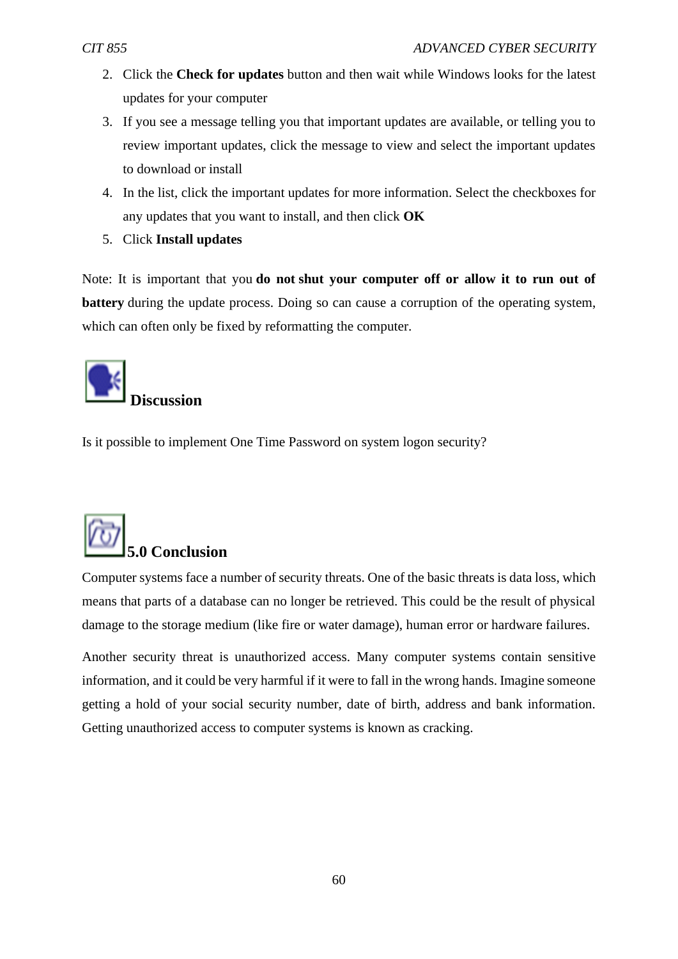- 2. Click the **Check for updates** button and then wait while Windows looks for the latest updates for your computer
- 3. If you see a message telling you that important updates are available, or telling you to review important updates, click the message to view and select the important updates to download or install
- 4. In the list, click the important updates for more information. Select the checkboxes for any updates that you want to install, and then click **OK**
- 5. Click **Install updates**

Note: It is important that you **do not shut your computer off or allow it to run out of battery** during the update process. Doing so can cause a corruption of the operating system, which can often only be fixed by reformatting the computer.



Is it possible to implement One Time Password on system logon security?



Computer systems face a number of security threats. One of the basic threats is data loss, which means that parts of a database can no longer be retrieved. This could be the result of physical damage to the storage medium (like fire or water damage), human error or hardware failures.

Another security threat is unauthorized access. Many computer systems contain sensitive information, and it could be very harmful if it were to fall in the wrong hands. Imagine someone getting a hold of your social security number, date of birth, address and bank information. Getting unauthorized access to computer systems is known as cracking.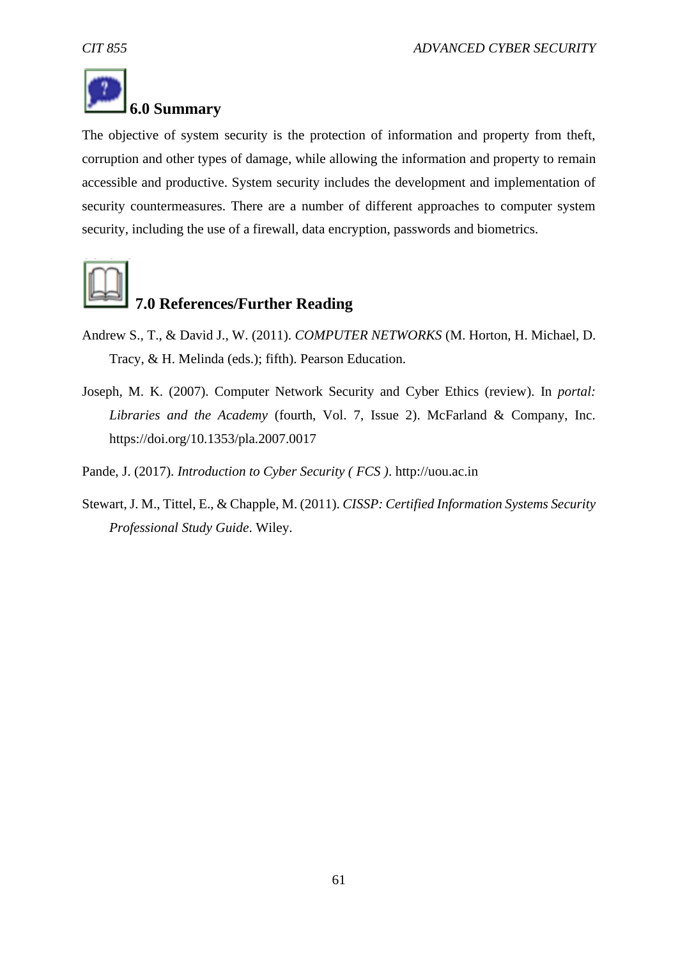

## **6.0 Summary**

The objective of system security is the protection of information and property from theft, corruption and other types of damage, while allowing the information and property to remain accessible and productive. System security includes the development and implementation of security countermeasures. There are a number of different approaches to computer system security, including the use of a firewall, data encryption, passwords and biometrics.



## **7.0 References/Further Reading**

- Andrew S., T., & David J., W. (2011). *COMPUTER NETWORKS* (M. Horton, H. Michael, D. Tracy, & H. Melinda (eds.); fifth). Pearson Education.
- Joseph, M. K. (2007). Computer Network Security and Cyber Ethics (review). In *portal: Libraries and the Academy* (fourth, Vol. 7, Issue 2). McFarland & Company, Inc. https://doi.org/10.1353/pla.2007.0017

Pande, J. (2017). *Introduction to Cyber Security ( FCS )*. http://uou.ac.in

Stewart, J. M., Tittel, E., & Chapple, M. (2011). *CISSP: Certified Information Systems Security Professional Study Guide*. Wiley.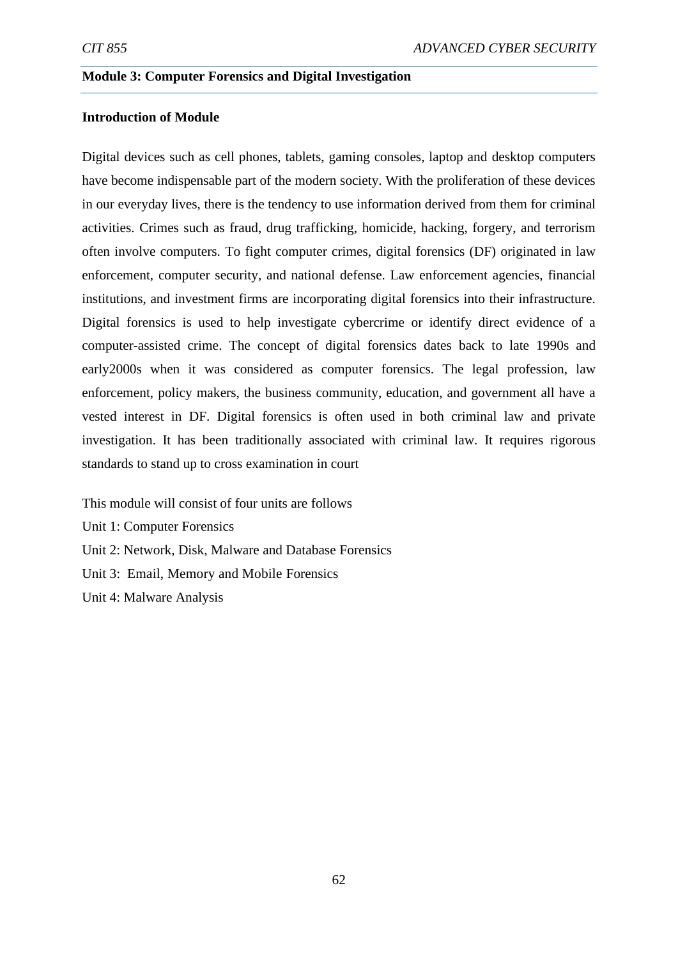### **Module 3: Computer Forensics and Digital Investigation**

### **Introduction of Module**

Digital devices such as cell phones, tablets, gaming consoles, laptop and desktop computers have become indispensable part of the modern society. With the proliferation of these devices in our everyday lives, there is the tendency to use information derived from them for criminal activities. Crimes such as fraud, drug trafficking, homicide, hacking, forgery, and terrorism often involve computers. To fight computer crimes, digital forensics (DF) originated in law enforcement, computer security, and national defense. Law enforcement agencies, financial institutions, and investment firms are incorporating digital forensics into their infrastructure. Digital forensics is used to help investigate cybercrime or identify direct evidence of a computer-assisted crime. The concept of digital forensics dates back to late 1990s and early2000s when it was considered as computer forensics. The legal profession, law enforcement, policy makers, the business community, education, and government all have a vested interest in DF. Digital forensics is often used in both criminal law and private investigation. It has been traditionally associated with criminal law. It requires rigorous standards to stand up to cross examination in court

This module will consist of four units are follows

Unit 1: Computer Forensics

Unit 2: Network, Disk, Malware and Database Forensics

Unit 3: Email, Memory and Mobile Forensics

Unit 4: Malware Analysis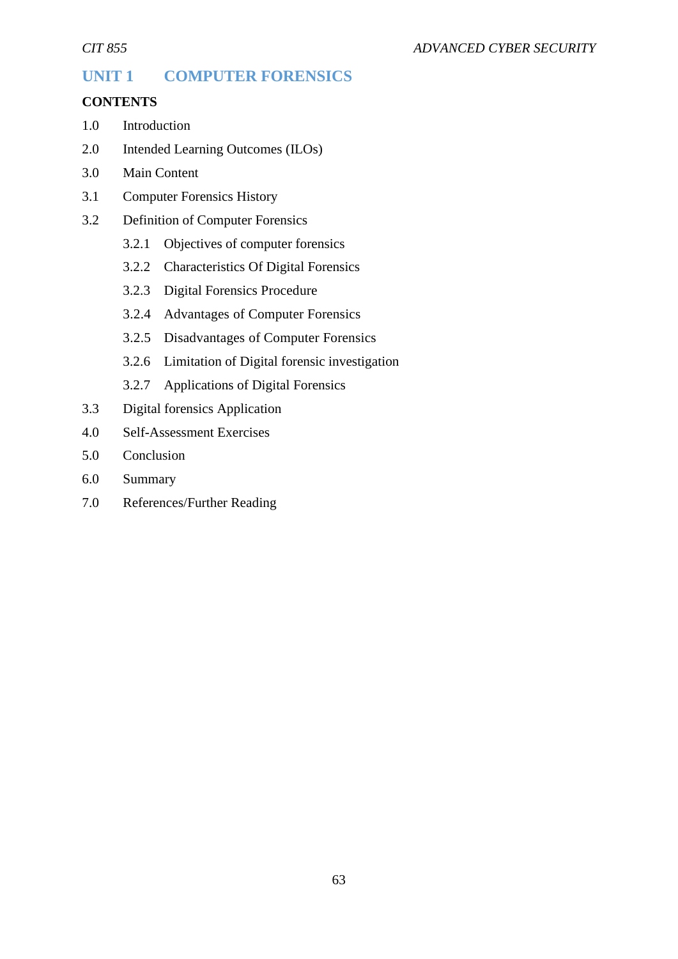### **UNIT 1 COMPUTER FORENSICS**

### **CONTENTS**

- 1.0 Introduction
- 2.0 Intended Learning Outcomes (ILOs)
- 3.0 Main Content
- 3.1 Computer Forensics History
- 3.2 Definition of Computer Forensics
	- 3.2.1 Objectives of computer forensics
	- 3.2.2 Characteristics Of Digital Forensics
	- 3.2.3 Digital Forensics Procedure
	- 3.2.4 Advantages of Computer Forensics
	- 3.2.5 Disadvantages of Computer Forensics
	- 3.2.6 Limitation of Digital forensic investigation
	- 3.2.7 Applications of Digital Forensics
- 3.3 Digital forensics Application
- 4.0 Self-Assessment Exercises
- 5.0 Conclusion
- 6.0 Summary
- 7.0 References/Further Reading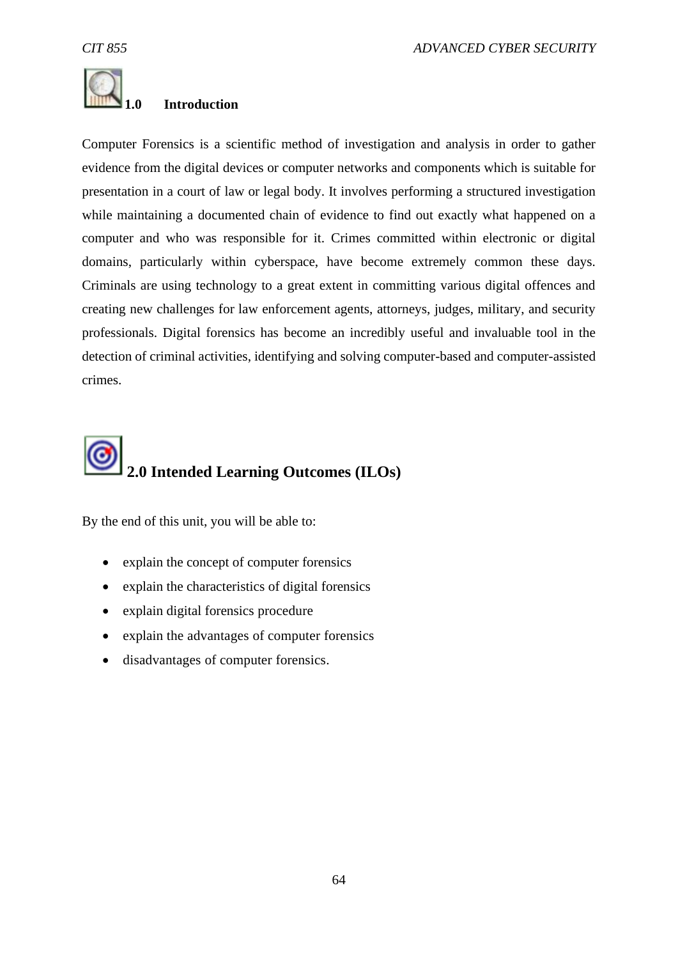

### **1.0 Introduction**

Computer Forensics is a scientific method of investigation and analysis in order to gather evidence from the digital devices or computer networks and components which is suitable for presentation in a court of law or legal body. It involves performing a structured investigation while maintaining a documented chain of evidence to find out exactly what happened on a computer and who was responsible for it. Crimes committed within electronic or digital domains, particularly within cyberspace, have become extremely common these days. Criminals are using technology to a great extent in committing various digital offences and creating new challenges for law enforcement agents, attorneys, judges, military, and security professionals. Digital forensics has become an incredibly useful and invaluable tool in the detection of criminal activities, identifying and solving computer-based and computer-assisted crimes.



By the end of this unit, you will be able to:

- explain the concept of computer forensics
- explain the characteristics of digital forensics
- explain digital forensics procedure
- explain the advantages of computer forensics
- disadvantages of computer forensics.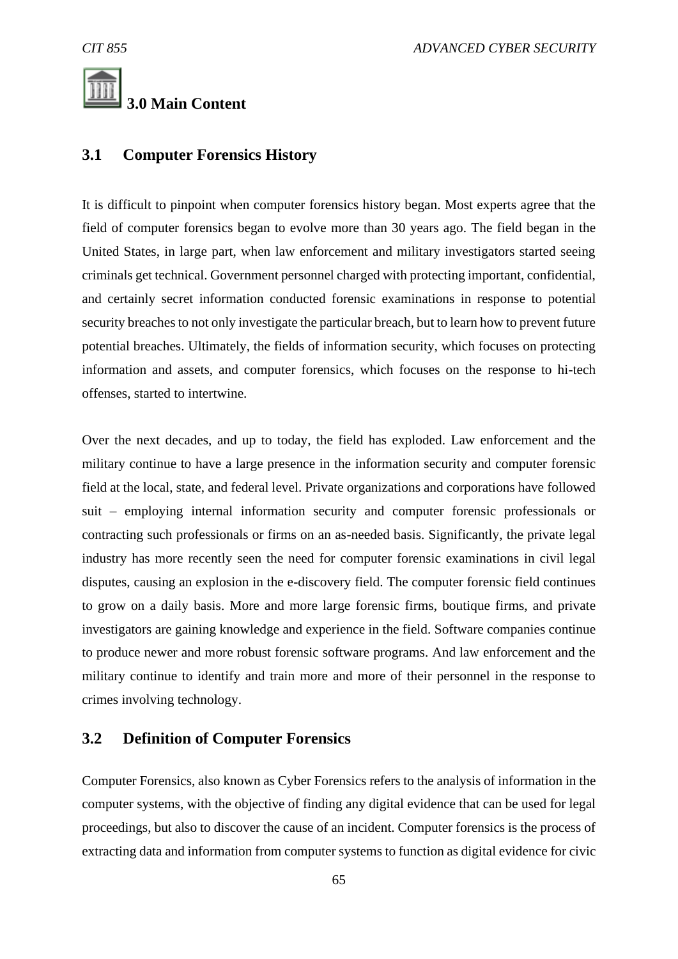## **3.0 Main Content**

### **3.1 Computer Forensics History**

It is difficult to pinpoint when computer forensics history began. Most experts agree that the field of computer forensics began to evolve more than 30 years ago. The field began in the United States, in large part, when law enforcement and military investigators started seeing criminals get technical. Government personnel charged with protecting important, confidential, and certainly secret information conducted forensic examinations in response to potential security breaches to not only investigate the particular breach, but to learn how to prevent future potential breaches. Ultimately, the fields of information security, which focuses on protecting information and assets, and computer forensics, which focuses on the response to hi-tech offenses, started to intertwine.

Over the next decades, and up to today, the field has exploded. Law enforcement and the military continue to have a large presence in the information security and computer forensic field at the local, state, and federal level. Private organizations and corporations have followed suit – employing internal information security and computer forensic professionals or contracting such professionals or firms on an as-needed basis. Significantly, the private legal industry has more recently seen the need for computer forensic examinations in civil legal disputes, causing an explosion in the e-discovery field. The computer forensic field continues to grow on a daily basis. More and more large forensic firms, boutique firms, and private investigators are gaining knowledge and experience in the field. Software companies continue to produce newer and more robust forensic software programs. And law enforcement and the military continue to identify and train more and more of their personnel in the response to crimes involving technology.

### **3.2 Definition of Computer Forensics**

Computer Forensics, also known as Cyber Forensics refers to the analysis of information in the computer systems, with the objective of finding any digital evidence that can be used for legal proceedings, but also to discover the cause of an incident. Computer forensics is the process of extracting data and information from computer systems to function as digital evidence for civic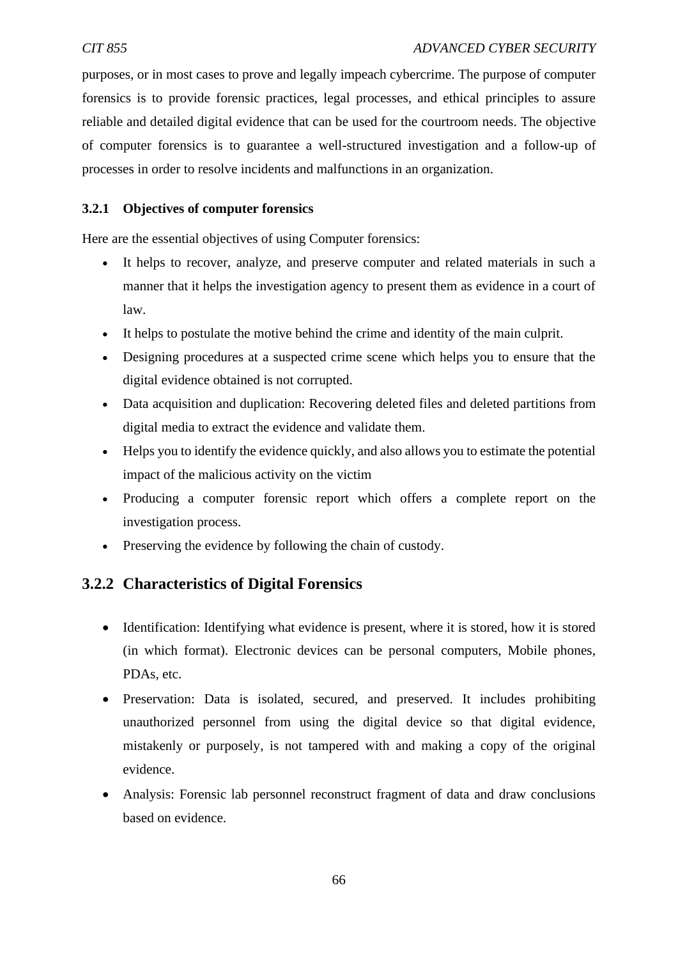purposes, or in most cases to prove and legally impeach cybercrime. The purpose of computer forensics is to provide forensic practices, legal processes, and ethical principles to assure reliable and detailed digital evidence that can be used for the courtroom needs. The objective of computer forensics is to guarantee a well-structured investigation and a follow-up of processes in order to resolve incidents and malfunctions in an organization.

### **3.2.1 Objectives of computer forensics**

Here are the essential objectives of using Computer forensics:

- It helps to recover, analyze, and preserve computer and related materials in such a manner that it helps the investigation agency to present them as evidence in a court of law.
- It helps to postulate the motive behind the crime and identity of the main culprit.
- Designing procedures at a suspected crime scene which helps you to ensure that the digital evidence obtained is not corrupted.
- Data acquisition and duplication: Recovering deleted files and deleted partitions from digital media to extract the evidence and validate them.
- Helps you to identify the evidence quickly, and also allows you to estimate the potential impact of the malicious activity on the victim
- Producing a computer forensic report which offers a complete report on the investigation process.
- Preserving the evidence by following the chain of custody.

### **3.2.2 Characteristics of Digital Forensics**

- Identification: Identifying what evidence is present, where it is stored, how it is stored (in which format). Electronic devices can be personal computers, Mobile phones, PDAs, etc.
- Preservation: Data is isolated, secured, and preserved. It includes prohibiting unauthorized personnel from using the digital device so that digital evidence, mistakenly or purposely, is not tampered with and making a copy of the original evidence.
- Analysis: Forensic lab personnel reconstruct fragment of data and draw conclusions based on evidence.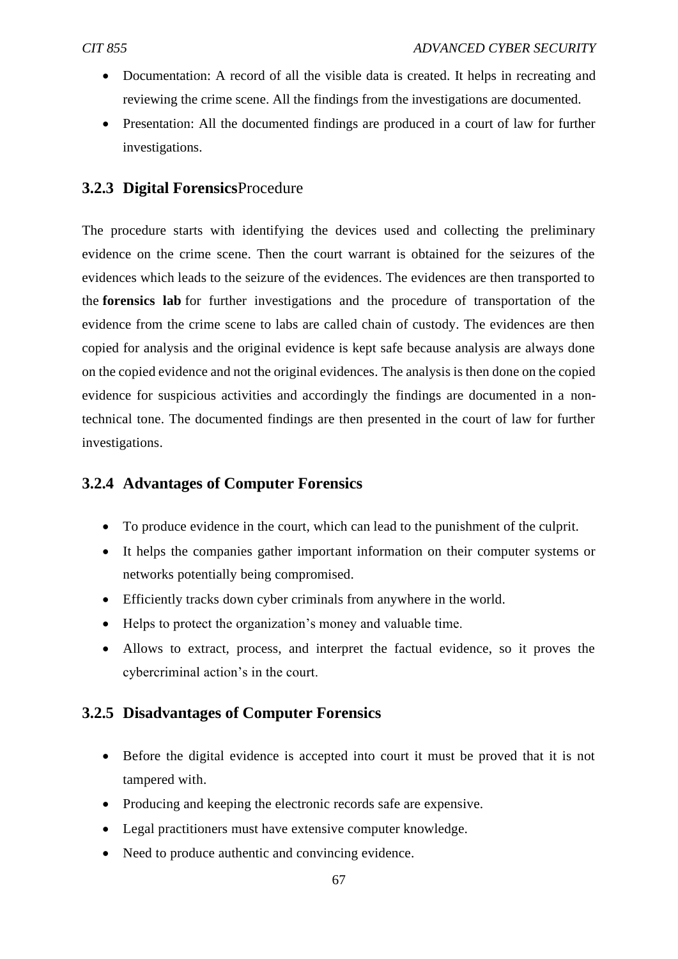- Documentation: A record of all the visible data is created. It helps in recreating and reviewing the crime scene. All the findings from the investigations are documented.
- Presentation: All the documented findings are produced in a court of law for further investigations.

### **3.2.3 Digital Forensics**Procedure

The procedure starts with identifying the devices used and collecting the preliminary evidence on the crime scene. Then the court warrant is obtained for the seizures of the evidences which leads to the seizure of the evidences. The evidences are then transported to the **forensics lab** for further investigations and the procedure of transportation of the evidence from the crime scene to labs are called chain of custody. The evidences are then copied for analysis and the original evidence is kept safe because analysis are always done on the copied evidence and not the original evidences. The analysis is then done on the copied evidence for suspicious activities and accordingly the findings are documented in a nontechnical tone. The documented findings are then presented in the court of law for further investigations.

### **3.2.4 Advantages of Computer Forensics**

- To produce evidence in the court, which can lead to the punishment of the culprit.
- It helps the companies gather important information on their computer systems or networks potentially being compromised.
- Efficiently tracks down cyber criminals from anywhere in the world.
- Helps to protect the organization's money and valuable time.
- Allows to extract, process, and interpret the factual evidence, so it proves the cybercriminal action's in the court.

### **3.2.5 Disadvantages of Computer Forensics**

- Before the digital evidence is accepted into court it must be proved that it is not tampered with.
- Producing and keeping the electronic records safe are expensive.
- Legal practitioners must have extensive computer knowledge.
- Need to produce authentic and convincing evidence.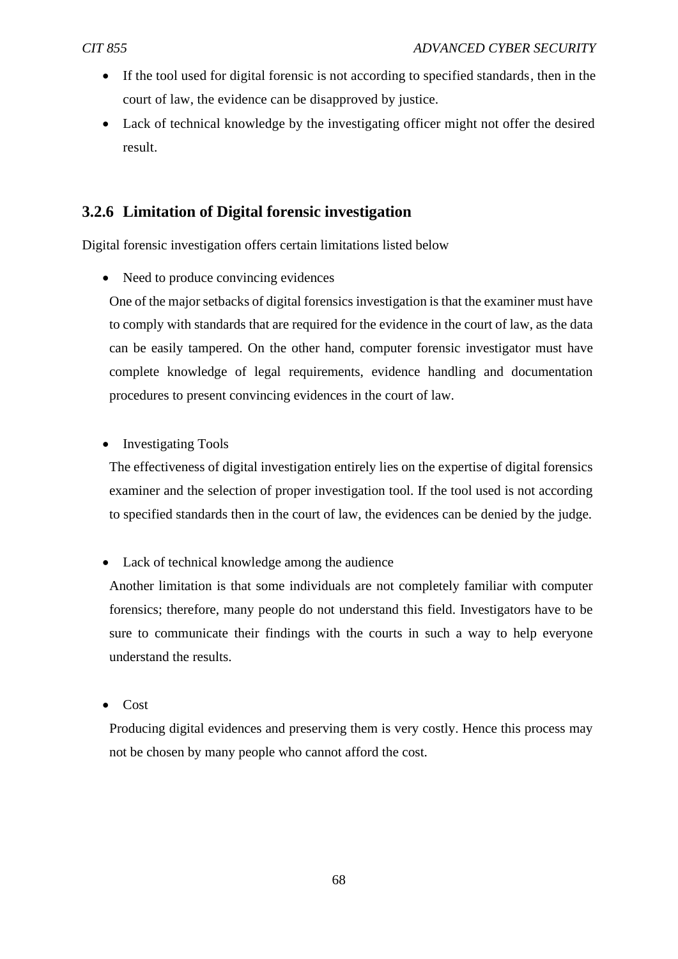- If the tool used for digital forensic is not according to specified standards, then in the court of law, the evidence can be disapproved by justice.
- Lack of technical knowledge by the investigating officer might not offer the desired result.

## **3.2.6 Limitation of Digital forensic investigation**

Digital forensic investigation offers certain limitations listed below

• Need to produce convincing evidences

One of the major setbacks of digital forensics investigation is that the examiner must have to comply with standards that are required for the evidence in the court of law, as the data can be easily tampered. On the other hand, computer forensic investigator must have complete knowledge of legal requirements, evidence handling and documentation procedures to present convincing evidences in the court of law.

• Investigating Tools

The effectiveness of digital investigation entirely lies on the expertise of digital forensics examiner and the selection of proper investigation tool. If the tool used is not according to specified standards then in the court of law, the evidences can be denied by the judge.

• Lack of technical knowledge among the audience

Another limitation is that some individuals are not completely familiar with computer forensics; therefore, many people do not understand this field. Investigators have to be sure to communicate their findings with the courts in such a way to help everyone understand the results.

• Cost

Producing digital evidences and preserving them is very costly. Hence this process may not be chosen by many people who cannot afford the cost.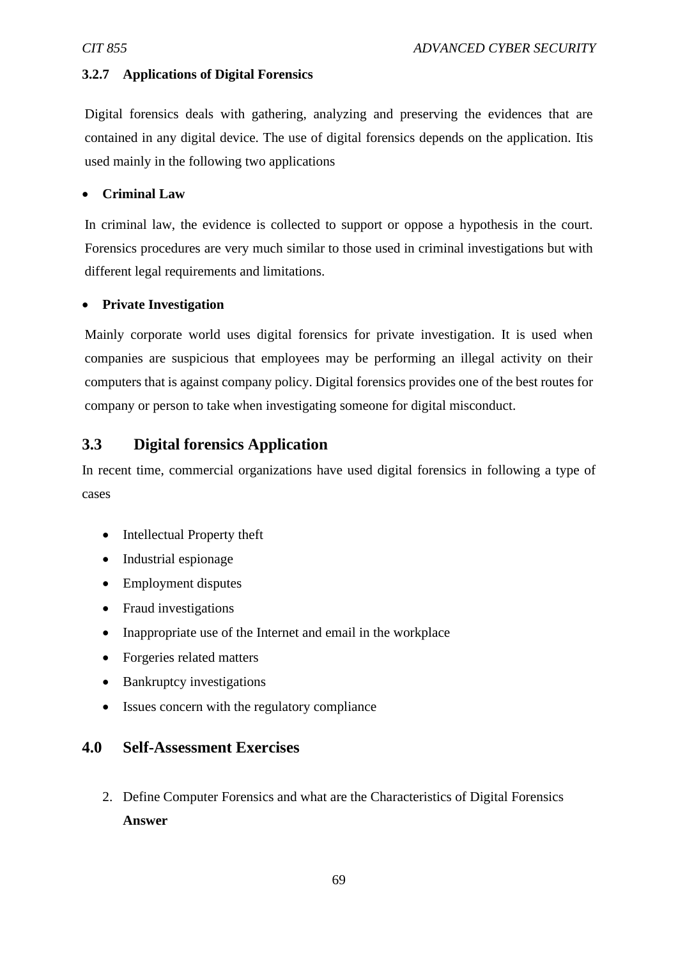### **3.2.7 Applications of Digital Forensics**

Digital forensics deals with gathering, analyzing and preserving the evidences that are contained in any digital device. The use of digital forensics depends on the application. Itis used mainly in the following two applications

### • **Criminal Law**

In criminal law, the evidence is collected to support or oppose a hypothesis in the court. Forensics procedures are very much similar to those used in criminal investigations but with different legal requirements and limitations.

### • **Private Investigation**

Mainly corporate world uses digital forensics for private investigation. It is used when companies are suspicious that employees may be performing an illegal activity on their computers that is against company policy. Digital forensics provides one of the best routes for company or person to take when investigating someone for digital misconduct.

### **3.3 Digital forensics Application**

In recent time, commercial organizations have used digital forensics in following a type of cases

- Intellectual Property theft
- Industrial espionage
- Employment disputes
- Fraud investigations
- Inappropriate use of the Internet and email in the workplace
- Forgeries related matters
- Bankruptcy investigations
- Issues concern with the regulatory compliance

### **4.0 Self-Assessment Exercises**

2. Define Computer Forensics and what are the Characteristics of Digital Forensics **Answer**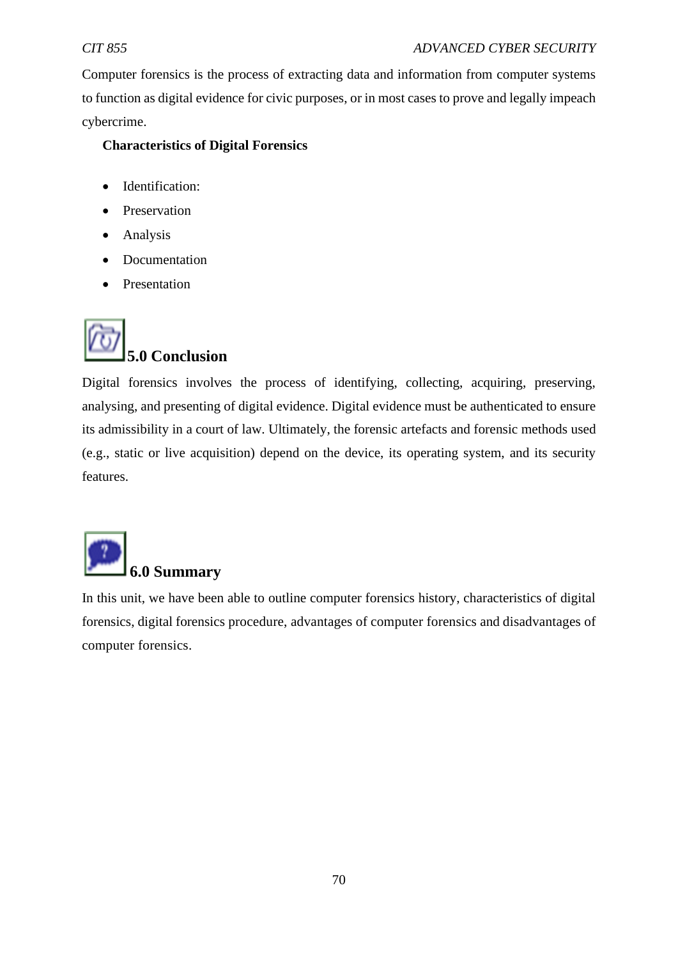Computer forensics is the process of extracting data and information from computer systems to function as digital evidence for civic purposes, or in most cases to prove and legally impeach cybercrime.

### **Characteristics of Digital Forensics**

- Identification:
- Preservation
- Analysis
- Documentation
- Presentation



Digital forensics involves the process of identifying, collecting, acquiring, preserving, analysing, and presenting of digital evidence. Digital evidence must be authenticated to ensure its admissibility in a court of law. Ultimately, the forensic artefacts and forensic methods used (e.g., static or live acquisition) depend on the device, its operating system, and its security features.



In this unit, we have been able to outline computer forensics history, characteristics of digital forensics, digital forensics procedure, advantages of computer forensics and disadvantages of computer forensics.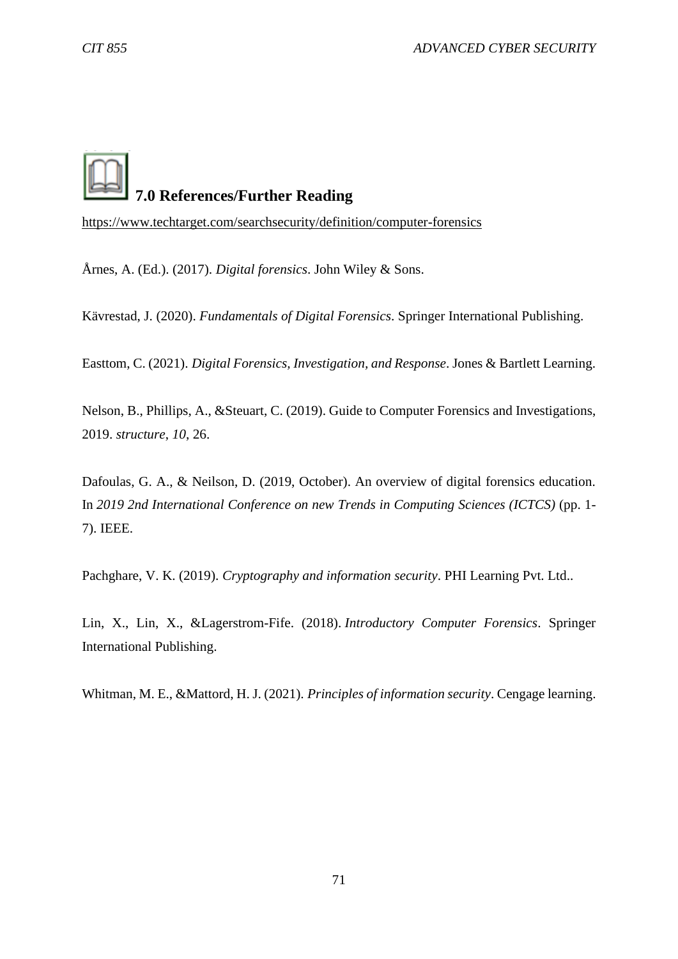# **7.0 References/Further Reading**

<https://www.techtarget.com/searchsecurity/definition/computer-forensics>

Årnes, A. (Ed.). (2017). *Digital forensics*. John Wiley & Sons.

Kävrestad, J. (2020). *Fundamentals of Digital Forensics*. Springer International Publishing.

Easttom, C. (2021). *Digital Forensics, Investigation, and Response*. Jones & Bartlett Learning.

Nelson, B., Phillips, A., &Steuart, C. (2019). Guide to Computer Forensics and Investigations, 2019. *structure*, *10*, 26.

Dafoulas, G. A., & Neilson, D. (2019, October). An overview of digital forensics education. In *2019 2nd International Conference on new Trends in Computing Sciences (ICTCS)* (pp. 1- 7). IEEE.

Pachghare, V. K. (2019). *Cryptography and information security*. PHI Learning Pvt. Ltd..

Lin, X., Lin, X., &Lagerstrom-Fife. (2018). *Introductory Computer Forensics*. Springer International Publishing.

Whitman, M. E., &Mattord, H. J. (2021). *Principles of information security*. Cengage learning.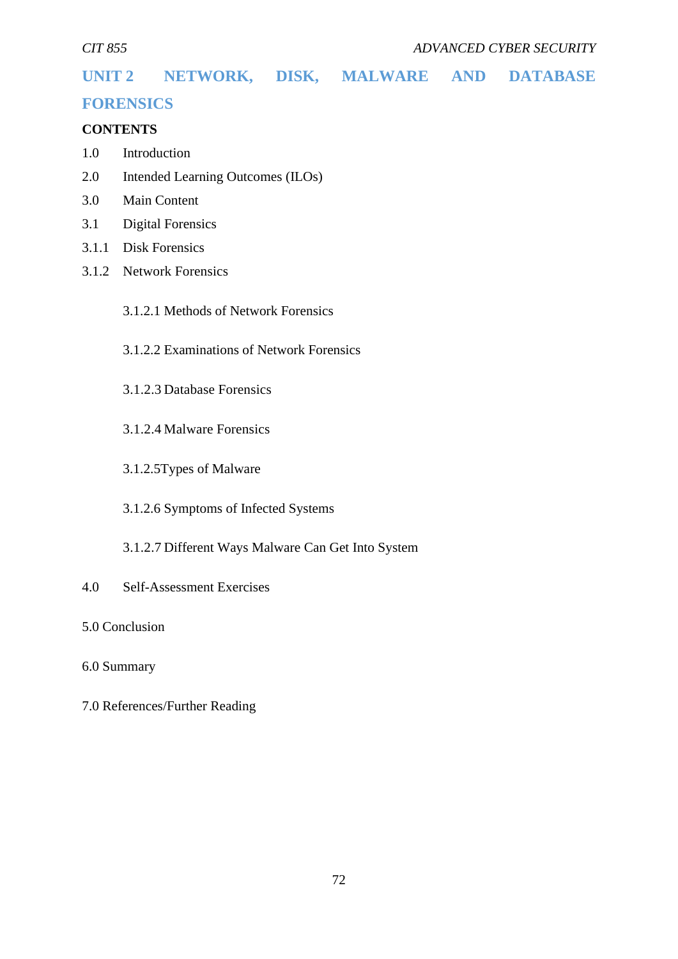## **UNIT 2 NETWORK, DISK, MALWARE AND DATABASE FORENSICS**

### **CONTENTS**

- 1.0 Introduction
- 2.0 Intended Learning Outcomes (ILOs)
- 3.0 Main Content
- 3.1 Digital Forensics
- 3.1.1 Disk Forensics
- 3.1.2 Network Forensics
	- 3.1.2.1 Methods of Network Forensics
	- 3.1.2.2 Examinations of Network Forensics
	- 3.1.2.3 Database Forensics
	- 3.1.2.4 Malware Forensics
	- 3.1.2.5Types of Malware
	- 3.1.2.6 Symptoms of Infected Systems
	- 3.1.2.7 Different Ways Malware Can Get Into System
- 4.0 Self-Assessment Exercises
- 5.0 Conclusion
- 6.0 Summary
- 7.0 References/Further Reading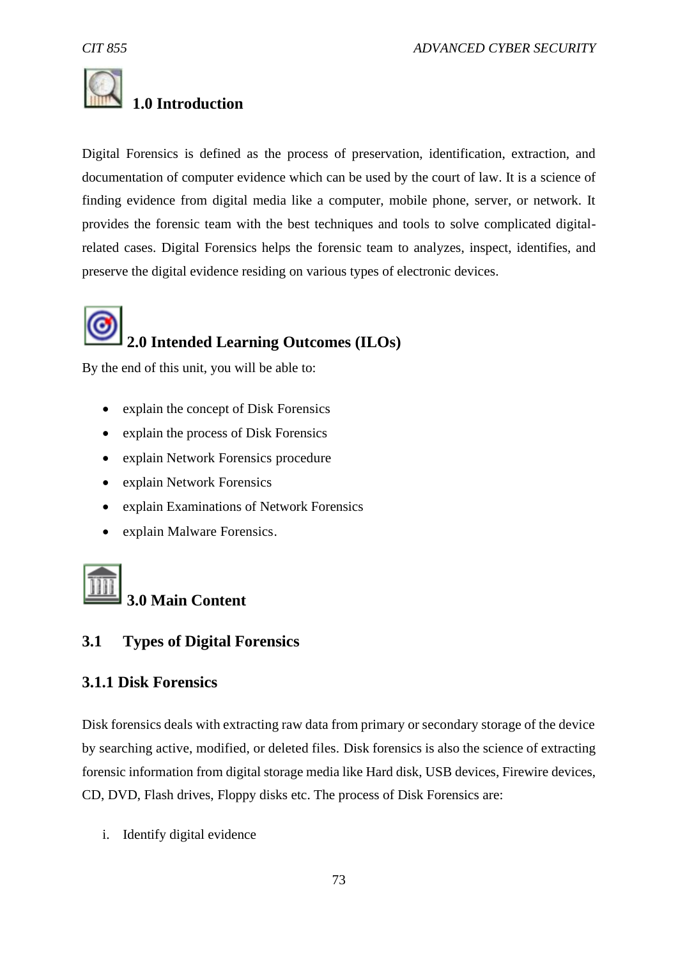## **1.0 Introduction**

Digital Forensics is defined as the process of preservation, identification, extraction, and documentation of computer evidence which can be used by the court of law. It is a science of finding evidence from digital media like a computer, mobile phone, server, or network. It provides the forensic team with the best techniques and tools to solve complicated digitalrelated cases. Digital Forensics helps the forensic team to analyzes, inspect, identifies, and preserve the digital evidence residing on various types of electronic devices.

# **2.0 Intended Learning Outcomes (ILOs)**

By the end of this unit, you will be able to:

- explain the concept of Disk Forensics
- explain the process of Disk Forensics
- explain Network Forensics procedure
- explain Network Forensics
- explain Examinations of Network Forensics
- explain Malware Forensics.



### **3.1 Types of Digital Forensics**

### **3.1.1 Disk Forensics**

Disk forensics deals with extracting raw data from primary or secondary storage of the device by searching active, modified, or deleted files. Disk forensics is also the science of extracting forensic information from digital storage media like Hard disk, USB devices, Firewire devices, CD, DVD, Flash drives, Floppy disks etc. The process of Disk Forensics are:

i. Identify digital evidence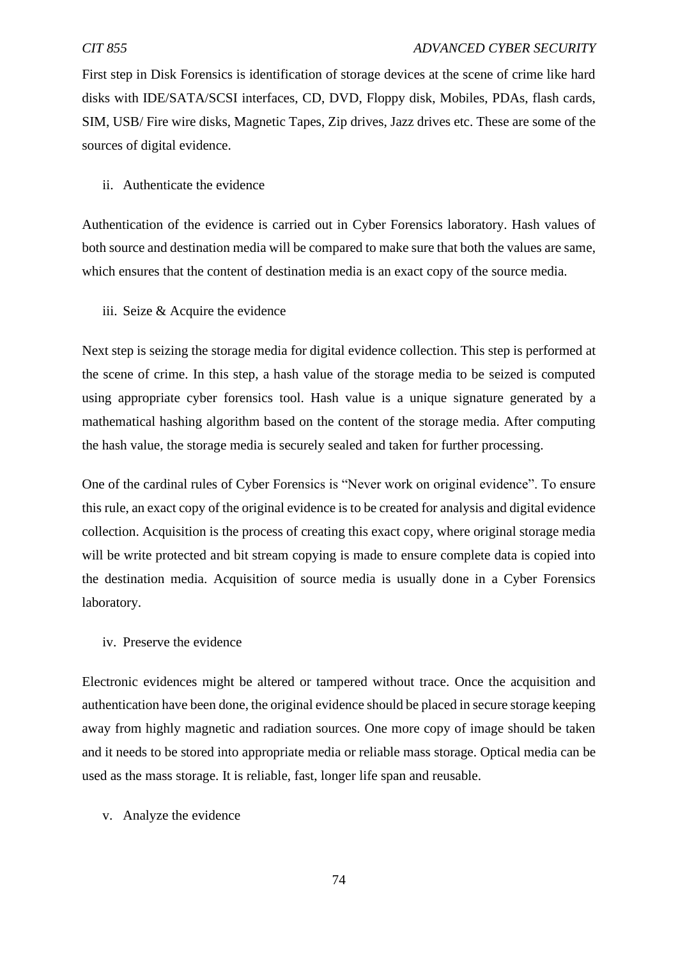First step in Disk Forensics is identification of storage devices at the scene of crime like hard disks with IDE/SATA/SCSI interfaces, CD, DVD, Floppy disk, Mobiles, PDAs, flash cards, SIM, USB/ Fire wire disks, Magnetic Tapes, Zip drives, Jazz drives etc. These are some of the sources of digital evidence.

ii. Authenticate the evidence

Authentication of the evidence is carried out in Cyber Forensics laboratory. Hash values of both source and destination media will be compared to make sure that both the values are same, which ensures that the content of destination media is an exact copy of the source media.

iii. Seize & Acquire the evidence

Next step is seizing the storage media for digital evidence collection. This step is performed at the scene of crime. In this step, a hash value of the storage media to be seized is computed using appropriate cyber forensics tool. Hash value is a unique signature generated by a mathematical hashing algorithm based on the content of the storage media. After computing the hash value, the storage media is securely sealed and taken for further processing.

One of the cardinal rules of Cyber Forensics is "Never work on original evidence". To ensure this rule, an exact copy of the original evidence is to be created for analysis and digital evidence collection. Acquisition is the process of creating this exact copy, where original storage media will be write protected and bit stream copying is made to ensure complete data is copied into the destination media. Acquisition of source media is usually done in a Cyber Forensics laboratory.

### iv. Preserve the evidence

Electronic evidences might be altered or tampered without trace. Once the acquisition and authentication have been done, the original evidence should be placed in secure storage keeping away from highly magnetic and radiation sources. One more copy of image should be taken and it needs to be stored into appropriate media or reliable mass storage. Optical media can be used as the mass storage. It is reliable, fast, longer life span and reusable.

v. Analyze the evidence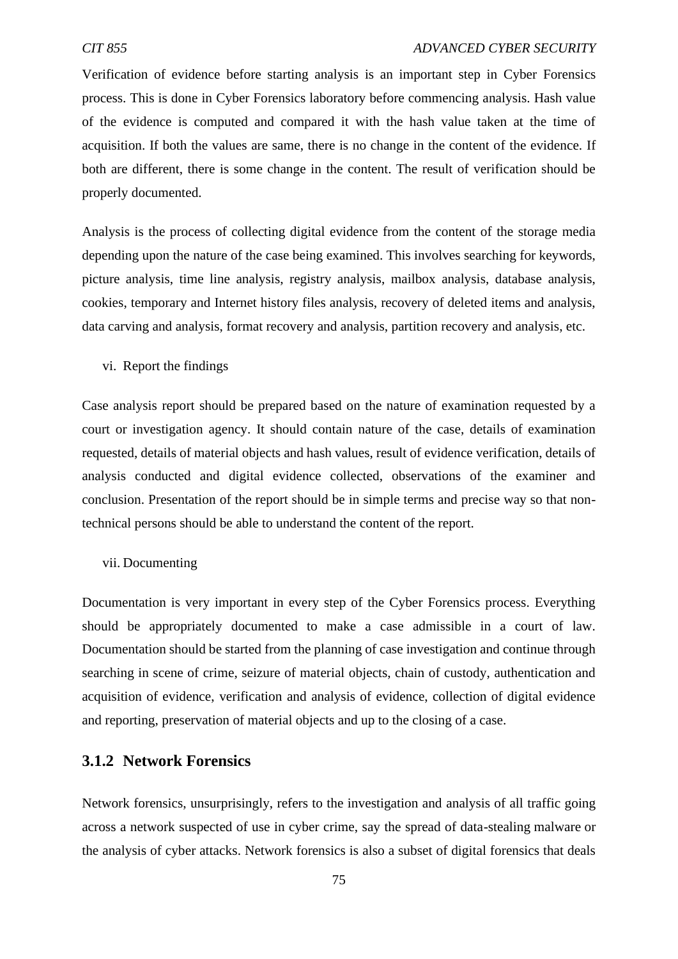Verification of evidence before starting analysis is an important step in Cyber Forensics process. This is done in Cyber Forensics laboratory before commencing analysis. Hash value of the evidence is computed and compared it with the hash value taken at the time of acquisition. If both the values are same, there is no change in the content of the evidence. If both are different, there is some change in the content. The result of verification should be properly documented.

Analysis is the process of collecting digital evidence from the content of the storage media depending upon the nature of the case being examined. This involves searching for keywords, picture analysis, time line analysis, registry analysis, mailbox analysis, database analysis, cookies, temporary and Internet history files analysis, recovery of deleted items and analysis, data carving and analysis, format recovery and analysis, partition recovery and analysis, etc.

vi. Report the findings

Case analysis report should be prepared based on the nature of examination requested by a court or investigation agency. It should contain nature of the case, details of examination requested, details of material objects and hash values, result of evidence verification, details of analysis conducted and digital evidence collected, observations of the examiner and conclusion. Presentation of the report should be in simple terms and precise way so that nontechnical persons should be able to understand the content of the report.

vii. Documenting

Documentation is very important in every step of the Cyber Forensics process. Everything should be appropriately documented to make a case admissible in a court of law. Documentation should be started from the planning of case investigation and continue through searching in scene of crime, seizure of material objects, chain of custody, authentication and acquisition of evidence, verification and analysis of evidence, collection of digital evidence and reporting, preservation of material objects and up to the closing of a case.

### **3.1.2 Network Forensics**

Network forensics, unsurprisingly, refers to the investigation and analysis of all traffic going across a network suspected of use in cyber crime, say the spread of data-stealing [malware](https://www.itpro.co.uk/malware) or the analysis of cyber attacks. Network forensics is also a subset of digital forensics that deals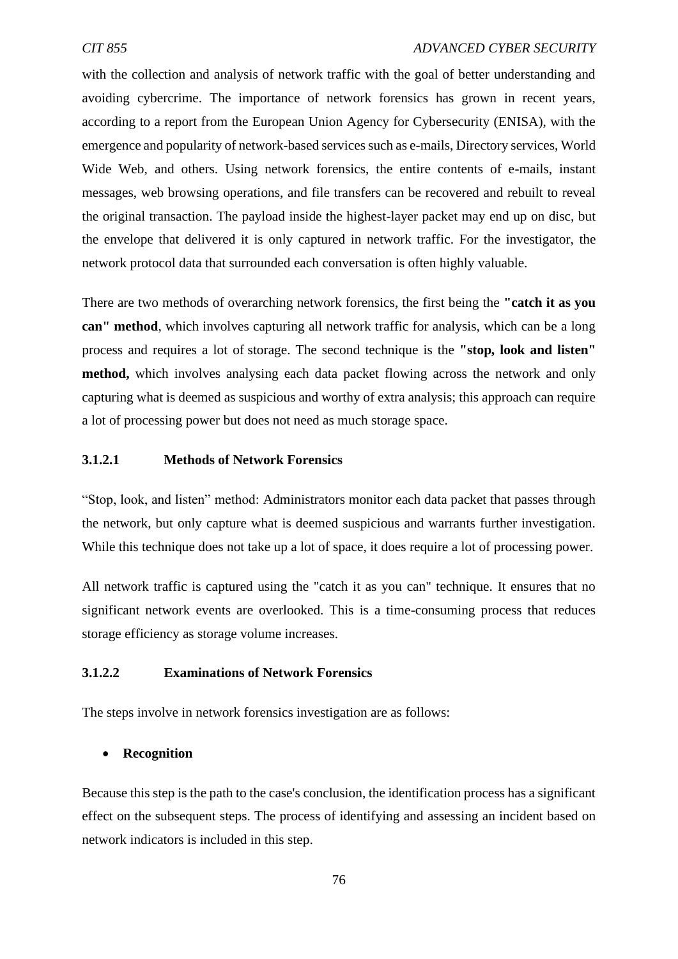with the collection and analysis of network traffic with the goal of better understanding and avoiding cybercrime. The importance of network forensics has grown in recent years, according to a report from the European Union Agency for Cybersecurity (ENISA), with the emergence and popularity of network-based services such as e-mails, Directory services, World Wide Web, and others. Using network forensics, the entire contents of e-mails, instant messages, web browsing operations, and file transfers can be recovered and rebuilt to reveal the original transaction. The payload inside the highest-layer packet may end up on disc, but the envelope that delivered it is only captured in network traffic. For the investigator, the network protocol data that surrounded each conversation is often highly valuable.

There are two methods of overarching network forensics, the first being the **"catch it as you can" method**, which involves capturing all network traffic for analysis, which can be a long process and requires a lot of [storage.](https://www.itpro.co.uk/server-storage) The second technique is the **"stop, look and listen" method,** which involves analysing each data packet flowing across the network and only capturing what is deemed as suspicious and worthy of extra analysis; this approach can require a lot of processing power but does not need as much storage space.

### **3.1.2.1 Methods of Network Forensics**

"Stop, look, and listen" method: Administrators monitor each data packet that passes through the network, but only capture what is deemed suspicious and warrants further investigation. While this technique does not take up a lot of space, it does require a lot of processing power.

All network traffic is captured using the "catch it as you can" technique. It ensures that no significant network events are overlooked. This is a time-consuming process that reduces storage efficiency as storage volume increases.

### **3.1.2.2 Examinations of Network Forensics**

The steps involve in network forensics investigation are as follows:

### • **Recognition**

Because this step is the path to the case's conclusion, the identification process has a significant effect on the subsequent steps. The process of identifying and assessing an incident based on network indicators is included in this step.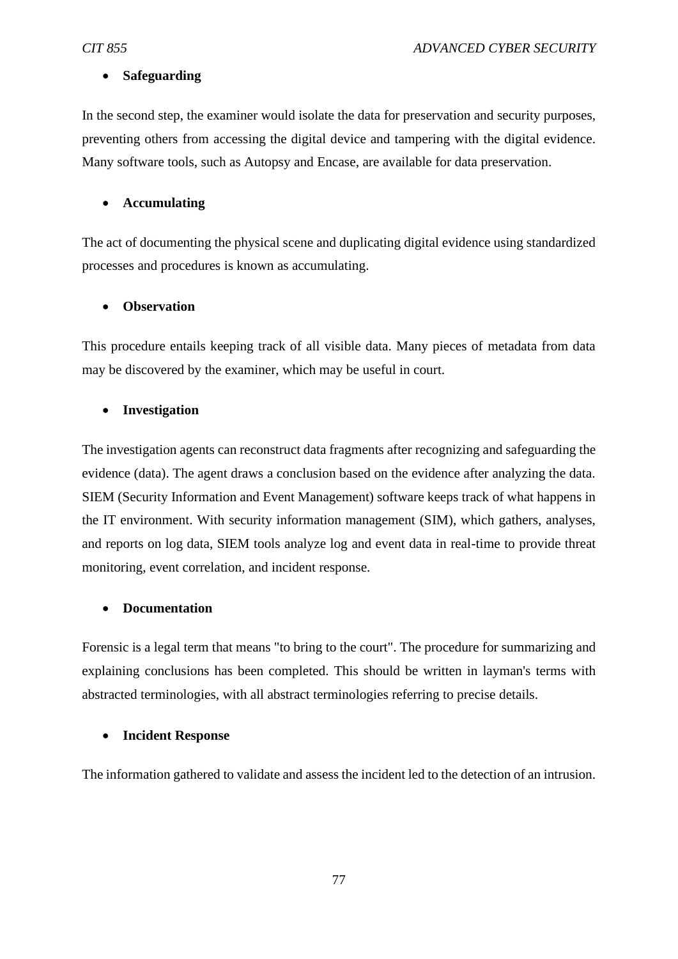### • **Safeguarding**

In the second step, the examiner would isolate the data for preservation and security purposes, preventing others from accessing the digital device and tampering with the digital evidence. Many software tools, such as Autopsy and Encase, are available for data preservation.

### • **Accumulating**

The act of documenting the physical scene and duplicating digital evidence using standardized processes and procedures is known as accumulating.

### • **Observation**

This procedure entails keeping track of all visible data. Many pieces of metadata from data may be discovered by the examiner, which may be useful in court.

### • **Investigation**

The investigation agents can reconstruct data fragments after recognizing and safeguarding the evidence (data). The agent draws a conclusion based on the evidence after analyzing the data. SIEM (Security Information and Event Management) software keeps track of what happens in the IT environment. With security information management (SIM), which gathers, analyses, and reports on log data, SIEM tools analyze log and event data in real-time to provide threat monitoring, event correlation, and incident response.

### • **Documentation**

Forensic is a legal term that means "to bring to the court". The procedure for summarizing and explaining conclusions has been completed. This should be written in layman's terms with abstracted terminologies, with all abstract terminologies referring to precise details.

### • **Incident Response**

The information gathered to validate and assess the incident led to the detection of an intrusion.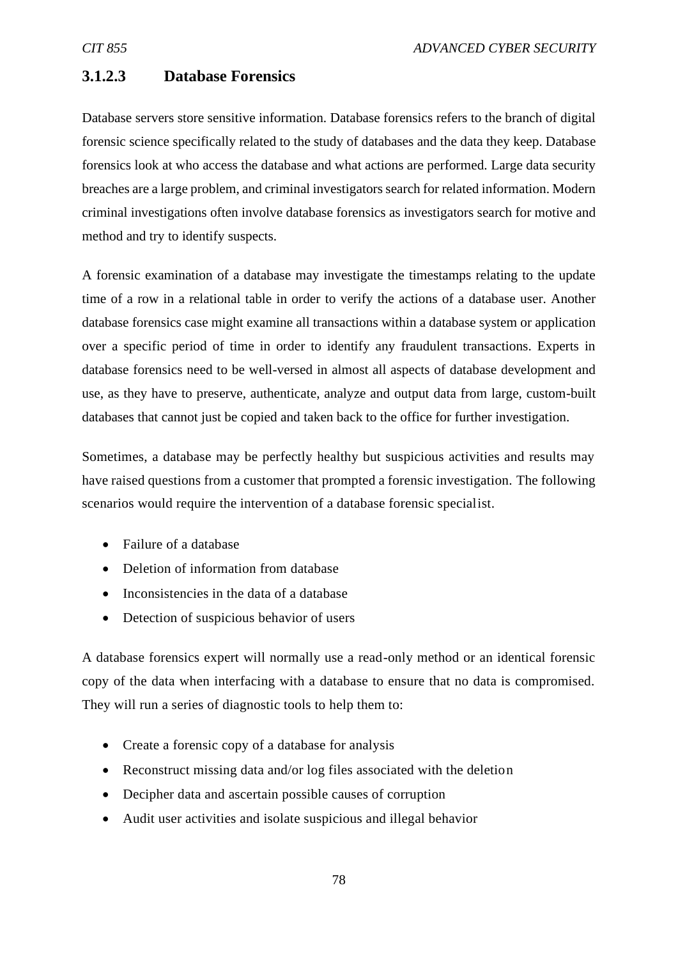### **3.1.2.3 Database Forensics**

Database servers store sensitive information. Database forensics refers to the branch of digital forensic science specifically related to the study of databases and the data they keep. Database forensics look at who access the database and what actions are performed. Large data security breaches are a large problem, and criminal investigators search for related information. Modern criminal investigations often involve database forensics as investigators search for motive and method and try to identify suspects.

A forensic examination of a database may investigate the timestamps relating to the update time of a row in a relational table in order to verify the actions of a database user. Another database forensics case might examine all transactions within a database system or application over a specific period of time in order to identify any fraudulent transactions. Experts in database forensics need to be well-versed in almost all aspects of database development and use, as they have to preserve, authenticate, analyze and output data from large, custom-built databases that cannot just be copied and taken back to the office for further investigation.

Sometimes, a database may be perfectly healthy but suspicious activities and results may have raised questions from a customer that prompted a forensic investigation. The following scenarios would require the intervention of a database forensic specialist.

- Failure of a database
- Deletion of information from database
- Inconsistencies in the data of a database
- Detection of suspicious behavior of users

A database forensics expert will normally use a read-only method or an identical forensic copy of the data when interfacing with a database to ensure that no data is compromised. They will run a series of diagnostic tools to help them to:

- Create a forensic copy of a database for analysis
- Reconstruct missing data and/or log files associated with the deletion
- Decipher data and ascertain possible causes of corruption
- Audit user activities and isolate suspicious and illegal behavior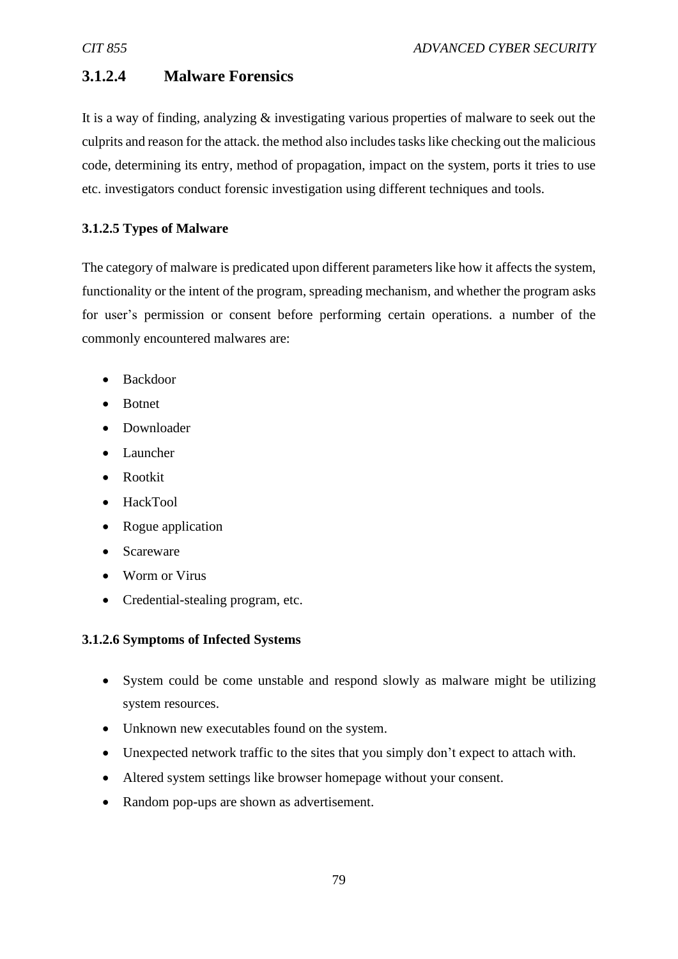### **3.1.2.4 Malware Forensics**

It is a way of finding, analyzing & investigating various properties of malware to seek out the culprits and reason for the attack. the method also includes tasks like checking out the malicious code, determining its entry, method of propagation, impact on the system, ports it tries to use etc. investigators conduct forensic investigation using different techniques and tools.

### **3.1.2.5 Types of Malware**

The category of malware is predicated upon different parameters like how it affects the system, functionality or the intent of the program, spreading mechanism, and whether the program asks for user's permission or consent before performing certain operations. a number of the commonly encountered malwares are:

- Backdoor
- Botnet
- Downloader
- Launcher
- Rootkit
- HackTool
- Rogue application
- Scareware
- Worm or Virus
- Credential-stealing program, etc.

### **3.1.2.6 Symptoms of Infected Systems**

- System could be come unstable and respond slowly as malware might be utilizing system resources.
- Unknown new executables found on the system.
- Unexpected network traffic to the sites that you simply don't expect to attach with.
- Altered system settings like browser homepage without your consent.
- Random pop-ups are shown as advertisement.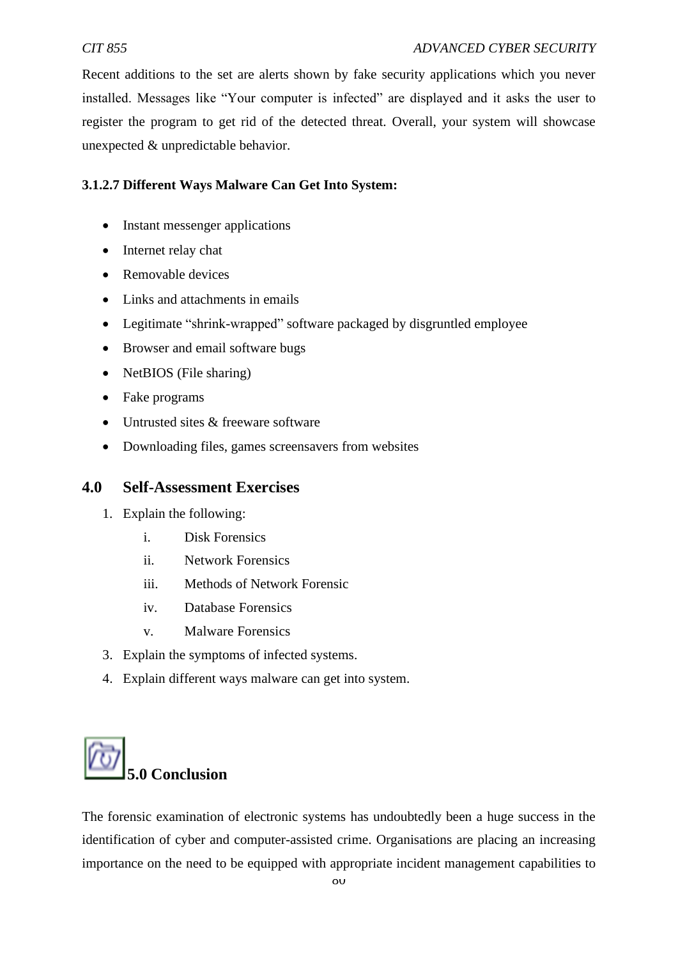Recent additions to the set are alerts shown by fake security applications which you never installed. Messages like "Your computer is infected" are displayed and it asks the user to register the program to get rid of the detected threat. Overall, your system will showcase unexpected & unpredictable behavior.

### **3.1.2.7 Different Ways Malware Can Get Into System:**

- Instant messenger applications
- Internet relay chat
- Removable devices
- Links and attachments in emails
- Legitimate "shrink-wrapped" software packaged by disgruntled employee
- Browser and email software bugs
- NetBIOS (File sharing)
- Fake programs
- Untrusted sites & freeware software
- Downloading files, games screensavers from websites

### **4.0 Self-Assessment Exercises**

- 1. Explain the following:
	- i. Disk Forensics
	- ii. Network Forensics
	- iii. Methods of Network Forensic
	- iv. Database Forensics
	- v. Malware Forensics
- 3. Explain the symptoms of infected systems.
- 4. Explain different ways malware can get into system.



The forensic examination of electronic systems has undoubtedly been a huge success in the identification of cyber and computer-assisted crime. Organisations are placing an increasing importance on the need to be equipped with appropriate incident management capabilities to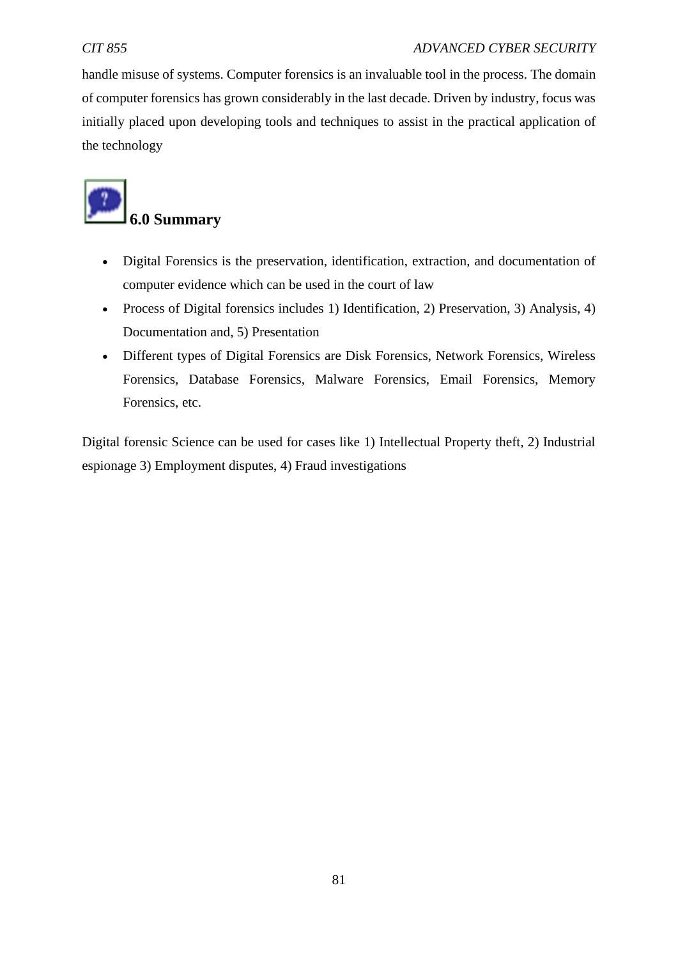handle misuse of systems. Computer forensics is an invaluable tool in the process. The domain of computer forensics has grown considerably in the last decade. Driven by industry, focus was initially placed upon developing tools and techniques to assist in the practical application of the technology

# **6.0 Summary**

- Digital Forensics is the preservation, identification, extraction, and documentation of computer evidence which can be used in the court of law
- Process of Digital forensics includes 1) Identification, 2) Preservation, 3) Analysis, 4) Documentation and, 5) Presentation
- Different types of Digital Forensics are Disk Forensics, Network Forensics, Wireless Forensics, Database Forensics, Malware Forensics, Email Forensics, Memory Forensics, etc.

Digital forensic Science can be used for cases like 1) Intellectual Property theft, 2) Industrial espionage 3) Employment disputes, 4) Fraud investigations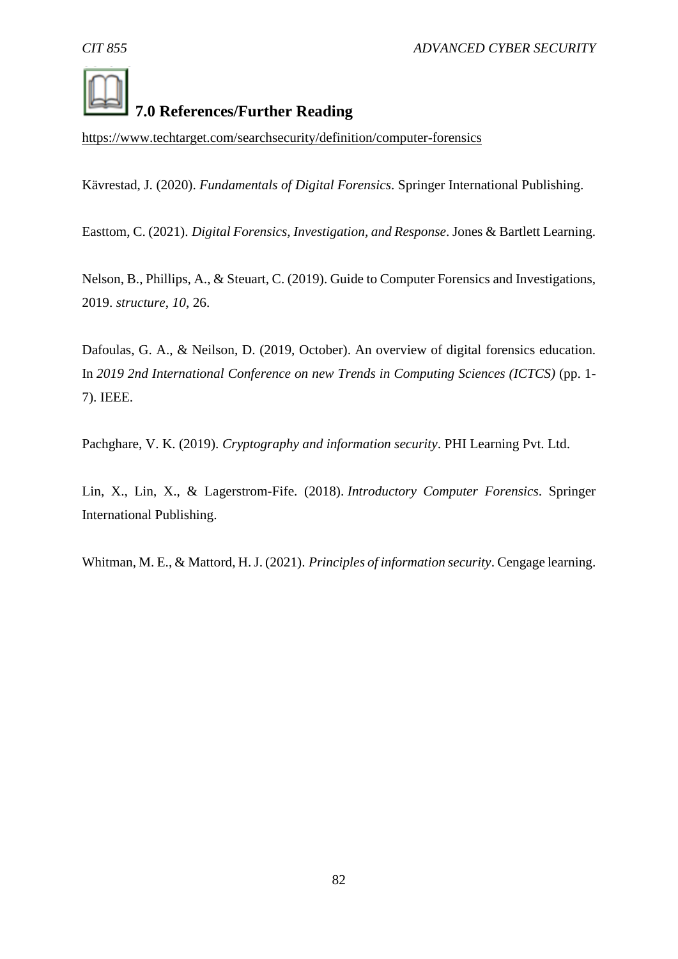

## **7.0 References/Further Reading**

<https://www.techtarget.com/searchsecurity/definition/computer-forensics>

Kävrestad, J. (2020). *Fundamentals of Digital Forensics*. Springer International Publishing.

Easttom, C. (2021). *Digital Forensics, Investigation, and Response*. Jones & Bartlett Learning.

Nelson, B., Phillips, A., & Steuart, C. (2019). Guide to Computer Forensics and Investigations, 2019. *structure*, *10*, 26.

Dafoulas, G. A., & Neilson, D. (2019, October). An overview of digital forensics education. In *2019 2nd International Conference on new Trends in Computing Sciences (ICTCS)* (pp. 1- 7). IEEE.

Pachghare, V. K. (2019). *Cryptography and information security*. PHI Learning Pvt. Ltd.

Lin, X., Lin, X., & Lagerstrom-Fife. (2018). *Introductory Computer Forensics*. Springer International Publishing.

Whitman, M. E., & Mattord, H. J. (2021). *Principles of information security*. Cengage learning.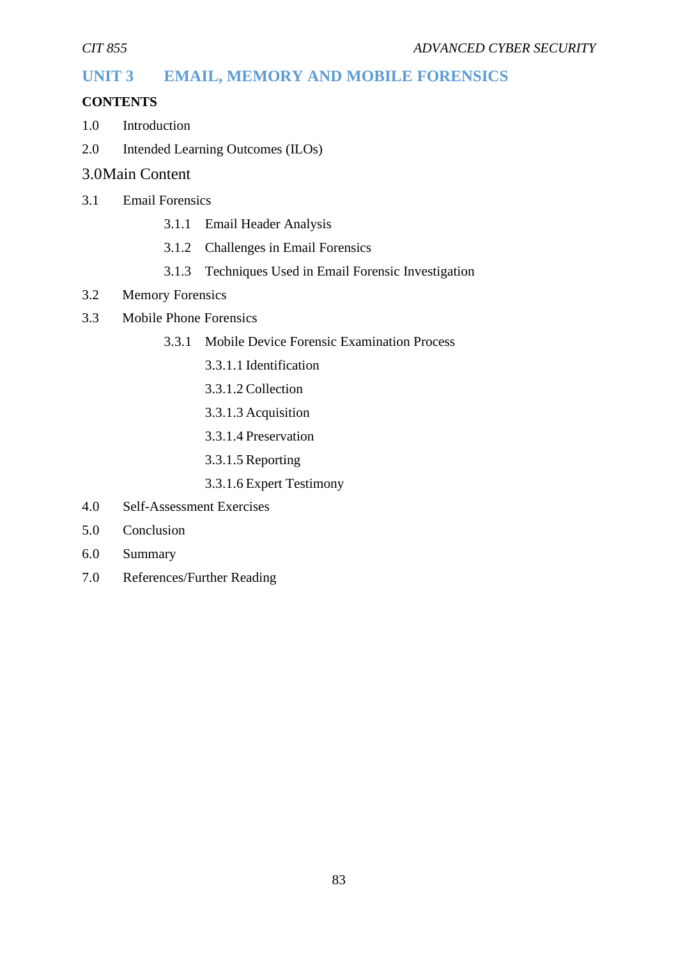### **UNIT 3 EMAIL, MEMORY AND MOBILE FORENSICS**

### **CONTENTS**

- 1.0 Introduction
- 2.0 Intended Learning Outcomes (ILOs)
- 3.0Main Content
- 3.1 Email Forensics
	- 3.1.1 Email Header Analysis
	- 3.1.2 Challenges in Email Forensics
	- 3.1.3 Techniques Used in Email Forensic Investigation
- 3.2 Memory Forensics
- 3.3 Mobile Phone Forensics
	- 3.3.1 Mobile Device Forensic Examination Process
		- 3.3.1.1 Identification
		- 3.3.1.2 Collection
		- 3.3.1.3 Acquisition
		- 3.3.1.4 Preservation
		- 3.3.1.5 Reporting
		- 3.3.1.6 Expert Testimony
- 4.0 Self-Assessment Exercises
- 5.0 Conclusion
- 6.0 Summary
- 7.0 References/Further Reading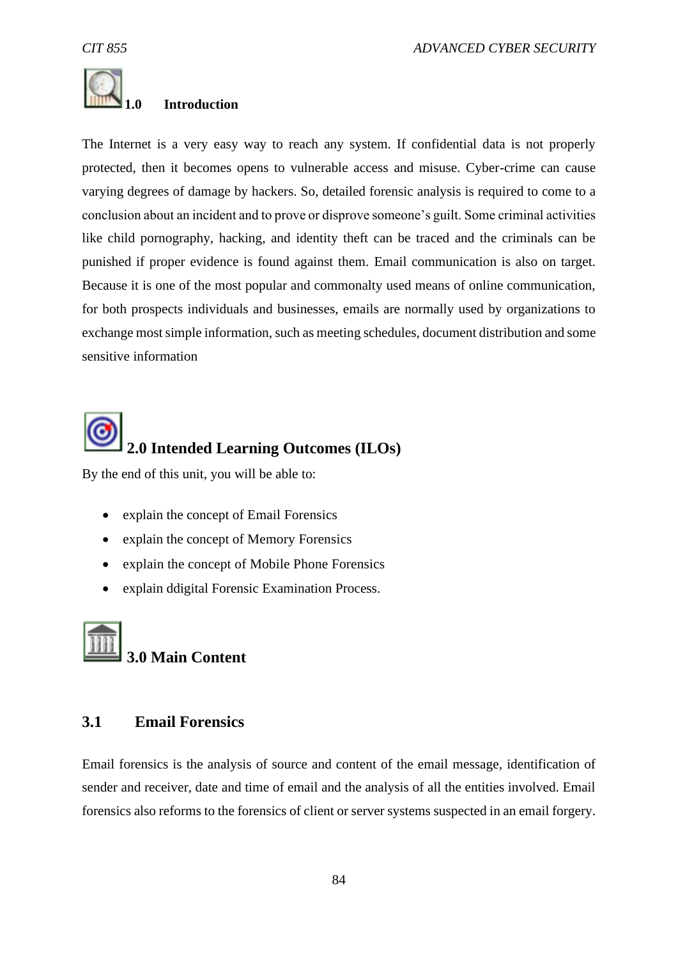

### **1.0 Introduction**

The Internet is a very easy way to reach any system. If confidential data is not properly protected, then it becomes opens to vulnerable access and misuse. Cyber-crime can cause varying degrees of damage by hackers. So, detailed forensic analysis is required to come to a conclusion about an incident and to prove or disprove someone's guilt. Some criminal activities like child pornography, hacking, and identity theft can be traced and the criminals can be punished if proper evidence is found against them. Email communication is also on target. Because it is one of the most popular and commonalty used means of online communication, for both prospects individuals and businesses, emails are normally used by organizations to exchange most simple information, such as meeting schedules, document distribution and some sensitive information

# **2.0 Intended Learning Outcomes (ILOs)**

By the end of this unit, you will be able to:

- explain the concept of Email Forensics
- explain the concept of Memory Forensics
- explain the concept of Mobile Phone Forensics
- explain ddigital Forensic Examination Process.



### **3.1 Email Forensics**

Email forensics is the analysis of source and content of the email message, identification of sender and receiver, date and time of email and the analysis of all the entities involved. Email forensics also reforms to the forensics of client or server systems suspected in an email forgery.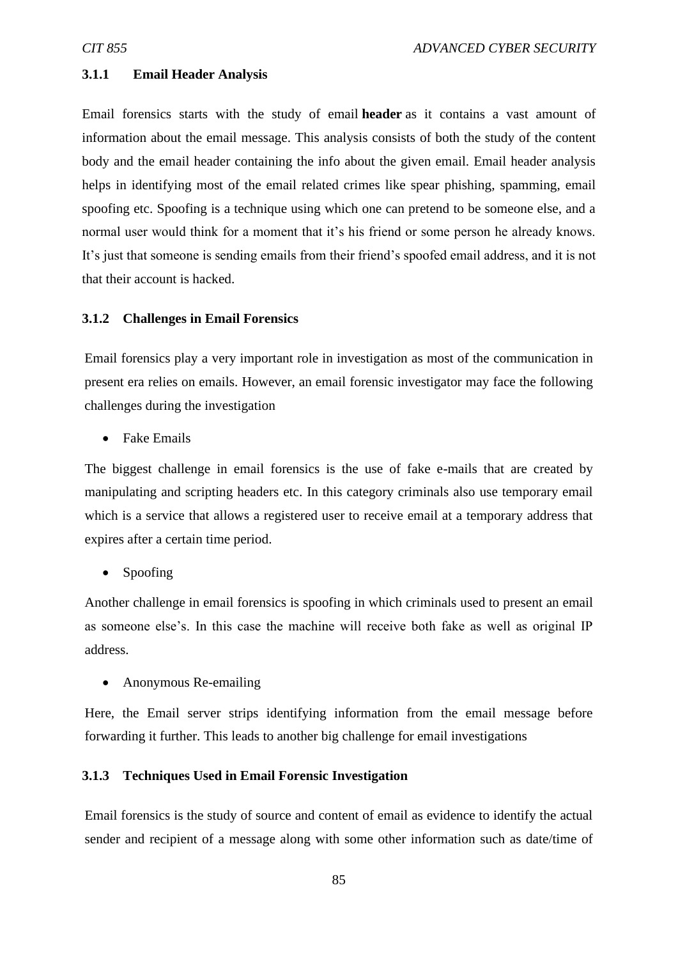### **3.1.1 Email Header Analysis**

Email forensics starts with the study of email **header** as it contains a vast amount of information about the email message. This analysis consists of both the study of the content body and the email header containing the info about the given email. Email header analysis helps in identifying most of the email related crimes like spear phishing, spamming, email spoofing etc. Spoofing is a technique using which one can pretend to be someone else, and a normal user would think for a moment that it's his friend or some person he already knows. It's just that someone is sending emails from their friend's spoofed email address, and it is not that their account is hacked.

### **3.1.2 Challenges in Email Forensics**

Email forensics play a very important role in investigation as most of the communication in present era relies on emails. However, an email forensic investigator may face the following challenges during the investigation

• Fake Emails

The biggest challenge in email forensics is the use of fake e-mails that are created by manipulating and scripting headers etc. In this category criminals also use temporary email which is a service that allows a registered user to receive email at a temporary address that expires after a certain time period.

• Spoofing

Another challenge in email forensics is spoofing in which criminals used to present an email as someone else's. In this case the machine will receive both fake as well as original IP address.

• Anonymous Re-emailing

Here, the Email server strips identifying information from the email message before forwarding it further. This leads to another big challenge for email investigations

### **3.1.3 Techniques Used in Email Forensic Investigation**

Email forensics is the study of source and content of email as evidence to identify the actual sender and recipient of a message along with some other information such as date/time of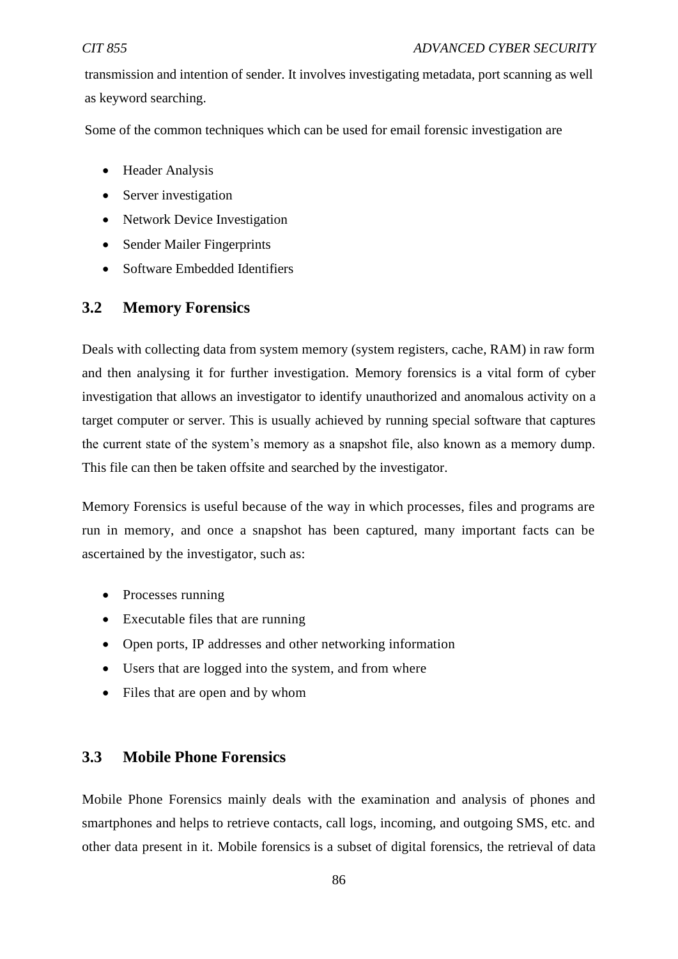transmission and intention of sender. It involves investigating metadata, port scanning as well as keyword searching.

Some of the common techniques which can be used for email forensic investigation are

- Header Analysis
- Server investigation
- Network Device Investigation
- Sender Mailer Fingerprints
- Software Embedded Identifiers

### **3.2 Memory Forensics**

Deals with collecting data from system memory (system registers, cache, RAM) in raw form and then analysing it for further investigation. Memory forensics is a vital form of cyber investigation that allows an investigator to identify unauthorized and anomalous activity on a target computer or server. This is usually achieved by running special software that captures the current state of the system's memory as a snapshot file, also known as a memory dump. This file can then be taken offsite and searched by the investigator.

Memory Forensics is useful because of the way in which processes, files and programs are run in memory, and once a snapshot has been captured, many important facts can be ascertained by the investigator, such as:

- Processes running
- Executable files that are running
- Open ports, IP addresses and other networking information
- Users that are logged into the system, and from where
- Files that are open and by whom

### **3.3 Mobile Phone Forensics**

Mobile Phone Forensics mainly deals with the examination and analysis of phones and smartphones and helps to retrieve contacts, call logs, incoming, and outgoing SMS, etc. and other data present in it. Mobile forensics is a subset of digital forensics, the retrieval of data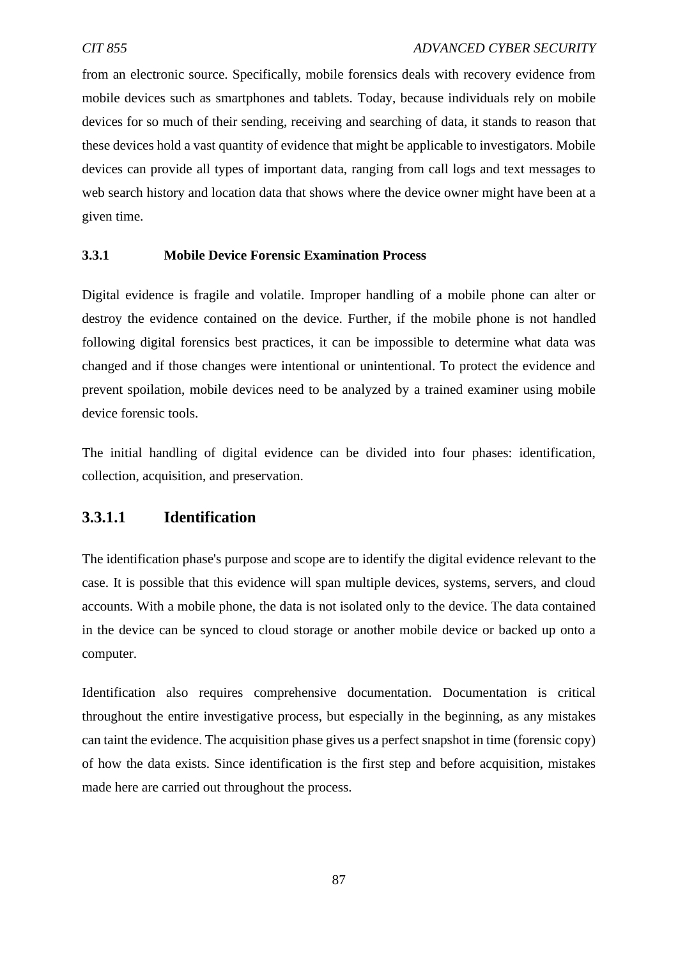from an electronic source. Specifically, mobile forensics deals with recovery evidence from mobile devices such as smartphones and tablets. Today, because individuals rely on mobile devices for so much of their sending, receiving and searching of data, it stands to reason that these devices hold a vast quantity of evidence that might be applicable to investigators. Mobile devices can provide all types of important data, ranging from call logs and text messages to web search history and location data that shows where the device owner might have been at a given time.

### **3.3.1 Mobile Device Forensic Examination Process**

Digital evidence is fragile and volatile. Improper handling of a mobile phone can alter or destroy the evidence contained on the device. Further, if the mobile phone is not handled following digital forensics best practices, it can be impossible to determine what data was changed and if those changes were intentional or unintentional. To protect the evidence and prevent spoilation, mobile devices need to be analyzed by a trained examiner using mobile device forensic tools.

The initial handling of digital evidence can be divided into four phases: identification, collection, acquisition, and preservation.

### **3.3.1.1 Identification**

The identification phase's purpose and scope are to identify the digital evidence relevant to the case. It is possible that this evidence will span multiple devices, systems, servers, and cloud accounts. With a mobile phone, the data is not isolated only to the device. The data contained in the device can be synced to cloud storage or another mobile device or backed up onto a computer.

Identification also requires comprehensive documentation. Documentation is critical throughout the entire investigative process, but especially in the beginning, as any mistakes can taint the evidence. The acquisition phase gives us a perfect snapshot in time (forensic copy) of how the data exists. Since identification is the first step and before acquisition, mistakes made here are carried out throughout the process.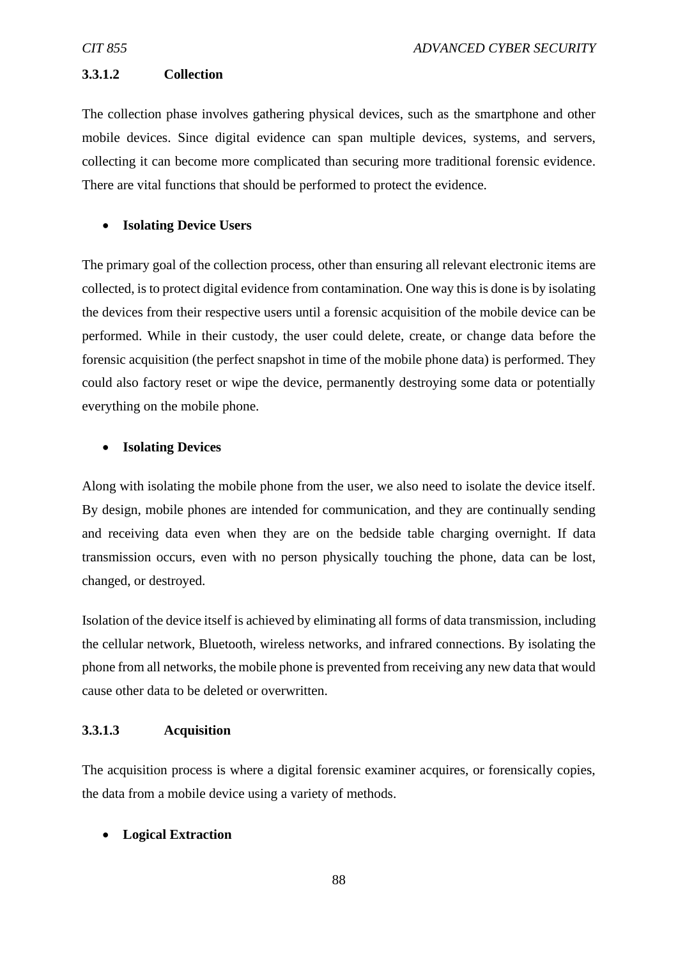### **3.3.1.2 Collection**

The collection phase involves gathering physical devices, such as the smartphone and other mobile devices. Since digital evidence can span multiple devices, systems, and servers, collecting it can become more complicated than securing more traditional forensic evidence. There are vital functions that should be performed to protect the evidence.

### • **Isolating Device Users**

The primary goal of the collection process, other than ensuring all relevant electronic items are collected, is to protect digital evidence from contamination. One way this is done is by isolating the devices from their respective users until a forensic acquisition of the mobile device can be performed. While in their custody, the user could delete, create, or change data before the forensic acquisition (the perfect snapshot in time of the mobile phone data) is performed. They could also factory reset or wipe the device, permanently destroying some data or potentially everything on the mobile phone.

### • **Isolating Devices**

Along with isolating the mobile phone from the user, we also need to isolate the device itself. By design, mobile phones are intended for communication, and they are continually sending and receiving data even when they are on the bedside table charging overnight. If data transmission occurs, even with no person physically touching the phone, data can be lost, changed, or destroyed.

Isolation of the device itself is achieved by eliminating all forms of data transmission, including the cellular network, Bluetooth, wireless networks, and infrared connections. By isolating the phone from all networks, the mobile phone is prevented from receiving any new data that would cause other data to be deleted or overwritten.

### **3.3.1.3 Acquisition**

The acquisition process is where a digital forensic examiner acquires, or forensically copies, the data from a mobile device using a variety of methods.

### • **Logical Extraction**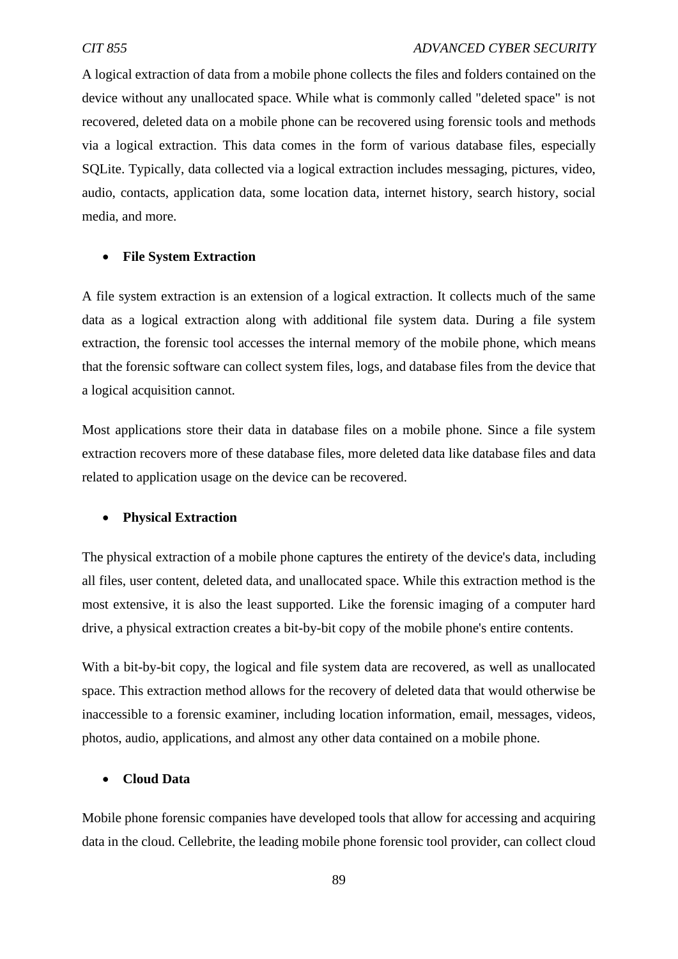A logical extraction of data from a mobile phone collects the files and folders contained on the device without any unallocated space. While what is commonly called "deleted space" is not recovered, deleted data on a mobile phone can be recovered using forensic tools and methods via a logical extraction. This data comes in the form of various database files, especially SQLite. Typically, data collected via a logical extraction includes messaging, pictures, video, audio, contacts, application data, some location data, internet history, search history, social media, and more.

### • **File System Extraction**

A file system extraction is an extension of a logical extraction. It collects much of the same data as a logical extraction along with additional file system data. During a file system extraction, the forensic tool accesses the internal memory of the mobile phone, which means that the forensic software can collect system files, logs, and database files from the device that a logical acquisition cannot.

Most applications store their data in database files on a mobile phone. Since a file system extraction recovers more of these database files, more deleted data like database files and data related to application usage on the device can be recovered.

### • **Physical Extraction**

The physical extraction of a mobile phone captures the entirety of the device's data, including all files, user content, deleted data, and unallocated space. While this extraction method is the most extensive, it is also the least supported. Like the forensic imaging of a computer hard drive, a physical extraction creates a bit-by-bit copy of the mobile phone's entire contents.

With a bit-by-bit copy, the logical and file system data are recovered, as well as unallocated space. This extraction method allows for the recovery of deleted data that would otherwise be inaccessible to a forensic examiner, including location information, email, messages, videos, photos, audio, applications, and almost any other data contained on a mobile phone.

### • **Cloud Data**

Mobile phone forensic companies have developed tools that allow for accessing and acquiring data in the cloud. Cellebrite, the leading mobile phone forensic tool provider, can collect cloud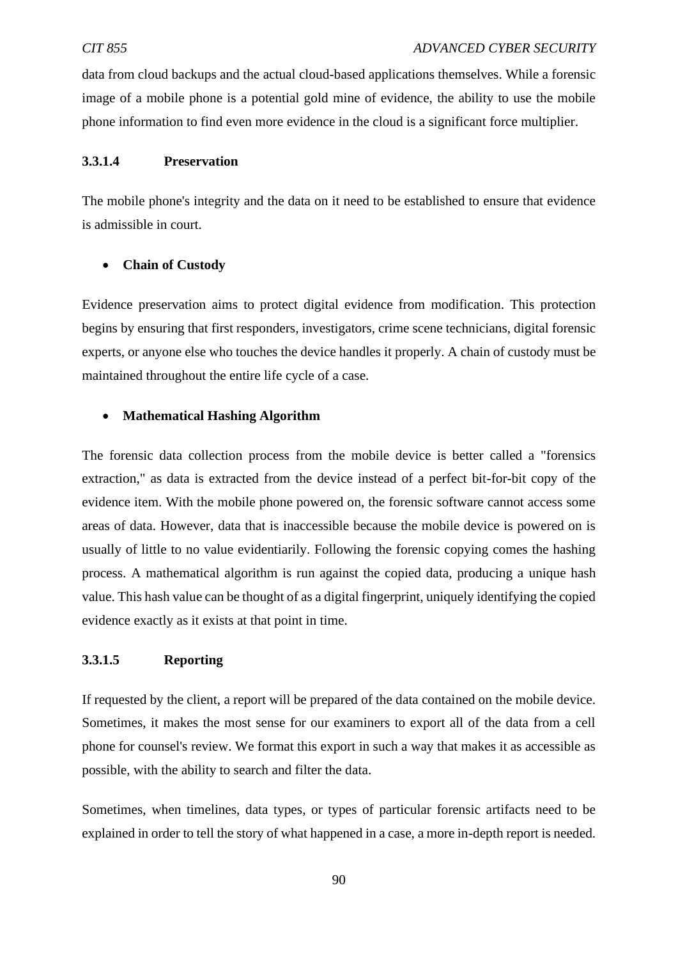data from cloud backups and the actual cloud-based applications themselves. While a forensic image of a mobile phone is a potential gold mine of evidence, the ability to use the mobile phone information to find even more evidence in the cloud is a significant force multiplier.

### **3.3.1.4 Preservation**

The mobile phone's integrity and the data on it need to be established to ensure that evidence is admissible in court.

### • **Chain of Custody**

Evidence preservation aims to protect digital evidence from modification. This protection begins by ensuring that first responders, investigators, crime scene technicians, digital forensic experts, or anyone else who touches the device handles it properly. A chain of custody must be maintained throughout the entire life cycle of a case.

### • **Mathematical Hashing Algorithm**

The forensic data collection process from the mobile device is better called a "forensics extraction," as data is extracted from the device instead of a perfect bit-for-bit copy of the evidence item. With the mobile phone powered on, the forensic software cannot access some areas of data. However, data that is inaccessible because the mobile device is powered on is usually of little to no value evidentiarily. Following the forensic copying comes the hashing process. A mathematical algorithm is run against the copied data, producing a unique hash value. This hash value can be thought of as a digital fingerprint, uniquely identifying the copied evidence exactly as it exists at that point in time.

### **3.3.1.5 Reporting**

If requested by the client, a report will be prepared of the data contained on the mobile device. Sometimes, it makes the most sense for our examiners to export all of the data from a cell phone for counsel's review. We format this export in such a way that makes it as accessible as possible, with the ability to search and filter the data.

Sometimes, when timelines, data types, or types of particular forensic artifacts need to be explained in order to tell the story of what happened in a case, a more in-depth report is needed.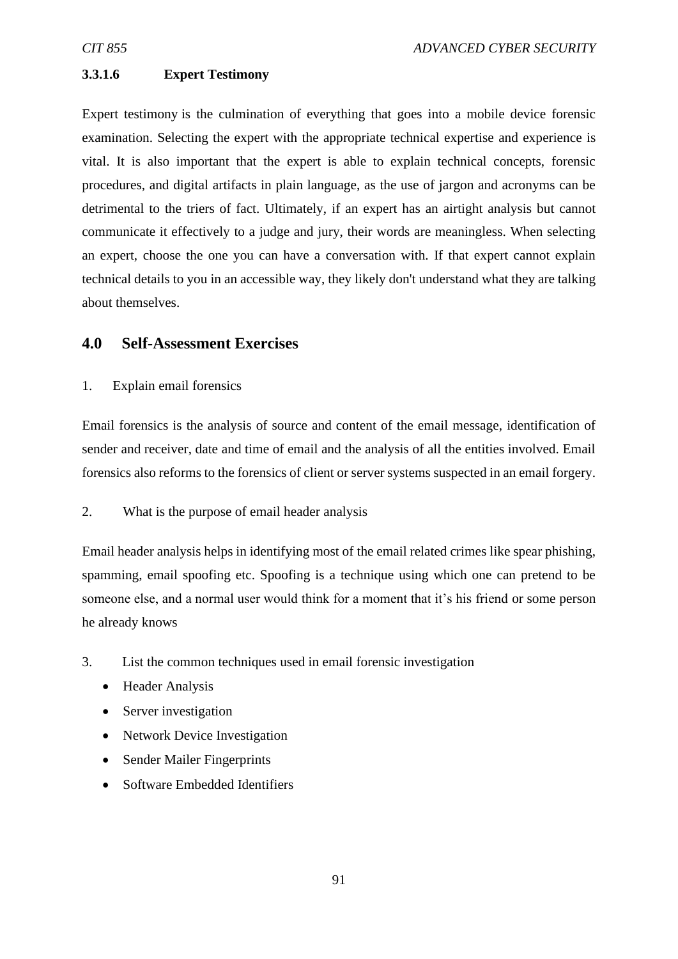### **3.3.1.6 Expert Testimony**

[Expert testimony](https://www.envistaforensics.com/services/litigation-support/) is the culmination of everything that goes into a mobile device forensic examination. Selecting the expert with the appropriate technical expertise and experience is vital. It is also important that the expert is able to explain technical concepts, forensic procedures, and digital artifacts in plain language, as the use of jargon and acronyms can be detrimental to the triers of fact. Ultimately, if an expert has an airtight analysis but cannot communicate it effectively to a judge and jury, their words are meaningless. When selecting an expert, choose the one you can have a conversation with. If that expert cannot explain technical details to you in an accessible way, they likely don't understand what they are talking about themselves.

### **4.0 Self-Assessment Exercises**

### 1. Explain email forensics

Email forensics is the analysis of source and content of the email message, identification of sender and receiver, date and time of email and the analysis of all the entities involved. Email forensics also reforms to the forensics of client or server systems suspected in an email forgery.

### 2. What is the purpose of email header analysis

Email header analysis helps in identifying most of the email related crimes like spear phishing, spamming, email spoofing etc. Spoofing is a technique using which one can pretend to be someone else, and a normal user would think for a moment that it's his friend or some person he already knows

### 3. List the common techniques used in email forensic investigation

- Header Analysis
- Server investigation
- Network Device Investigation
- Sender Mailer Fingerprints
- Software Embedded Identifiers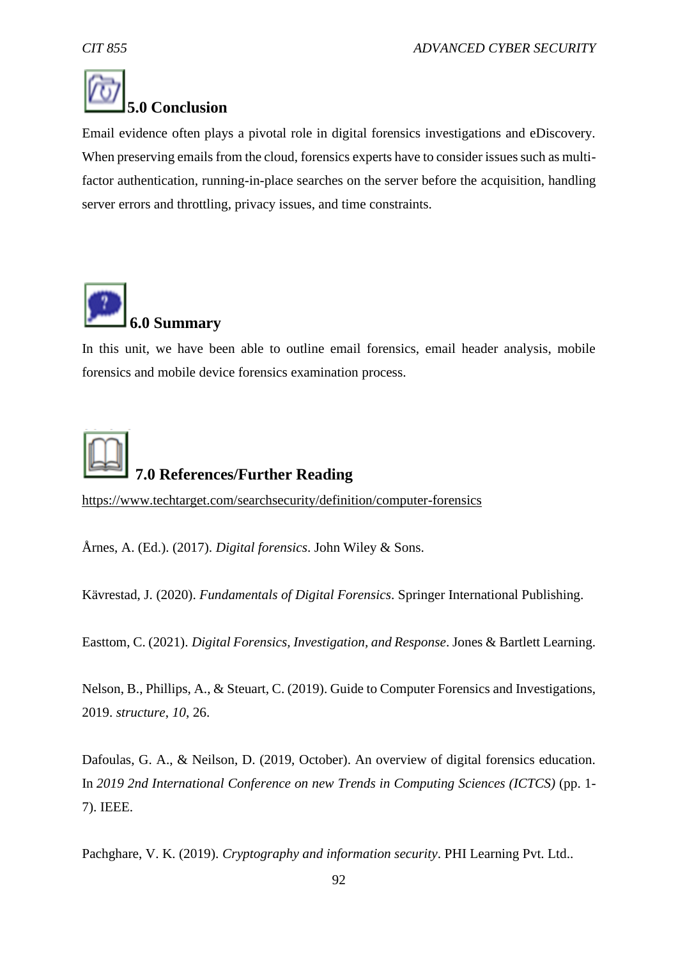

Email evidence often plays a pivotal role in digital forensics investigations and eDiscovery. When preserving emails from the cloud, forensics experts have to consider issues such as multifactor authentication, running-in-place searches on the server before the acquisition, handling server errors and throttling, privacy issues, and time constraints.



In this unit, we have been able to outline email forensics, email header analysis, mobile forensics and mobile device forensics examination process.



<https://www.techtarget.com/searchsecurity/definition/computer-forensics>

Årnes, A. (Ed.). (2017). *Digital forensics*. John Wiley & Sons.

Kävrestad, J. (2020). *Fundamentals of Digital Forensics*. Springer International Publishing.

Easttom, C. (2021). *Digital Forensics, Investigation, and Response*. Jones & Bartlett Learning.

Nelson, B., Phillips, A., & Steuart, C. (2019). Guide to Computer Forensics and Investigations, 2019. *structure*, *10*, 26.

Dafoulas, G. A., & Neilson, D. (2019, October). An overview of digital forensics education. In *2019 2nd International Conference on new Trends in Computing Sciences (ICTCS)* (pp. 1- 7). IEEE.

Pachghare, V. K. (2019). *Cryptography and information security*. PHI Learning Pvt. Ltd..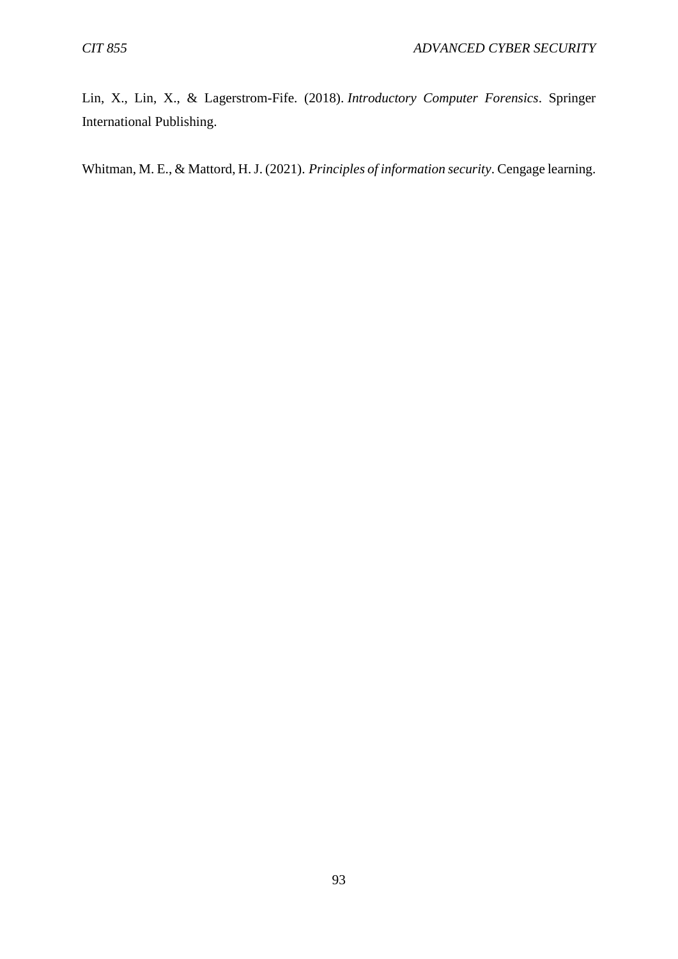Lin, X., Lin, X., & Lagerstrom-Fife. (2018). *Introductory Computer Forensics*. Springer International Publishing.

Whitman, M. E., & Mattord, H. J. (2021). *Principles of information security*. Cengage learning.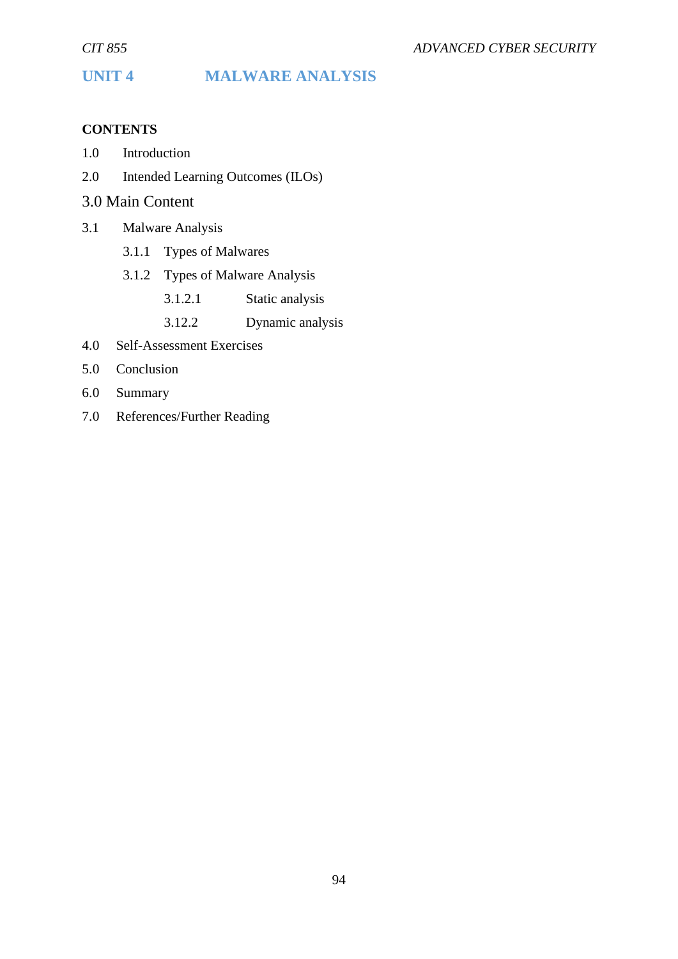### **UNIT 4 MALWARE ANALYSIS**

### **CONTENTS**

- 1.0 Introduction
- 2.0 Intended Learning Outcomes (ILOs)

### 3.0 Main Content

- 3.1 Malware Analysis
	- 3.1.1 Types of Malwares
	- 3.1.2 Types of Malware Analysis
		- 3.1.2.1 Static analysis
		- 3.12.2 Dynamic analysis
- 4.0 Self-Assessment Exercises
- 5.0 Conclusion
- 6.0 Summary
- 7.0 References/Further Reading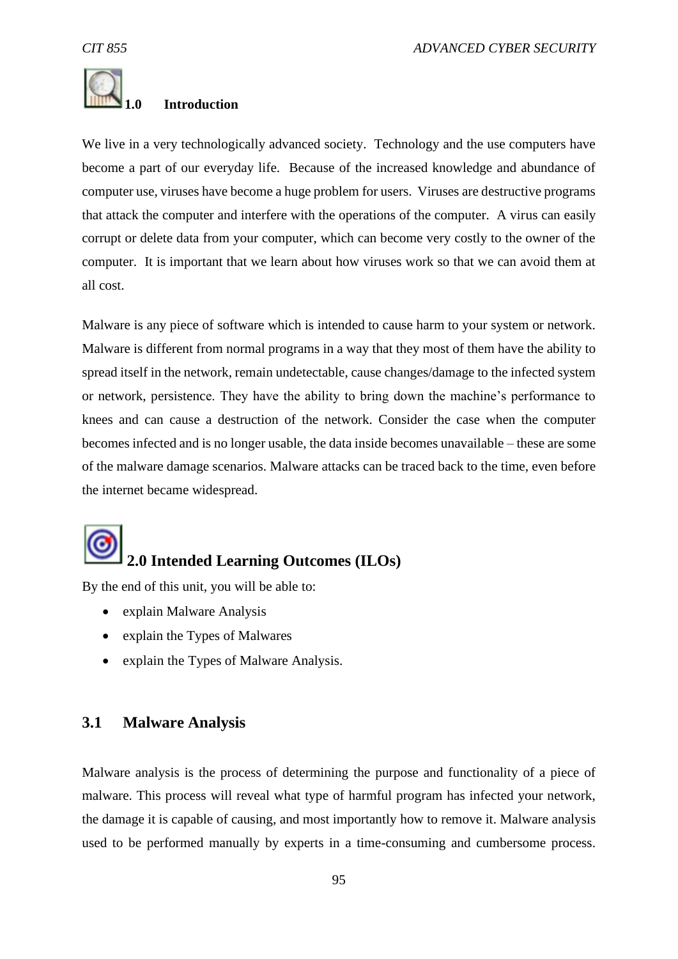

### **1.0 Introduction**

We live in a very technologically advanced society. Technology and the use computers have become a part of our everyday life. Because of the increased knowledge and abundance of computer use, viruses have become a huge problem for users. Viruses are destructive programs that attack the computer and interfere with the operations of the computer. A virus can easily corrupt or delete data from your computer, which can become very costly to the owner of the computer. It is important that we learn about how viruses work so that we can avoid them at all cost.

Malware is any piece of software which is intended to cause harm to your system or network. Malware is different from normal programs in a way that they most of them have the ability to spread itself in the network, remain undetectable, cause changes/damage to the infected system or network, persistence. They have the ability to bring down the machine's performance to knees and can cause a destruction of the network. Consider the case when the computer becomes infected and is no longer usable, the data inside becomes unavailable – these are some of the malware damage scenarios. Malware attacks can be traced back to the time, even before the internet became widespread.

# **2.0 Intended Learning Outcomes (ILOs)**

By the end of this unit, you will be able to:

- explain Malware Analysis
- explain the Types of Malwares
- explain the Types of Malware Analysis.

### **3.1 Malware Analysis**

Malware analysis is the process of determining the purpose and functionality of a piece of malware. This process will reveal what type of harmful program has infected your network, the damage it is capable of causing, and most importantly [how to remove it.](https://www.n-able.com/blog/how-to-remove-malware) Malware analysis used to be performed manually by experts in a time-consuming and cumbersome process.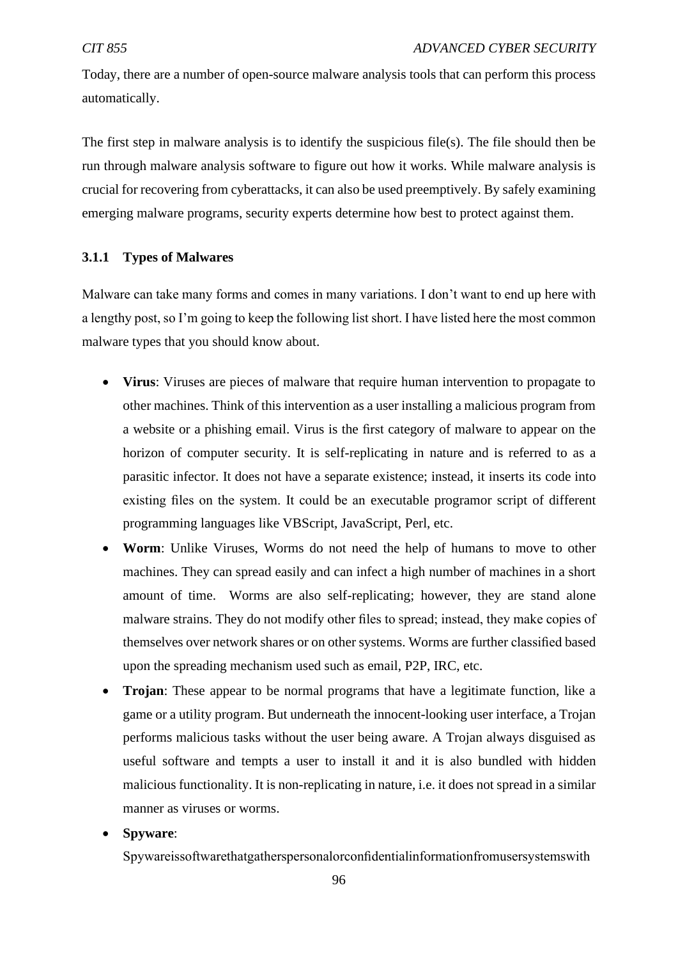Today, there are a number of open-source malware analysis tools that can perform this process automatically.

The first step in malware analysis is to identify the suspicious file(s). The file should then be run through malware analysis software to figure out how it works. While malware analysis is crucial for recovering from cyberattacks, it can also be used preemptively. By safely examining emerging malware programs, security experts determine how best to protect against them.

### **3.1.1 Types of Malwares**

Malware can take many forms and comes in many variations. I don't want to end up here with a lengthy post, so I'm going to keep the following list short. I have listed here the most common malware types that you should know about.

- **Virus**: Viruses are pieces of malware that require human intervention to propagate to other machines. Think of this intervention as a user installing a malicious program from a website or a phishing email. Virus is the first category of malware to appear on the horizon of computer security. It is self-replicating in nature and is referred to as a parasitic infector. It does not have a separate existence; instead, it inserts its code into existing files on the system. It could be an executable programor script of different programming languages like VBScript, JavaScript, Perl, etc.
- **Worm**: Unlike Viruses, Worms do not need the help of humans to move to other machines. They can spread easily and can infect a high number of machines in a short amount of time. Worms are also self-replicating; however, they are stand alone malware strains. They do not modify other files to spread; instead, they make copies of themselves over network shares or on other systems. Worms are further classified based upon the spreading mechanism used such as email, P2P, IRC, etc.
- **Trojan**: These appear to be normal programs that have a legitimate function, like a game or a utility program. But underneath the innocent-looking user interface, a Trojan performs malicious tasks without the user being aware. A Trojan always disguised as useful software and tempts a user to install it and it is also bundled with hidden malicious functionality. It is non-replicating in nature, i.e. it does not spread in a similar manner as viruses or worms.

### • **Spyware**:

Spywareissoftwarethatgatherspersonalorconfidentialinformationfromusersystemswith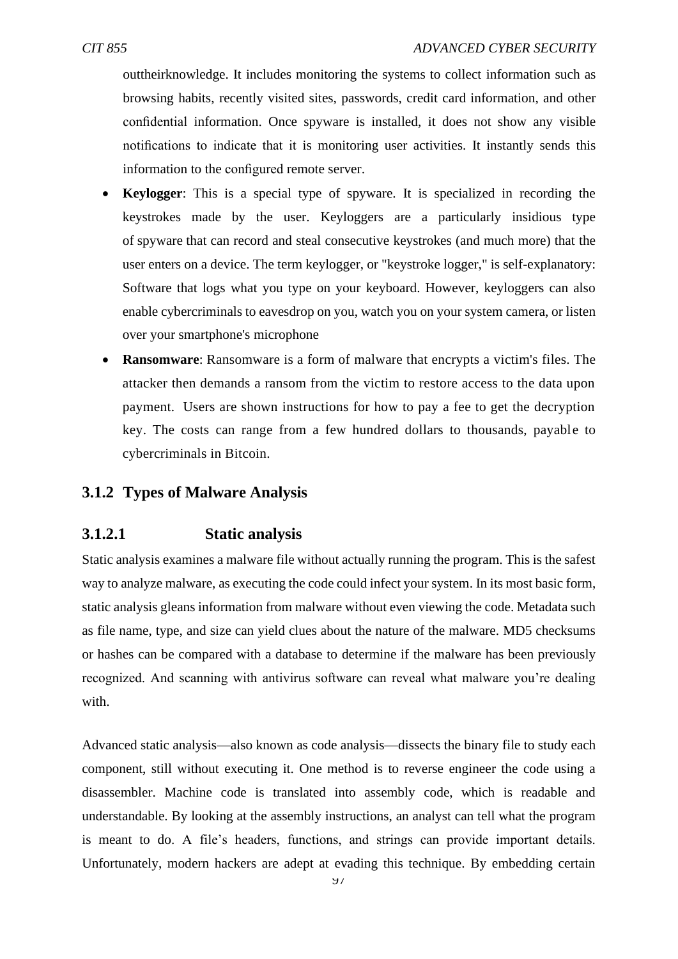outtheirknowledge. It includes monitoring the systems to collect information such as browsing habits, recently visited sites, passwords, credit card information, and other confidential information. Once spyware is installed, it does not show any visible notifications to indicate that it is monitoring user activities. It instantly sends this information to the configured remote server.

- **Keylogger**: This is a special type of spyware. It is specialized in recording the keystrokes made by the user. Keyloggers are a particularly insidious type of [spyware](https://www.malwarebytes.com/spyware) that can record and steal consecutive keystrokes (and much more) that the user enters on a device. The term keylogger, or "keystroke logger," is self-explanatory: Software that logs what you type on your keyboard. However, keyloggers can also enable cybercriminals to eavesdrop on you, watch you on your system camera, or listen over your smartphone's microphone
- **Ransomware**: Ransomware is a form of [malware](https://www.csoonline.com/article/3295877/malware/what-is-malware-viruses-worms-trojans-and-beyond.html) that encrypts a victim's files. The attacker then demands a ransom from the victim to restore access to the data upon payment. Users are shown instructions for how to pay a fee to get the decryption key. The costs can range from a few hundred dollars to thousands, payable to cybercriminals in Bitcoin.

#### **3.1.2 Types of Malware Analysis**

#### **3.1.2.1 Static analysis**

Static analysis examines a malware file without actually running the program. This is the safest way to analyze malware, as executing the code could infect your system. In its most basic form, static analysis gleans information from malware without even viewing the code. Metadata such as file name, type, and size can yield clues about the nature of the malware. MD5 checksums or hashes can be compared with a database to determine if the malware has been previously recognized. And scanning with antivirus software can reveal what malware you're dealing with.

Advanced static analysis—also known as code analysis—dissects the binary file to study each component, still without executing it. One method is to reverse engineer the code using a disassembler. Machine code is translated into assembly code, which is readable and understandable. By looking at the assembly instructions, an analyst can tell what the program is meant to do. A file's headers, functions, and strings can provide important details. Unfortunately, modern hackers are adept at evading this technique. By embedding certain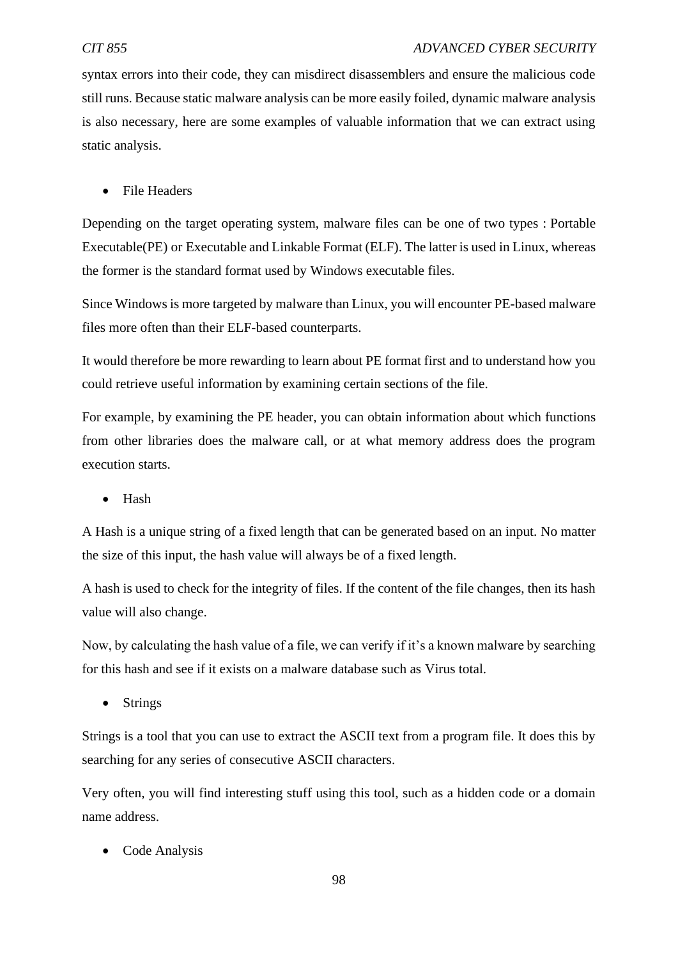syntax errors into their code, they can misdirect disassemblers and ensure the malicious code still runs. Because static malware analysis can be more easily foiled, dynamic malware analysis is also necessary, here are some examples of valuable information that we can extract using static analysis.

• File Headers

Depending on the target operating system, malware files can be one of two types : Portable Executable(PE) or Executable and Linkable Format (ELF). The latter is used in Linux, whereas the former is the standard format used by Windows executable files.

Since Windows is more targeted by malware than Linux, you will encounter PE-based malware files more often than their ELF-based counterparts.

It would therefore be more rewarding to learn about PE format first and to understand how you could retrieve useful information by examining certain sections of the file.

For example, by examining the PE header, you can obtain information about which functions from other libraries does the malware call, or at what memory address does the program execution starts.

• Hash

A Hash is a unique string of a fixed length that can be generated based on an input. No matter the size of this input, the hash value will always be of a fixed length.

A hash is used to check for the integrity of files. If the content of the file changes, then its hash value will also change.

Now, by calculating the hash value of a file, we can verify if it's a known malware by searching for this hash and see if it exists on a malware database such as [Virus total.](https://www.virustotal.com/)

• Strings

Strings is a tool that you can use to extract the ASCII text from a program file. It does this by searching for any series of consecutive ASCII characters.

Very often, you will find interesting stuff using this tool, such as a hidden code or a domain name address.

• Code Analysis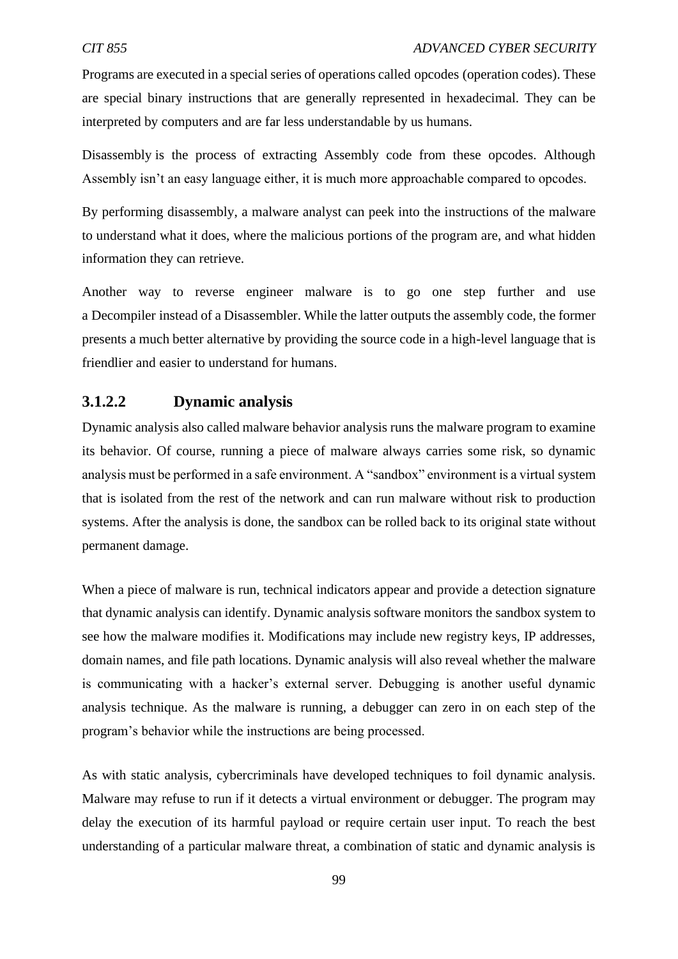Programs are executed in a special series of operations called opcodes (operation codes). These are special binary instructions that are generally represented in hexadecimal. They can be interpreted by computers and are far less understandable by us humans.

Disassembly is the process of extracting Assembly code from these opcodes. Although Assembly isn't an easy language either, it is much more approachable compared to opcodes.

By performing disassembly, a malware analyst can peek into the instructions of the malware to understand what it does, where the malicious portions of the program are, and what hidden information they can retrieve.

Another way to reverse engineer malware is to go one step further and use a Decompiler instead of a Disassembler. While the latter outputs the assembly code, the former presents a much better alternative by providing the source code in a high-level language that is friendlier and easier to understand for humans.

#### **3.1.2.2 Dynamic analysis**

Dynamic analysis also called malware behavior analysis runs the malware program to examine its behavior. Of course, running a piece of malware always carries some risk, so dynamic analysis must be performed in a safe environment. A "sandbox" environment is a virtual system that is isolated from the rest of the network and can run malware without risk to production systems. After the analysis is done, the sandbox can be rolled back to its original state without permanent damage.

When a piece of malware is run, technical indicators appear and provide a detection signature that dynamic analysis can identify. Dynamic analysis software monitors the sandbox system to see how the malware modifies it. Modifications may include new registry keys, IP addresses, domain names, and file path locations. Dynamic analysis will also reveal whether the malware is communicating with a hacker's external server. Debugging is another useful dynamic analysis technique. As the malware is running, a debugger can zero in on each step of the program's behavior while the instructions are being processed.

As with static analysis, cybercriminals have developed techniques to foil dynamic analysis. Malware may refuse to run if it detects a virtual environment or debugger. The program may delay the execution of its harmful payload or require certain user input. To reach the best understanding of a particular malware threat, a combination of static and dynamic analysis is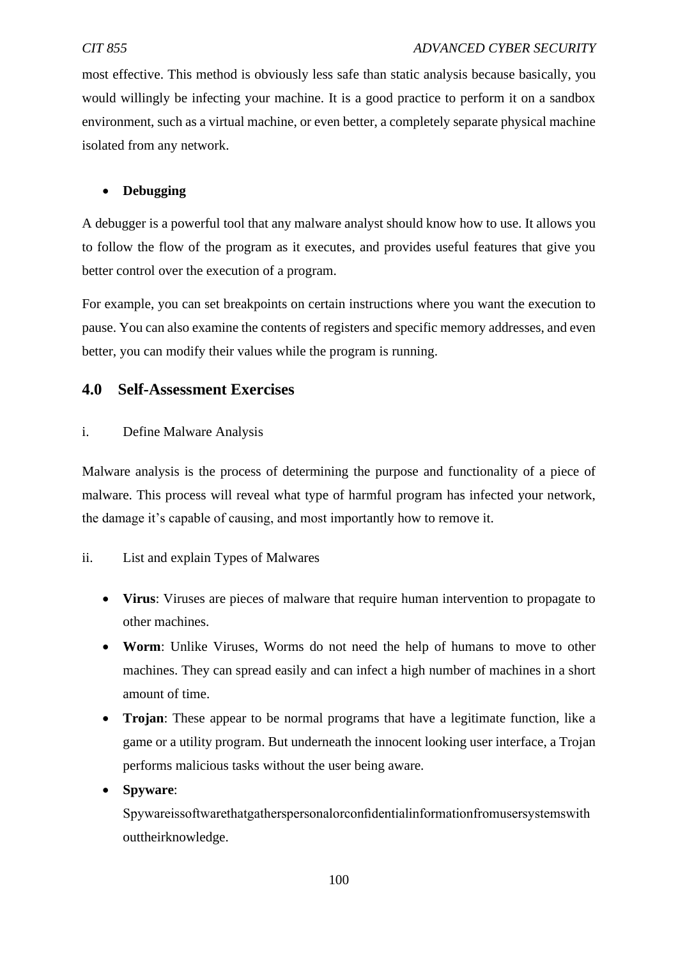most effective. This method is obviously less safe than static analysis because basically, you would willingly be infecting your machine. It is a good practice to perform it on a sandbox environment, such as a virtual machine, or even better, a completely separate physical machine isolated from any network.

#### • **Debugging**

A debugger is a powerful tool that any malware analyst should know how to use. It allows you to follow the flow of the program as it executes, and provides useful features that give you better control over the execution of a program.

For example, you can set breakpoints on certain instructions where you want the execution to pause. You can also examine the contents of registers and specific memory addresses, and even better, you can modify their values while the program is running.

#### **4.0 Self-Assessment Exercises**

#### i. Define Malware Analysis

Malware analysis is the process of determining the purpose and functionality of a piece of malware. This process will reveal what type of harmful program has infected your network, the damage it's capable of causing, and most importantly [how to remove it.](https://www.n-able.com/blog/how-to-remove-malware)

#### ii. List and explain Types of Malwares

- **Virus**: Viruses are pieces of malware that require human intervention to propagate to other machines.
- **Worm**: Unlike Viruses, Worms do not need the help of humans to move to other machines. They can spread easily and can infect a high number of machines in a short amount of time.
- **Trojan**: These appear to be normal programs that have a legitimate function, like a game or a utility program. But underneath the innocent looking user interface, a Trojan performs malicious tasks without the user being aware.

#### • **Spyware**:

Spywareissoftwarethatgatherspersonalorconfidentialinformationfromusersystemswith outtheirknowledge.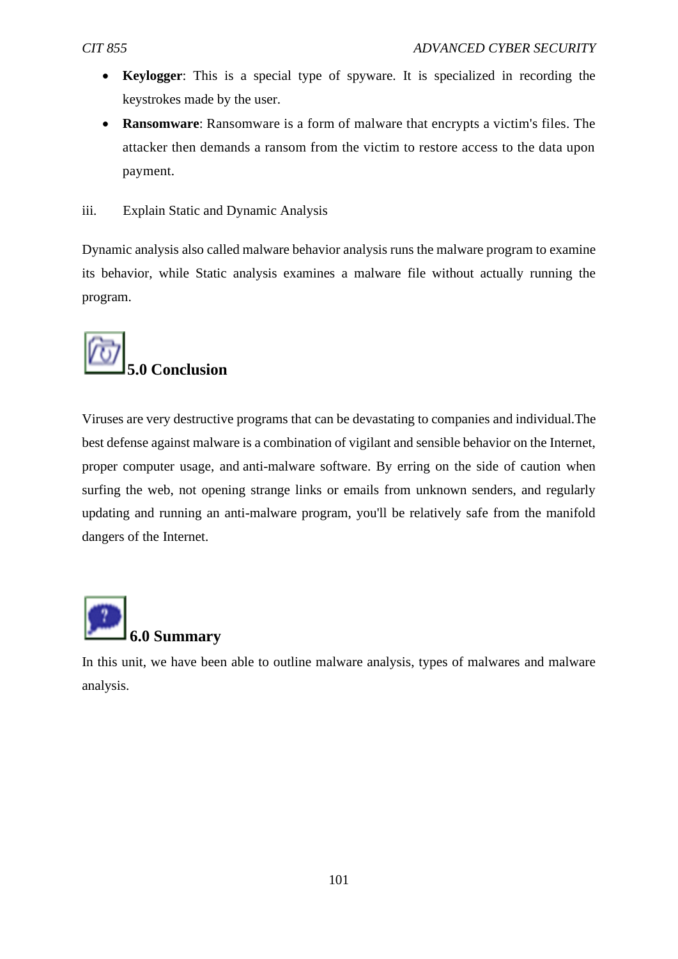- **Keylogger**: This is a special type of spyware. It is specialized in recording the keystrokes made by the user.
- **Ransomware**: Ransomware is a form of [malware](https://www.csoonline.com/article/3295877/malware/what-is-malware-viruses-worms-trojans-and-beyond.html) that encrypts a victim's files. The attacker then demands a ransom from the victim to restore access to the data upon payment.
- iii. Explain Static and Dynamic Analysis

Dynamic analysis also called malware behavior analysis runs the malware program to examine its behavior, while Static analysis examines a malware file without actually running the program.



Viruses are very destructive programs that can be devastating to companies and individual.The best defense against malware is a combination of vigilant and sensible behavior on the Internet, proper computer usage, and anti-malware software. By erring on the side of caution when surfing the web, not opening strange links or emails from unknown senders, and regularly updating and running an anti-malware program, you'll be relatively safe from the manifold dangers of the Internet.



In this unit, we have been able to outline malware analysis, types of malwares and malware analysis.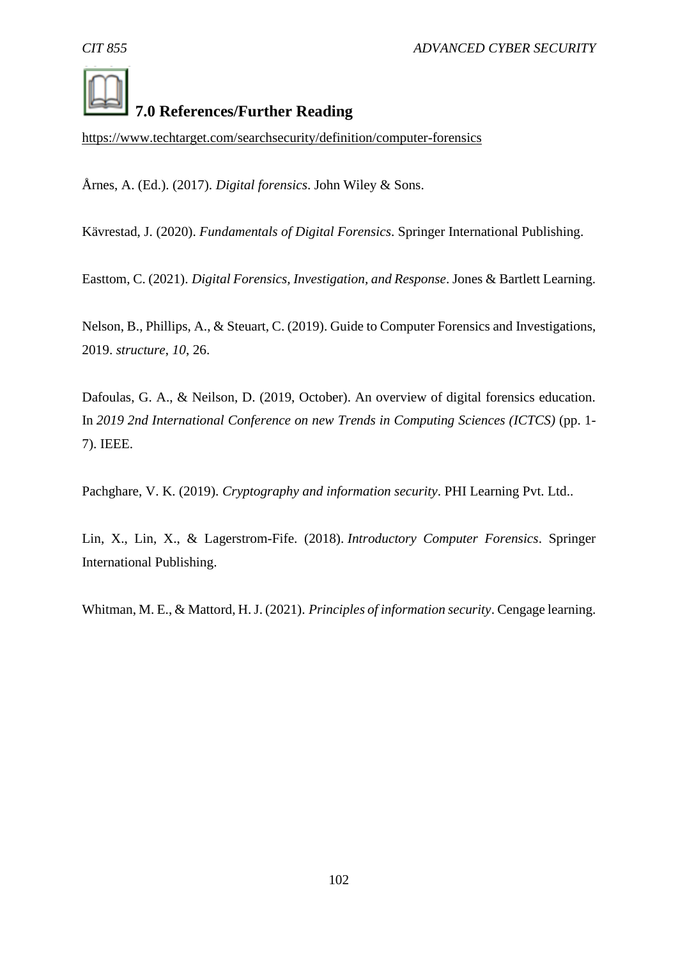

## **7.0 References/Further Reading**

<https://www.techtarget.com/searchsecurity/definition/computer-forensics>

Årnes, A. (Ed.). (2017). *Digital forensics*. John Wiley & Sons.

Kävrestad, J. (2020). *Fundamentals of Digital Forensics*. Springer International Publishing.

Easttom, C. (2021). *Digital Forensics, Investigation, and Response*. Jones & Bartlett Learning.

Nelson, B., Phillips, A., & Steuart, C. (2019). Guide to Computer Forensics and Investigations, 2019. *structure*, *10*, 26.

Dafoulas, G. A., & Neilson, D. (2019, October). An overview of digital forensics education. In *2019 2nd International Conference on new Trends in Computing Sciences (ICTCS)* (pp. 1- 7). IEEE.

Pachghare, V. K. (2019). *Cryptography and information security*. PHI Learning Pvt. Ltd..

Lin, X., Lin, X., & Lagerstrom-Fife. (2018). *Introductory Computer Forensics*. Springer International Publishing.

Whitman, M. E., & Mattord, H. J. (2021). *Principles of information security*. Cengage learning.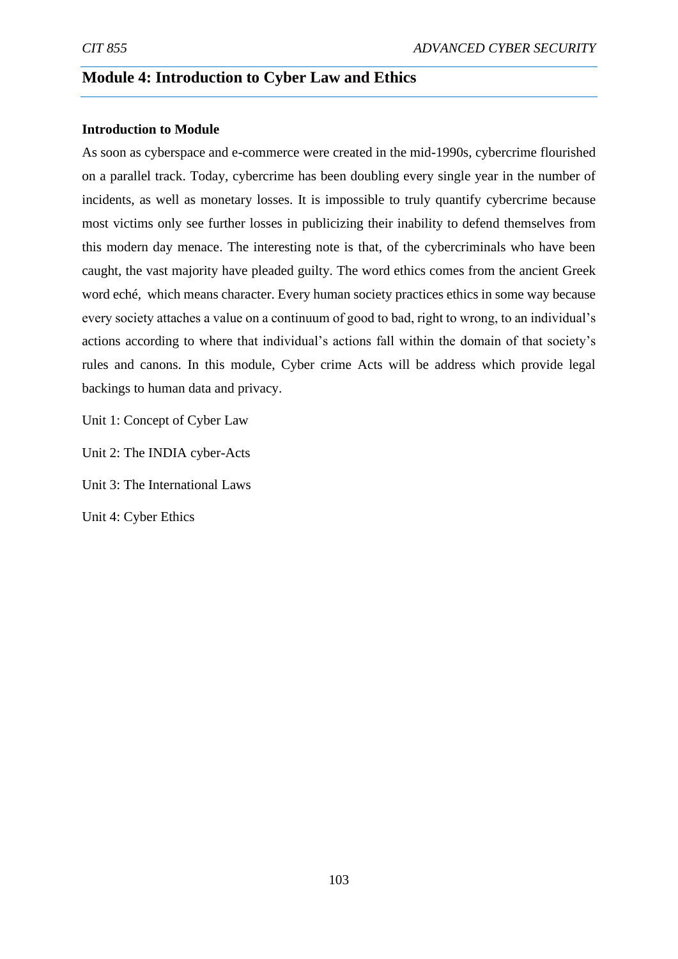## **Module 4: Introduction to Cyber Law and Ethics**

#### **Introduction to Module**

As soon as cyberspace and e-commerce were created in the mid-1990s, cybercrime flourished on a parallel track. Today, cybercrime has been doubling every single year in the number of incidents, as well as monetary losses. It is impossible to truly quantify cybercrime because most victims only see further losses in publicizing their inability to defend themselves from this modern day menace. The interesting note is that, of the cybercriminals who have been caught, the vast majority have pleaded guilty. The word ethics comes from the ancient Greek word eché, which means character. Every human society practices ethics in some way because every society attaches a value on a continuum of good to bad, right to wrong, to an individual's actions according to where that individual's actions fall within the domain of that society's rules and canons. In this module, Cyber crime Acts will be address which provide legal backings to human data and privacy.

Unit 1: Concept of Cyber Law

Unit 2: The INDIA cyber-Acts

Unit 3: The International Laws

Unit 4: Cyber Ethics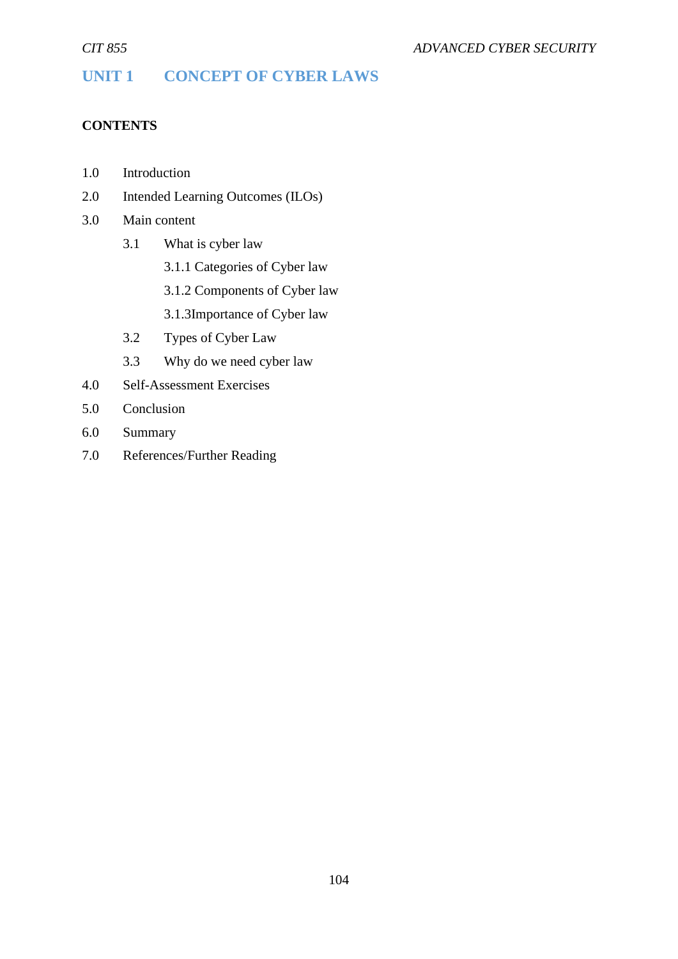## **UNIT 1 CONCEPT OF CYBER LAWS**

#### **CONTENTS**

- 1.0 Introduction
- 2.0 Intended Learning Outcomes (ILOs)
- 3.0 Main content
	- 3.1 What is cyber law
		- 3.1.1 Categories of Cyber law
		- 3.1.2 Components of Cyber law
		- 3.1.3Importance of Cyber law
	- 3.2 Types of Cyber Law
	- 3.3 Why do we need cyber law
- 4.0 Self-Assessment Exercises
- 5.0 Conclusion
- 6.0 Summary
- 7.0 References/Further Reading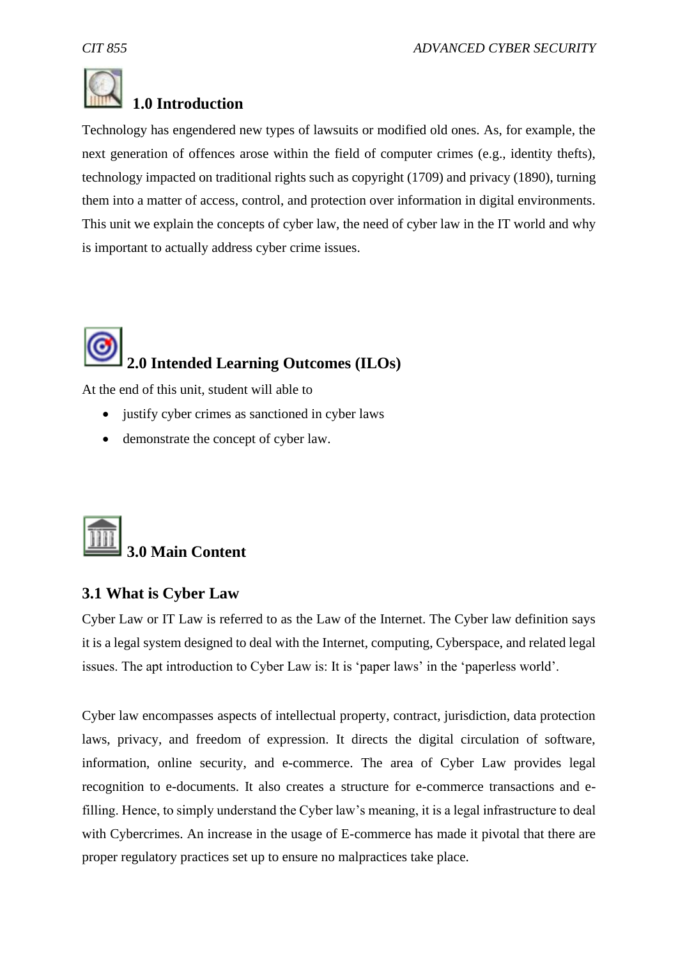# **1.0 Introduction**

Technology has engendered new types of lawsuits or modified old ones. As, for example, the next generation of offences arose within the field of computer crimes (e.g., identity thefts), technology impacted on traditional rights such as copyright (1709) and privacy (1890), turning them into a matter of access, control, and protection over information in digital environments. This unit we explain the concepts of cyber law, the need of cyber law in the IT world and why is important to actually address cyber crime issues.

# **2.0 Intended Learning Outcomes (ILOs)**

At the end of this unit, student will able to

- justify cyber crimes as sanctioned in cyber laws
- demonstrate the concept of cyber law.



## **3.1 What is Cyber Law**

Cyber Law or IT Law is referred to as the Law of the Internet. The Cyber law definition says it is a legal system designed to deal with the Internet, computing, Cyberspace, and related legal issues. The apt introduction to Cyber Law is: It is 'paper laws' in the 'paperless world'.

Cyber law encompasses aspects of intellectual property, contract, jurisdiction, data protection laws, privacy, and freedom of expression. It directs the digital circulation of software, information, online security, and e-commerce. The area of Cyber Law provides legal recognition to e-documents. It also creates a structure for e-commerce transactions and efilling. Hence, to simply understand the Cyber law's meaning, it is a legal infrastructure to deal with Cybercrimes. An increase in the usage of E-commerce has made it pivotal that there are proper regulatory practices set up to ensure no malpractices take place.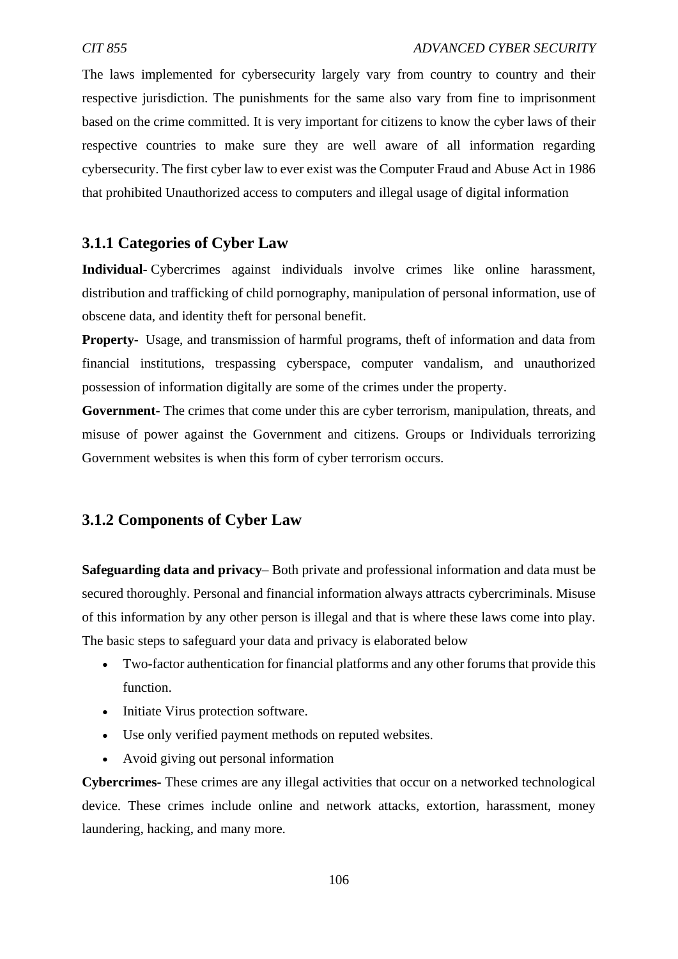The laws implemented for cybersecurity largely vary from country to country and their respective jurisdiction. The punishments for the same also vary from fine to imprisonment based on the crime committed. It is very important for citizens to know the cyber laws of their respective countries to make sure they are well aware of all information regarding cybersecurity. The first cyber law to ever exist was the Computer Fraud and Abuse Act in 1986 that prohibited Unauthorized access to computers and illegal usage of digital information

#### **3.1.1 Categories of Cyber Law**

**Individual-** Cybercrimes against individuals involve crimes like online harassment, distribution and trafficking of child pornography, manipulation of personal information, use of obscene data, and identity theft for personal benefit.

**Property-** Usage, and transmission of harmful programs, theft of information and data from financial institutions, trespassing cyberspace, computer vandalism, and unauthorized possession of information digitally are some of the crimes under the property.

**Government-** The crimes that come under this are cyber terrorism, manipulation, threats, and misuse of power against the Government and citizens. Groups or Individuals terrorizing Government websites is when this form of cyber terrorism occurs.

### **3.1.2 Components of Cyber Law**

**Safeguarding data and privacy**– Both private and professional information and data must be secured thoroughly. Personal and financial information always attracts cybercriminals. Misuse of this information by any other person is illegal and that is where these laws come into play. The basic steps to safeguard your data and privacy is elaborated below

- Two-factor authentication for financial platforms and any other forums that provide this function.
- Initiate Virus protection software.
- Use only verified payment methods on reputed websites.
- Avoid giving out personal information

**Cybercrimes-** These crimes are any illegal activities that occur on a networked technological device. These crimes include online and network attacks, extortion, harassment, money laundering, hacking, and many more.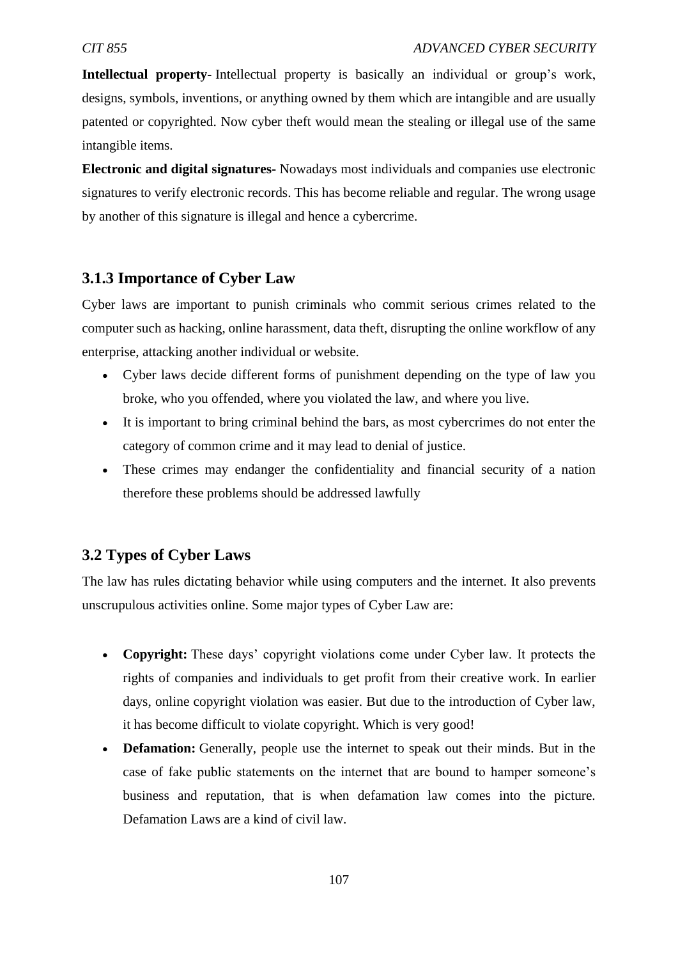**Intellectual property-** Intellectual property is basically an individual or group's work, designs, symbols, inventions, or anything owned by them which are intangible and are usually patented or copyrighted. Now cyber theft would mean the stealing or illegal use of the same intangible items.

**Electronic and digital signatures-** Nowadays most individuals and companies use electronic signatures to verify electronic records. This has become reliable and regular. The wrong usage by another of this signature is illegal and hence a cybercrime.

#### **3.1.3 Importance of Cyber Law**

Cyber laws are important to punish criminals who commit serious crimes related to the computer such as hacking, online harassment, data theft, disrupting the online workflow of any enterprise, attacking another individual or website.

- Cyber laws decide different forms of punishment depending on the type of law you broke, who you offended, where you violated the law, and where you live.
- It is important to bring criminal behind the bars, as most cybercrimes do not enter the category of common crime and it may lead to denial of justice.
- These crimes may endanger the confidentiality and financial security of a nation therefore these problems should be addressed lawfully

#### **3.2 Types of Cyber Laws**

The law has rules dictating behavior while using computers and the internet. It also prevents unscrupulous activities online. Some major types of Cyber Law are:

- **Copyright:** These days' copyright violations come under Cyber law. It protects the rights of companies and individuals to get profit from their creative work. In earlier days, online copyright violation was easier. But due to the introduction of Cyber law, it has become difficult to violate copyright. Which is very good!
- **Defamation:** Generally, people use the internet to speak out their minds. But in the case of fake public statements on the internet that are bound to hamper someone's business and reputation, that is when defamation law comes into the picture. Defamation Laws are a kind of civil law.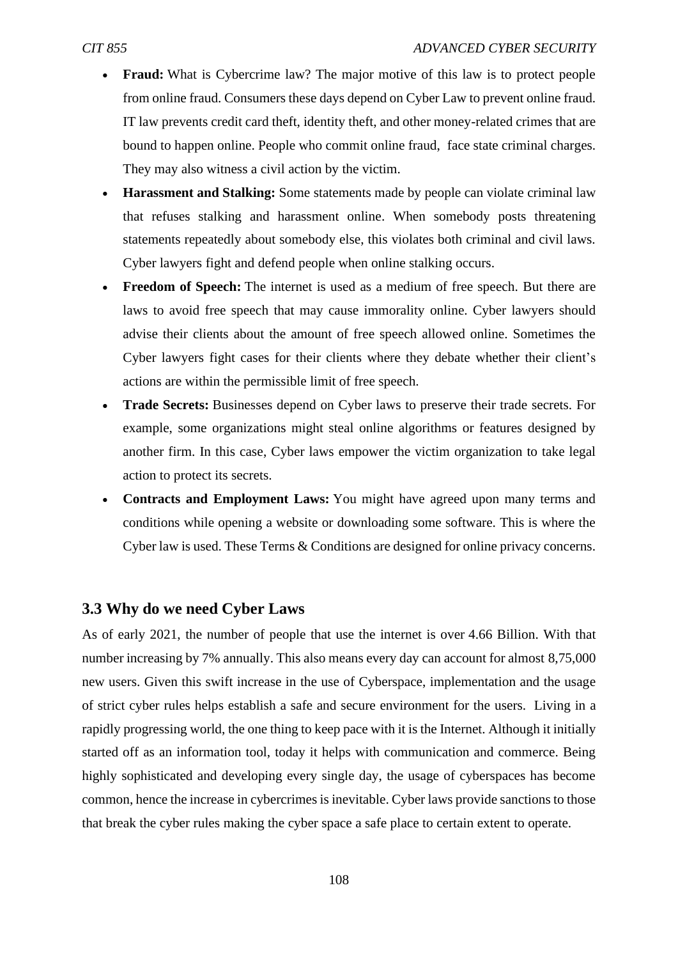- **Fraud:** What is Cybercrime law? The major motive of this law is to protect people from online fraud. Consumers these days depend on Cyber Law to prevent online fraud. IT law prevents credit card theft, identity theft, and other money-related crimes that are bound to happen online. People who commit online fraud, face state criminal charges. They may also witness a civil action by the victim.
- **Harassment and Stalking:** Some statements made by people can violate criminal law that refuses stalking and harassment online. When somebody posts threatening statements repeatedly about somebody else, this violates both criminal and civil laws. Cyber lawyers fight and defend people when online stalking occurs.
- **Freedom of Speech:** The internet is used as a medium of free speech. But there are laws to avoid free speech that may cause immorality online. Cyber lawyers should advise their clients about the amount of free speech allowed online. Sometimes the Cyber lawyers fight cases for their clients where they debate whether their client's actions are within the permissible limit of free speech.
- **Trade Secrets:** Businesses depend on Cyber laws to preserve their trade secrets. For example, some organizations might steal online algorithms or features designed by another firm. In this case, Cyber laws empower the victim organization to take legal action to protect its secrets.
- **Contracts and Employment Laws:** You might have agreed upon many terms and conditions while opening a website or downloading some software. This is where the Cyber law is used. These Terms & Conditions are designed for online privacy concerns.

#### **3.3 Why do we need Cyber Laws**

As of early 2021, the number of people that use the internet is over 4.66 [Billion.](https://datareportal.com/reports/digital-2021-global-overview-report#:~:text=Internet%3A%204.66%20billion%20people%20around,now%20stands%20at%2059.5%20percent.) With that number increasing by 7% annually. This also means every day can account for almost [8,75,000](https://datareportal.com/reports/digital-2021-global-overview-report#:~:text=Internet%3A%204.66%20billion%20people%20around,now%20stands%20at%2059.5%20percent.) new [users.](https://datareportal.com/reports/digital-2021-global-overview-report#:~:text=Internet%3A%204.66%20billion%20people%20around,now%20stands%20at%2059.5%20percent.) Given this swift increase in the use of Cyberspace, implementation and the usage of strict cyber rules helps establish a safe and secure environment for the users. Living in a rapidly progressing world, the one thing to keep pace with it is the Internet. Although it initially started off as an information tool, today it helps with communication and commerce. Being highly sophisticated and developing every single day, the usage of cyberspaces has become common, hence the increase in cybercrimes is inevitable. Cyber laws provide sanctions to those that break the cyber rules making the cyber space a safe place to certain extent to operate.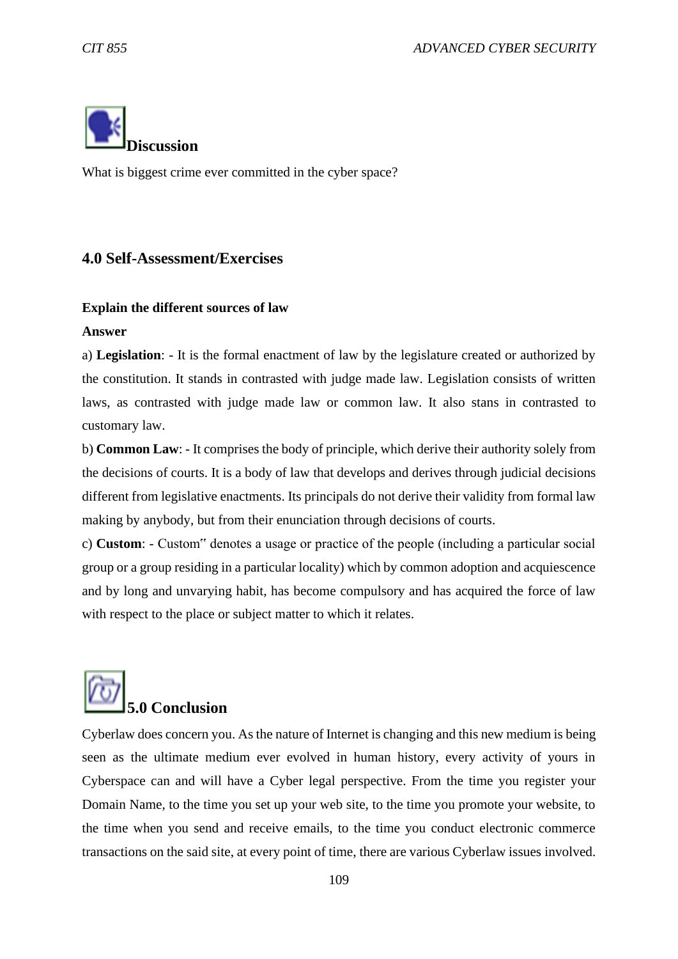

What is biggest crime ever committed in the cyber space?

#### **4.0 Self-Assessment/Exercises**

#### **Explain the different sources of law Answer**

a) **Legislation**: - It is the formal enactment of law by the legislature created or authorized by the constitution. It stands in contrasted with judge made law. Legislation consists of written laws, as contrasted with judge made law or common law. It also stans in contrasted to customary law.

b) **Common Law**: - It comprises the body of principle, which derive their authority solely from the decisions of courts. It is a body of law that develops and derives through judicial decisions different from legislative enactments. Its principals do not derive their validity from formal law making by anybody, but from their enunciation through decisions of courts.

c) **Custom**: - Custom" denotes a usage or practice of the people (including a particular social group or a group residing in a particular locality) which by common adoption and acquiescence and by long and unvarying habit, has become compulsory and has acquired the force of law with respect to the place or subject matter to which it relates.



Cyberlaw does concern you. As the nature of Internet is changing and this new medium is being seen as the ultimate medium ever evolved in human history, every activity of yours in Cyberspace can and will have a Cyber legal perspective. From the time you register your Domain Name, to the time you set up your web site, to the time you promote your website, to the time when you send and receive emails, to the time you conduct electronic commerce transactions on the said site, at every point of time, there are various Cyberlaw issues involved.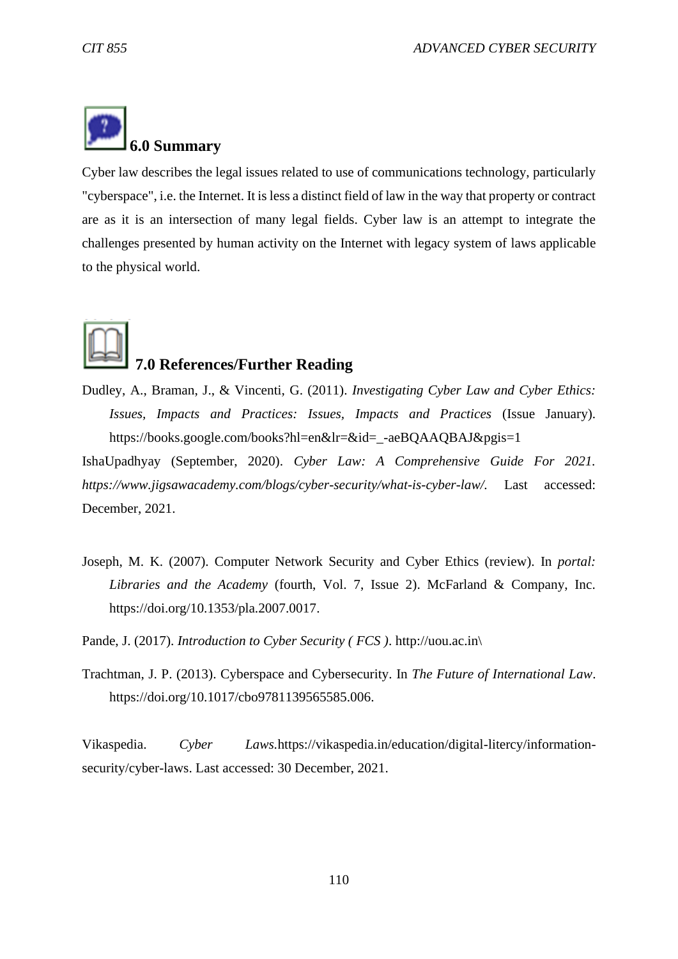

Cyber law describes the legal issues related to use of communications technology, particularly "cyberspace", i.e. the Internet. It is less a distinct field of law in the way that property or contract are as it is an intersection of many legal fields. Cyber law is an attempt to integrate the challenges presented by human activity on the Internet with legacy system of laws applicable to the physical world.



# **7.0 References/Further Reading**

Dudley, A., Braman, J., & Vincenti, G. (2011). *Investigating Cyber Law and Cyber Ethics: Issues, Impacts and Practices: Issues, Impacts and Practices* (Issue January). https://books.google.com/books?hl=en&lr=&id=\_-aeBQAAQBAJ&pgis=1

IshaUpadhyay (September, 2020). *Cyber Law: A Comprehensive Guide For 2021. [https://www.jigsawacademy.com/blogs/cyber-security/what-is-cyber-law/.](https://www.jigsawacademy.com/blogs/cyber-security/what-is-cyber-law/)* Last accessed: December, 2021.

- Joseph, M. K. (2007). Computer Network Security and Cyber Ethics (review). In *portal: Libraries and the Academy* (fourth, Vol. 7, Issue 2). McFarland & Company, Inc. https://doi.org/10.1353/pla.2007.0017.
- Pande, J. (2017). *Introduction to Cyber Security ( FCS )*. http://uou.ac.in\
- Trachtman, J. P. (2013). Cyberspace and Cybersecurity. In *The Future of International Law*. https://doi.org/10.1017/cbo9781139565585.006.

Vikaspedia. *Cyber Laws.*[https://vikaspedia.in/education/digital-litercy/information](https://vikaspedia.in/education/digital-litercy/information-security/cyber-laws)[security/cyber-laws.](https://vikaspedia.in/education/digital-litercy/information-security/cyber-laws) Last accessed: 30 December, 2021.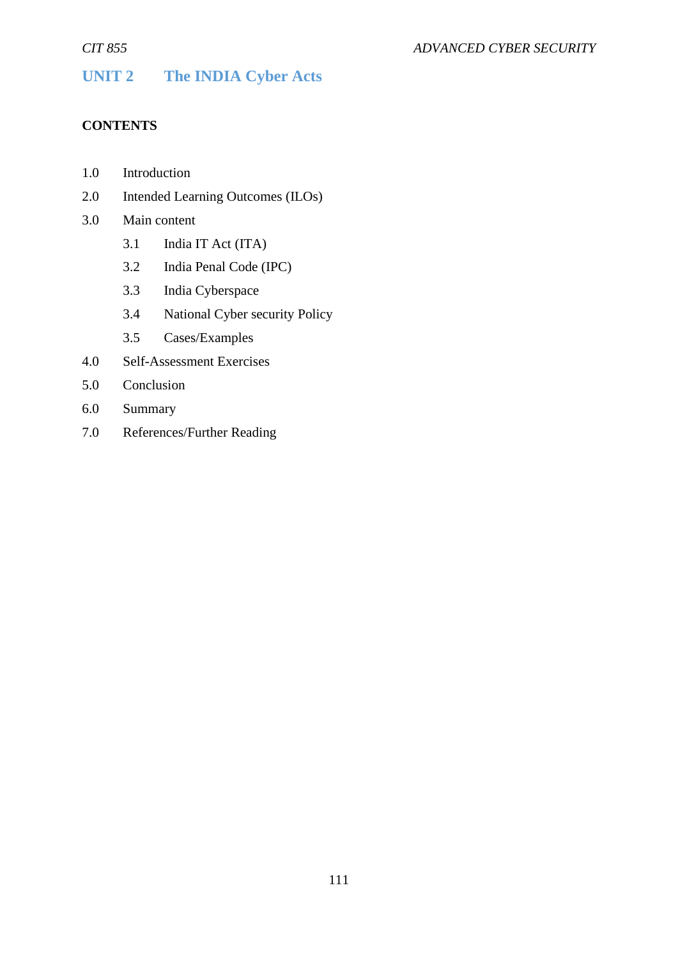## **UNIT 2 The INDIA Cyber Acts**

#### **CONTENTS**

- 1.0 Introduction
- 2.0 Intended Learning Outcomes (ILOs)
- 3.0 Main content
	- 3.1 India IT Act (ITA)
	- 3.2 India Penal Code (IPC)
	- 3.3 India Cyberspace
	- 3.4 National Cyber security Policy
	- 3.5 Cases/Examples
- 4.0 Self-Assessment Exercises
- 5.0 Conclusion
- 6.0 Summary
- 7.0 References/Further Reading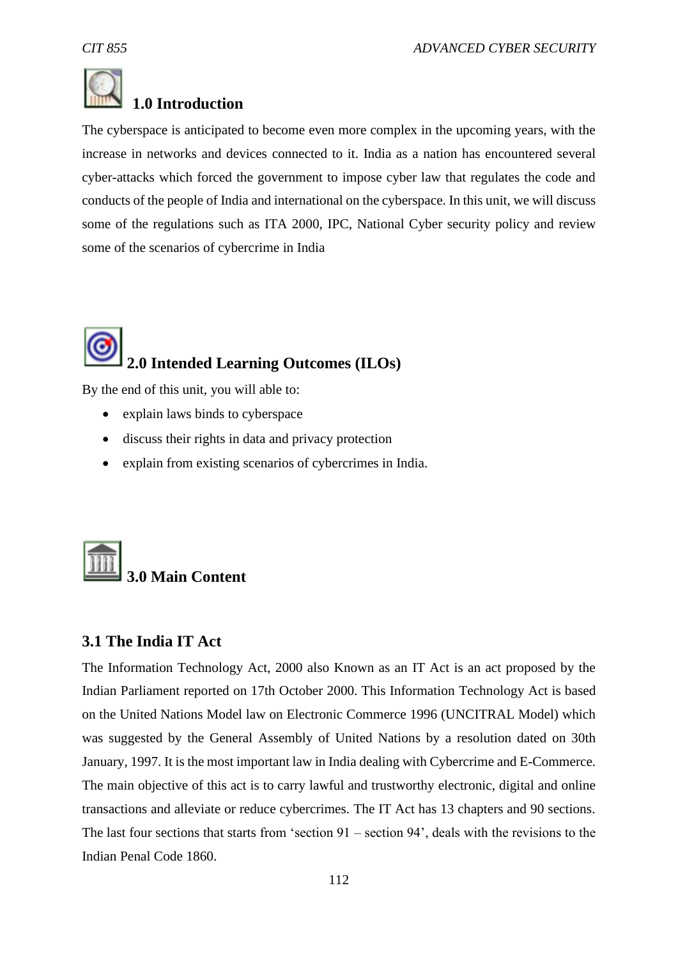# **1.0 Introduction**

The cyberspace is anticipated to become even more complex in the upcoming years, with the increase in networks and devices connected to it. India as a nation has encountered several cyber-attacks which forced the government to impose cyber law that regulates the code and conducts of the people of India and international on the cyberspace. In this unit, we will discuss some of the regulations such as ITA 2000, IPC, National Cyber security policy and review some of the scenarios of cybercrime in India

# **2.0 Intended Learning Outcomes (ILOs)**

By the end of this unit, you will able to:

- explain laws binds to cyberspace
- discuss their rights in data and privacy protection
- explain from existing scenarios of cybercrimes in India.



#### **3.1 The India IT Act**

The Information Technology Act, 2000 also Known as an IT Act is an act proposed by the Indian Parliament reported on 17th October 2000. This Information Technology Act is based on the United Nations Model law on Electronic Commerce 1996 (UNCITRAL Model) which was suggested by the General Assembly of United Nations by a resolution dated on 30th January, 1997. It is the most important law in India dealing with Cybercrime and E-Commerce. The main objective of this act is to carry lawful and trustworthy electronic, digital and online transactions and alleviate or reduce cybercrimes. The IT Act has 13 chapters and 90 sections. The last four sections that starts from 'section 91 – section 94', deals with the revisions to the Indian Penal Code 1860.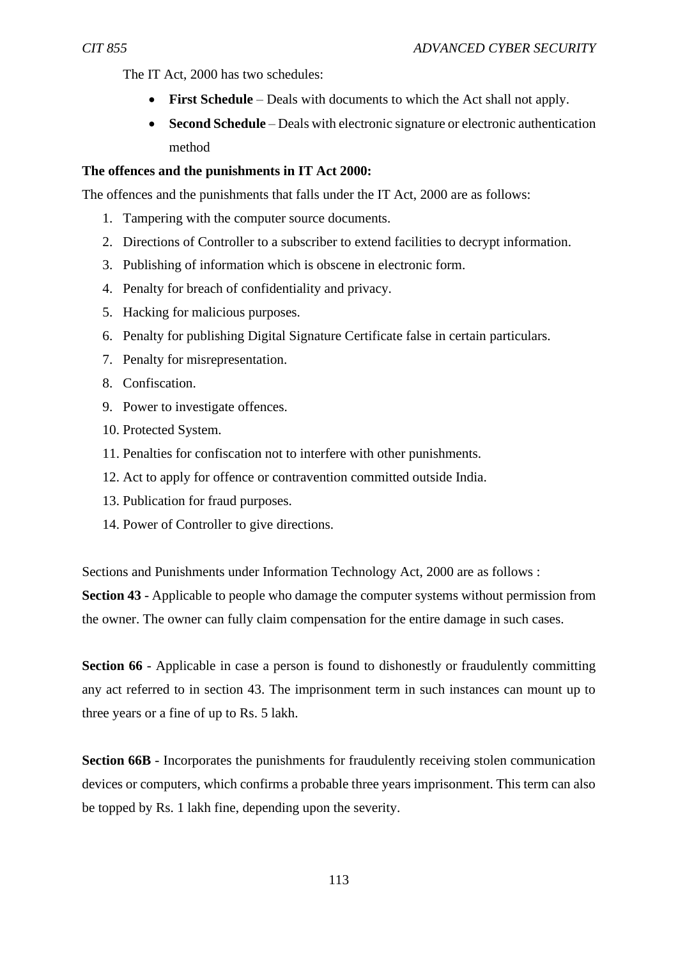The IT Act, 2000 has two schedules:

- **First Schedule** Deals with documents to which the Act shall not apply.
- **Second Schedule** Deals with electronic signature or electronic authentication method

#### **The offences and the punishments in IT Act 2000:**

The offences and the punishments that falls under the IT Act, 2000 are as follows:

- 1. Tampering with the computer source documents.
- 2. Directions of Controller to a subscriber to extend facilities to decrypt information.
- 3. Publishing of information which is obscene in electronic form.
- 4. Penalty for breach of confidentiality and privacy.
- 5. Hacking for malicious purposes.
- 6. Penalty for publishing Digital Signature Certificate false in certain particulars.
- 7. Penalty for misrepresentation.
- 8. Confiscation.
- 9. Power to investigate offences.
- 10. Protected System.
- 11. Penalties for confiscation not to interfere with other punishments.
- 12. Act to apply for offence or contravention committed outside India.
- 13. Publication for fraud purposes.
- 14. Power of Controller to give directions.

Sections and Punishments under Information Technology Act, 2000 are as follows : **Section 43** - Applicable to people who damage the computer systems without permission from the owner. The owner can fully claim compensation for the entire damage in such cases.

**Section 66** - Applicable in case a person is found to dishonestly or fraudulently committing any act referred to in section 43. The imprisonment term in such instances can mount up to three years or a fine of up to Rs. 5 lakh.

**Section 66B** - Incorporates the punishments for fraudulently receiving stolen communication devices or computers, which confirms a probable three years imprisonment. This term can also be topped by Rs. 1 lakh fine, depending upon the severity.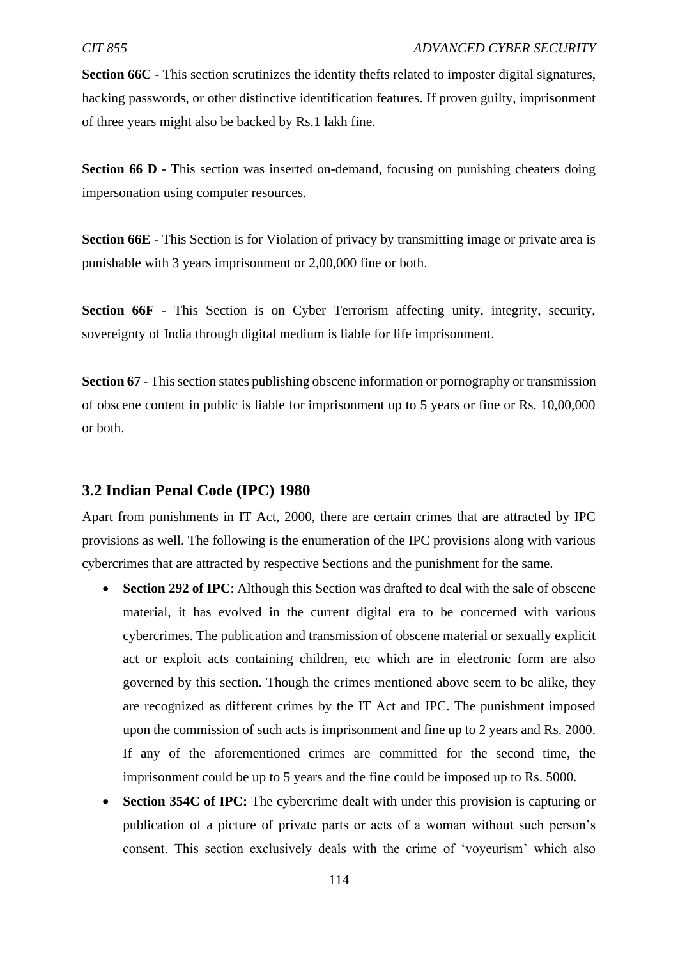**Section 66C** - This section scrutinizes the identity thefts related to imposter digital signatures, hacking passwords, or other distinctive identification features. If proven guilty, imprisonment of three years might also be backed by Rs.1 lakh fine.

**Section 66 D** - This section was inserted on-demand, focusing on punishing cheaters doing impersonation using computer resources.

**Section 66E** - This Section is for Violation of privacy by transmitting image or private area is punishable with 3 years imprisonment or 2,00,000 fine or both.

**Section 66F** - This Section is on Cyber Terrorism affecting unity, integrity, security, sovereignty of India through digital medium is liable for life imprisonment.

**Section 67** - This section states publishing obscene information or pornography or transmission of obscene content in public is liable for imprisonment up to 5 years or fine or Rs. 10,00,000 or both.

#### **3.2 Indian Penal Code (IPC) 1980**

Apart from punishments in IT Act, 2000, there are certain crimes that are attracted by IPC provisions as well. The following is the enumeration of the IPC provisions along with various cybercrimes that are attracted by respective Sections and the punishment for the same.

- **Section 292 of IPC**: Although this Section was drafted to deal with the sale of obscene material, it has evolved in the current digital era to be concerned with various cybercrimes. The publication and transmission of obscene material or sexually explicit act or exploit acts containing children, etc which are in electronic form are also governed by this section. Though the crimes mentioned above seem to be alike, they are recognized as different crimes by the IT Act and IPC. The punishment imposed upon the commission of such acts is imprisonment and fine up to 2 years and Rs. 2000. If any of the aforementioned crimes are committed for the second time, the imprisonment could be up to 5 years and the fine could be imposed up to Rs. 5000.
- **Section 354C of IPC:** The cybercrime dealt with under this provision is capturing or publication of a picture of private parts or acts of a woman without such person's consent. This section exclusively deals with the crime of 'voyeurism' which also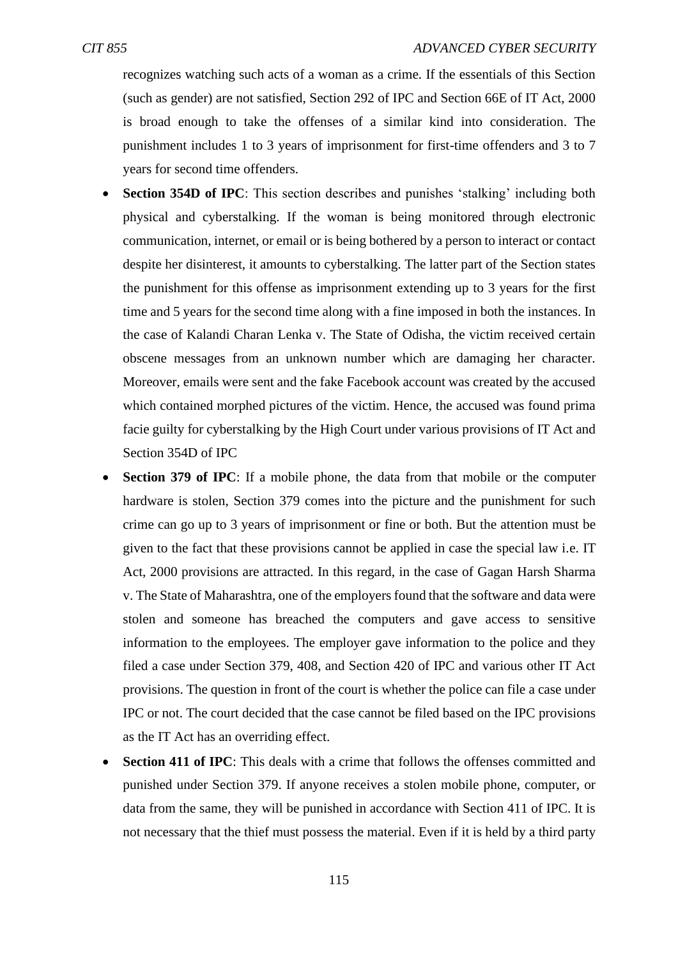recognizes watching such acts of a woman as a crime. If the essentials of this Section (such as gender) are not satisfied, Section 292 of IPC and Section 66E of IT Act, 2000 is broad enough to take the offenses of a similar kind into consideration. The punishment includes 1 to 3 years of imprisonment for first-time offenders and 3 to 7 years for second time offenders.

- **Section 354D of IPC**: This section describes and punishes 'stalking' including both physical and cyberstalking. If the woman is being monitored through electronic communication, internet, or email or is being bothered by a person to interact or contact despite her disinterest, it amounts to cyberstalking. The latter part of the Section states the punishment for this offense as imprisonment extending up to 3 years for the first time and 5 years for the second time along with a fine imposed in both the instances. In the case of Kalandi Charan Lenka v. The State of Odisha, the victim received certain obscene messages from an unknown number which are damaging her character. Moreover, emails were sent and the fake Facebook account was created by the accused which contained morphed pictures of the victim. Hence, the accused was found prima facie guilty for cyberstalking by the High Court under various provisions of IT Act and Section 354D of IPC
- **Section 379 of IPC**: If a mobile phone, the data from that mobile or the computer hardware is stolen, Section 379 comes into the picture and the punishment for such crime can go up to 3 years of imprisonment or fine or both. But the attention must be given to the fact that these provisions cannot be applied in case the special law i.e. IT Act, 2000 provisions are attracted. In this regard, in the case of Gagan Harsh Sharma v. The State of Maharashtra, one of the employers found that the software and data were stolen and someone has breached the computers and gave access to sensitive information to the employees. The employer gave information to the police and they filed a case under Section 379, 408, and Section 420 of IPC and various other IT Act provisions. The question in front of the court is whether the police can file a case under IPC or not. The court decided that the case cannot be filed based on the IPC provisions as the IT Act has an overriding effect.
- **Section 411 of IPC**: This deals with a crime that follows the offenses committed and punished under Section 379. If anyone receives a stolen mobile phone, computer, or data from the same, they will be punished in accordance with Section 411 of IPC. It is not necessary that the thief must possess the material. Even if it is held by a third party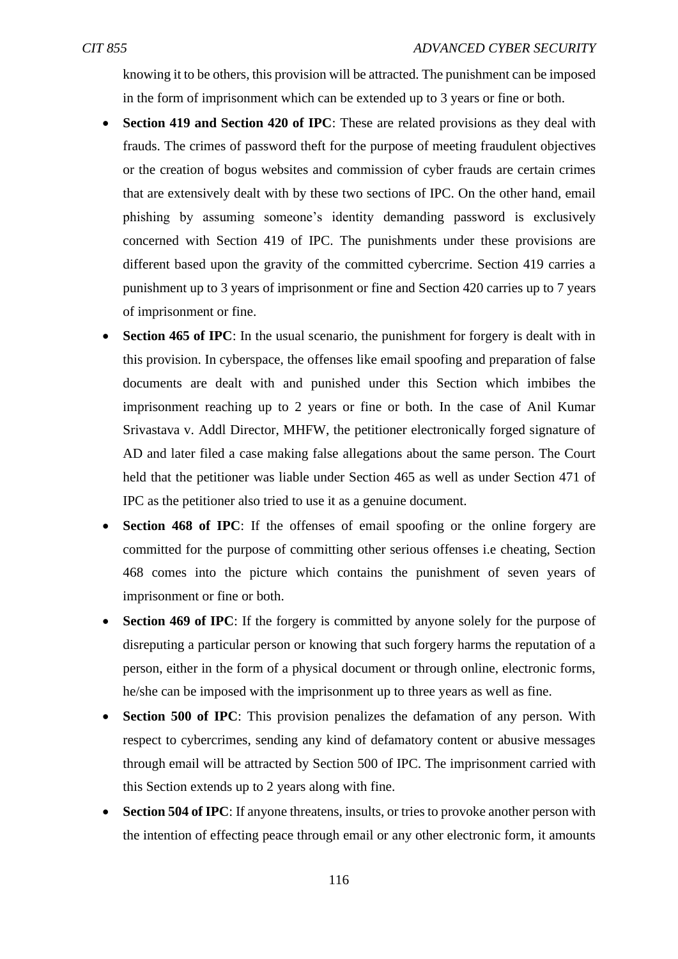knowing it to be others, this provision will be attracted. The punishment can be imposed in the form of imprisonment which can be extended up to 3 years or fine or both.

- **Section 419 and Section 420 of IPC**: These are related provisions as they deal with frauds. The crimes of password theft for the purpose of meeting fraudulent objectives or the creation of bogus websites and commission of cyber frauds are certain crimes that are extensively dealt with by these two sections of IPC. On the other hand, email phishing by assuming someone's identity demanding password is exclusively concerned with Section 419 of IPC. The punishments under these provisions are different based upon the gravity of the committed cybercrime. Section 419 carries a punishment up to 3 years of imprisonment or fine and Section 420 carries up to 7 years of imprisonment or fine.
- **Section 465 of IPC**: In the usual scenario, the punishment for forgery is dealt with in this provision. In cyberspace, the offenses like email spoofing and preparation of false documents are dealt with and punished under this Section which imbibes the imprisonment reaching up to 2 years or fine or both. In the case of Anil Kumar Srivastava v. Addl Director, MHFW, the petitioner electronically forged signature of AD and later filed a case making false allegations about the same person. The Court held that the petitioner was liable under Section 465 as well as under Section 471 of IPC as the petitioner also tried to use it as a genuine document.
- **Section 468 of IPC**: If the offenses of email spoofing or the online forgery are committed for the purpose of committing other serious offenses i.e cheating, Section 468 comes into the picture which contains the punishment of seven years of imprisonment or fine or both.
- **Section 469 of IPC**: If the forgery is committed by anyone solely for the purpose of disreputing a particular person or knowing that such forgery harms the reputation of a person, either in the form of a physical document or through online, electronic forms, he/she can be imposed with the imprisonment up to three years as well as fine.
- **Section 500 of IPC**: This provision penalizes the defamation of any person. With respect to cybercrimes, sending any kind of defamatory content or abusive messages through email will be attracted by Section 500 of IPC. The imprisonment carried with this Section extends up to 2 years along with fine.
- **Section 504 of IPC**: If anyone threatens, insults, or tries to provoke another person with the intention of effecting peace through email or any other electronic form, it amounts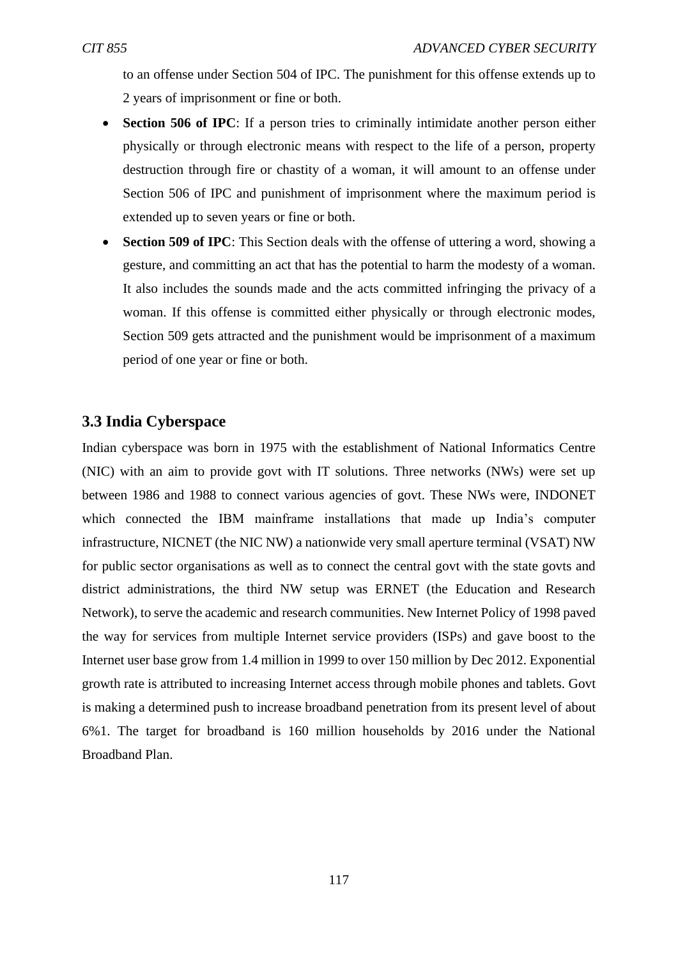to an offense under Section 504 of IPC. The punishment for this offense extends up to 2 years of imprisonment or fine or both.

- **Section 506 of IPC**: If a person tries to criminally intimidate another person either physically or through electronic means with respect to the life of a person, property destruction through fire or chastity of a woman, it will amount to an offense under Section 506 of IPC and punishment of imprisonment where the maximum period is extended up to seven years or fine or both.
- **Section 509 of IPC**: This Section deals with the offense of uttering a word, showing a gesture, and committing an act that has the potential to harm the modesty of a woman. It also includes the sounds made and the acts committed infringing the privacy of a woman. If this offense is committed either physically or through electronic modes, Section 509 gets attracted and the punishment would be imprisonment of a maximum period of one year or fine or both.

#### **3.3 India Cyberspace**

Indian cyberspace was born in 1975 with the establishment of National Informatics Centre (NIC) with an aim to provide govt with IT solutions. Three networks (NWs) were set up between 1986 and 1988 to connect various agencies of govt. These NWs were, INDONET which connected the IBM mainframe installations that made up India's computer infrastructure, NICNET (the NIC NW) a nationwide very small aperture terminal (VSAT) NW for public sector organisations as well as to connect the central govt with the state govts and district administrations, the third NW setup was ERNET (the Education and Research Network), to serve the academic and research communities. New Internet Policy of 1998 paved the way for services from multiple Internet service providers (ISPs) and gave boost to the Internet user base grow from 1.4 million in 1999 to over 150 million by Dec 2012. Exponential growth rate is attributed to increasing Internet access through mobile phones and tablets. Govt is making a determined push to increase broadband penetration from its present level of about 6%1. The target for broadband is 160 million households by 2016 under the National Broadband Plan.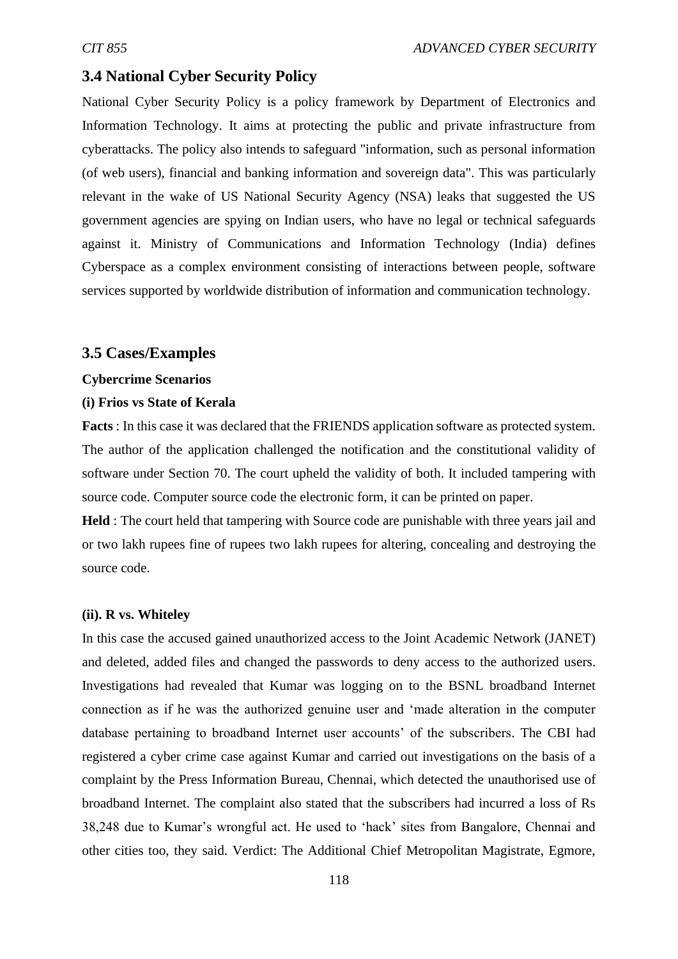#### **3.4 National Cyber Security Policy**

National Cyber Security Policy is a policy framework by Department of Electronics and Information Technology. It aims at protecting the public and private infrastructure from cyberattacks. The policy also intends to safeguard "information, such as personal information (of web users), financial and banking information and sovereign data". This was particularly relevant in the wake of US National Security Agency (NSA) leaks that suggested the US government agencies are spying on Indian users, who have no legal or technical safeguards against it. Ministry of Communications and Information Technology (India) defines Cyberspace as a complex environment consisting of interactions between people, software services supported by worldwide distribution of information and communication technology.

#### **3.5 Cases/Examples**

#### **Cybercrime Scenarios**

#### **(i) Frios vs State of Kerala**

**Facts** : In this case it was declared that the FRIENDS application software as protected system. The author of the application challenged the notification and the constitutional validity of software under Section 70. The court upheld the validity of both. It included tampering with source code. Computer source code the electronic form, it can be printed on paper.

**Held** : The court held that tampering with Source code are punishable with three years jail and or two lakh rupees fine of rupees two lakh rupees for altering, concealing and destroying the source code.

#### **(ii). R vs. Whiteley**

In this case the accused gained unauthorized access to the Joint Academic Network (JANET) and deleted, added files and changed the passwords to deny access to the authorized users. Investigations had revealed that Kumar was logging on to the BSNL broadband Internet connection as if he was the authorized genuine user and 'made alteration in the computer database pertaining to broadband Internet user accounts' of the subscribers. The CBI had registered a cyber crime case against Kumar and carried out investigations on the basis of a complaint by the Press Information Bureau, Chennai, which detected the unauthorised use of broadband Internet. The complaint also stated that the subscribers had incurred a loss of Rs 38,248 due to Kumar's wrongful act. He used to 'hack' sites from Bangalore, Chennai and other cities too, they said. Verdict: The Additional Chief Metropolitan Magistrate, Egmore,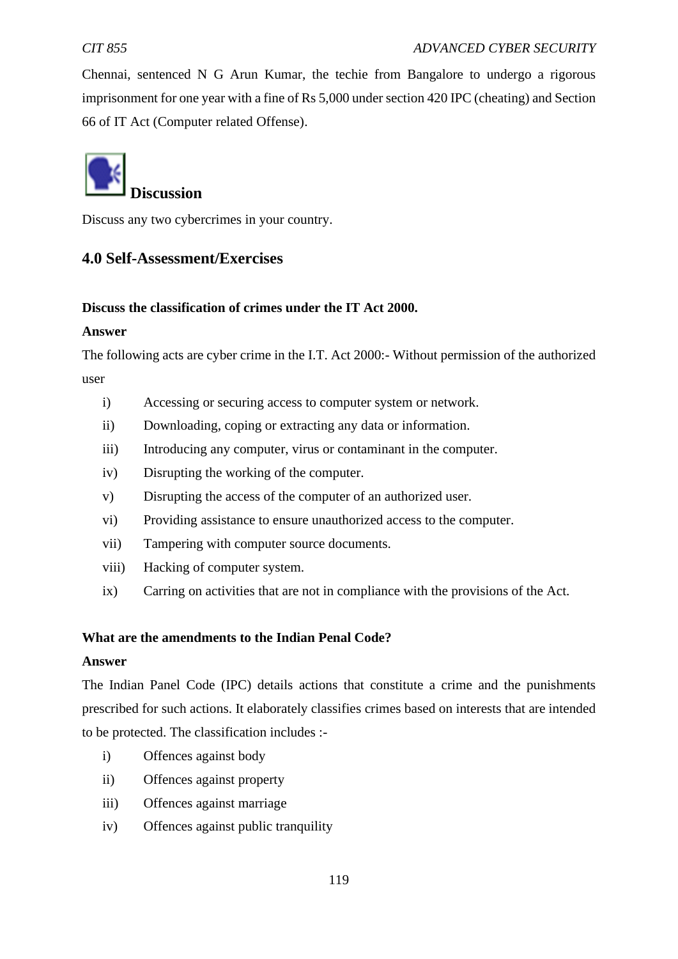Chennai, sentenced N G Arun Kumar, the techie from Bangalore to undergo a rigorous imprisonment for one year with a fine of Rs 5,000 under section 420 IPC (cheating) and Section 66 of IT Act (Computer related Offense).



Discuss any two cybercrimes in your country.

#### **4.0 Self-Assessment/Exercises**

#### **Discuss the classification of crimes under the IT Act 2000.**

#### **Answer**

The following acts are cyber crime in the I.T. Act 2000:- Without permission of the authorized user

- i) Accessing or securing access to computer system or network.
- ii) Downloading, coping or extracting any data or information.
- iii) Introducing any computer, virus or contaminant in the computer.
- iv) Disrupting the working of the computer.
- v) Disrupting the access of the computer of an authorized user.
- vi) Providing assistance to ensure unauthorized access to the computer.
- vii) Tampering with computer source documents.
- viii) Hacking of computer system.
- ix) Carring on activities that are not in compliance with the provisions of the Act.

#### **What are the amendments to the Indian Penal Code?**

#### **Answer**

The Indian Panel Code (IPC) details actions that constitute a crime and the punishments prescribed for such actions. It elaborately classifies crimes based on interests that are intended to be protected. The classification includes :-

- i) Offences against body
- ii) Offences against property
- iii) Offences against marriage
- iv) Offences against public tranquility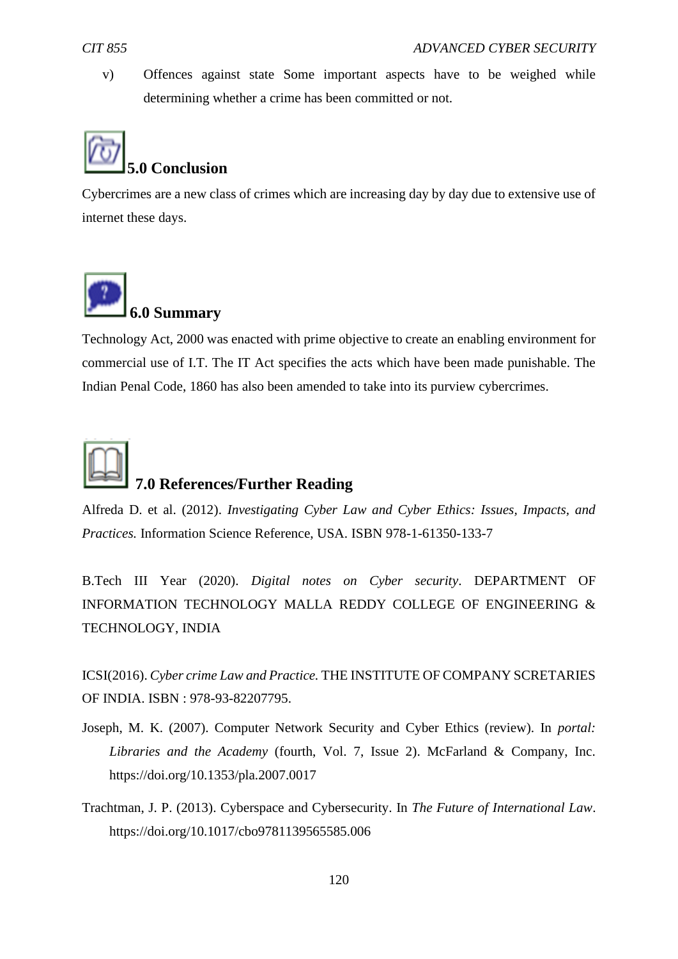v) Offences against state Some important aspects have to be weighed while determining whether a crime has been committed or not.



Cybercrimes are a new class of crimes which are increasing day by day due to extensive use of internet these days.



Technology Act, 2000 was enacted with prime objective to create an enabling environment for commercial use of I.T. The IT Act specifies the acts which have been made punishable. The Indian Penal Code, 1860 has also been amended to take into its purview cybercrimes.



Alfreda D. et al. (2012). *Investigating Cyber Law and Cyber Ethics: Issues, Impacts, and Practices.* Information Science Reference, USA. ISBN 978-1-61350-133-7

B.Tech III Year (2020). *Digital notes on Cyber security*. DEPARTMENT OF INFORMATION TECHNOLOGY MALLA REDDY COLLEGE OF ENGINEERING & TECHNOLOGY, INDIA

ICSI(2016). *Cyber crime Law and Practice.* THE INSTITUTE OF COMPANY SCRETARIES OF INDIA. ISBN : 978-93-82207795.

- Joseph, M. K. (2007). Computer Network Security and Cyber Ethics (review). In *portal: Libraries and the Academy* (fourth, Vol. 7, Issue 2). McFarland & Company, Inc. https://doi.org/10.1353/pla.2007.0017
- Trachtman, J. P. (2013). Cyberspace and Cybersecurity. In *The Future of International Law*. https://doi.org/10.1017/cbo9781139565585.006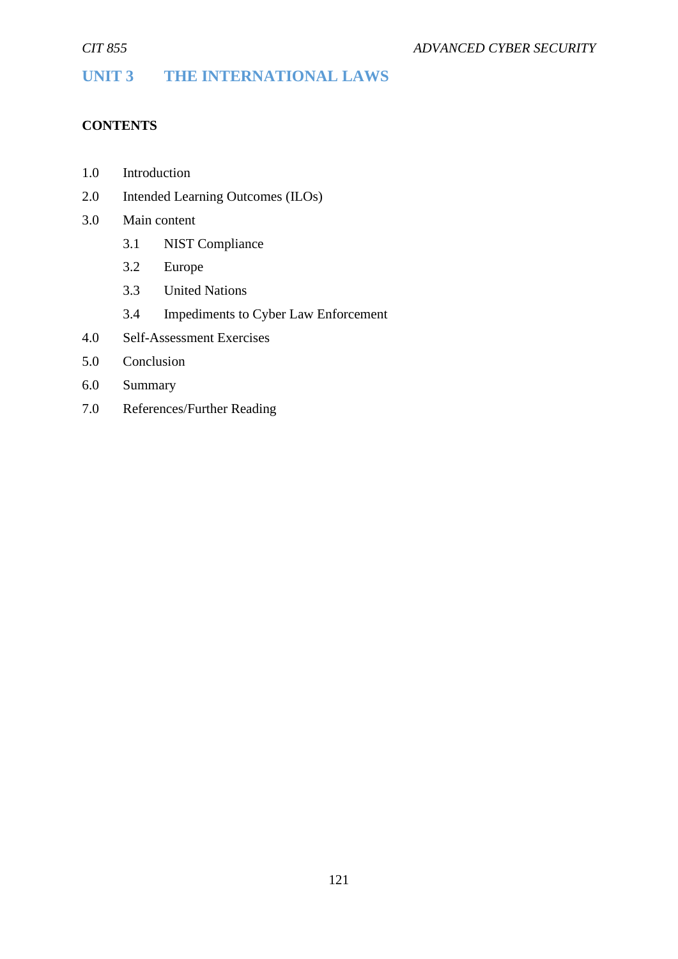### **UNIT 3 THE INTERNATIONAL LAWS**

#### **CONTENTS**

- 1.0 Introduction
- 2.0 Intended Learning Outcomes (ILOs)
- 3.0 Main content
	- 3.1 NIST Compliance
	- 3.2 Europe
	- 3.3 United Nations
	- 3.4 Impediments to Cyber Law Enforcement
- 4.0 Self-Assessment Exercises
- 5.0 Conclusion
- 6.0 Summary
- 7.0 References/Further Reading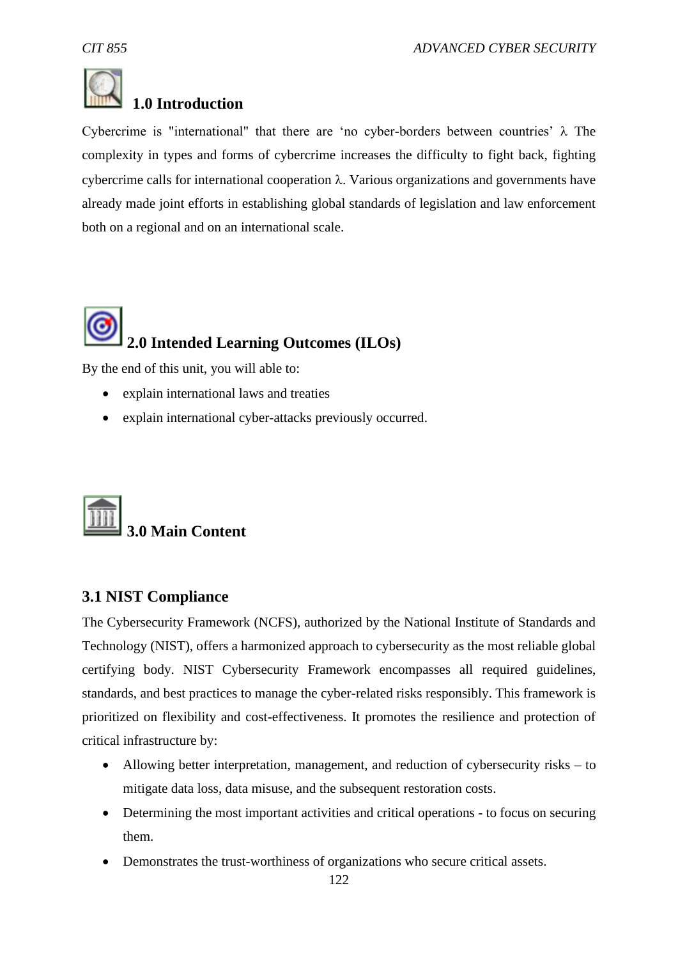

## **1.0 Introduction**

Cybercrime is "international" that there are 'no cyber-borders between countries'  $\lambda$  The complexity in types and forms of cybercrime increases the difficulty to fight back, fighting cybercrime calls for international cooperation  $\lambda$ . Various organizations and governments have already made joint efforts in establishing global standards of legislation and law enforcement both on a regional and on an international scale.



By the end of this unit, you will able to:

- explain international laws and treaties
- explain international cyber-attacks previously occurred.



### **3.1 NIST Compliance**

The Cybersecurity Framework (NCFS), authorized by the National Institute of Standards and Technology (NIST), offers a harmonized approach to cybersecurity as the most reliable global certifying body. NIST Cybersecurity Framework encompasses all required guidelines, standards, and best practices to manage the cyber-related risks responsibly. This framework is prioritized on flexibility and cost-effectiveness. It promotes the resilience and protection of critical infrastructure by:

- Allowing better interpretation, management, and reduction of cybersecurity risks to mitigate data loss, data misuse, and the subsequent restoration costs.
- Determining the most important activities and critical operations to focus on securing them.
- Demonstrates the trust-worthiness of organizations who secure critical assets.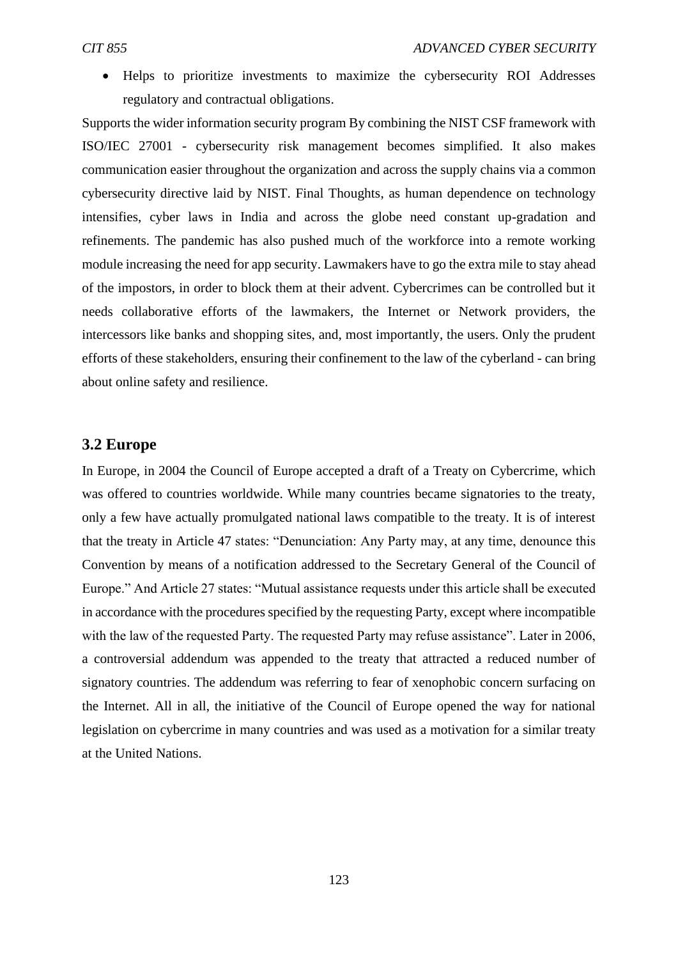• Helps to prioritize investments to maximize the cybersecurity ROI Addresses regulatory and contractual obligations.

Supports the wider information security program By combining the NIST CSF framework with ISO/IEC 27001 - cybersecurity risk management becomes simplified. It also makes communication easier throughout the organization and across the supply chains via a common cybersecurity directive laid by NIST. Final Thoughts, as human dependence on technology intensifies, cyber laws in India and across the globe need constant up-gradation and refinements. The pandemic has also pushed much of the workforce into a remote working module increasing the need for app security. Lawmakers have to go the extra mile to stay ahead of the impostors, in order to block them at their advent. Cybercrimes can be controlled but it needs collaborative efforts of the lawmakers, the Internet or Network providers, the intercessors like banks and shopping sites, and, most importantly, the users. Only the prudent efforts of these stakeholders, ensuring their confinement to the law of the cyberland - can bring about online safety and resilience.

#### **3.2 Europe**

In Europe, in 2004 the Council of Europe accepted a draft of a Treaty on Cybercrime, which was offered to countries worldwide. While many countries became signatories to the treaty, only a few have actually promulgated national laws compatible to the treaty. It is of interest that the treaty in Article 47 states: "Denunciation: Any Party may, at any time, denounce this Convention by means of a notification addressed to the Secretary General of the Council of Europe." And Article 27 states: "Mutual assistance requests under this article shall be executed in accordance with the procedures specified by the requesting Party, except where incompatible with the law of the requested Party. The requested Party may refuse assistance". Later in 2006, a controversial addendum was appended to the treaty that attracted a reduced number of signatory countries. The addendum was referring to fear of xenophobic concern surfacing on the Internet. All in all, the initiative of the Council of Europe opened the way for national legislation on cybercrime in many countries and was used as a motivation for a similar treaty at the United Nations.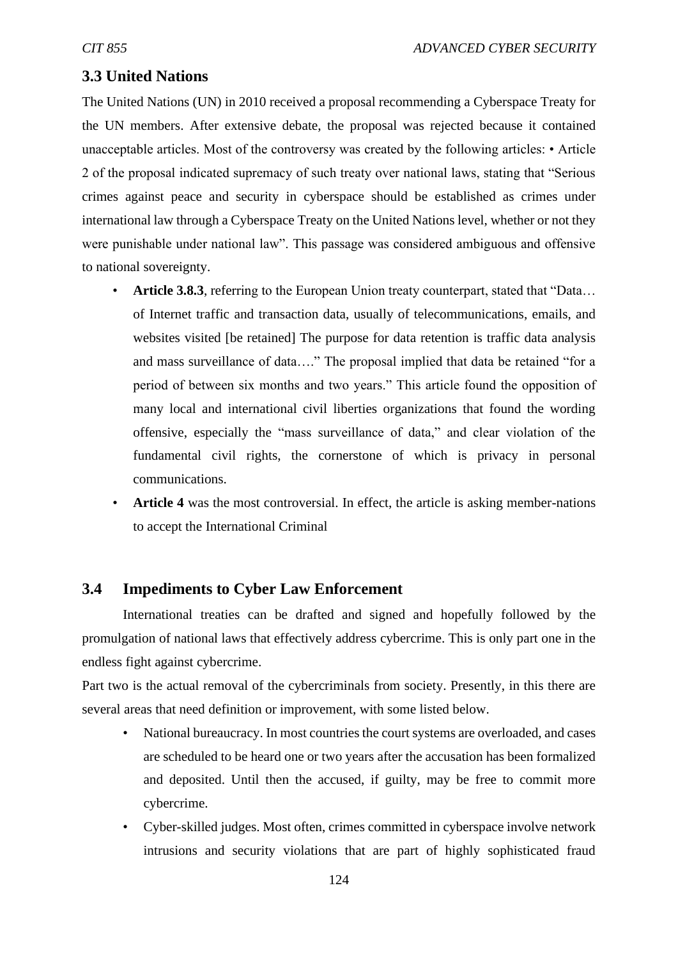#### **3.3 United Nations**

The United Nations (UN) in 2010 received a proposal recommending a Cyberspace Treaty for the UN members. After extensive debate, the proposal was rejected because it contained unacceptable articles. Most of the controversy was created by the following articles: • Article 2 of the proposal indicated supremacy of such treaty over national laws, stating that "Serious crimes against peace and security in cyberspace should be established as crimes under international law through a Cyberspace Treaty on the United Nations level, whether or not they were punishable under national law". This passage was considered ambiguous and offensive to national sovereignty.

- **Article 3.8.3**, referring to the European Union treaty counterpart, stated that "Data... of Internet traffic and transaction data, usually of telecommunications, emails, and websites visited [be retained] The purpose for data retention is traffic data analysis and mass surveillance of data…." The proposal implied that data be retained "for a period of between six months and two years." This article found the opposition of many local and international civil liberties organizations that found the wording offensive, especially the "mass surveillance of data," and clear violation of the fundamental civil rights, the cornerstone of which is privacy in personal communications.
- Article 4 was the most controversial. In effect, the article is asking member-nations to accept the International Criminal

#### **3.4 Impediments to Cyber Law Enforcement**

International treaties can be drafted and signed and hopefully followed by the promulgation of national laws that effectively address cybercrime. This is only part one in the endless fight against cybercrime.

Part two is the actual removal of the cybercriminals from society. Presently, in this there are several areas that need definition or improvement, with some listed below.

- National bureaucracy. In most countries the court systems are overloaded, and cases are scheduled to be heard one or two years after the accusation has been formalized and deposited. Until then the accused, if guilty, may be free to commit more cybercrime.
- Cyber-skilled judges. Most often, crimes committed in cyberspace involve network intrusions and security violations that are part of highly sophisticated fraud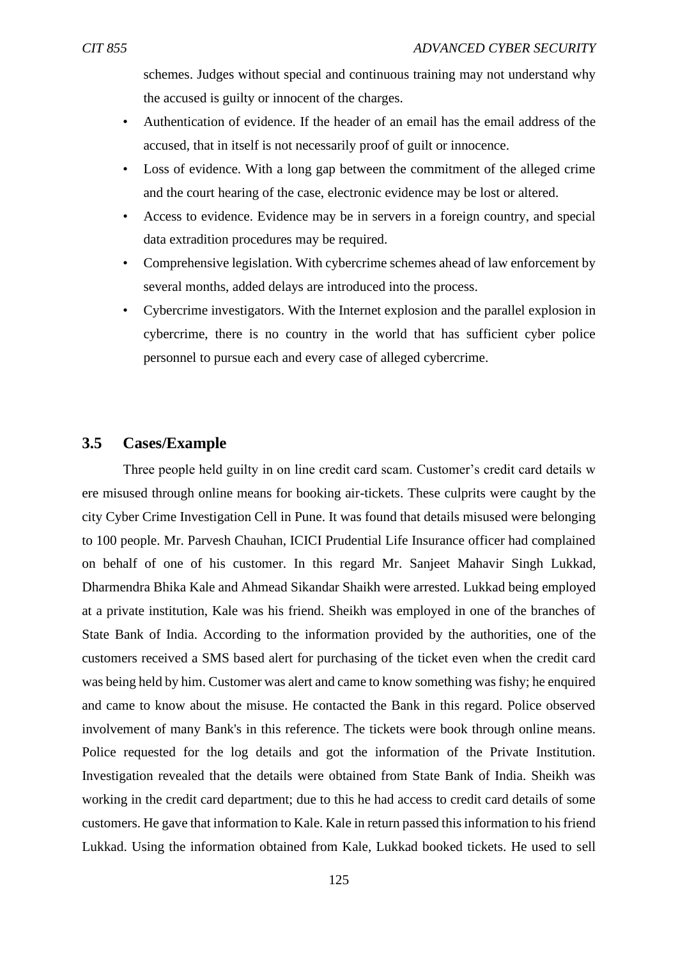schemes. Judges without special and continuous training may not understand why the accused is guilty or innocent of the charges.

- Authentication of evidence. If the header of an email has the email address of the accused, that in itself is not necessarily proof of guilt or innocence.
- Loss of evidence. With a long gap between the commitment of the alleged crime and the court hearing of the case, electronic evidence may be lost or altered.
- Access to evidence. Evidence may be in servers in a foreign country, and special data extradition procedures may be required.
- Comprehensive legislation. With cybercrime schemes ahead of law enforcement by several months, added delays are introduced into the process.
- Cybercrime investigators. With the Internet explosion and the parallel explosion in cybercrime, there is no country in the world that has sufficient cyber police personnel to pursue each and every case of alleged cybercrime.

#### **3.5 Cases/Example**

Three people held guilty in on line credit card scam. Customer's credit card details w ere misused through online means for booking air-tickets. These culprits were caught by the city Cyber Crime Investigation Cell in Pune. It was found that details misused were belonging to 100 people. Mr. Parvesh Chauhan, ICICI Prudential Life Insurance officer had complained on behalf of one of his customer. In this regard Mr. Sanjeet Mahavir Singh Lukkad, Dharmendra Bhika Kale and Ahmead Sikandar Shaikh were arrested. Lukkad being employed at a private institution, Kale was his friend. Sheikh was employed in one of the branches of State Bank of India. According to the information provided by the authorities, one of the customers received a SMS based alert for purchasing of the ticket even when the credit card was being held by him. Customer was alert and came to know something was fishy; he enquired and came to know about the misuse. He contacted the Bank in this regard. Police observed involvement of many Bank's in this reference. The tickets were book through online means. Police requested for the log details and got the information of the Private Institution. Investigation revealed that the details were obtained from State Bank of India. Sheikh was working in the credit card department; due to this he had access to credit card details of some customers. He gave that information to Kale. Kale in return passed this information to his friend Lukkad. Using the information obtained from Kale, Lukkad booked tickets. He used to sell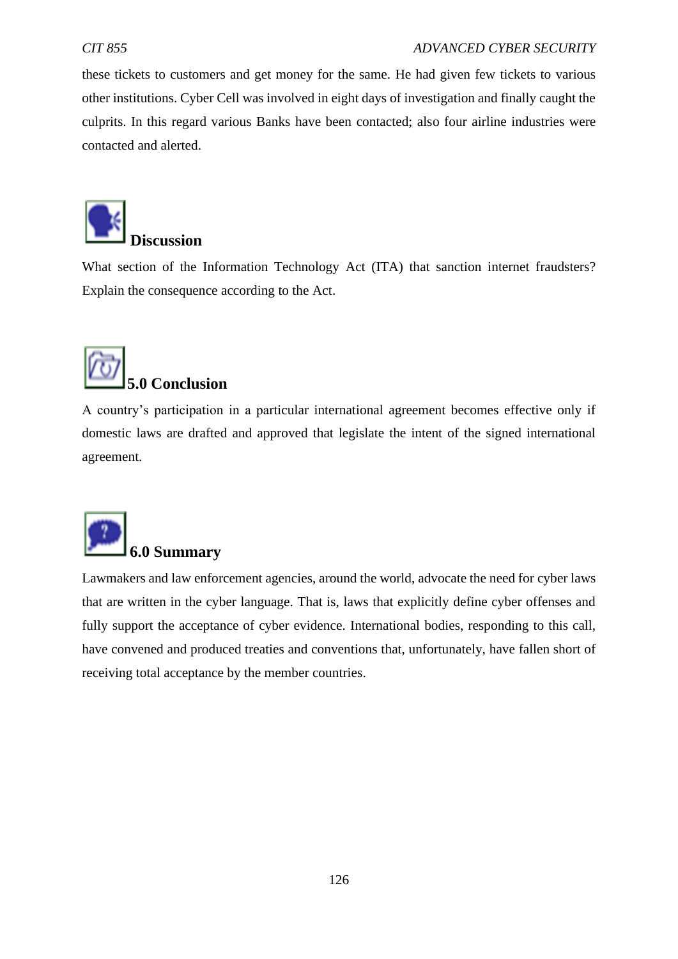these tickets to customers and get money for the same. He had given few tickets to various other institutions. Cyber Cell was involved in eight days of investigation and finally caught the culprits. In this regard various Banks have been contacted; also four airline industries were contacted and alerted.



What section of the Information Technology Act (ITA) that sanction internet fraudsters? Explain the consequence according to the Act.

# **5.0 Conclusion**

A country's participation in a particular international agreement becomes effective only if domestic laws are drafted and approved that legislate the intent of the signed international agreement.



Lawmakers and law enforcement agencies, around the world, advocate the need for cyber laws that are written in the cyber language. That is, laws that explicitly define cyber offenses and fully support the acceptance of cyber evidence. International bodies, responding to this call, have convened and produced treaties and conventions that, unfortunately, have fallen short of receiving total acceptance by the member countries.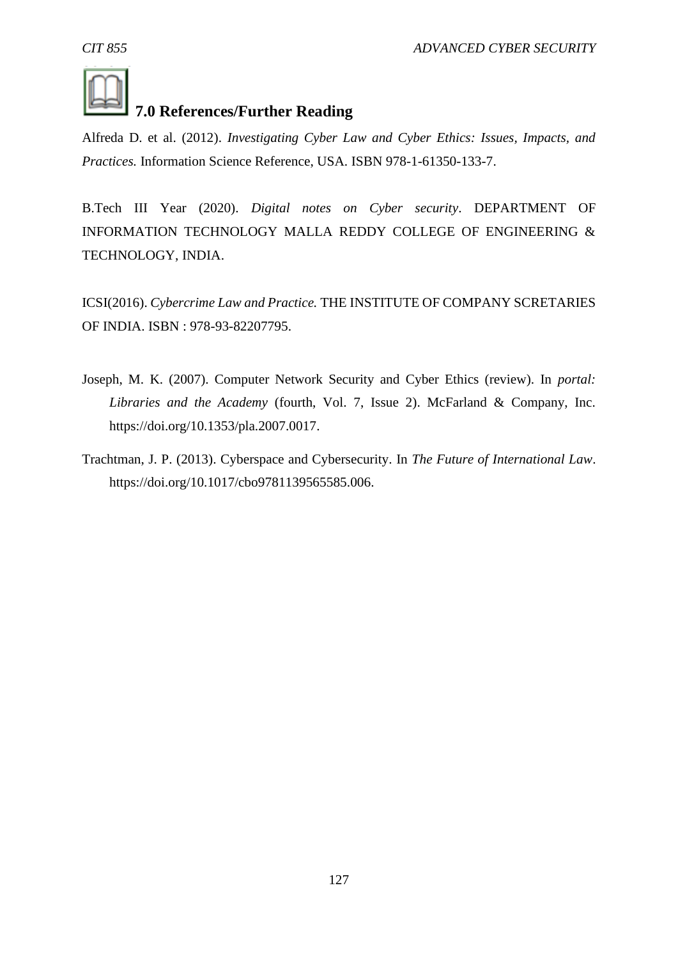

## **7.0 References/Further Reading**

Alfreda D. et al. (2012). *Investigating Cyber Law and Cyber Ethics: Issues, Impacts, and Practices.* Information Science Reference, USA. ISBN 978-1-61350-133-7.

B.Tech III Year (2020). *Digital notes on Cyber security*. DEPARTMENT OF INFORMATION TECHNOLOGY MALLA REDDY COLLEGE OF ENGINEERING & TECHNOLOGY, INDIA.

ICSI(2016). *Cybercrime Law and Practice.* THE INSTITUTE OF COMPANY SCRETARIES OF INDIA. ISBN : 978-93-82207795.

- Joseph, M. K. (2007). Computer Network Security and Cyber Ethics (review). In *portal: Libraries and the Academy* (fourth, Vol. 7, Issue 2). McFarland & Company, Inc. https://doi.org/10.1353/pla.2007.0017.
- Trachtman, J. P. (2013). Cyberspace and Cybersecurity. In *The Future of International Law*. https://doi.org/10.1017/cbo9781139565585.006.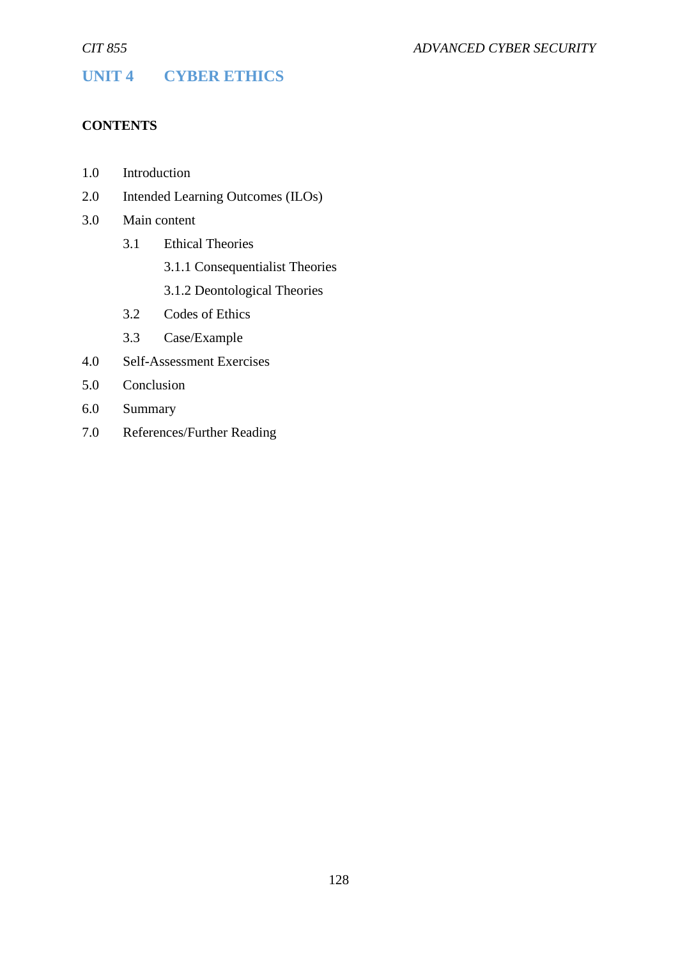## **UNIT 4 CYBER ETHICS**

#### **CONTENTS**

- 1.0 Introduction
- 2.0 Intended Learning Outcomes (ILOs)
- 3.0 Main content
	- 3.1 Ethical Theories
		- 3.1.1 Consequentialist Theories
		- 3.1.2 Deontological Theories
	- 3.2 Codes of Ethics
	- 3.3 Case/Example
- 4.0 Self-Assessment Exercises
- 5.0 Conclusion
- 6.0 Summary
- 7.0 References/Further Reading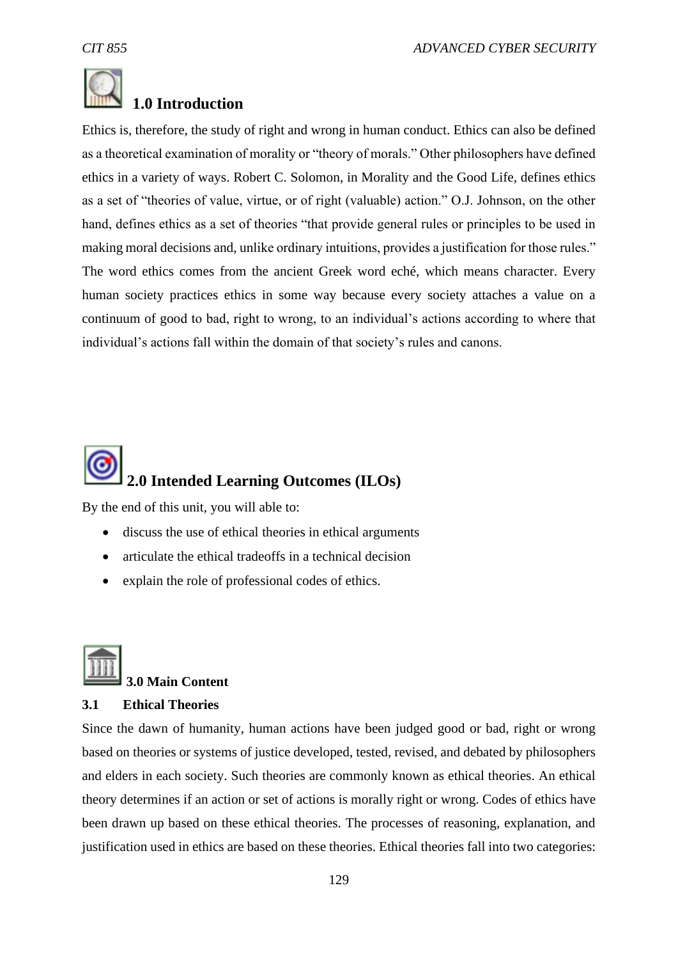

## **1.0 Introduction**

Ethics is, therefore, the study of right and wrong in human conduct. Ethics can also be defined as a theoretical examination of morality or "theory of morals." Other philosophers have defined ethics in a variety of ways. Robert C. Solomon, in Morality and the Good Life, defines ethics as a set of "theories of value, virtue, or of right (valuable) action." O.J. Johnson, on the other hand, defines ethics as a set of theories "that provide general rules or principles to be used in making moral decisions and, unlike ordinary intuitions, provides a justification for those rules." The word ethics comes from the ancient Greek word eché, which means character. Every human society practices ethics in some way because every society attaches a value on a continuum of good to bad, right to wrong, to an individual's actions according to where that individual's actions fall within the domain of that society's rules and canons.



By the end of this unit, you will able to:

- discuss the use of ethical theories in ethical arguments
- articulate the ethical tradeoffs in a technical decision
- explain the role of professional codes of ethics.



#### **3.0 Main Content**

#### **3.1 Ethical Theories**

Since the dawn of humanity, human actions have been judged good or bad, right or wrong based on theories or systems of justice developed, tested, revised, and debated by philosophers and elders in each society. Such theories are commonly known as ethical theories. An ethical theory determines if an action or set of actions is morally right or wrong. Codes of ethics have been drawn up based on these ethical theories. The processes of reasoning, explanation, and justification used in ethics are based on these theories. Ethical theories fall into two categories: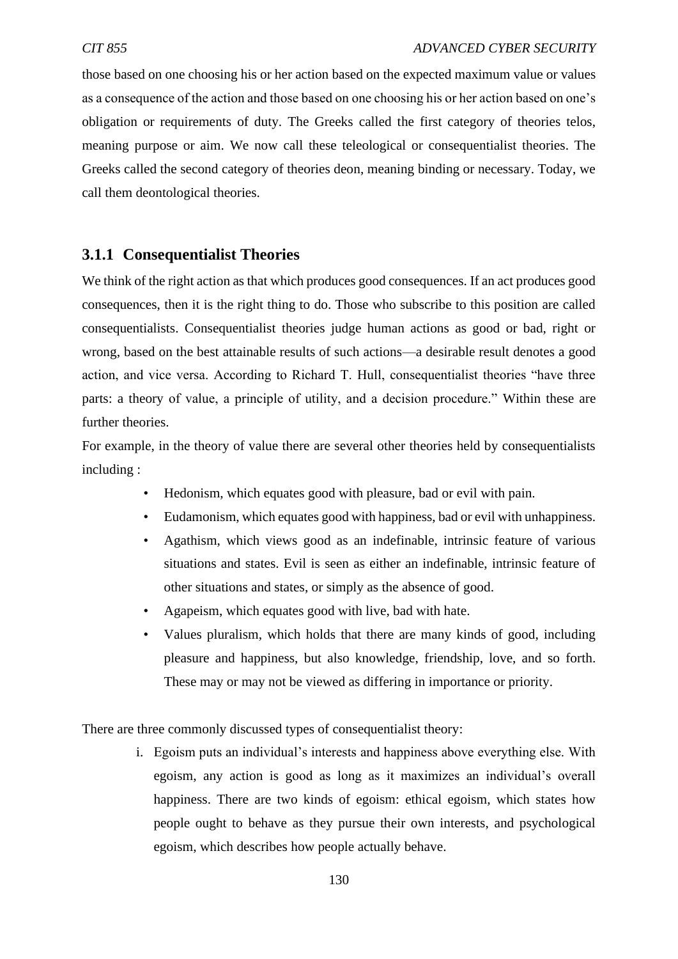those based on one choosing his or her action based on the expected maximum value or values as a consequence of the action and those based on one choosing his or her action based on one's obligation or requirements of duty. The Greeks called the first category of theories telos, meaning purpose or aim. We now call these teleological or consequentialist theories. The Greeks called the second category of theories deon, meaning binding or necessary. Today, we call them deontological theories.

#### **3.1.1 Consequentialist Theories**

We think of the right action as that which produces good consequences. If an act produces good consequences, then it is the right thing to do. Those who subscribe to this position are called consequentialists. Consequentialist theories judge human actions as good or bad, right or wrong, based on the best attainable results of such actions—a desirable result denotes a good action, and vice versa. According to Richard T. Hull, consequentialist theories "have three parts: a theory of value, a principle of utility, and a decision procedure." Within these are further theories.

For example, in the theory of value there are several other theories held by consequentialists including :

- Hedonism, which equates good with pleasure, bad or evil with pain.
- Eudamonism, which equates good with happiness, bad or evil with unhappiness.
- Agathism, which views good as an indefinable, intrinsic feature of various situations and states. Evil is seen as either an indefinable, intrinsic feature of other situations and states, or simply as the absence of good.
- Agapeism, which equates good with live, bad with hate.
- Values pluralism, which holds that there are many kinds of good, including pleasure and happiness, but also knowledge, friendship, love, and so forth. These may or may not be viewed as differing in importance or priority.

There are three commonly discussed types of consequentialist theory:

i. Egoism puts an individual's interests and happiness above everything else. With egoism, any action is good as long as it maximizes an individual's overall happiness. There are two kinds of egoism: ethical egoism, which states how people ought to behave as they pursue their own interests, and psychological egoism, which describes how people actually behave.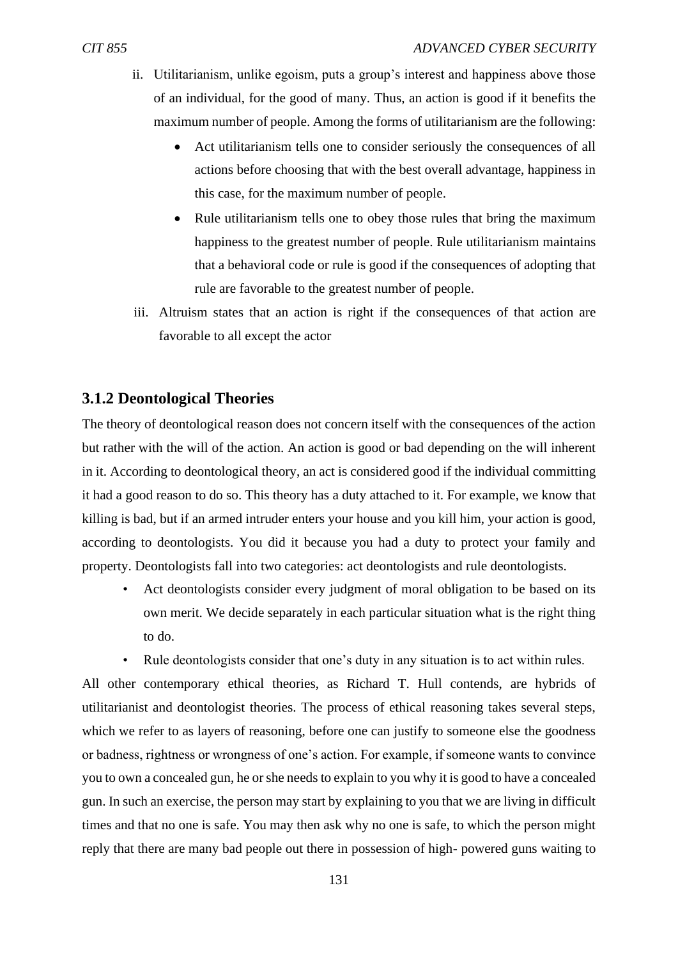- ii. Utilitarianism, unlike egoism, puts a group's interest and happiness above those of an individual, for the good of many. Thus, an action is good if it benefits the maximum number of people. Among the forms of utilitarianism are the following:
	- Act utilitarianism tells one to consider seriously the consequences of all actions before choosing that with the best overall advantage, happiness in this case, for the maximum number of people.
	- Rule utilitarianism tells one to obey those rules that bring the maximum happiness to the greatest number of people. Rule utilitarianism maintains that a behavioral code or rule is good if the consequences of adopting that rule are favorable to the greatest number of people.
- iii. Altruism states that an action is right if the consequences of that action are favorable to all except the actor

#### **3.1.2 Deontological Theories**

The theory of deontological reason does not concern itself with the consequences of the action but rather with the will of the action. An action is good or bad depending on the will inherent in it. According to deontological theory, an act is considered good if the individual committing it had a good reason to do so. This theory has a duty attached to it. For example, we know that killing is bad, but if an armed intruder enters your house and you kill him, your action is good, according to deontologists. You did it because you had a duty to protect your family and property. Deontologists fall into two categories: act deontologists and rule deontologists.

- Act deontologists consider every judgment of moral obligation to be based on its own merit. We decide separately in each particular situation what is the right thing to do.
- Rule deontologists consider that one's duty in any situation is to act within rules.

All other contemporary ethical theories, as Richard T. Hull contends, are hybrids of utilitarianist and deontologist theories. The process of ethical reasoning takes several steps, which we refer to as layers of reasoning, before one can justify to some one else the goodness or badness, rightness or wrongness of one's action. For example, if someone wants to convince you to own a concealed gun, he or she needs to explain to you why it is good to have a concealed gun. In such an exercise, the person may start by explaining to you that we are living in difficult times and that no one is safe. You may then ask why no one is safe, to which the person might reply that there are many bad people out there in possession of high- powered guns waiting to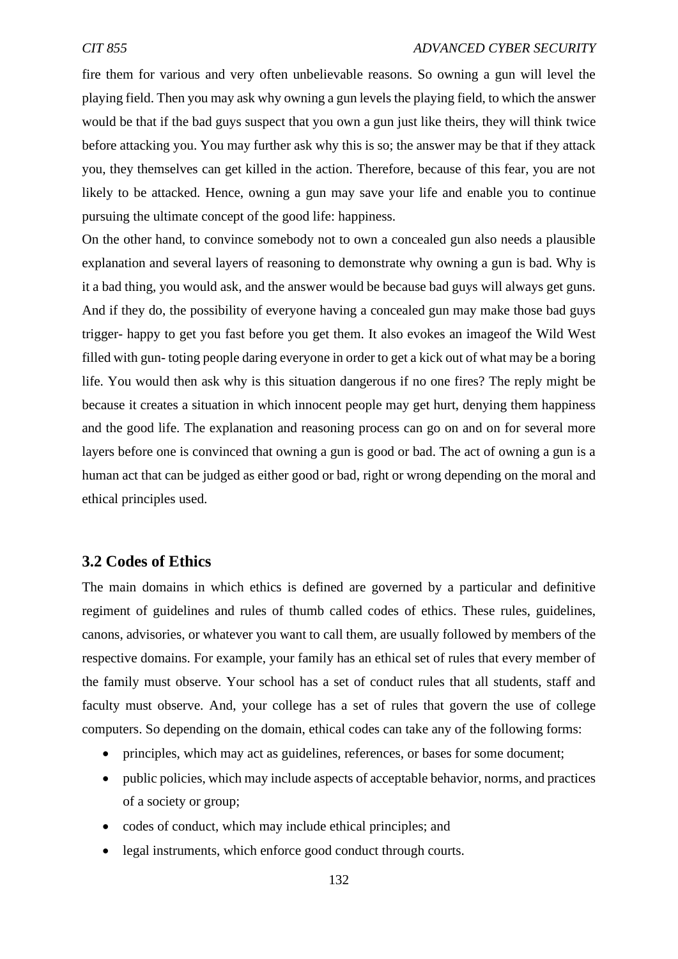fire them for various and very often unbelievable reasons. So owning a gun will level the playing field. Then you may ask why owning a gun levels the playing field, to which the answer would be that if the bad guys suspect that you own a gun just like theirs, they will think twice before attacking you. You may further ask why this is so; the answer may be that if they attack you, they themselves can get killed in the action. Therefore, because of this fear, you are not likely to be attacked. Hence, owning a gun may save your life and enable you to continue pursuing the ultimate concept of the good life: happiness.

On the other hand, to convince somebody not to own a concealed gun also needs a plausible explanation and several layers of reasoning to demonstrate why owning a gun is bad. Why is it a bad thing, you would ask, and the answer would be because bad guys will always get guns. And if they do, the possibility of everyone having a concealed gun may make those bad guys trigger- happy to get you fast before you get them. It also evokes an imageof the Wild West filled with gun- toting people daring everyone in order to get a kick out of what may be a boring life. You would then ask why is this situation dangerous if no one fires? The reply might be because it creates a situation in which innocent people may get hurt, denying them happiness and the good life. The explanation and reasoning process can go on and on for several more layers before one is convinced that owning a gun is good or bad. The act of owning a gun is a human act that can be judged as either good or bad, right or wrong depending on the moral and ethical principles used.

#### **3.2 Codes of Ethics**

The main domains in which ethics is defined are governed by a particular and definitive regiment of guidelines and rules of thumb called codes of ethics. These rules, guidelines, canons, advisories, or whatever you want to call them, are usually followed by members of the respective domains. For example, your family has an ethical set of rules that every member of the family must observe. Your school has a set of conduct rules that all students, staff and faculty must observe. And, your college has a set of rules that govern the use of college computers. So depending on the domain, ethical codes can take any of the following forms:

- principles, which may act as guidelines, references, or bases for some document;
- public policies, which may include aspects of acceptable behavior, norms, and practices of a society or group;
- codes of conduct, which may include ethical principles; and
- legal instruments, which enforce good conduct through courts.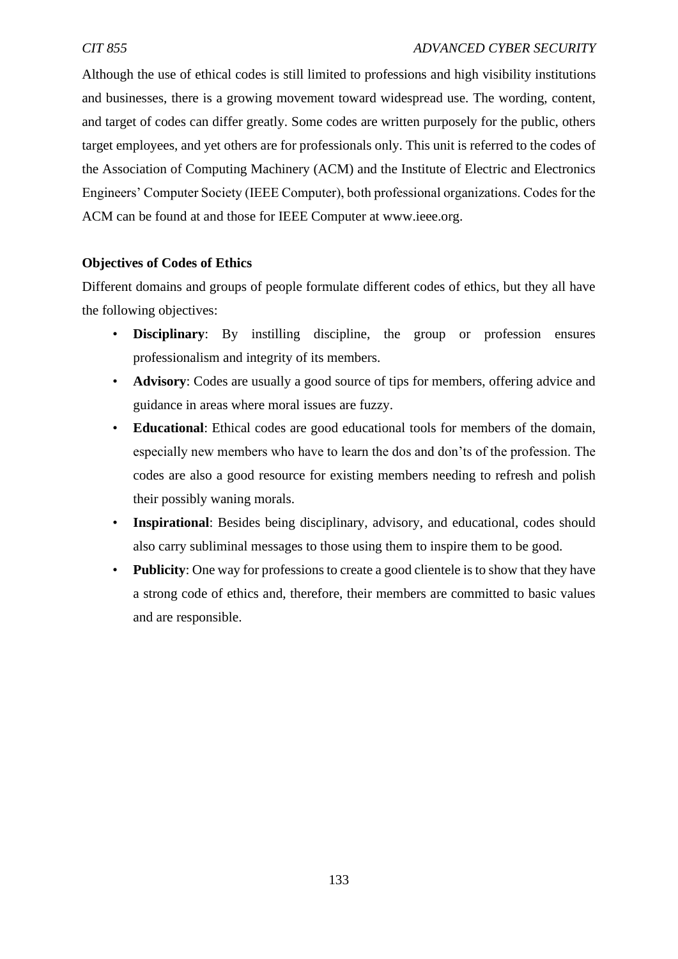Although the use of ethical codes is still limited to professions and high visibility institutions and businesses, there is a growing movement toward widespread use. The wording, content, and target of codes can differ greatly. Some codes are written purposely for the public, others target employees, and yet others are for professionals only. This unit is referred to the codes of the Association of Computing Machinery (ACM) and the Institute of Electric and Electronics Engineers' Computer Society (IEEE Computer), both professional organizations. Codes for the ACM can be found at and those for IEEE Computer at [www.ieee.org.](http://www.ieee.org/)

#### **Objectives of Codes of Ethics**

Different domains and groups of people formulate different codes of ethics, but they all have the following objectives:

- **Disciplinary**: By instilling discipline, the group or profession ensures professionalism and integrity of its members.
- **Advisory**: Codes are usually a good source of tips for members, offering advice and guidance in areas where moral issues are fuzzy.
- **Educational**: Ethical codes are good educational tools for members of the domain, especially new members who have to learn the dos and don'ts of the profession. The codes are also a good resource for existing members needing to refresh and polish their possibly waning morals.
- **Inspirational:** Besides being disciplinary, advisory, and educational, codes should also carry subliminal messages to those using them to inspire them to be good.
- **Publicity**: One way for professions to create a good clientele is to show that they have a strong code of ethics and, therefore, their members are committed to basic values and are responsible.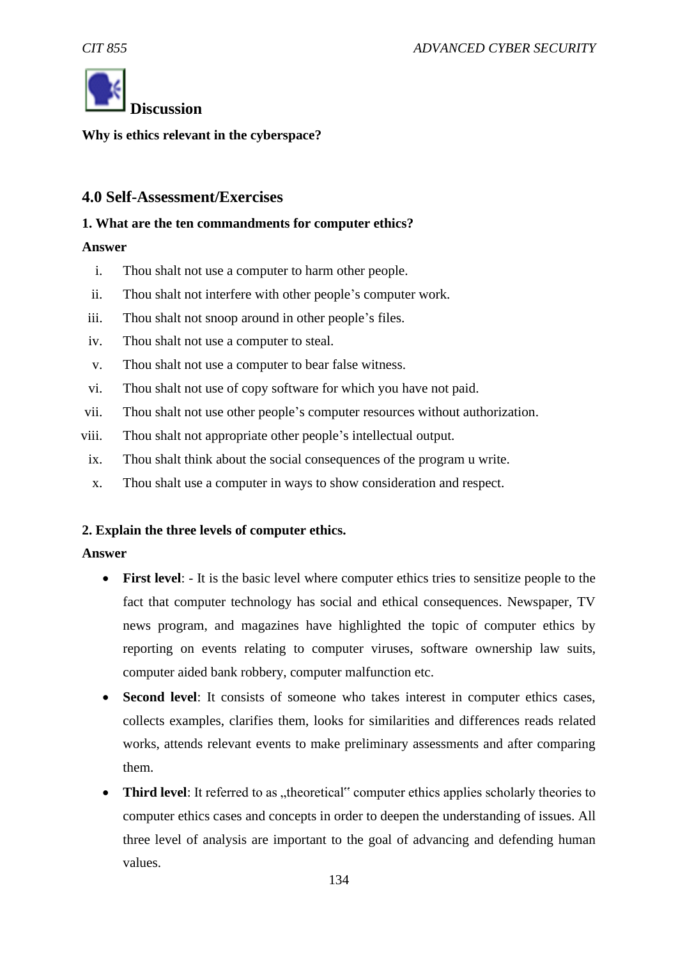

**Why is ethics relevant in the cyberspace?**

### **4.0 Self-Assessment/Exercises**

#### **1. What are the ten commandments for computer ethics?**

#### **Answer**

- i. Thou shalt not use a computer to harm other people.
- ii. Thou shalt not interfere with other people's computer work.
- iii. Thou shalt not snoop around in other people's files.
- iv. Thou shalt not use a computer to steal.
- v. Thou shalt not use a computer to bear false witness.
- vi. Thou shalt not use of copy software for which you have not paid.
- vii. Thou shalt not use other people's computer resources without authorization.
- viii. Thou shalt not appropriate other people's intellectual output.
- ix. Thou shalt think about the social consequences of the program u write.
- x. Thou shalt use a computer in ways to show consideration and respect.

#### **2. Explain the three levels of computer ethics.**

#### **Answer**

- **First level**: It is the basic level where computer ethics tries to sensitize people to the fact that computer technology has social and ethical consequences. Newspaper, TV news program, and magazines have highlighted the topic of computer ethics by reporting on events relating to computer viruses, software ownership law suits, computer aided bank robbery, computer malfunction etc.
- **Second level**: It consists of someone who takes interest in computer ethics cases, collects examples, clarifies them, looks for similarities and differences reads related works, attends relevant events to make preliminary assessments and after comparing them.
- **Third level**: It referred to as "theoretical" computer ethics applies scholarly theories to computer ethics cases and concepts in order to deepen the understanding of issues. All three level of analysis are important to the goal of advancing and defending human values.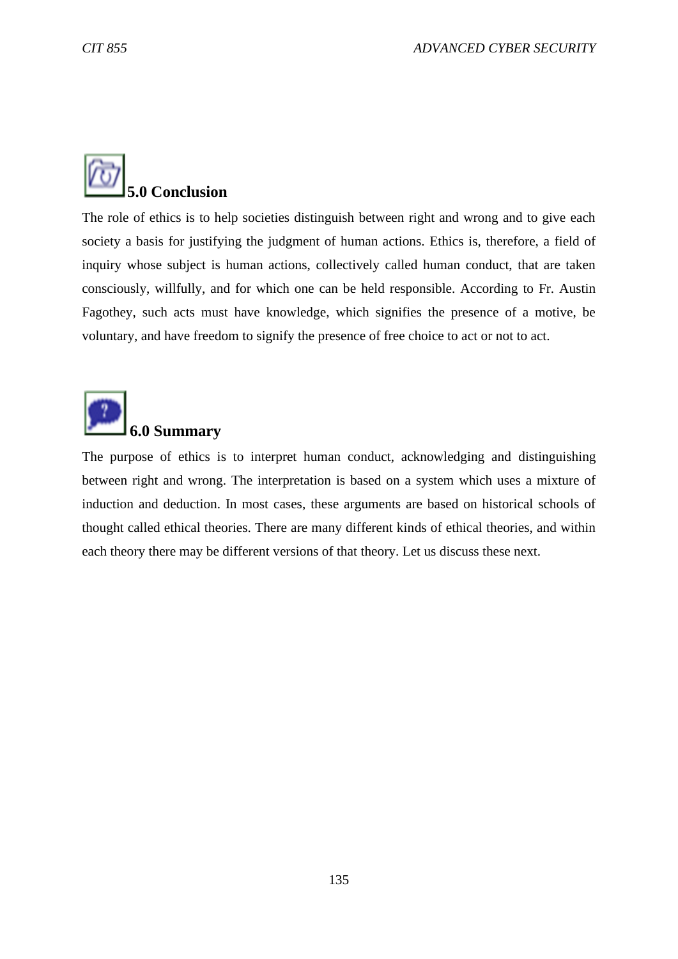

The role of ethics is to help societies distinguish between right and wrong and to give each society a basis for justifying the judgment of human actions. Ethics is, therefore, a field of inquiry whose subject is human actions, collectively called human conduct, that are taken consciously, willfully, and for which one can be held responsible. According to Fr. Austin Fagothey, such acts must have knowledge, which signifies the presence of a motive, be voluntary, and have freedom to signify the presence of free choice to act or not to act.



## **6.0 Summary**

The purpose of ethics is to interpret human conduct, acknowledging and distinguishing between right and wrong. The interpretation is based on a system which uses a mixture of induction and deduction. In most cases, these arguments are based on historical schools of thought called ethical theories. There are many different kinds of ethical theories, and within each theory there may be different versions of that theory. Let us discuss these next.